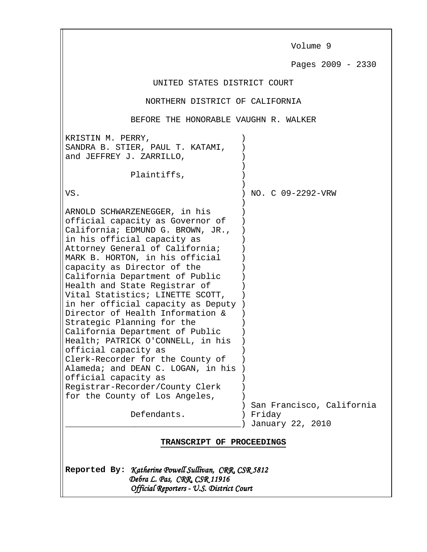Volume 9

Pages 2009 - 2330

#### UNITED STATES DISTRICT COURT

### NORTHERN DISTRICT OF CALIFORNIA

### BEFORE THE HONORABLE VAUGHN R. WALKER

| Plaintiffs,<br>VS.<br>ARNOLD SCHWARZENEGGER, in his<br>official capacity as Governor of<br>California; EDMUND G. BROWN, JR.,<br>in his official capacity as<br>Attorney General of California;<br>MARK B. HORTON, in his official<br>capacity as Director of the<br>California Department of Public                                                                                                                                                             |                                                         |
|-----------------------------------------------------------------------------------------------------------------------------------------------------------------------------------------------------------------------------------------------------------------------------------------------------------------------------------------------------------------------------------------------------------------------------------------------------------------|---------------------------------------------------------|
|                                                                                                                                                                                                                                                                                                                                                                                                                                                                 |                                                         |
|                                                                                                                                                                                                                                                                                                                                                                                                                                                                 | NO. C 09-2292-VRW                                       |
| Health and State Registrar of<br>Vital Statistics; LINETTE SCOTT,<br>in her official capacity as Deputy<br>Director of Health Information &<br>Strategic Planning for the<br>California Department of Public<br>Health; PATRICK O'CONNELL, in his<br>official capacity as<br>Clerk-Recorder for the County of<br>Alameda; and DEAN C. LOGAN, in his<br>official capacity as<br>Registrar-Recorder/County Clerk<br>for the County of Los Angeles,<br>Defendants. | San Francisco, California<br>Friday<br>January 22, 2010 |
| <b>TRANSCRIPT OF PROCEEDINGS</b>                                                                                                                                                                                                                                                                                                                                                                                                                                |                                                         |

Reported By: Katherine Powell Sullivan, CRR, CSR 5812 Debra L. Pas, CRR, CSR 11916 Official Reporters - U.S. District Court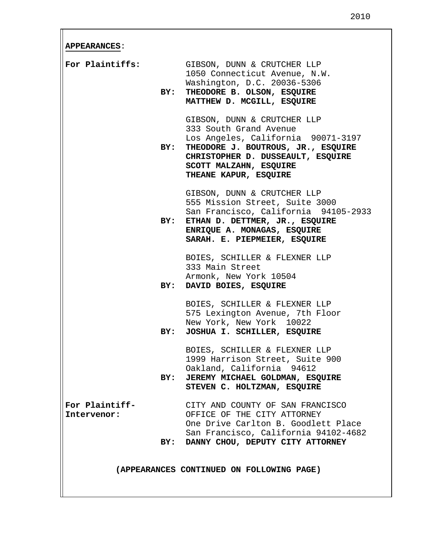**APPEARANCES**:

| For Plaintiffs:<br>BY:               | GIBSON, DUNN & CRUTCHER LLP<br>1050 Connecticut Avenue, N.W.<br>Washington, D.C. 20036-5306<br>THEODORE B. OLSON, ESQUIRE<br>MATTHEW D. MCGILL, ESQUIRE                                                                   |
|--------------------------------------|---------------------------------------------------------------------------------------------------------------------------------------------------------------------------------------------------------------------------|
| BY:                                  | GIBSON, DUNN & CRUTCHER LLP<br>333 South Grand Avenue<br>Los Angeles, California 90071-3197<br>THEODORE J. BOUTROUS, JR., ESQUIRE<br>CHRISTOPHER D. DUSSEAULT, ESQUIRE<br>SCOTT MALZAHN, ESQUIRE<br>THEANE KAPUR, ESQUIRE |
| BY:                                  | GIBSON, DUNN & CRUTCHER LLP<br>555 Mission Street, Suite 3000<br>San Francisco, California 94105-2933<br>ETHAN D. DETTMER, JR., ESQUIRE<br>ENRIQUE A. MONAGAS, ESQUIRE<br>SARAH. E. PIEPMEIER, ESQUIRE                    |
|                                      | BOIES, SCHILLER & FLEXNER LLP<br>333 Main Street<br>Armonk, New York 10504<br>BY: DAVID BOIES, ESQUIRE                                                                                                                    |
| BY:                                  | BOIES, SCHILLER & FLEXNER LLP<br>575 Lexington Avenue, 7th Floor<br>New York, New York 10022<br>JOSHUA I. SCHILLER, ESQUIRE                                                                                               |
| BY:                                  | BOIES, SCHILLER & FLEXNER LLP<br>1999 Harrison Street, Suite 900<br>Oakland, California 94612<br>JEREMY MICHAEL GOLDMAN, ESQUIRE<br>STEVEN C. HOLTZMAN, ESQUIRE                                                           |
| For Plaintiff-<br>Intervenor:<br>BY: | CITY AND COUNTY OF SAN FRANCISCO<br>OFFICE OF THE CITY ATTORNEY<br>One Drive Carlton B. Goodlett Place<br>San Francisco, California 94102-4682<br>DANNY CHOU, DEPUTY CITY ATTORNEY                                        |
|                                      | (APPEARANCES CONTINUED ON FOLLOWING PAGE)                                                                                                                                                                                 |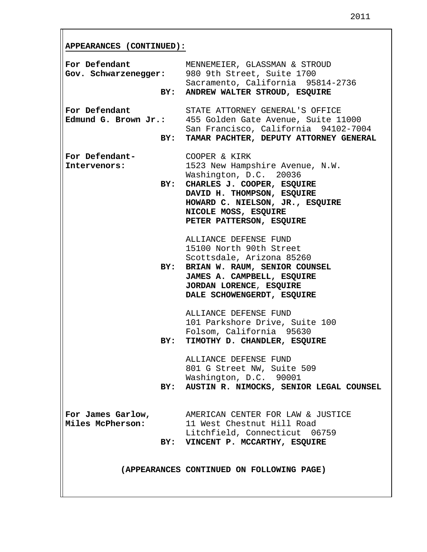**APPEARANCES (CONTINUED):**

| For Defendant                         | MENNEMEIER, GLASSMAN & STROUD<br>Gov. Schwarzenegger: 980 9th Street, Suite 1700<br>Sacramento, California 95814-2736<br>BY: ANDREW WALTER STROUD, ESQUIRE                                                                        |
|---------------------------------------|-----------------------------------------------------------------------------------------------------------------------------------------------------------------------------------------------------------------------------------|
| For Defendant                         | STATE ATTORNEY GENERAL'S OFFICE<br>Edmund G. Brown Jr.: 455 Golden Gate Avenue, Suite 11000<br>San Francisco, California 94102-7004<br>BY: TAMAR PACHTER, DEPUTY ATTORNEY GENERAL                                                 |
| For Defendant-<br>Intervenors:        | COOPER & KIRK<br>1523 New Hampshire Avenue, N.W.<br>Washington, D.C. 20036<br>BY: CHARLES J. COOPER, ESQUIRE<br>DAVID H. THOMPSON, ESQUIRE<br>HOWARD C. NIELSON, JR., ESQUIRE<br>NICOLE MOSS, ESQUIRE<br>PETER PATTERSON, ESQUIRE |
|                                       | ALLIANCE DEFENSE FUND<br>15100 North 90th Street<br>Scottsdale, Arizona 85260<br>BY: BRIAN W. RAUM, SENIOR COUNSEL<br>JAMES A. CAMPBELL, ESQUIRE<br>JORDAN LORENCE, ESQUIRE<br>DALE SCHOWENGERDT, ESQUIRE                         |
|                                       | ALLIANCE DEFENSE FUND<br>101 Parkshore Drive, Suite 100<br>Folsom, California 95630<br>BY: TIMOTHY D. CHANDLER, ESQUIRE                                                                                                           |
|                                       | ALLIANCE DEFENSE FUND<br>801 G Street NW, Suite 509<br>Washington, D.C. 90001<br>BY: AUSTIN R. NIMOCKS, SENIOR LEGAL COUNSEL                                                                                                      |
| For James Garlow,<br>Miles McPherson: | AMERICAN CENTER FOR LAW & JUSTICE<br>11 West Chestnut Hill Road<br>Litchfield, Connecticut 06759<br>BY: VINCENT P. MCCARTHY, ESQUIRE                                                                                              |
|                                       | (APPEARANCES CONTINUED ON FOLLOWING PAGE)                                                                                                                                                                                         |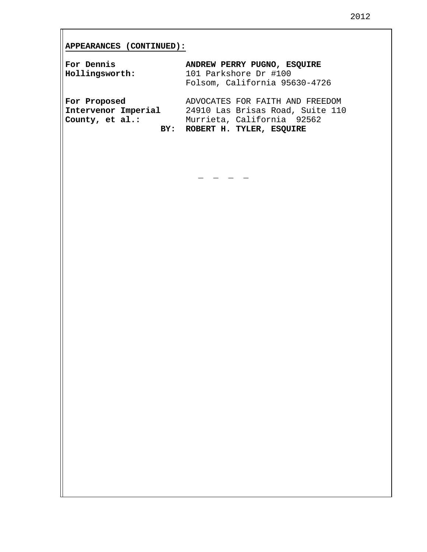## **APPEARANCES (CONTINUED):**

| For Dennis<br>Hollingsworth: | ANDREW PERRY PUGNO, ESQUIRE<br>101 Parkshore Dr #100<br>Folsom, California 95630-4726 |
|------------------------------|---------------------------------------------------------------------------------------|
| For Proposed                 | ADVOCATES FOR FAITH AND FREEDOM                                                       |
| Intervenor Imperial          | 24910 Las Brisas Road, Suite 110                                                      |
| County, et al.:              | Murrieta, California 92562                                                            |
| BY:                          | ROBERT H. TYLER, ESQUIRE                                                              |

 $-$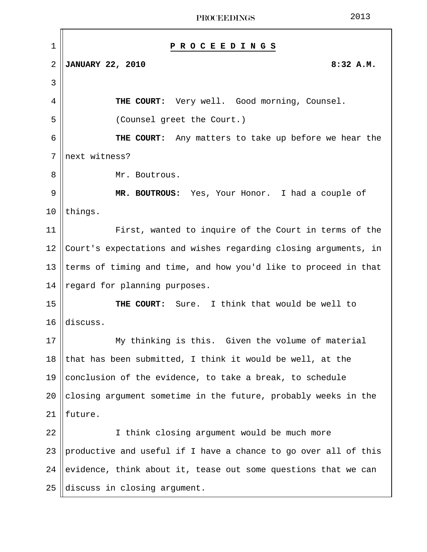| $\mathbf 1$    | ROCEEDINGS<br>Р                                                 |
|----------------|-----------------------------------------------------------------|
| $\overline{2}$ | <b>JANUARY 22, 2010</b><br>8:32A.M.                             |
| 3              |                                                                 |
| 4              | THE COURT: Very well. Good morning, Counsel.                    |
| 5              | (Counsel greet the Court.)                                      |
| 6              | THE COURT: Any matters to take up before we hear the            |
| 7              | next witness?                                                   |
| 8              | Mr. Boutrous.                                                   |
| 9              | MR. BOUTROUS: Yes, Your Honor. I had a couple of                |
| 10             | things.                                                         |
| 11             | First, wanted to inquire of the Court in terms of the           |
| 12             | Court's expectations and wishes regarding closing arguments, in |
| 13             | terms of timing and time, and how you'd like to proceed in that |
| 14             | regard for planning purposes.                                   |
| 15             | Sure. I think that would be well to<br>THE COURT:               |
| 16             | discuss.                                                        |
| 17             | My thinking is this. Given the volume of material               |
| 18             | that has been submitted, I think it would be well, at the       |
| 19             | conclusion of the evidence, to take a break, to schedule        |
| 20             | closing argument sometime in the future, probably weeks in the  |
| 21             | future.                                                         |
| 22             | I think closing argument would be much more                     |
| 23             | productive and useful if I have a chance to go over all of this |
| 24             | evidence, think about it, tease out some questions that we can  |
| 25             | discuss in closing argument.                                    |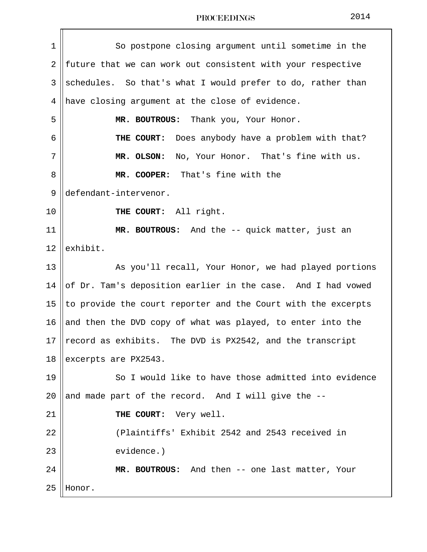| $\mathbf 1$    | So postpone closing argument until sometime in the            |
|----------------|---------------------------------------------------------------|
| $\overline{2}$ | future that we can work out consistent with your respective   |
| 3              | schedules. So that's what I would prefer to do, rather than   |
| 4              | have closing argument at the close of evidence.               |
| 5              | MR. BOUTROUS: Thank you, Your Honor.                          |
| 6              | THE COURT:<br>Does anybody have a problem with that?          |
| 7              | MR. OLSON: No, Your Honor. That's fine with us.               |
| 8              | MR. COOPER: That's fine with the                              |
| 9              | defendant-intervenor.                                         |
| 10             | THE COURT: All right.                                         |
| 11             | MR. BOUTROUS: And the -- quick matter, just an                |
| 12             | exhibit.                                                      |
| 13             | As you'll recall, Your Honor, we had played portions          |
| 14             | of Dr. Tam's deposition earlier in the case. And I had vowed  |
| 15             | to provide the court reporter and the Court with the excerpts |
| 16             | and then the DVD copy of what was played, to enter into the   |
| 17             | record as exhibits. The DVD is PX2542, and the transcript     |
| 18             | excerpts are PX2543.                                          |
| 19             | So I would like to have those admitted into evidence          |
| 20             | and made part of the record. And I will give the --           |
| 21             | THE COURT: Very well.                                         |
| 22             | (Plaintiffs' Exhibit 2542 and 2543 received in                |
| 23             | evidence.)                                                    |
| 24             | MR. BOUTROUS: And then -- one last matter, Your               |
| 25             | Honor.                                                        |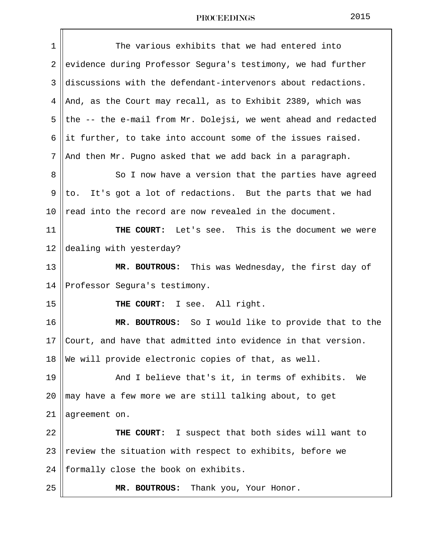# PROCEEDINGS 2015

| $\mathbf 1$ | The various exhibits that we had entered into                  |
|-------------|----------------------------------------------------------------|
| 2           | evidence during Professor Segura's testimony, we had further   |
| 3           | discussions with the defendant-intervenors about redactions.   |
| 4           | And, as the Court may recall, as to Exhibit 2389, which was    |
| 5           | the -- the e-mail from Mr. Dolejsi, we went ahead and redacted |
| 6           | it further, to take into account some of the issues raised.    |
| 7           | And then Mr. Pugno asked that we add back in a paragraph.      |
| 8           | So I now have a version that the parties have agreed           |
| 9           | to. It's got a lot of redactions. But the parts that we had    |
| 10          | read into the record are now revealed in the document.         |
| 11          | THE COURT: Let's see. This is the document we were             |
| 12          | dealing with yesterday?                                        |
| 13          | MR. BOUTROUS: This was Wednesday, the first day of             |
| 14          | Professor Segura's testimony.                                  |
| 15          | THE COURT: I see. All right.                                   |
| 16          | MR. BOUTROUS: So I would like to provide that to the           |
| 17          | Court, and have that admitted into evidence in that version.   |
| 18          | We will provide electronic copies of that, as well.            |
| 19          | And I believe that's it, in terms of exhibits. We              |
| 20          | may have a few more we are still talking about, to get         |
| 21          | agreement on.                                                  |
| 22          | THE COURT: I suspect that both sides will want to              |
| 23          | review the situation with respect to exhibits, before we       |
| 24          | formally close the book on exhibits.                           |
| 25          | Thank you, Your Honor.<br>MR. BOUTROUS:                        |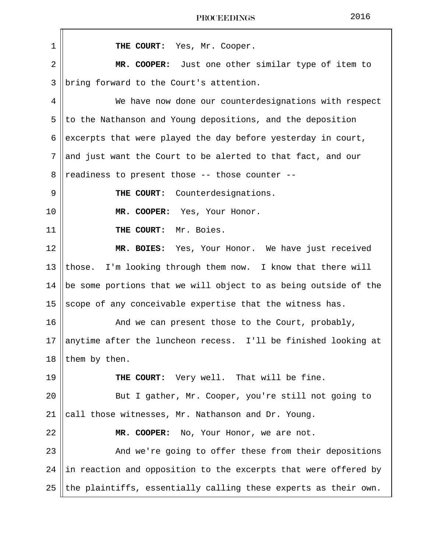| 1              | THE COURT: Yes, Mr. Cooper.                                     |
|----------------|-----------------------------------------------------------------|
| $\overline{2}$ | MR. COOPER: Just one other similar type of item to              |
| 3              | bring forward to the Court's attention.                         |
| 4              | We have now done our counterdesignations with respect           |
| 5              | to the Nathanson and Young depositions, and the deposition      |
| 6              | excerpts that were played the day before yesterday in court,    |
| $7\phantom{.}$ | and just want the Court to be alerted to that fact, and our     |
| 8              | readiness to present those -- those counter --                  |
| 9              | THE COURT: Counterdesignations.                                 |
| 10             | MR. COOPER: Yes, Your Honor.                                    |
| 11             | THE COURT: Mr. Boies.                                           |
| 12             | MR. BOIES: Yes, Your Honor. We have just received               |
| 13             | those. I'm looking through them now. I know that there will     |
| 14             | be some portions that we will object to as being outside of the |
| 15             | scope of any conceivable expertise that the witness has.        |
| 16             | And we can present those to the Court, probably,                |
| 17             | anytime after the luncheon recess. I'll be finished looking at  |
| 18             | them by then.                                                   |
| 19             | THE COURT: Very well. That will be fine.                        |
| 20             | But I gather, Mr. Cooper, you're still not going to             |
| 21             | call those witnesses, Mr. Nathanson and Dr. Young.              |
| 22             | MR. COOPER: No, Your Honor, we are not.                         |
| 23             | And we're going to offer these from their depositions           |
| 24             | in reaction and opposition to the excerpts that were offered by |
| 25             | the plaintiffs, essentially calling these experts as their own. |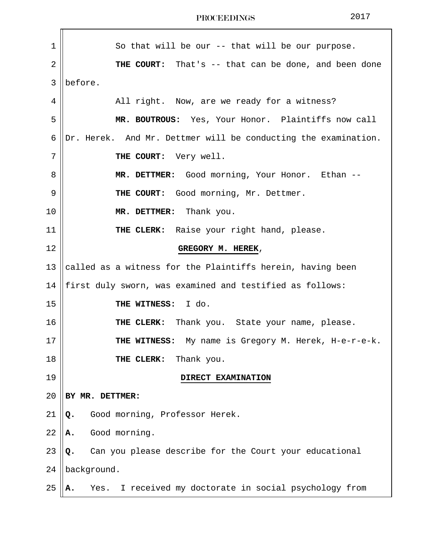| $\mathbf 1$    | So that will be our $--$ that will be our purpose.              |
|----------------|-----------------------------------------------------------------|
| $\overline{2}$ | <b>THE COURT:</b> That's -- that can be done, and been done     |
| 3              | before.                                                         |
| 4              | All right. Now, are we ready for a witness?                     |
| 5              | MR. BOUTROUS: Yes, Your Honor. Plaintiffs now call              |
| 6              | Dr. Herek. And Mr. Dettmer will be conducting the examination.  |
| 7              | THE COURT: Very well.                                           |
| 8              | MR. DETTMER: Good morning, Your Honor. Ethan --                 |
| 9              | THE COURT: Good morning, Mr. Dettmer.                           |
| 10             | MR. DETTMER: Thank you.                                         |
| 11             | THE CLERK: Raise your right hand, please.                       |
| 12             | GREGORY M. HEREK,                                               |
| 13             | called as a witness for the Plaintiffs herein, having been      |
| 14             | first duly sworn, was examined and testified as follows:        |
| 15             | I do.<br>THE WITNESS:                                           |
| 16             | THE CLERK: Thank you. State your name, please.                  |
| 17             | THE WITNESS: My name is Gregory M. Herek, H-e-r-e-k.            |
| 18             | Thank you.<br>THE CLERK:                                        |
| 19             | DIRECT EXAMINATION                                              |
| 20             | BY MR. DETTMER:                                                 |
| 21             | Good morning, Professor Herek.<br>Q.                            |
| 22             | Good morning.<br>А.                                             |
| 23             | Can you please describe for the Court your educational<br>Q.    |
| 24             | background.                                                     |
| 25             | I received my doctorate in social psychology from<br>Yes.<br>А. |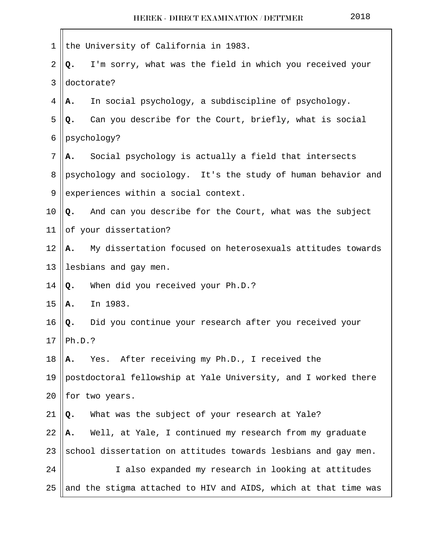| 1              | the University of California in 1983.                            |  |  |
|----------------|------------------------------------------------------------------|--|--|
| $\overline{2}$ | I'm sorry, what was the field in which you received your<br>Q.   |  |  |
| 3              | doctorate?                                                       |  |  |
| 4              | In social psychology, a subdiscipline of psychology.<br>А.       |  |  |
| 5              | Can you describe for the Court, briefly, what is social<br>Q.    |  |  |
| 6              | psychology?                                                      |  |  |
| 7              | Social psychology is actually a field that intersects<br>А.      |  |  |
| 8              | psychology and sociology. It's the study of human behavior and   |  |  |
| 9              | experiences within a social context.                             |  |  |
| 10             | And can you describe for the Court, what was the subject<br>Q.   |  |  |
| 11             | of your dissertation?                                            |  |  |
| 12             | My dissertation focused on heterosexuals attitudes towards<br>А. |  |  |
| 13             | lesbians and gay men.                                            |  |  |
| 14             | When did you received your Ph.D.?<br>Q.                          |  |  |
| 15             | In 1983.<br>Α.                                                   |  |  |
| 16             | Did you continue your research after you received your<br>Q.     |  |  |
| 17             | Ph.D.?                                                           |  |  |
| 18             | Yes. After receiving my Ph.D., I received the<br>Α.              |  |  |
| 19             | postdoctoral fellowship at Yale University, and I worked there   |  |  |
| 20             | for two years.                                                   |  |  |
| 21             | What was the subject of your research at Yale?<br>Q.             |  |  |
| 22             | Well, at Yale, I continued my research from my graduate<br>А.    |  |  |
| 23             | school dissertation on attitudes towards lesbians and gay men.   |  |  |
| 24             | I also expanded my research in looking at attitudes              |  |  |
| 25             | and the stigma attached to HIV and AIDS, which at that time was  |  |  |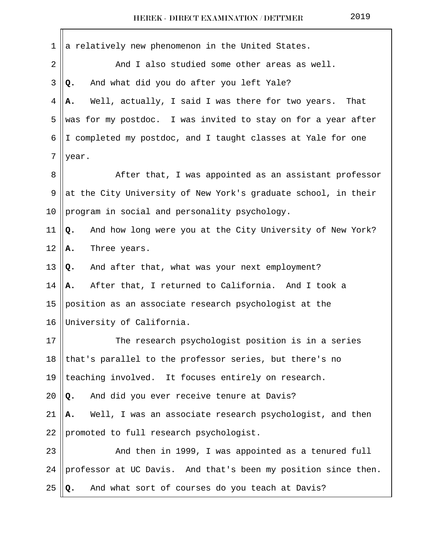| 1  | a relatively new phenomenon in the United States.               |
|----|-----------------------------------------------------------------|
| 2  | And I also studied some other areas as well.                    |
| 3  | And what did you do after you left Yale?<br>Q.                  |
| 4  | Well, actually, I said I was there for two years.<br>That<br>А. |
| 5  | was for my postdoc. I was invited to stay on for a year after   |
| 6  | I completed my postdoc, and I taught classes at Yale for one    |
| 7  | year.                                                           |
| 8  | After that, I was appointed as an assistant professor           |
| 9  | at the City University of New York's graduate school, in their  |
| 10 | program in social and personality psychology.                   |
| 11 | And how long were you at the City University of New York?<br>Q. |
| 12 | Three years.<br>Α.                                              |
| 13 | And after that, what was your next employment?<br>Q.            |
| 14 | After that, I returned to California. And I took a<br>Α.        |
| 15 | position as an associate research psychologist at the           |
| 16 | University of California.                                       |
| 17 | The research psychologist position is in a series               |
| 18 | that's parallel to the professor series, but there's no         |
| 19 | teaching involved. It focuses entirely on research.             |
| 20 | And did you ever receive tenure at Davis?<br>Q.                 |
| 21 | Well, I was an associate research psychologist, and then<br>Α.  |
| 22 | promoted to full research psychologist.                         |
| 23 | And then in 1999, I was appointed as a tenured full             |
| 24 | professor at UC Davis. And that's been my position since then.  |
| 25 | And what sort of courses do you teach at Davis?<br>o.           |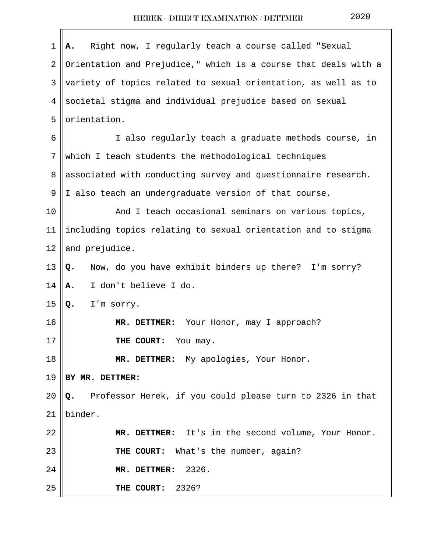| $\mathbf 1$ | Right now, I regularly teach a course called "Sexual<br>Α.      |
|-------------|-----------------------------------------------------------------|
| 2           | Orientation and Prejudice," which is a course that deals with a |
| 3           | variety of topics related to sexual orientation, as well as to  |
| 4           | societal stigma and individual prejudice based on sexual        |
| 5           | orientation.                                                    |
| 6           | I also regularly teach a graduate methods course, in            |
| 7           | which I teach students the methodological techniques            |
| 8           | associated with conducting survey and questionnaire research.   |
| $\mathsf 9$ | I also teach an undergraduate version of that course.           |
| 10          | And I teach occasional seminars on various topics,              |
| 11          | including topics relating to sexual orientation and to stigma   |
| 12          | and prejudice.                                                  |
| 13          | Now, do you have exhibit binders up there? I'm sorry?<br>Q.     |
| 14          | I don't believe I do.<br>Α.                                     |
| 15          | I'm sorry.<br>Q.                                                |
| 16          | MR. DETTMER: Your Honor, may I approach?                        |
| 17          | THE COURT: You may.                                             |
| 18          | MR. DETTMER: My apologies, Your Honor.                          |
| 19          | BY MR. DETTMER:                                                 |
| 20          | Professor Herek, if you could please turn to 2326 in that<br>Q. |
| 21          | binder.                                                         |
| 22          | MR. DETTMER: It's in the second volume, Your Honor.             |
| 23          | What's the number, again?<br>THE COURT:                         |
| 24          | MR. DETTMER:<br>2326.                                           |
| 25          | THE COURT:<br>2326?                                             |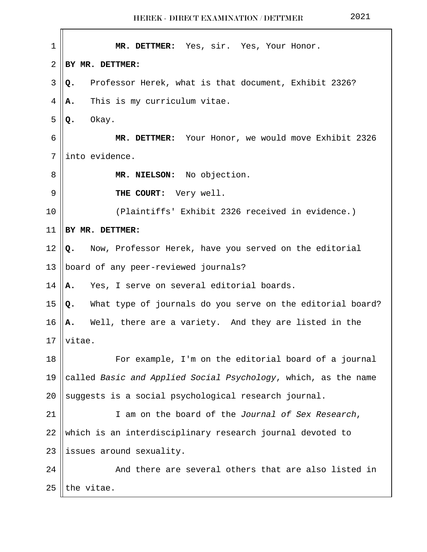| 1  | MR. DETTMER: Yes, sir. Yes, Your Honor.                          |
|----|------------------------------------------------------------------|
| 2  | BY MR. DETTMER:                                                  |
| 3  | Professor Herek, what is that document, Exhibit 2326?<br>Q.      |
| 4  | This is my curriculum vitae.<br>А.                               |
| 5  | Okay.<br>Q.                                                      |
| 6  | MR. DETTMER: Your Honor, we would move Exhibit 2326              |
| 7  | into evidence.                                                   |
| 8  | MR. NIELSON: No objection.                                       |
| 9  | THE COURT: Very well.                                            |
| 10 | (Plaintiffs' Exhibit 2326 received in evidence.)                 |
| 11 | BY MR. DETTMER:                                                  |
| 12 | Now, Professor Herek, have you served on the editorial<br>Q.     |
| 13 | board of any peer-reviewed journals?                             |
| 14 | Yes, I serve on several editorial boards.<br>А.                  |
| 15 | What type of journals do you serve on the editorial board?<br>Q. |
| 16 | Well, there are a variety. And they are listed in the<br>Α.      |
| 17 | vitae.                                                           |
| 18 | For example, I'm on the editorial board of a journal             |
| 19 | called Basic and Applied Social Psychology, which, as the name   |
| 20 | suggests is a social psychological research journal.             |
| 21 | I am on the board of the Journal of Sex Research,                |
| 22 | which is an interdisciplinary research journal devoted to        |
| 23 | issues around sexuality.                                         |
| 24 | And there are several others that are also listed in             |
| 25 | the vitae.                                                       |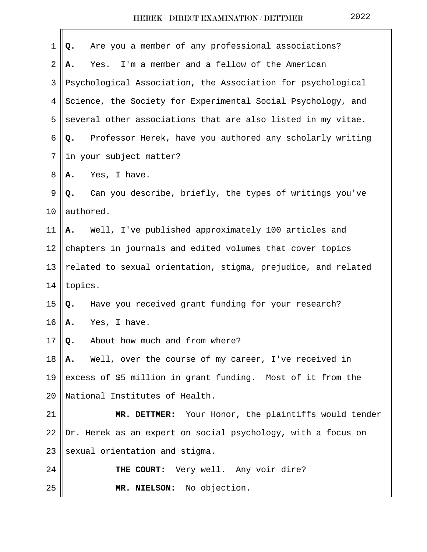| $\mathbf 1$    | Are you a member of any professional associations?<br>Q.       |
|----------------|----------------------------------------------------------------|
| $\overline{2}$ | I'm a member and a fellow of the American<br>Yes.<br>Α.        |
| 3              | Psychological Association, the Association for psychological   |
| 4              | Science, the Society for Experimental Social Psychology, and   |
| 5              | several other associations that are also listed in my vitae.   |
| 6              | Professor Herek, have you authored any scholarly writing<br>Q. |
| 7              | in your subject matter?                                        |
| 8              | Yes, I have.<br>Α.                                             |
| 9              | Can you describe, briefly, the types of writings you've<br>Q.  |
| 10             | authored.                                                      |
| 11             | Well, I've published approximately 100 articles and<br>Α.      |
| 12             | chapters in journals and edited volumes that cover topics      |
| 13             | related to sexual orientation, stigma, prejudice, and related  |
| 14             | topics.                                                        |
| 15             | Have you received grant funding for your research?<br>Q.       |
| 16             | Yes, I have.<br>Α.                                             |
| 17             | About how much and from where?<br>Q.                           |
| 18             | Well, over the course of my career, I've received in<br>Α.     |
| 19             | excess of \$5 million in grant funding. Most of it from the    |
| 20             | National Institutes of Health.                                 |
| 21             | MR. DETTMER: Your Honor, the plaintiffs would tender           |
| 22             | Dr. Herek as an expert on social psychology, with a focus on   |
| 23             | sexual orientation and stigma.                                 |
| 24             | Very well. Any voir dire?<br>THE COURT:                        |
| 25             | MR. NIELSON: No objection.                                     |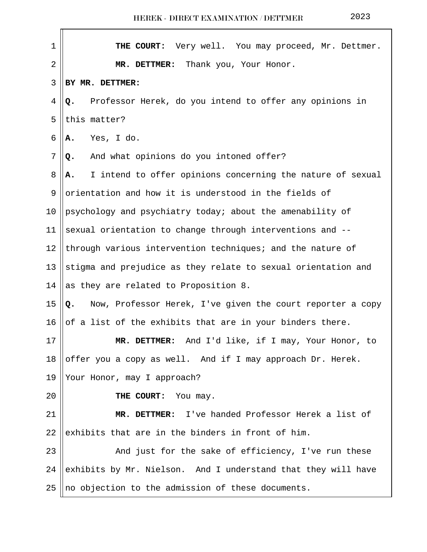| 1  | THE COURT: Very well. You may proceed, Mr. Dettmer.              |
|----|------------------------------------------------------------------|
| 2  | MR. DETTMER: Thank you, Your Honor.                              |
| 3  | BY MR. DETTMER:                                                  |
| 4  | Professor Herek, do you intend to offer any opinions in<br>Q.    |
| 5  | this matter?                                                     |
| 6  | Yes, I do.<br>Α.                                                 |
| 7  | And what opinions do you intoned offer?<br>Q.                    |
| 8  | I intend to offer opinions concerning the nature of sexual<br>Α. |
| 9  | orientation and how it is understood in the fields of            |
| 10 | psychology and psychiatry today; about the amenability of        |
| 11 | sexual orientation to change through interventions and --        |
| 12 | through various intervention techniques; and the nature of       |
| 13 | stigma and prejudice as they relate to sexual orientation and    |
| 14 | as they are related to Proposition 8.                            |
| 15 | Now, Professor Herek, I've given the court reporter a copy<br>Q. |
| 16 | of a list of the exhibits that are in your binders there.        |
| 17 | MR. DETTMER: And I'd like, if I may, Your Honor, to              |
| 18 | offer you a copy as well. And if I may approach Dr. Herek.       |
| 19 | Your Honor, may I approach?                                      |
| 20 | THE COURT: You may.                                              |
| 21 | MR. DETTMER: I've handed Professor Herek a list of               |
| 22 | exhibits that are in the binders in front of him.                |
| 23 | And just for the sake of efficiency, I've run these              |
| 24 | exhibits by Mr. Nielson. And I understand that they will have    |
| 25 | no objection to the admission of these documents.                |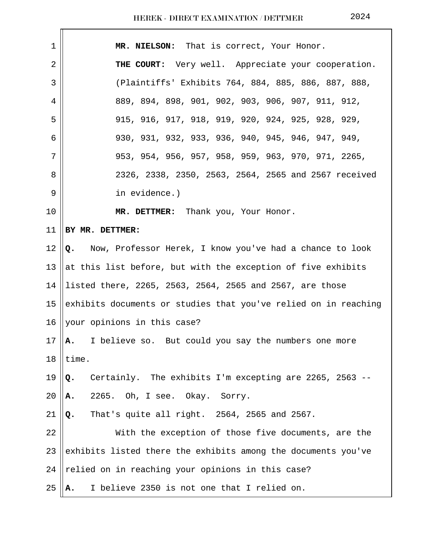| $\mathbf 1$ | MR. NIELSON: That is correct, Your Honor.                       |
|-------------|-----------------------------------------------------------------|
| 2           | <b>THE COURT:</b> Very well. Appreciate your cooperation.       |
| 3           | (Plaintiffs' Exhibits 764, 884, 885, 886, 887, 888,             |
| 4           | 889, 894, 898, 901, 902, 903, 906, 907, 911, 912,               |
| 5           | 915, 916, 917, 918, 919, 920, 924, 925, 928, 929,               |
| 6           | 930, 931, 932, 933, 936, 940, 945, 946, 947, 949,               |
| 7           | 953, 954, 956, 957, 958, 959, 963, 970, 971, 2265,              |
| 8           | 2326, 2338, 2350, 2563, 2564, 2565 and 2567 received            |
| 9           | in evidence.)                                                   |
| 10          | MR. DETTMER: Thank you, Your Honor.                             |
| 11          | BY MR. DETTMER:                                                 |
| 12          | Now, Professor Herek, I know you've had a chance to look<br>Q.  |
| 13          | at this list before, but with the exception of five exhibits    |
| 14          | listed there, 2265, 2563, 2564, 2565 and 2567, are those        |
| 15          | exhibits documents or studies that you've relied on in reaching |
| 16          | your opinions in this case?                                     |
| 17          | I believe so. But could you say the numbers one more<br>А.      |
| 18          | time.                                                           |
| 19          | Certainly. The exhibits I'm excepting are 2265, 2563 --<br>Q.   |
| 20          | 2265. Oh, I see. Okay. Sorry.<br>Α.                             |
| 21          | That's quite all right. 2564, 2565 and 2567.<br>Q.              |
| 22          | With the exception of those five documents, are the             |
| 23          | exhibits listed there the exhibits among the documents you've   |
| 24          | relied on in reaching your opinions in this case?               |
| 25          | I believe 2350 is not one that I relied on.<br>Α.               |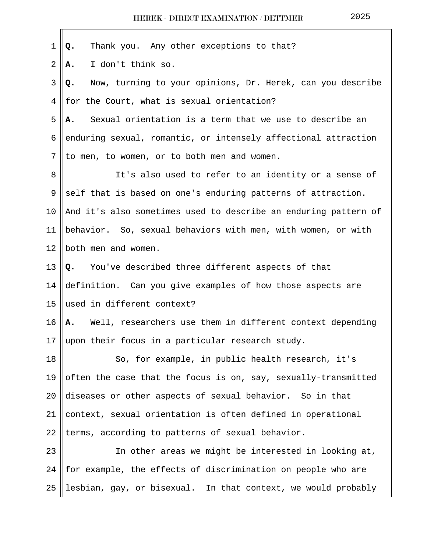| 1  | Thank you. Any other exceptions to that?<br>Q.                   |
|----|------------------------------------------------------------------|
| 2  | I don't think so.<br>Α.                                          |
| 3  | Now, turning to your opinions, Dr. Herek, can you describe<br>Q. |
| 4  | for the Court, what is sexual orientation?                       |
| 5  | Sexual orientation is a term that we use to describe an<br>Α.    |
| 6  | enduring sexual, romantic, or intensely affectional attraction   |
| 7  | to men, to women, or to both men and women.                      |
| 8  | It's also used to refer to an identity or a sense of             |
| 9  | self that is based on one's enduring patterns of attraction.     |
| 10 | And it's also sometimes used to describe an enduring pattern of  |
| 11 | behavior. So, sexual behaviors with men, with women, or with     |
| 12 | both men and women.                                              |
| 13 | Q. You've described three different aspects of that              |
| 14 | definition. Can you give examples of how those aspects are       |
| 15 | used in different context?                                       |
| 16 | Well, researchers use them in different context depending<br>Α.  |
| 17 | upon their focus in a particular research study.                 |
| 18 | So, for example, in public health research, it's                 |
| 19 | often the case that the focus is on, say, sexually-transmitted   |
| 20 | diseases or other aspects of sexual behavior. So in that         |
| 21 | context, sexual orientation is often defined in operational      |
| 22 | terms, according to patterns of sexual behavior.                 |
| 23 | In other areas we might be interested in looking at,             |
| 24 | for example, the effects of discrimination on people who are     |
| 25 | lesbian, gay, or bisexual. In that context, we would probably    |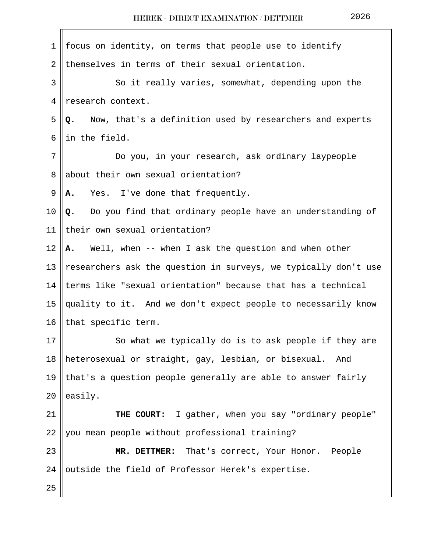| 1  | focus on identity, on terms that people use to identify         |
|----|-----------------------------------------------------------------|
| 2  | themselves in terms of their sexual orientation.                |
| 3  | So it really varies, somewhat, depending upon the               |
| 4  | research context.                                               |
| 5  | Now, that's a definition used by researchers and experts<br>Q.  |
| 6  | in the field.                                                   |
| 7  | Do you, in your research, ask ordinary laypeople                |
| 8  | about their own sexual orientation?                             |
| 9  | Yes. I've done that frequently.<br>Α.                           |
| 10 | Do you find that ordinary people have an understanding of<br>Q. |
| 11 | their own sexual orientation?                                   |
| 12 | Well, when -- when I ask the question and when other<br>А.      |
| 13 | researchers ask the question in surveys, we typically don't use |
| 14 | terms like "sexual orientation" because that has a technical    |
| 15 | quality to it. And we don't expect people to necessarily know   |
| 16 | that specific term.                                             |
| 17 | So what we typically do is to ask people if they are            |
| 18 | heterosexual or straight, gay, lesbian, or bisexual.<br>And     |
| 19 | that's a question people generally are able to answer fairly    |
| 20 | easily.                                                         |
| 21 | THE COURT: I gather, when you say "ordinary people"             |
| 22 | you mean people without professional training?                  |
| 23 | MR. DETTMER: That's correct, Your Honor. People                 |
| 24 | outside the field of Professor Herek's expertise.               |
| 25 |                                                                 |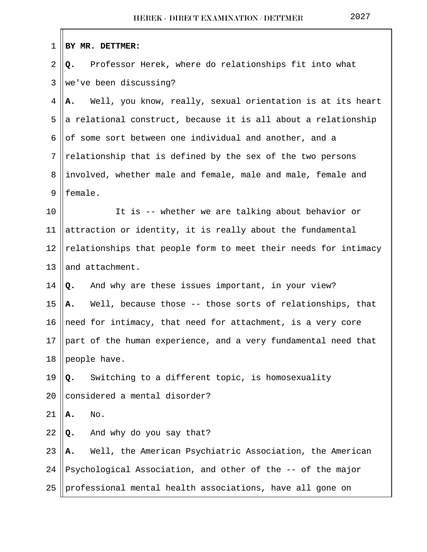| 1  | BY MR. DETTMER:                                                            |
|----|----------------------------------------------------------------------------|
| 2  | Professor Herek, where do relationships fit into what<br>Q.                |
| 3  | we've been discussing?                                                     |
| 4  | Well, you know, really, sexual orientation is at its heart<br>А.           |
| 5  | a relational construct, because it is all about a relationship             |
| 6  | of some sort between one individual and another, and a                     |
| 7  | relationship that is defined by the sex of the two persons                 |
| 8  | involved, whether male and female, male and male, female and               |
| 9  | female.                                                                    |
| 10 | It is -- whether we are talking about behavior or                          |
| 11 | attraction or identity, it is really about the fundamental                 |
| 12 | relationships that people form to meet their needs for intimacy            |
| 13 | and attachment.                                                            |
| 14 | And why are these issues important, in your view?<br>Q.                    |
| 15 | Well, because those -- those sorts of relationships, that<br>Α.            |
| 16 | need for intimacy, that need for attachment, is a very core                |
| 17 | $\parallel$ part of the human experience, and a very fundamental need that |
| 18 | people have.                                                               |
| 19 | Switching to a different topic, is homosexuality<br>Q.                     |
| 20 | considered a mental disorder?                                              |
| 21 | No.<br>Α.                                                                  |
| 22 | And why do you say that?<br>Q.                                             |
| 23 | Well, the American Psychiatric Association, the American<br>Α.             |
| 24 | Psychological Association, and other of the -- of the major                |
| 25 | professional mental health associations, have all gone on                  |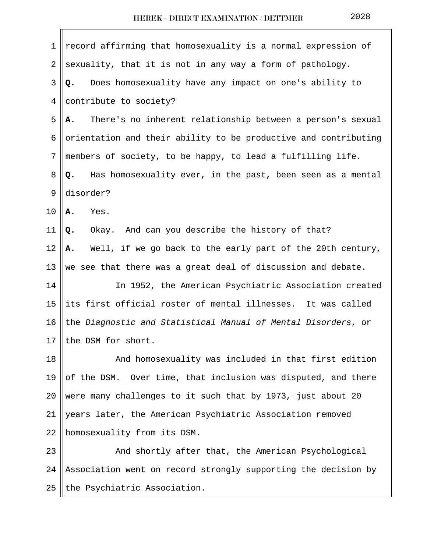| 1  | record affirming that homosexuality is a normal expression of    |
|----|------------------------------------------------------------------|
| 2  | sexuality, that it is not in any way a form of pathology.        |
| 3  | Does homosexuality have any impact on one's ability to<br>Q.     |
| 4  | contribute to society?                                           |
| 5  | There's no inherent relationship between a person's sexual<br>Α. |
| 6  | orientation and their ability to be productive and contributing  |
| 7  | members of society, to be happy, to lead a fulfilling life.      |
| 8  | Has homosexuality ever, in the past, been seen as a mental<br>Q. |
| 9  | disorder?                                                        |
| 10 | Yes.<br>Α.                                                       |
| 11 | Okay. And can you describe the history of that?<br>Q.            |
| 12 | Well, if we go back to the early part of the 20th century,<br>Α. |
| 13 | we see that there was a great deal of discussion and debate.     |
| 14 | In 1952, the American Psychiatric Association created            |
| 15 | its first official roster of mental illnesses. It was called     |
| 16 | the Diagnostic and Statistical Manual of Mental Disorders, or    |
| 17 | the DSM for short.                                               |
| 18 | And homosexuality was included in that first edition             |
| 19 | of the DSM. Over time, that inclusion was disputed, and there    |
| 20 | were many challenges to it such that by 1973, just about 20      |
| 21 | years later, the American Psychiatric Association removed        |
| 22 | homosexuality from its DSM.                                      |
| 23 | And shortly after that, the American Psychological               |
| 24 | Association went on record strongly supporting the decision by   |
| 25 | the Psychiatric Association.                                     |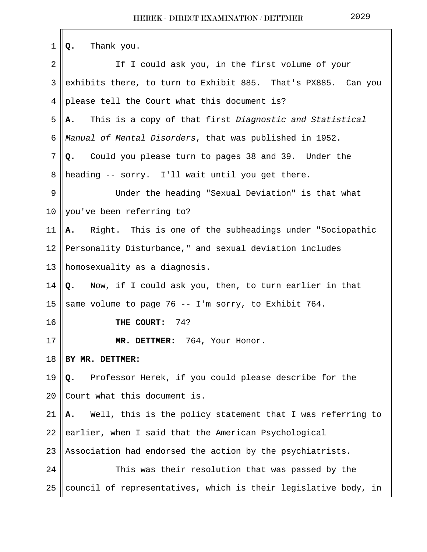| $\mathbf 1$    | Thank you.<br>Q.                                                 |
|----------------|------------------------------------------------------------------|
| $\overline{2}$ | If I could ask you, in the first volume of your                  |
| 3              | exhibits there, to turn to Exhibit 885. That's PX885. Can you    |
| 4              | please tell the Court what this document is?                     |
| 5              | This is a copy of that first Diagnostic and Statistical<br>Α.    |
| 6              | Manual of Mental Disorders, that was published in 1952.          |
| 7              | Could you please turn to pages 38 and 39. Under the<br>Q.        |
| 8              | heading -- sorry. I'll wait until you get there.                 |
| 9              | Under the heading "Sexual Deviation" is that what                |
| 10             | you've been referring to?                                        |
| 11             | Right. This is one of the subheadings under "Sociopathic<br>Α.   |
| 12             | Personality Disturbance," and sexual deviation includes          |
| 13             | homosexuality as a diagnosis.                                    |
| 14             | <b>Q.</b> Now, if I could ask you, then, to turn earlier in that |
| 15             | same volume to page 76 -- I'm sorry, to Exhibit 764.             |
| 16             | 74?<br>THE COURT:                                                |
| 17             | MR. DETTMER: 764, Your Honor.                                    |
| 18             | BY MR. DETTMER:                                                  |
| 19             | Professor Herek, if you could please describe for the<br>Q.      |
| 20             | Court what this document is.                                     |
| 21             | Well, this is the policy statement that I was referring to<br>Α. |
| 22             | earlier, when I said that the American Psychological             |
| 23             | Association had endorsed the action by the psychiatrists.        |
| 24             | This was their resolution that was passed by the                 |
| 25             | council of representatives, which is their legislative body, in  |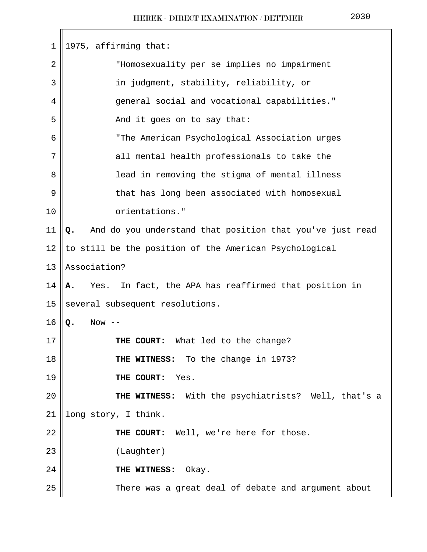| $\mathbf 1$ | 1975, affirming that:                                           |
|-------------|-----------------------------------------------------------------|
| 2           | "Homosexuality per se implies no impairment                     |
| 3           | in judgment, stability, reliability, or                         |
| 4           | general social and vocational capabilities."                    |
| 5           | And it goes on to say that:                                     |
| 6           | "The American Psychological Association urges                   |
| 7           | all mental health professionals to take the                     |
| 8           | lead in removing the stigma of mental illness                   |
| 9           | that has long been associated with homosexual                   |
| 10          | orientations."                                                  |
| 11          | And do you understand that position that you've just read<br>Q. |
| 12          | to still be the position of the American Psychological          |
| 13          | Association?                                                    |
| 14          | Yes. In fact, the APA has reaffirmed that position in<br>Α.     |
| 15          | several subsequent resolutions.                                 |
| 16          | Now $--$<br>Q.                                                  |
| 17          | THE COURT: What led to the change?                              |
| 18          | THE WITNESS: To the change in 1973?                             |
| 19          | THE COURT: Yes.                                                 |
| 20          | THE WITNESS: With the psychiatrists? Well, that's a             |
| 21          | long story, I think.                                            |
| 22          | THE COURT: Well, we're here for those.                          |
| 23          | (Laughter)                                                      |
| 24          | THE WITNESS: Okay.                                              |
| 25          | There was a great deal of debate and argument about             |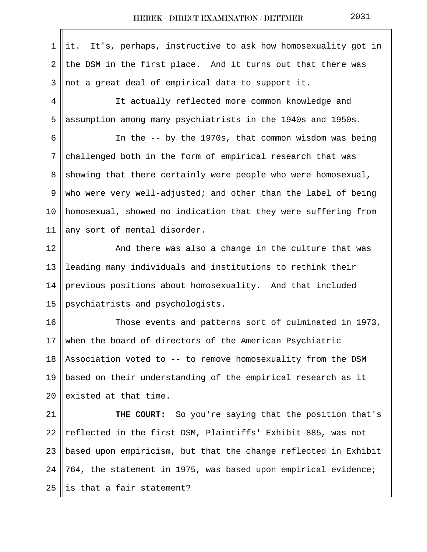| 1              | It's, perhaps, instructive to ask how homosexuality got in<br>it. |
|----------------|-------------------------------------------------------------------|
| 2              | the DSM in the first place. And it turns out that there was       |
| 3              | not a great deal of empirical data to support it.                 |
| 4              | It actually reflected more common knowledge and                   |
| 5              | assumption among many psychiatrists in the 1940s and 1950s.       |
| 6              | In the -- by the 1970s, that common wisdom was being              |
| $7\phantom{.}$ | challenged both in the form of empirical research that was        |
| 8              | showing that there certainly were people who were homosexual,     |
| 9              | who were very well-adjusted; and other than the label of being    |
| 10             | homosexual, showed no indication that they were suffering from    |
| 11             | any sort of mental disorder.                                      |
| 12             | And there was also a change in the culture that was               |
| 13             | leading many individuals and institutions to rethink their        |
| 14             | previous positions about homosexuality. And that included         |
| 15             | psychiatrists and psychologists.                                  |
| 16             | Those events and patterns sort of culminated in 1973,             |
| 17             | when the board of directors of the American Psychiatric           |
| 18             | Association voted to -- to remove homosexuality from the DSM      |
| 19             | based on their understanding of the empirical research as it      |
| 20             | existed at that time.                                             |
| 21             | THE COURT: So you're saying that the position that's              |
| 22             | reflected in the first DSM, Plaintiffs' Exhibit 885, was not      |
| 23             | based upon empiricism, but that the change reflected in Exhibit   |
| 24             | 764, the statement in 1975, was based upon empirical evidence;    |
| 25             | is that a fair statement?                                         |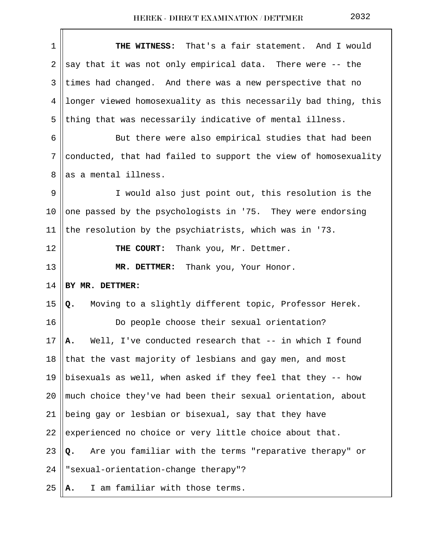| $\mathbf 1$ | THE WITNESS: That's a fair statement. And I would               |
|-------------|-----------------------------------------------------------------|
| $\sqrt{2}$  | say that it was not only empirical data. There were -- the      |
| 3           | times had changed. And there was a new perspective that no      |
| 4           | longer viewed homosexuality as this necessarily bad thing, this |
| 5           | thing that was necessarily indicative of mental illness.        |
| 6           | But there were also empirical studies that had been             |
| 7           | conducted, that had failed to support the view of homosexuality |
| 8           | as a mental illness.                                            |
| 9           | I would also just point out, this resolution is the             |
| 10          | one passed by the psychologists in '75. They were endorsing     |
| 11          | the resolution by the psychiatrists, which was in '73.          |
| 12          | Thank you, Mr. Dettmer.<br>THE COURT:                           |
| 13          | MR. DETTMER:<br>Thank you, Your Honor.                          |
| 14          | BY MR. DETTMER:                                                 |
| 15          | Moving to a slightly different topic, Professor Herek.<br>Q.    |
| 16          | Do people choose their sexual orientation?                      |
| 17          | Well, I've conducted research that -- in which I found<br>Α.    |
| 18          | that the vast majority of lesbians and gay men, and most        |
| 19          | bisexuals as well, when asked if they feel that they -- how     |
| 20          | much choice they've had been their sexual orientation, about    |
| 21          | being gay or lesbian or bisexual, say that they have            |
| 22          | experienced no choice or very little choice about that.         |
| 23          | Are you familiar with the terms "reparative therapy" or<br>Q.   |
| 24          | "sexual-orientation-change therapy"?                            |
| 25          | I am familiar with those terms.<br>А.                           |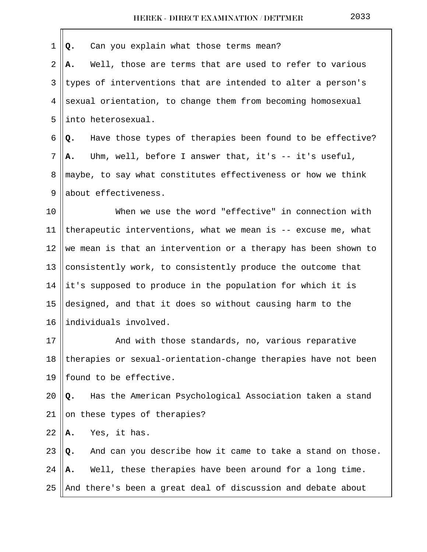| 1              | Can you explain what those terms mean?<br>Q.                     |
|----------------|------------------------------------------------------------------|
| $\overline{2}$ | Well, those are terms that are used to refer to various<br>Α.    |
| 3              | types of interventions that are intended to alter a person's     |
| 4              | sexual orientation, to change them from becoming homosexual      |
| 5              | into heterosexual.                                               |
| 6              | Have those types of therapies been found to be effective?<br>Q.  |
| 7              | Uhm, well, before I answer that, it's $-$ it's useful,<br>А.     |
| 8              | maybe, to say what constitutes effectiveness or how we think     |
| 9              | about effectiveness.                                             |
| 10             | When we use the word "effective" in connection with              |
| 11             | therapeutic interventions, what we mean is -- excuse me, what    |
| 12             | we mean is that an intervention or a therapy has been shown to   |
| 13             | consistently work, to consistently produce the outcome that      |
| 14             | it's supposed to produce in the population for which it is       |
| 15             | designed, and that it does so without causing harm to the        |
| 16             | individuals involved.                                            |
| $17$           | And with those standards, no, various reparative                 |
| 18             | therapies or sexual-orientation-change therapies have not been   |
| 19             | found to be effective.                                           |
| 20             | Has the American Psychological Association taken a stand<br>Q.   |
| 21             | on these types of therapies?                                     |
| 22             | Yes, it has.<br>Α.                                               |
| 23             | And can you describe how it came to take a stand on those.<br>Q. |
| 24             | Well, these therapies have been around for a long time.<br>Α.    |
| 25             | And there's been a great deal of discussion and debate about     |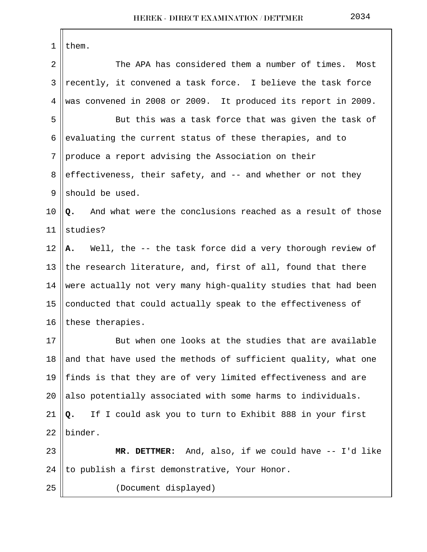|                | them.                                                         |
|----------------|---------------------------------------------------------------|
| $\overline{2}$ | The APA has considered them a number of times. Most           |
| 3              | recently, it convened a task force. I believe the task force  |
| $\overline{4}$ | was convened in 2008 or 2009. It produced its report in 2009. |
| 5              | But this was a task force that was given the task of          |
| 6              | evaluating the current status of these therapies, and to      |
|                | produce a report advising the Association on their            |
| 8              | effectiveness, their safety, and -- and whether or not they   |

rt advising the Association on their their safety, and  $-$  and whether or not they 9 should be used.

10 **Q.** And what were the conclusions reached as a result of those 11  $\parallel$  studies?

12  $\parallel$ **A.** Well, the  $-$ - the task force did a very thorough review of 13 the research literature, and, first of all, found that there 14 Were actually not very many high-quality studies that had been 15  $\parallel$  conducted that could actually speak to the effectiveness of 16 these therapies.

 $\parallel$  But when one looks at the studies that are available 18 and that have used the methods of sufficient quality, what one  $\parallel$  finds is that they are of very limited effectiveness and are  $\parallel$  also potentially associated with some harms to individuals. **Q.** If I could ask you to turn to Exhibit 888 in your first 22 binder.

23 **MR. DETTMER:** And, also, if we could have -- I'd like 24 || to publish a first demonstrative, Your Honor. 25 (Document displayed)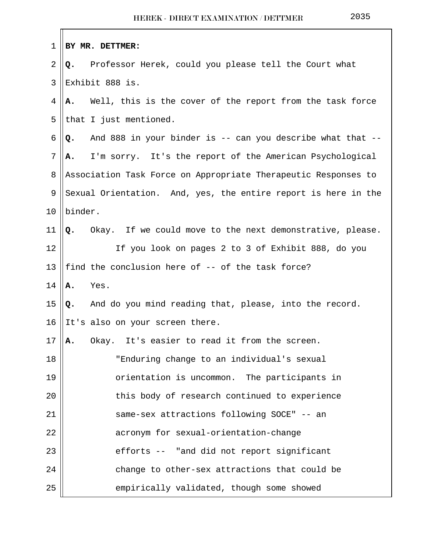| 1              |         | BY MR. DETTMER:                                                |
|----------------|---------|----------------------------------------------------------------|
| $\overline{2}$ | Q.      | Professor Herek, could you please tell the Court what          |
| 3              |         | Exhibit 888 is.                                                |
| 4              | А.      | Well, this is the cover of the report from the task force      |
| 5              |         | that I just mentioned.                                         |
| 6              | Q.      | And 888 in your binder is -- can you describe what that --     |
| 7              | Α.      | I'm sorry. It's the report of the American Psychological       |
| 8              |         | Association Task Force on Appropriate Therapeutic Responses to |
| 9              |         | Sexual Orientation. And, yes, the entire report is here in the |
| 10             | binder. |                                                                |
| 11             | Q.      | Okay. If we could move to the next demonstrative, please.      |
| 12             |         | If you look on pages 2 to 3 of Exhibit 888, do you             |
| 13             |         | find the conclusion here of -- of the task force?              |
| 14             | Α.      | Yes.                                                           |
| 15             | Q.      | And do you mind reading that, please, into the record.         |
| 16             |         | It's also on your screen there.                                |
| 17             | А.      | Okay. It's easier to read it from the screen.                  |
| 18             |         | "Enduring change to an individual's sexual                     |
| 19             |         | orientation is uncommon. The participants in                   |
| 20             |         | this body of research continued to experience                  |
| 21             |         | same-sex attractions following SOCE" -- an                     |
| 22             |         | acronym for sexual-orientation-change                          |
| 23             |         | efforts -- "and did not report significant                     |
| 24             |         | change to other-sex attractions that could be                  |
| 25             |         | empirically validated, though some showed                      |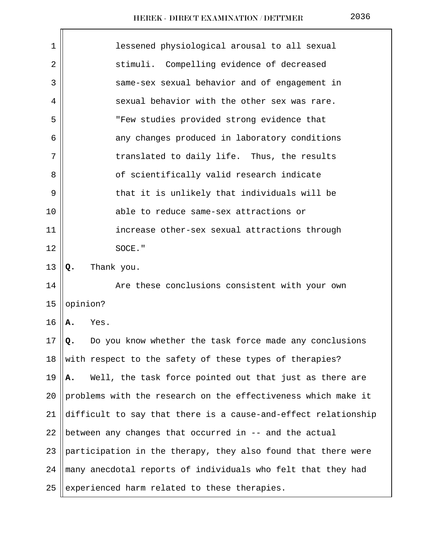| 1              | lessened physiological arousal to all sexual                   |
|----------------|----------------------------------------------------------------|
| $\overline{2}$ | stimuli. Compelling evidence of decreased                      |
| 3              | same-sex sexual behavior and of engagement in                  |
| 4              | sexual behavior with the other sex was rare.                   |
| 5              | "Few studies provided strong evidence that                     |
| 6              | any changes produced in laboratory conditions                  |
| 7              | translated to daily life. Thus, the results                    |
| 8              | of scientifically valid research indicate                      |
| 9              | that it is unlikely that individuals will be                   |
| 10             | able to reduce same-sex attractions or                         |
| 11             | increase other-sex sexual attractions through                  |
| 12             | SOCE."                                                         |
| 13             | Thank you.<br>Q.                                               |
| 14             | Are these conclusions consistent with your own                 |
| 15             | opinion?                                                       |
| 16             | Yes.<br>А.                                                     |
| 17             | Do you know whether the task force made any conclusions<br>Q.  |
| 18             | with respect to the safety of these types of therapies?        |
| 19             | Well, the task force pointed out that just as there are<br>Α.  |
| 20             | problems with the research on the effectiveness which make it  |
| 21             | difficult to say that there is a cause-and-effect relationship |
| 22             | between any changes that occurred in -- and the actual         |
| 23             | participation in the therapy, they also found that there were  |
| 24             | many anecdotal reports of individuals who felt that they had   |
| 25             | experienced harm related to these therapies.                   |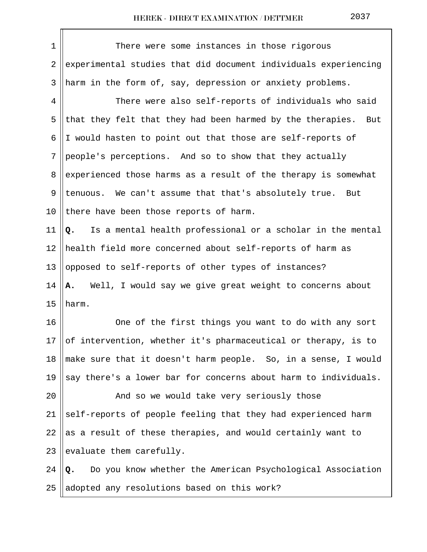# HEREK - DIRECT EXAMINATION / DETTMER 2037

| $\mathbf 1$     | There were some instances in those rigorous                       |
|-----------------|-------------------------------------------------------------------|
| 2               | experimental studies that did document individuals experiencing   |
| 3               | harm in the form of, say, depression or anxiety problems.         |
| 4               | There were also self-reports of individuals who said              |
| 5               | that they felt that they had been harmed by the therapies.<br>But |
| 6               | I would hasten to point out that those are self-reports of        |
| $7\phantom{.}$  | people's perceptions. And so to show that they actually           |
| 8               | experienced those harms as a result of the therapy is somewhat    |
| 9               | tenuous. We can't assume that that's absolutely true. But         |
| $10 \,$         | there have been those reports of harm.                            |
| 11              | Is a mental health professional or a scholar in the mental<br>Q.  |
| 12              | health field more concerned about self-reports of harm as         |
| 13              | opposed to self-reports of other types of instances?              |
| 14              | A. Well, I would say we give great weight to concerns about       |
| 15              | harm.                                                             |
| 16              | One of the first things you want to do with any sort              |
| 17 <sup>7</sup> | of intervention, whether it's pharmaceutical or therapy, is to    |
| 18              | make sure that it doesn't harm people. So, in a sense, I would    |
| 19              | say there's a lower bar for concerns about harm to individuals.   |
| 20              | And so we would take very seriously those                         |
| 21              | self-reports of people feeling that they had experienced harm     |
| 22              | as a result of these therapies, and would certainly want to       |
| 23              | evaluate them carefully.                                          |
| 24              | Do you know whether the American Psychological Association<br>Q.  |
| 25              | adopted any resolutions based on this work?                       |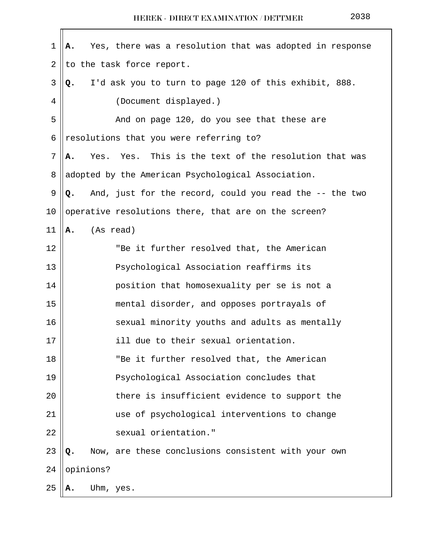| 1              | Yes, there was a resolution that was adopted in response<br>Α. |
|----------------|----------------------------------------------------------------|
| $\overline{2}$ | to the task force report.                                      |
| 3              | I'd ask you to turn to page 120 of this exhibit, 888.<br>Q.    |
| 4              | (Document displayed.)                                          |
| 5              | And on page 120, do you see that these are                     |
| 6              | resolutions that you were referring to?                        |
| 7              | Yes. This is the text of the resolution that was<br>Yes.<br>Α. |
| 8              | adopted by the American Psychological Association.             |
| 9              | And, just for the record, could you read the -- the two<br>Q.  |
| 10             | operative resolutions there, that are on the screen?           |
| 11             | (As read)<br>Α.                                                |
| 12             | "Be it further resolved that, the American                     |
| 13             | Psychological Association reaffirms its                        |
| 14             | position that homosexuality per se is not a                    |
| 15             | mental disorder, and opposes portrayals of                     |
| 16             | sexual minority youths and adults as mentally                  |
| 17             | ill due to their sexual orientation.                           |
| 18             | "Be it further resolved that, the American                     |
| 19             | Psychological Association concludes that                       |
| 20             | there is insufficient evidence to support the                  |
| 21             | use of psychological interventions to change                   |
| 22             | sexual orientation."                                           |
| 23             | Now, are these conclusions consistent with your own<br>Q.      |
| 24             | opinions?                                                      |
| 25             | Uhm, yes.                                                      |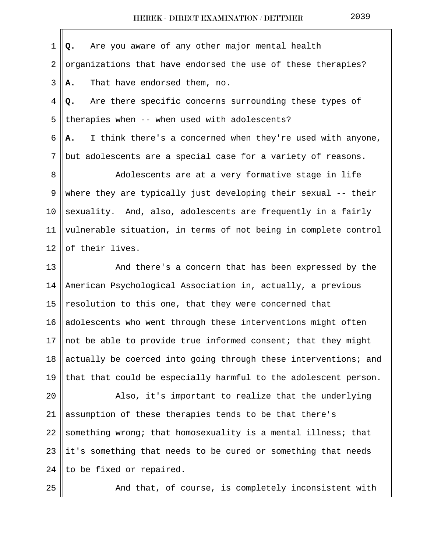| $\mathbf 1$    | Are you aware of any other major mental health<br>Q.             |
|----------------|------------------------------------------------------------------|
| $\overline{2}$ | organizations that have endorsed the use of these therapies?     |
| 3              | That have endorsed them, no.<br>А.                               |
| 4              | Are there specific concerns surrounding these types of<br>Q.     |
| 5              | therapies when -- when used with adolescents?                    |
| 6              | I think there's a concerned when they're used with anyone,<br>Α. |
| 7              | but adolescents are a special case for a variety of reasons.     |
| 8              | Adolescents are at a very formative stage in life                |
| 9              | where they are typically just developing their sexual -- their   |
| 10             | sexuality. And, also, adolescents are frequently in a fairly     |
| 11             | vulnerable situation, in terms of not being in complete control  |
| 12             | of their lives.                                                  |
| 13             | And there's a concern that has been expressed by the             |
| 14             | American Psychological Association in, actually, a previous      |
| 15             | resolution to this one, that they were concerned that            |
| 16             | adolescents who went through these interventions might often     |
| 17             | not be able to provide true informed consent; that they might    |
| 18             | actually be coerced into going through these interventions; and  |
| 19             | that that could be especially harmful to the adolescent person.  |
| 20             | Also, it's important to realize that the underlying              |
| 21             | assumption of these therapies tends to be that there's           |
| 22             | something wrong; that homosexuality is a mental illness; that    |
| 23             | it's something that needs to be cured or something that needs    |
| 24             | to be fixed or repaired.                                         |
| 25             | And that, of course, is completely inconsistent with             |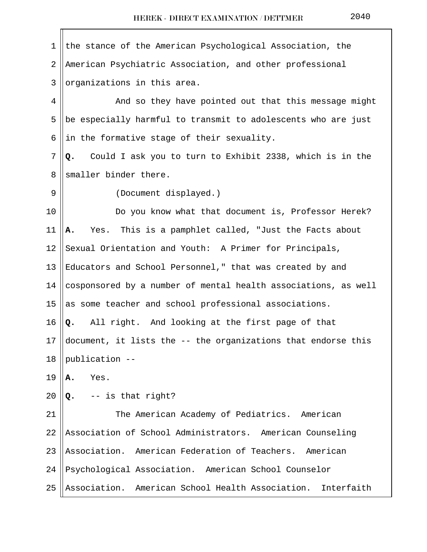| 1  | the stance of the American Psychological Association, the      |
|----|----------------------------------------------------------------|
| 2  | American Psychiatric Association, and other professional       |
| 3  | organizations in this area.                                    |
| 4  | And so they have pointed out that this message might           |
| 5  | be especially harmful to transmit to adolescents who are just  |
| 6  | in the formative stage of their sexuality.                     |
| 7  | Could I ask you to turn to Exhibit 2338, which is in the<br>Q. |
| 8  | smaller binder there.                                          |
| 9  | (Document displayed.)                                          |
| 10 | Do you know what that document is, Professor Herek?            |
| 11 | Yes. This is a pamphlet called, "Just the Facts about<br>Α.    |
| 12 | Sexual Orientation and Youth: A Primer for Principals,         |
| 13 | Educators and School Personnel," that was created by and       |
| 14 | cosponsored by a number of mental health associations, as well |
| 15 | as some teacher and school professional associations.          |
| 16 | All right. And looking at the first page of that<br>Q.         |
| 17 | document, it lists the -- the organizations that endorse this  |
| 18 | publication --                                                 |
| 19 | Yes.<br>Α.                                                     |
| 20 | -- is that right?<br>Q.                                        |
| 21 | The American Academy of Pediatrics. American                   |
| 22 | Association of School Administrators. American Counseling      |
| 23 | Association. American Federation of Teachers. American         |
| 24 | Psychological Association. American School Counselor           |
| 25 | Association. American School Health Association. Interfaith    |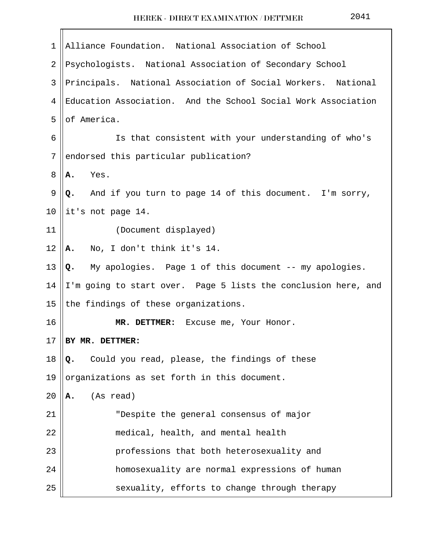| $\mathbf 1$ | Alliance Foundation. National Association of School            |
|-------------|----------------------------------------------------------------|
| 2           | Psychologists. National Association of Secondary School        |
| 3           | Principals. National Association of Social Workers. National   |
| 4           | Education Association. And the School Social Work Association  |
| 5           | of America.                                                    |
| 6           | Is that consistent with your understanding of who's            |
| 7           | endorsed this particular publication?                          |
| 8           | Yes.<br>Α.                                                     |
| 9           | And if you turn to page 14 of this document. I'm sorry,<br>Q.  |
| 10          | it's not page 14.                                              |
| 11          | (Document displayed)                                           |
| 12          | No, I don't think it's 14.<br>Α.                               |
| 13          | My apologies. Page 1 of this document -- my apologies.<br>Q.   |
| 14          | I'm going to start over. Page 5 lists the conclusion here, and |
| 15          | the findings of these organizations.                           |
| 16          | MR. DETTMER: Excuse me, Your Honor.                            |
| 17          | BY MR. DETTMER:                                                |
| 18          | Could you read, please, the findings of these<br>Q.            |
| 19          | organizations as set forth in this document.                   |
| 20          | (As read)<br>А.                                                |
| 21          | "Despite the general consensus of major                        |
| 22          | medical, health, and mental health                             |
| 23          | professions that both heterosexuality and                      |
| 24          | homosexuality are normal expressions of human                  |
| 25          | sexuality, efforts to change through therapy                   |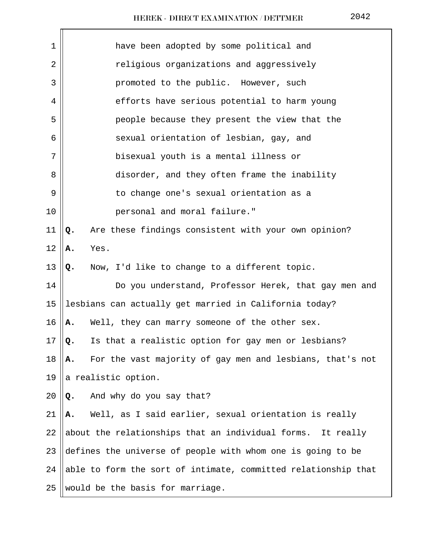| 1              | have been adopted by some political and                         |
|----------------|-----------------------------------------------------------------|
| $\overline{2}$ | religious organizations and aggressively                        |
| 3              | promoted to the public. However, such                           |
| 4              | efforts have serious potential to harm young                    |
| 5              | people because they present the view that the                   |
| 6              | sexual orientation of lesbian, gay, and                         |
| 7              | bisexual youth is a mental illness or                           |
| 8              | disorder, and they often frame the inability                    |
| 9              | to change one's sexual orientation as a                         |
| 10             | personal and moral failure."                                    |
| 11             | Are these findings consistent with your own opinion?<br>Q.      |
| 12             | Yes.<br>А.                                                      |
| 13             | Now, I'd like to change to a different topic.<br>Q.             |
| 14             | Do you understand, Professor Herek, that gay men and            |
| 15             | lesbians can actually get married in California today?          |
| 16             | Well, they can marry someone of the other sex.<br>Α.            |
| 17             | Is that a realistic option for gay men or lesbians?<br>Q.       |
| 18             | For the vast majority of gay men and lesbians, that's not<br>Α. |
| 19             | a realistic option.                                             |
| 20             | And why do you say that?<br>Q.                                  |
| 21             | Well, as I said earlier, sexual orientation is really<br>А.     |
| 22             | about the relationships that an individual forms.<br>It really  |
| 23             | defines the universe of people with whom one is going to be     |
| 24             | able to form the sort of intimate, committed relationship that  |
| 25             | would be the basis for marriage.                                |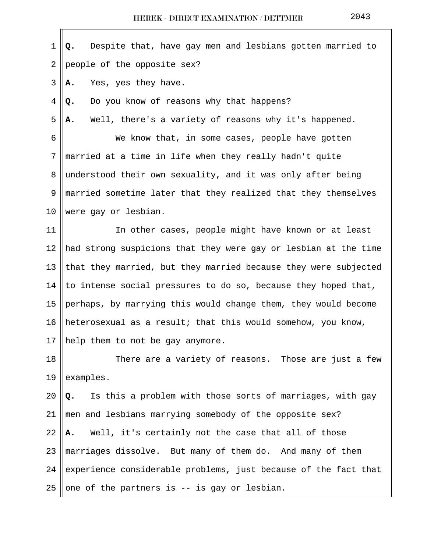1 **Q.** Despite that, have gay men and lesbians gotten married to 2 || people of the opposite sex?  $3 \parallel \mathbf{A}$ . Yes, yes they have. 4 **Q.** Do you know of reasons why that happens? 5 **A.** Well, there's a variety of reasons why it's happened. 6 We know that, in some cases, people have gotten 7 married at a time in life when they really hadn't quite 8 understood their own sexuality, and it was only after being 9 married sometime later that they realized that they themselves 10 were gay or lesbian. 11 || In other cases, people might have known or at least 12  $\parallel$  had strong suspicions that they were gay or lesbian at the time 13  $\parallel$  that they married, but they married because they were subjected 14 || to intense social pressures to do so, because they hoped that, 15 || perhaps, by marrying this would change them, they would become 16 || heterosexual as a result; that this would somehow, you know, 17 || help them to not be gay anymore. 18 || There are a variety of reasons. Those are just a few 19  $|$  examples. 20 **Q.** Is this a problem with those sorts of marriages, with gay 21 men and lesbians marrying somebody of the opposite sex?  $22$   $\parallel$ **A.** Well, it's certainly not the case that all of those 23  $\parallel$  marriages dissolve. But many of them do. And many of them 24 experience considerable problems, just because of the fact that 25 ||one of the partners is -- is gay or lesbian.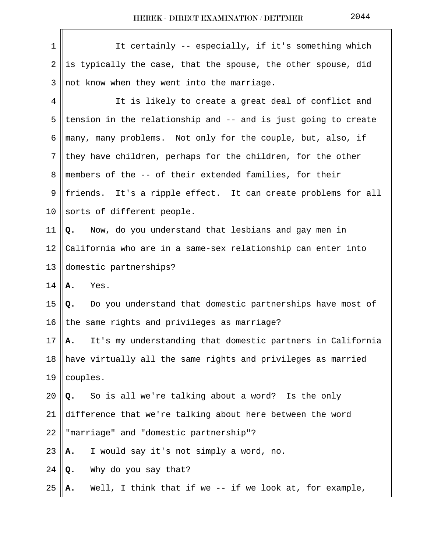| $\mathbf 1$    | It certainly -- especially, if it's something which              |
|----------------|------------------------------------------------------------------|
| $\overline{2}$ | is typically the case, that the spouse, the other spouse, did    |
| 3              | not know when they went into the marriage.                       |
| 4              | It is likely to create a great deal of conflict and              |
| 5              | tension in the relationship and -- and is just going to create   |
| 6              | many, many problems. Not only for the couple, but, also, if      |
| 7              | they have children, perhaps for the children, for the other      |
| 8              | members of the -- of their extended families, for their          |
| 9              | friends. It's a ripple effect. It can create problems for all    |
| 10             | sorts of different people.                                       |
| 11             | Now, do you understand that lesbians and gay men in<br>Q.        |
| 12             | California who are in a same-sex relationship can enter into     |
| 13             | domestic partnerships?                                           |
| 14             | Yes.<br>Α.                                                       |
| 15             | Do you understand that domestic partnerships have most of<br>Q.  |
| 16             | the same rights and privileges as marriage?                      |
| 17             | It's my understanding that domestic partners in California<br>А. |
| 18             | have virtually all the same rights and privileges as married     |
| 19             | couples.                                                         |
| 20             | So is all we're talking about a word? Is the only<br>Q.          |
| 21             | difference that we're talking about here between the word        |
| 22             | "marriage" and "domestic partnership"?                           |
| 23             | I would say it's not simply a word, no.<br>Α.                    |
| 24             | Why do you say that?<br>Q.                                       |
| 25             | Well, I think that if we -- if we look at, for example,          |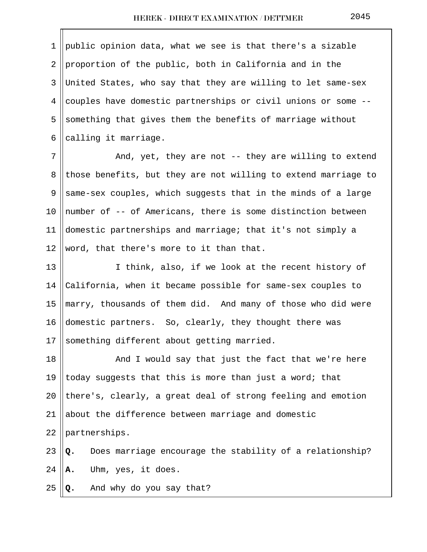1 public opinion data, what we see is that there's a sizable 2 || proportion of the public, both in California and in the 3 United States, who say that they are willing to let same-sex 4 couples have domestic partnerships or civil unions or some --  $5 \parallel$  something that gives them the benefits of marriage without 6  $\alpha$  calling it marriage.

 $7 \parallel$  and, yet, they are not -- they are willing to extend 8 those benefits, but they are not willing to extend marriage to 9  $\parallel$  same-sex couples, which suggests that in the minds of a large 10  $\parallel$  number of -- of Americans, there is some distinction between 11 domestic partnerships and marriage; that it's not simply a 12 Word, that there's more to it than that.

13 || I think, also, if we look at the recent history of 14 California, when it became possible for same-sex couples to 15  $\parallel$  marry, thousands of them did. And many of those who did were 16 domestic partners. So, clearly, they thought there was 17 Something different about getting married.

18 || And I would say that just the fact that we're here  $\parallel$  today suggests that this is more than just a word; that 20 || there's, clearly, a great deal of strong feeling and emotion  $\parallel$  about the difference between marriage and domestic | partnerships. **Q.** Does marriage encourage the stability of a relationship?

 $24$   $\parallel$ **A.** Uhm, yes, it does.

 $25$   $\vert\vert \mathbf{Q}$ . And why do you say that?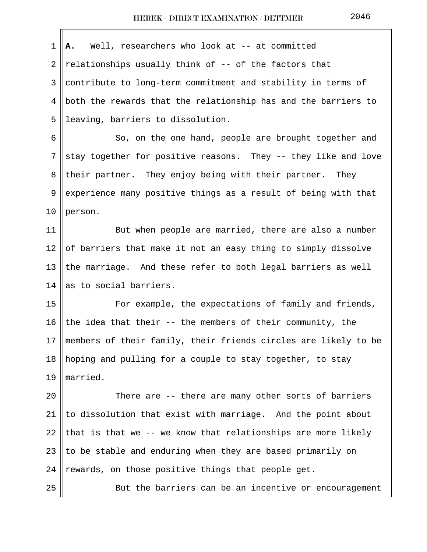|--|--|--|--|--|--|

| 1               | Well, researchers who look at -- at committed<br>Α.             |
|-----------------|-----------------------------------------------------------------|
| 2               | relationships usually think of -- of the factors that           |
| 3               | contribute to long-term commitment and stability in terms of    |
| 4               | both the rewards that the relationship has and the barriers to  |
| 5               | leaving, barriers to dissolution.                               |
| 6               | So, on the one hand, people are brought together and            |
| 7               | stay together for positive reasons. They -- they like and love  |
| 8               | their partner. They enjoy being with their partner. They        |
| 9               | experience many positive things as a result of being with that  |
| 10              | person.                                                         |
| 11              | But when people are married, there are also a number            |
| 12              | of barriers that make it not an easy thing to simply dissolve   |
| 13              | the marriage. And these refer to both legal barriers as well    |
| 14              | as to social barriers.                                          |
| 15              | For example, the expectations of family and friends,            |
| 16              | the idea that their -- the members of their community, the      |
| 17 <sup>1</sup> | members of their family, their friends circles are likely to be |
| 18              | hoping and pulling for a couple to stay together, to stay       |
| 19              | married.                                                        |
| 20              | There are -- there are many other sorts of barriers             |
| 21              | to dissolution that exist with marriage. And the point about    |
| 22              | that is that we -- we know that relationships are more likely   |
| 23              | to be stable and enduring when they are based primarily on      |
| 24              | rewards, on those positive things that people get.              |
| 25              | But the barriers can be an incentive or encouragement           |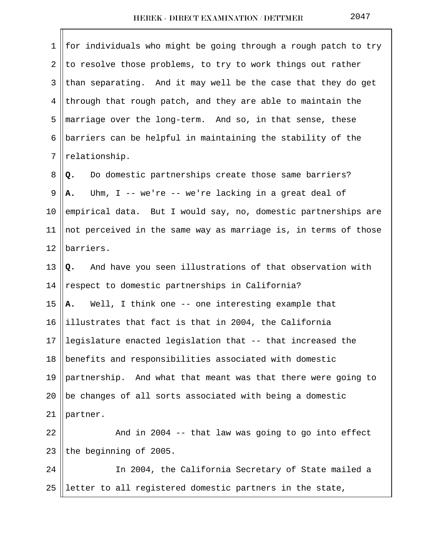| 1  | for individuals who might be going through a rough patch to try |
|----|-----------------------------------------------------------------|
| 2  | to resolve those problems, to try to work things out rather     |
| 3  | than separating. And it may well be the case that they do get   |
| 4  | through that rough patch, and they are able to maintain the     |
| 5  | marriage over the long-term. And so, in that sense, these       |
| 6  | barriers can be helpful in maintaining the stability of the     |
| 7  | relationship.                                                   |
| 8  | Do domestic partnerships create those same barriers?<br>Q.      |
| 9  | Uhm, $I$ -- we're -- we're lacking in a great deal of<br>Α.     |
| 10 | empirical data. But I would say, no, domestic partnerships are  |
| 11 | not perceived in the same way as marriage is, in terms of those |
| 12 | barriers.                                                       |
| 13 | Q. And have you seen illustrations of that observation with     |
| 14 | respect to domestic partnerships in California?                 |
| 15 | Well, I think one -- one interesting example that<br>Α.         |
| 16 | illustrates that fact is that in 2004, the California           |
| 17 | legislature enacted legislation that -- that increased the      |
| 18 | benefits and responsibilities associated with domestic          |
| 19 | partnership. And what that meant was that there were going to   |
| 20 | be changes of all sorts associated with being a domestic        |
| 21 | partner.                                                        |
| 22 | And in 2004 -- that law was going to go into effect             |
| 23 | the beginning of 2005.                                          |
| 24 | In 2004, the California Secretary of State mailed a             |
| 25 | letter to all registered domestic partners in the state,        |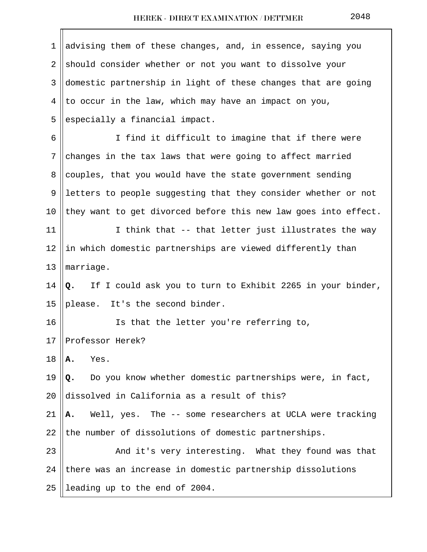| 1              | advising them of these changes, and, in essence, saying you                 |
|----------------|-----------------------------------------------------------------------------|
| $\overline{2}$ | should consider whether or not you want to dissolve your                    |
| 3              | domestic partnership in light of these changes that are going               |
| 4              | to occur in the law, which may have an impact on you,                       |
| 5              | especially a financial impact.                                              |
| 6              | I find it difficult to imagine that if there were                           |
| 7              | changes in the tax laws that were going to affect married                   |
| 8              | couples, that you would have the state government sending                   |
| 9              | letters to people suggesting that they consider whether or not              |
| 10             | they want to get divorced before this new law goes into effect.             |
| 11             | I think that -- that letter just illustrates the way                        |
| 12             | in which domestic partnerships are viewed differently than                  |
| 13             | marriage.                                                                   |
| 14             | If I could ask you to turn to Exhibit 2265 in your binder,<br>$Q_{\bullet}$ |
| 15             | please. It's the second binder.                                             |
| 16             | Is that the letter you're referring to,                                     |
| 17             | Professor Herek?                                                            |
| 18             | Yes.<br>Α.                                                                  |
| 19             | Do you know whether domestic partnerships were, in fact,<br>Q.              |
| 20             | dissolved in California as a result of this?                                |
| 21             | Well, yes. The -- some researchers at UCLA were tracking<br>Α.              |
| 22             | the number of dissolutions of domestic partnerships.                        |
| 23             | And it's very interesting. What they found was that                         |
| 24             | there was an increase in domestic partnership dissolutions                  |
| 25             | leading up to the end of 2004.                                              |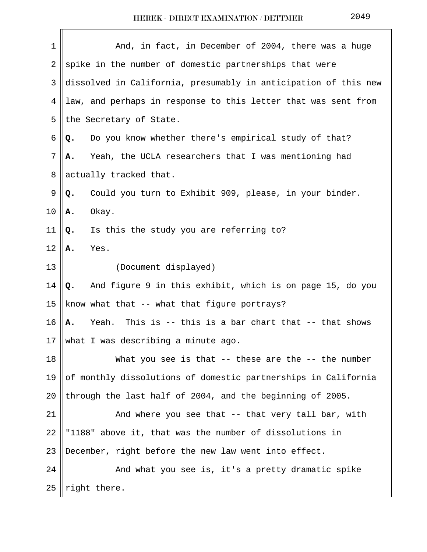| $\mathbf 1$    | And, in fact, in December of 2004, there was a huge                  |  |  |
|----------------|----------------------------------------------------------------------|--|--|
| $\overline{2}$ | spike in the number of domestic partnerships that were               |  |  |
| 3              | dissolved in California, presumably in anticipation of this new      |  |  |
| 4              | law, and perhaps in response to this letter that was sent from       |  |  |
| 5              | the Secretary of State.                                              |  |  |
| 6              | Do you know whether there's empirical study of that?<br>Q.           |  |  |
| 7              | Yeah, the UCLA researchers that I was mentioning had<br>Α.           |  |  |
| 8              | actually tracked that.                                               |  |  |
| 9              | Could you turn to Exhibit 909, please, in your binder.<br>Q.         |  |  |
| 10             | Okay.<br>Α.                                                          |  |  |
| 11             | Is this the study you are referring to?<br>Q.                        |  |  |
| 12             | Yes.<br>Α.                                                           |  |  |
| 13             | (Document displayed)                                                 |  |  |
| 14             | And figure 9 in this exhibit, which is on page 15, do you<br>Q.      |  |  |
| 15             | know what that -- what that figure portrays?                         |  |  |
| 16             | This is $--$ this is a bar chart that $--$ that shows<br>Yeah.<br>Α. |  |  |
| 17             | what I was describing a minute ago.                                  |  |  |
| 18             | What you see is that $-$ - these are the $-$ - the number            |  |  |
| 19             | of monthly dissolutions of domestic partnerships in California       |  |  |
| 20             | through the last half of 2004, and the beginning of 2005.            |  |  |
| 21             | And where you see that -- that very tall bar, with                   |  |  |
| 22             | "1188" above it, that was the number of dissolutions in              |  |  |
| 23             | December, right before the new law went into effect.                 |  |  |
| 24             | And what you see is, it's a pretty dramatic spike                    |  |  |
| 25             | right there.                                                         |  |  |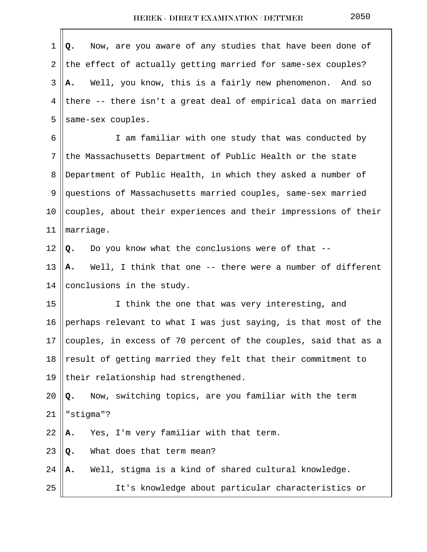| $\mathbf 1$    | Now, are you aware of any studies that have been done of<br>Q.   |
|----------------|------------------------------------------------------------------|
| $\overline{2}$ | the effect of actually getting married for same-sex couples?     |
| 3              | Well, you know, this is a fairly new phenomenon. And so<br>А.    |
| 4              | there -- there isn't a great deal of empirical data on married   |
| 5              | same-sex couples.                                                |
| 6              | I am familiar with one study that was conducted by               |
| 7              | the Massachusetts Department of Public Health or the state       |
| 8              | Department of Public Health, in which they asked a number of     |
| 9              | questions of Massachusetts married couples, same-sex married     |
| 10             | couples, about their experiences and their impressions of their  |
| 11             | marriage.                                                        |
| 12             | Do you know what the conclusions were of that --<br>Q.           |
| 13             | Well, I think that one -- there were a number of different<br>А. |
| 14             | conclusions in the study.                                        |
| 15             | I think the one that was very interesting, and                   |
| 16             | perhaps relevant to what I was just saying, is that most of the  |
| 17             | couples, in excess of 70 percent of the couples, said that as a  |
| 18             | result of getting married they felt that their commitment to     |
| 19             | their relationship had strengthened.                             |
| 20             | Now, switching topics, are you familiar with the term<br>Q.      |
| 21             | "stigma"?                                                        |
| 22             | Yes, I'm very familiar with that term.<br>Α.                     |
| 23             | What does that term mean?<br>Q.                                  |
| 24             | Well, stigma is a kind of shared cultural knowledge.<br>Α.       |
| 25             | It's knowledge about particular characteristics or               |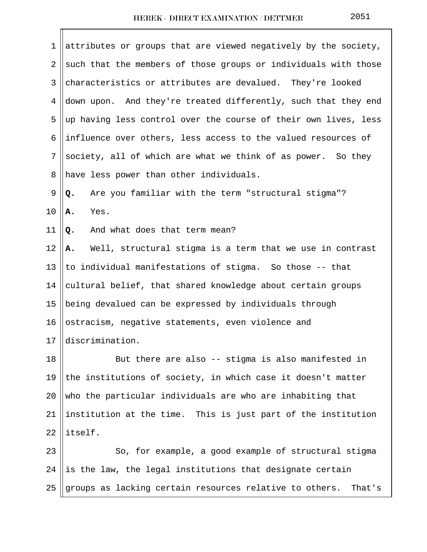| 1  | attributes or groups that are viewed negatively by the society,   |
|----|-------------------------------------------------------------------|
| 2  | such that the members of those groups or individuals with those   |
| 3  | characteristics or attributes are devalued. They're looked        |
| 4  | down upon. And they're treated differently, such that they end    |
| 5  | up having less control over the course of their own lives, less   |
| 6  | influence over others, less access to the valued resources of     |
| 7  | society, all of which are what we think of as power. So they      |
| 8  | have less power than other individuals.                           |
| 9  | Are you familiar with the term "structural stigma"?<br>Q.         |
| 10 | Yes.<br>Α.                                                        |
| 11 | And what does that term mean?<br>Q.                               |
| 12 | Well, structural stigma is a term that we use in contrast<br>Α.   |
| 13 | to individual manifestations of stigma. So those -- that          |
| 14 | cultural belief, that shared knowledge about certain groups       |
| 15 | being devalued can be expressed by individuals through            |
| 16 | ostracism, negative statements, even violence and                 |
|    | 17 discrimination.                                                |
| 18 | But there are also -- stigma is also manifested in                |
| 19 | the institutions of society, in which case it doesn't matter      |
| 20 | who the particular individuals are who are inhabiting that        |
| 21 | institution at the time. This is just part of the institution     |
| 22 | itself.                                                           |
| 23 | So, for example, a good example of structural stigma              |
| 24 | is the law, the legal institutions that designate certain         |
| 25 | groups as lacking certain resources relative to others.<br>That's |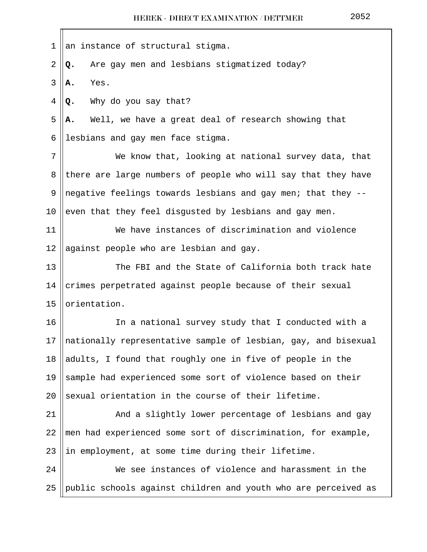| 1  | an instance of structural stigma.                              |
|----|----------------------------------------------------------------|
| 2  | Are gay men and lesbians stigmatized today?<br>Q.              |
| 3  | Yes.<br>А.                                                     |
| 4  | Why do you say that?<br>Q.                                     |
| 5  | Well, we have a great deal of research showing that<br>А.      |
| 6  | lesbians and gay men face stigma.                              |
| 7  | We know that, looking at national survey data, that            |
| 8  | there are large numbers of people who will say that they have  |
| 9  | negative feelings towards lesbians and gay men; that they --   |
| 10 | even that they feel disgusted by lesbians and gay men.         |
| 11 | We have instances of discrimination and violence               |
| 12 | against people who are lesbian and gay.                        |
| 13 | The FBI and the State of California both track hate            |
| 14 | crimes perpetrated against people because of their sexual      |
| 15 | orientation.                                                   |
| 16 | In a national survey study that I conducted with a             |
| 17 | nationally representative sample of lesbian, gay, and bisexual |
| 18 | adults, I found that roughly one in five of people in the      |
| 19 | sample had experienced some sort of violence based on their    |
| 20 | sexual orientation in the course of their lifetime.            |
| 21 | And a slightly lower percentage of lesbians and gay            |
| 22 | men had experienced some sort of discrimination, for example,  |
| 23 | in employment, at some time during their lifetime.             |
| 24 | We see instances of violence and harassment in the             |
| 25 | public schools against children and youth who are perceived as |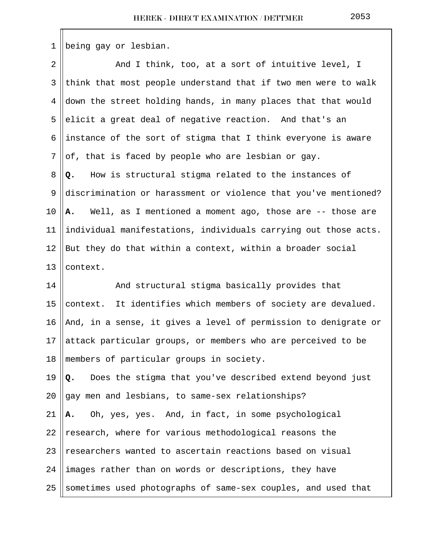1 | being gay or lesbian.

2 || And I think, too, at a sort of intuitive level, I 3 || think that most people understand that if two men were to walk 4 down the street holding hands, in many places that that would 5 elicit a great deal of negative reaction. And that's an 6 ||instance of the sort of stigma that I think everyone is aware 7  $\vert\vert$  of, that is faced by people who are lesbian or gay. 8 **Q.** How is structural stigma related to the instances of 9 discrimination or harassment or violence that you've mentioned? 10 **A.** Well, as I mentioned a moment ago, those are -- those are 11  $\parallel$  individual manifestations, individuals carrying out those acts. 12 But they do that within a context, within a broader social 13 lcontext.

14 || And structural stigma basically provides that 15  $\parallel$  context. It identifies which members of society are devalued. 16  $\parallel$  And, in a sense, it gives a level of permission to denigrate or 17  $\parallel$  attack particular groups, or members who are perceived to be 18 members of particular groups in society.

 **Q.** Does the stigma that you've described extend beyond just  $\log x$  men and lesbians, to same-sex relationships? **A.** Oh, yes, yes. And, in fact, in some psychological  $r$  research, where for various methodological reasons the  $\parallel$  researchers wanted to ascertain reactions based on visual  $\parallel$  images rather than on words or descriptions, they have  $\parallel$  sometimes used photographs of same-sex couples, and used that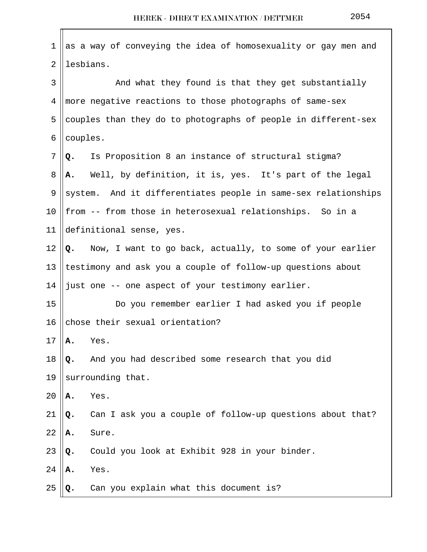| 1              |           | as a way of conveying the idea of homosexuality or gay men and |
|----------------|-----------|----------------------------------------------------------------|
| $\overline{2}$ | lesbians. |                                                                |
| 3              |           | And what they found is that they get substantially             |
| 4              |           | more negative reactions to those photographs of same-sex       |
| 5              |           | couples than they do to photographs of people in different-sex |
| 6              | couples.  |                                                                |
| 7              | Q.        | Is Proposition 8 an instance of structural stigma?             |
| 8              | Α.        | Well, by definition, it is, yes. It's part of the legal        |
| 9              |           | system. And it differentiates people in same-sex relationships |
| 10             |           | from -- from those in heterosexual relationships. So in a      |
| 11             |           | definitional sense, yes.                                       |
| 12             |           | Q. Now, I want to go back, actually, to some of your earlier   |
| 13             |           | testimony and ask you a couple of follow-up questions about    |
| 14             |           | just one -- one aspect of your testimony earlier.              |
| 15             |           | Do you remember earlier I had asked you if people              |
| 16             |           | chose their sexual orientation?                                |
| $17\,$         | А.        | Yes.                                                           |
| 18             | Q.        | And you had described some research that you did               |
| 19             |           | surrounding that.                                              |
| 20             | Α.        | Yes.                                                           |
| 21             | Q.        | Can I ask you a couple of follow-up questions about that?      |
| 22             | Α.        | Sure.                                                          |
| 23             | Q.        | Could you look at Exhibit 928 in your binder.                  |
| $24\,$         |           | Yes.                                                           |
| 25             |           | Can you explain what this document is?                         |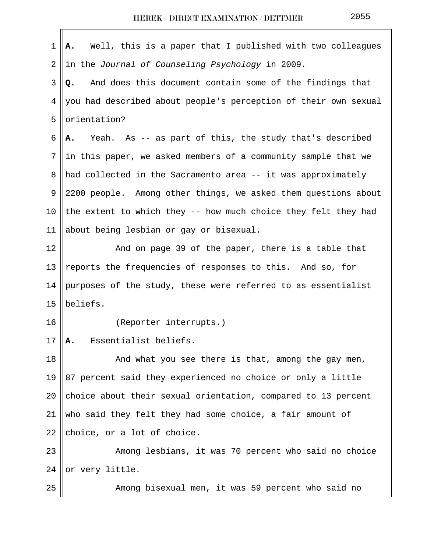| 1              | Well, this is a paper that I published with two colleagues<br>Α. |
|----------------|------------------------------------------------------------------|
| 2              | in the Journal of Counseling Psychology in 2009.                 |
| 3              | And does this document contain some of the findings that<br>Q.   |
| 4              | you had described about people's perception of their own sexual  |
| 5              | orientation?                                                     |
| 6              | Yeah. As -- as part of this, the study that's described<br>Α.    |
| $7\phantom{.}$ | in this paper, we asked members of a community sample that we    |
| 8              | had collected in the Sacramento area -- it was approximately     |
| 9              | 2200 people. Among other things, we asked them questions about   |
| 10             | the extent to which they -- how much choice they felt they had   |
| 11             | about being lesbian or gay or bisexual.                          |
| 12             | And on page 39 of the paper, there is a table that               |
| 13             | reports the frequencies of responses to this. And so, for        |
| 14             | purposes of the study, these were referred to as essentialist    |
| 15             | beliefs.                                                         |
| 16             | (Reporter interrupts.)                                           |
| 17             | Essentialist beliefs.<br>А.                                      |
| 18             | And what you see there is that, among the gay men,               |
| 19             | 87 percent said they experienced no choice or only a little      |
| 20             | choice about their sexual orientation, compared to 13 percent    |
| 21             | who said they felt they had some choice, a fair amount of        |
| 22             | choice, or a lot of choice.                                      |
| 23             | Among lesbians, it was 70 percent who said no choice             |
| 24             | or very little.                                                  |
| 25             | Among bisexual men, it was 59 percent who said no                |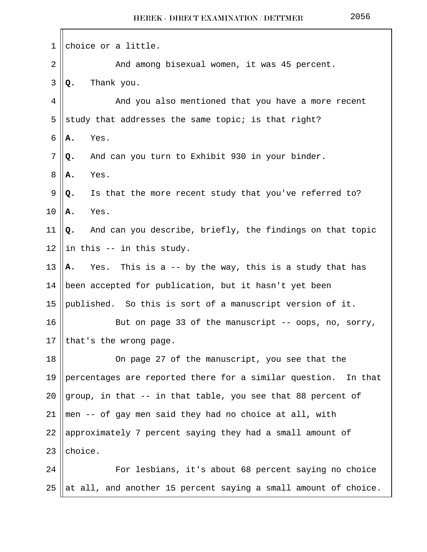| $\mathbf 1$ | choice or a little.                                             |
|-------------|-----------------------------------------------------------------|
| 2           | And among bisexual women, it was 45 percent.                    |
| 3           | Thank you.<br>Q.                                                |
| 4           | And you also mentioned that you have a more recent              |
| 5           | study that addresses the same topic; is that right?             |
|             |                                                                 |
| 6           | Yes.<br>Α.                                                      |
| 7           | And can you turn to Exhibit 930 in your binder.<br>Q.           |
| 8           | Yes.<br>А.                                                      |
| 9           | Is that the more recent study that you've referred to?<br>Q.    |
| 10          | Yes.<br>Α.                                                      |
| 11          | And can you describe, briefly, the findings on that topic<br>Q. |
| 12          | in this -- in this study.                                       |
| 13          | Yes. This is a -- by the way, this is a study that has<br>А.    |
| 14          | been accepted for publication, but it hasn't yet been           |
| 15          | published. So this is sort of a manuscript version of it.       |
| 16          | But on page 33 of the manuscript -- oops, no, sorry,            |
| $17$        | that's the wrong page.                                          |
| 18          | On page 27 of the manuscript, you see that the                  |
| 19          | percentages are reported there for a similar question. In that  |
| 20          | group, in that -- in that table, you see that 88 percent of     |
| 21          | men -- of gay men said they had no choice at all, with          |
| 22          | approximately 7 percent saying they had a small amount of       |
| 23          | choice.                                                         |
| 24          | For lesbians, it's about 68 percent saying no choice            |
| 25          | at all, and another 15 percent saying a small amount of choice. |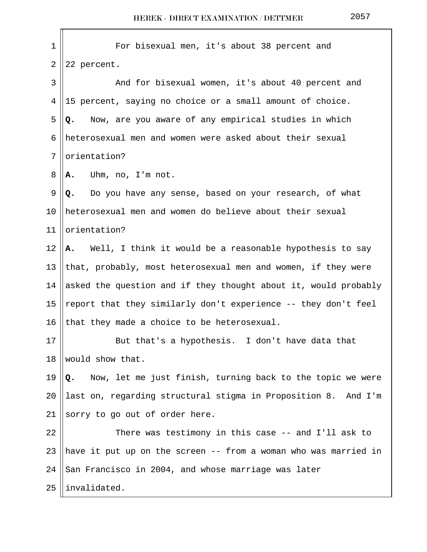| 1  | For bisexual men, it's about 38 percent and                      |
|----|------------------------------------------------------------------|
| 2  | 22 percent.                                                      |
| 3  | And for bisexual women, it's about 40 percent and                |
| 4  | 15 percent, saying no choice or a small amount of choice.        |
| 5  | Now, are you aware of any empirical studies in which<br>Q.       |
| 6  | heterosexual men and women were asked about their sexual         |
| 7  | orientation?                                                     |
| 8  | Uhm, no, I'm not.<br>А.                                          |
| 9  | Do you have any sense, based on your research, of what<br>Q.     |
| 10 | heterosexual men and women do believe about their sexual         |
| 11 | orientation?                                                     |
| 12 | A. Well, I think it would be a reasonable hypothesis to say      |
| 13 | that, probably, most heterosexual men and women, if they were    |
| 14 | asked the question and if they thought about it, would probably  |
| 15 | report that they similarly don't experience -- they don't feel   |
| 16 | that they made a choice to be heterosexual.                      |
| 17 | But that's a hypothesis. I don't have data that                  |
| 18 | would show that.                                                 |
| 19 | Now, let me just finish, turning back to the topic we were<br>Q. |
| 20 | last on, regarding structural stigma in Proposition 8. And I'm   |
| 21 | sorry to go out of order here.                                   |
| 22 | There was testimony in this case -- and I'll ask to              |
| 23 | have it put up on the screen -- from a woman who was married in  |
| 24 | San Francisco in 2004, and whose marriage was later              |
| 25 | invalidated.                                                     |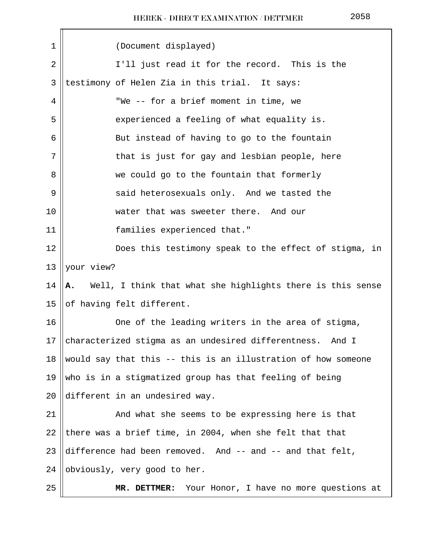$\mathbf{r}$ 

| 1            | (Document displayed)                                             |
|--------------|------------------------------------------------------------------|
| 2            | I'll just read it for the record. This is the                    |
| $\mathbf{3}$ | testimony of Helen Zia in this trial. It says:                   |
| 4            | "We -- for a brief moment in time, we                            |
| 5            | experienced a feeling of what equality is.                       |
| 6            | But instead of having to go to the fountain                      |
| 7            | that is just for gay and lesbian people, here                    |
| 8            | we could go to the fountain that formerly                        |
| 9            | said heterosexuals only. And we tasted the                       |
| 10           | water that was sweeter there. And our                            |
| 11           | families experienced that."                                      |
| 12           | Does this testimony speak to the effect of stigma, in            |
| 13           | your view?                                                       |
| 14           | Well, I think that what she highlights there is this sense<br>Α. |
| 15           | of having felt different.                                        |
| 16           | One of the leading writers in the area of stigma,                |
| 17           | characterized stigma as an undesired differentness.<br>And I     |
| 18           | would say that this -- this is an illustration of how someone    |
| 19           | who is in a stigmatized group has that feeling of being          |
| 20           | different in an undesired way.                                   |
| 21           | And what she seems to be expressing here is that                 |
| 22           | there was a brief time, in 2004, when she felt that that         |
| 23           | difference had been removed. And -- and -- and that felt,        |
| 24           | obviously, very good to her.                                     |
| 25           | Your Honor, I have no more questions at<br>MR. DETTMER:          |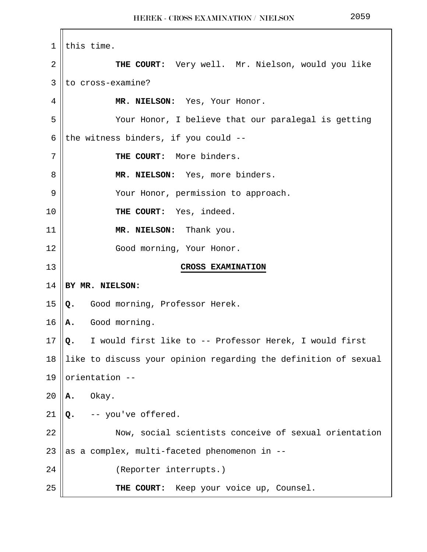| 1    | this time.                                                      |
|------|-----------------------------------------------------------------|
| 2    | THE COURT: Very well. Mr. Nielson, would you like               |
| 3    | to cross-examine?                                               |
| 4    | MR. NIELSON: Yes, Your Honor.                                   |
| 5    | Your Honor, I believe that our paralegal is getting             |
| 6    | the witness binders, if you could --                            |
| 7    | THE COURT: More binders.                                        |
| 8    | MR. NIELSON: Yes, more binders.                                 |
| 9    | Your Honor, permission to approach.                             |
| 10   | THE COURT:<br>Yes, indeed.                                      |
| 11   | MR. NIELSON: Thank you.                                         |
| 12   | Good morning, Your Honor.                                       |
| 13   | <b>CROSS EXAMINATION</b>                                        |
| 14   | BY MR. NIELSON:                                                 |
| 15   | Good morning, Professor Herek.<br>Q.                            |
| 16   | Good morning.<br>А.                                             |
| $17$ | I would first like to -- Professor Herek, I would first<br>Q.   |
| 18   | like to discuss your opinion regarding the definition of sexual |
| 19   | orientation --                                                  |
| 20   | Okay.<br>А.                                                     |
| 21   | -- you've offered.<br>Q.                                        |
| 22   | Now, social scientists conceive of sexual orientation           |
| 23   | as a complex, multi-faceted phenomenon in --                    |
| 24   | (Reporter interrupts.)                                          |
| 25   | THE COURT:<br>Keep your voice up, Counsel.                      |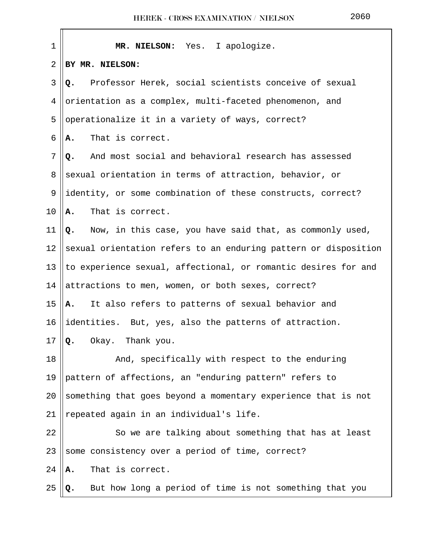| 1              | MR. NIELSON: Yes. I apologize.                                  |
|----------------|-----------------------------------------------------------------|
| $\overline{2}$ | BY MR. NIELSON:                                                 |
| 3              | Professor Herek, social scientists conceive of sexual<br>Q.     |
| 4              | orientation as a complex, multi-faceted phenomenon, and         |
| 5              | operationalize it in a variety of ways, correct?                |
| 6              | That is correct.<br>Α.                                          |
| 7              | And most social and behavioral research has assessed<br>Q.      |
| 8              | sexual orientation in terms of attraction, behavior, or         |
| 9              | identity, or some combination of these constructs, correct?     |
| 10             | That is correct.<br>А.                                          |
| 11             | Q. Now, in this case, you have said that, as commonly used,     |
| 12             | sexual orientation refers to an enduring pattern or disposition |
| 13             | to experience sexual, affectional, or romantic desires for and  |
| 14             | attractions to men, women, or both sexes, correct?              |
| 15             | It also refers to patterns of sexual behavior and<br>A.         |
| 16             | identities. But, yes, also the patterns of attraction.          |
| 17             | Q. Okay. Thank you.                                             |
| 18             | And, specifically with respect to the enduring                  |
| 19             | pattern of affections, an "enduring pattern" refers to          |
| 20             | something that goes beyond a momentary experience that is not   |
| 21             | repeated again in an individual's life.                         |
| 22             | So we are talking about something that has at least             |
| 23             | some consistency over a period of time, correct?                |
| 24             | That is correct.<br>Α.                                          |
| 25             | But how long a period of time is not something that you         |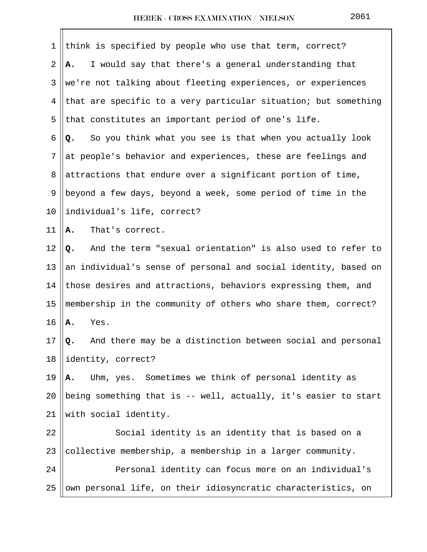| 1  | think is specified by people who use that term, correct?         |
|----|------------------------------------------------------------------|
| 2  | I would say that there's a general understanding that<br>А.      |
| 3  | we're not talking about fleeting experiences, or experiences     |
| 4  | that are specific to a very particular situation; but something  |
| 5  | that constitutes an important period of one's life.              |
| 6  | So you think what you see is that when you actually look<br>Q.   |
| 7  | at people's behavior and experiences, these are feelings and     |
| 8  | attractions that endure over a significant portion of time,      |
| 9  | beyond a few days, beyond a week, some period of time in the     |
| 10 | individual's life, correct?                                      |
| 11 | That's correct.<br>Α.                                            |
| 12 | And the term "sexual orientation" is also used to refer to<br>Q. |
| 13 | an individual's sense of personal and social identity, based on  |
| 14 | those desires and attractions, behaviors expressing them, and    |
| 15 | membership in the community of others who share them, correct?   |
| 16 | Yes.<br>Α.                                                       |
| 17 | And there may be a distinction between social and personal<br>Q. |
| 18 | identity, correct?                                               |
| 19 | Uhm, yes. Sometimes we think of personal identity as<br>Α.       |
| 20 | being something that is -- well, actually, it's easier to start  |
| 21 | with social identity.                                            |
| 22 | Social identity is an identity that is based on a                |
| 23 | collective membership, a membership in a larger community.       |
| 24 | Personal identity can focus more on an individual's              |
| 25 | own personal life, on their idiosyncratic characteristics, on    |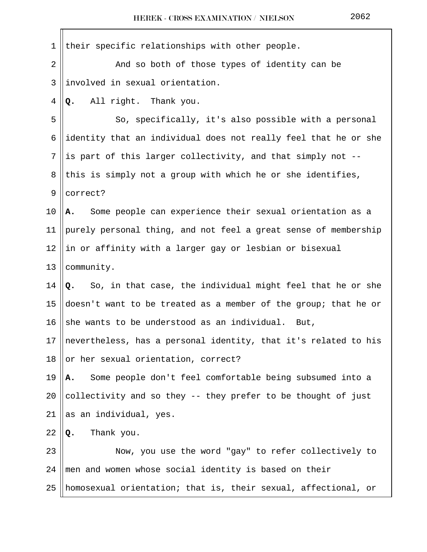| 1  | their specific relationships with other people.                       |
|----|-----------------------------------------------------------------------|
| 2  | And so both of those types of identity can be                         |
| 3  | involved in sexual orientation.                                       |
| 4  | All right. Thank you.<br>Q.                                           |
| 5  | So, specifically, it's also possible with a personal                  |
| 6  | identity that an individual does not really feel that he or she       |
| 7  | is part of this larger collectivity, and that simply not --           |
| 8  | this is simply not a group with which he or she identifies,           |
| 9  | correct?                                                              |
| 10 | Some people can experience their sexual orientation as a<br>А.        |
| 11 | purely personal thing, and not feel a great sense of membership       |
| 12 | in or affinity with a larger gay or lesbian or bisexual               |
| 13 | community.                                                            |
| 14 | So, in that case, the individual might feel that he or she<br>Q.      |
| 15 | doesn't want to be treated as a member of the group; that he or       |
| 16 | she wants to be understood as an individual. But,                     |
|    | 17    nevertheless, has a personal identity, that it's related to his |
| 18 | or her sexual orientation, correct?                                   |
| 19 | Some people don't feel comfortable being subsumed into a<br>А.        |
| 20 | collectivity and so they -- they prefer to be thought of just         |
| 21 | as an individual, yes.                                                |
| 22 | Thank you.<br>Q.                                                      |
| 23 | Now, you use the word "gay" to refer collectively to                  |
| 24 | men and women whose social identity is based on their                 |
| 25 | homosexual orientation; that is, their sexual, affectional, or        |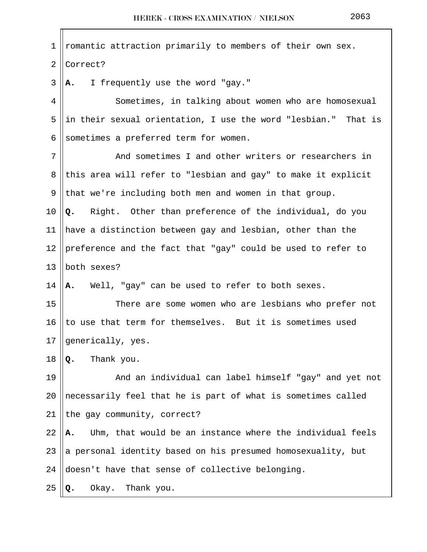1 || romantic attraction primarily to members of their own sex. 2 Correct? 3 **A.** I frequently use the word "gay." 4 | Sometimes, in talking about women who are homosexual 5 ||in their sexual orientation, I use the word "lesbian." That is 6 Sometimes a preferred term for women. 7 || And sometimes I and other writers or researchers in 8 this area will refer to "lesbian and gay" to make it explicit 9 that we're including both men and women in that group. 10 **Q.** Right. Other than preference of the individual, do you 11 have a distinction between gay and lesbian, other than the 12 | preference and the fact that "gay" could be used to refer to 13  $\vert$  both sexes? 14 **A.** Well, "gay" can be used to refer to both sexes. 15 || There are some women who are lesbians who prefer not 16 || to use that term for themselves. But it is sometimes used 17 generically, yes. 18 **Q.** Thank you. 19 || And an individual can label himself "gay" and yet not 20 || necessarily feel that he is part of what is sometimes called 21 the gay community, correct?  $22$   $\mathbf{A}$ . Uhm, that would be an instance where the individual feels 23  $\parallel$  a personal identity based on his presumed homosexuality, but  $24$  ||doesn't have that sense of collective belonging.  $25 \parallel \mathbf{Q}$ . Okay. Thank you.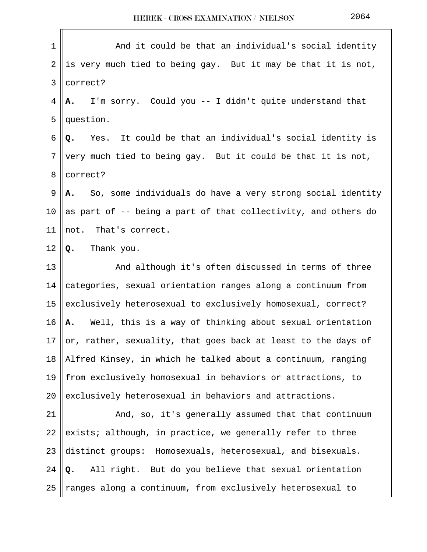| $\mathbf 1$ | And it could be that an individual's social identity             |
|-------------|------------------------------------------------------------------|
| 2           | is very much tied to being gay. But it may be that it is not,    |
| 3           | correct?                                                         |
| 4           | I'm sorry. Could you -- I didn't quite understand that<br>А.     |
| 5           | question.                                                        |
| 6           | Yes. It could be that an individual's social identity is<br>Q.   |
| 7           | very much tied to being gay. But it could be that it is not,     |
| 8           | correct?                                                         |
| 9           | So, some individuals do have a very strong social identity<br>Α. |
| 10          | as part of -- being a part of that collectivity, and others do   |
| 11          | not.<br>That's correct.                                          |
| 12          | Thank you.<br>Q.                                                 |
| 13          | And although it's often discussed in terms of three              |
| 14          | categories, sexual orientation ranges along a continuum from     |
| 15          | exclusively heterosexual to exclusively homosexual, correct?     |
| 16          | Well, this is a way of thinking about sexual orientation<br>Α.   |
| 17          | or, rather, sexuality, that goes back at least to the days of    |
| 18          | Alfred Kinsey, in which he talked about a continuum, ranging     |
| 19          | from exclusively homosexual in behaviors or attractions, to      |
| 20          | exclusively heterosexual in behaviors and attractions.           |
| 21          | And, so, it's generally assumed that that continuum              |
| 22          | exists; although, in practice, we generally refer to three       |
| 23          | distinct groups: Homosexuals, heterosexual, and bisexuals.       |
| 24          | All right. But do you believe that sexual orientation<br>Q.      |
| 25          | ranges along a continuum, from exclusively heterosexual to       |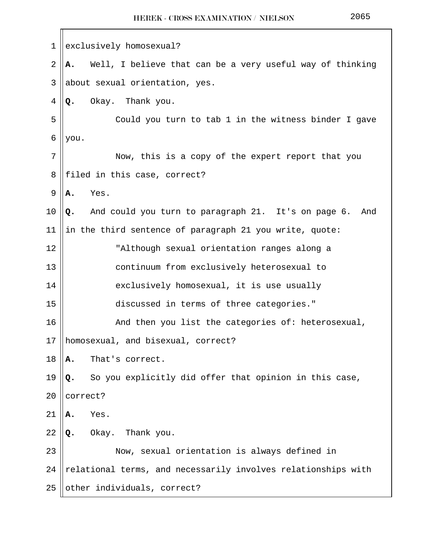| 1  | exclusively homosexual?                                          |
|----|------------------------------------------------------------------|
| 2  | Well, I believe that can be a very useful way of thinking<br>Α.  |
| 3  | about sexual orientation, yes.                                   |
| 4  | Okay. Thank you.<br>Q.                                           |
| 5  | Could you turn to tab 1 in the witness binder I gave             |
| 6  | you.                                                             |
| 7  | Now, this is a copy of the expert report that you                |
| 8  | filed in this case, correct?                                     |
| 9  | Yes.<br>Α.                                                       |
| 10 | And could you turn to paragraph 21. It's on page 6.<br>Q.<br>And |
| 11 | in the third sentence of paragraph 21 you write, quote:          |
| 12 | "Although sexual orientation ranges along a                      |
| 13 | continuum from exclusively heterosexual to                       |
| 14 | exclusively homosexual, it is use usually                        |
| 15 | discussed in terms of three categories."                         |
| 16 | And then you list the categories of: heterosexual,               |
| 17 | homosexual, and bisexual, correct?                               |
| 18 | That's correct.<br>Α.                                            |
| 19 | So you explicitly did offer that opinion in this case,<br>Q.     |
| 20 | correct?                                                         |
| 21 | Yes.<br>Α.                                                       |
| 22 | Thank you.<br>Okay.<br>Q.                                        |
| 23 | Now, sexual orientation is always defined in                     |
| 24 | relational terms, and necessarily involves relationships with    |
| 25 | other individuals, correct?                                      |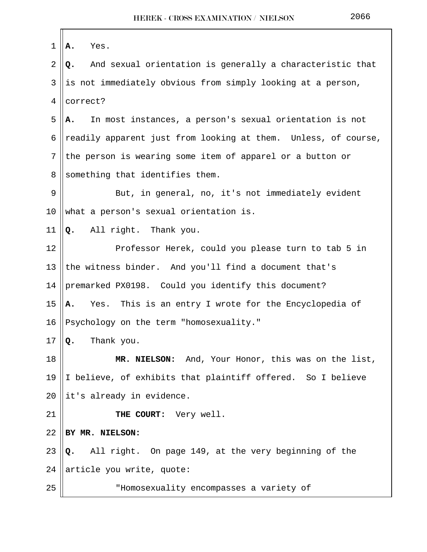|  | $\parallel$ A. | ves. |
|--|----------------|------|
|--|----------------|------|

 2 **Q.** And sexual orientation is generally a characteristic that  $3 \parallel$  is not immediately obvious from simply looking at a person, 4 || correct?

 5 **A.** In most instances, a person's sexual orientation is not 6 readily apparent just from looking at them. Unless, of course,  $7$  the person is wearing some item of apparel or a button or 8 Something that identifies them.

9 || But, in general, no, it's not immediately evident 10 What a person's sexual orientation is.

11 **Q.** All right. Thank you.

12 || Professor Herek, could you please turn to tab 5 in 13 || the witness binder. And you'll find a document that's 14 premarked PX0198. Could you identify this document? 15 **A.** Yes. This is an entry I wrote for the Encyclopedia of 16 Psychology on the term "homosexuality."

 $17 \parallel Q$ . Thank you.

18 **MR. NIELSON:** And, Your Honor, this was on the list, 19 ||I believe, of exhibits that plaintiff offered. So I believe 20  $\|$ it's already in evidence.

21 **THE COURT:** Very well.

22 **BY MR. NIELSON:**

23 **Q.** All right. On page 149, at the very beginning of the  $24$  ||article you write, quote:

25 || Thomosexuality encompasses a variety of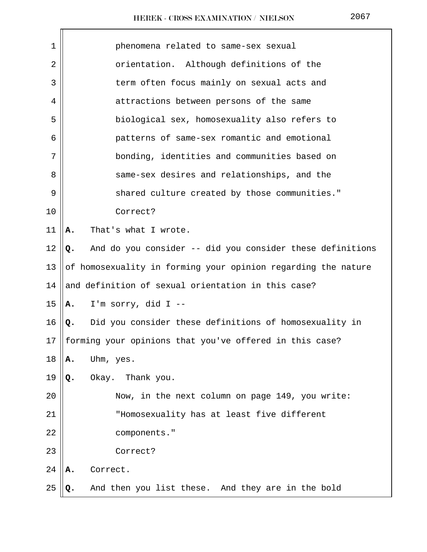| 1  | phenomena related to same-sex sexual                            |
|----|-----------------------------------------------------------------|
| 2  | orientation. Although definitions of the                        |
| 3  | term often focus mainly on sexual acts and                      |
| 4  | attractions between persons of the same                         |
| 5  | biological sex, homosexuality also refers to                    |
| 6  | patterns of same-sex romantic and emotional                     |
| 7  | bonding, identities and communities based on                    |
| 8  | same-sex desires and relationships, and the                     |
| 9  | shared culture created by those communities."                   |
| 10 | Correct?                                                        |
| 11 | That's what I wrote.<br>Α.                                      |
| 12 | And do you consider -- did you consider these definitions<br>Q. |
| 13 | of homosexuality in forming your opinion regarding the nature   |
| 14 | and definition of sexual orientation in this case?              |
| 15 | I'm sorry, did I --<br>Α.                                       |
| 16 | Did you consider these definitions of homosexuality in<br>Q.    |
| 17 | forming your opinions that you've offered in this case?         |
| 18 | Uhm, yes.<br>Α.                                                 |
| 19 | Okay. Thank you.<br>Q.                                          |
| 20 | Now, in the next column on page 149, you write:                 |
| 21 | "Homosexuality has at least five different                      |
| 22 | components."                                                    |
| 23 | Correct?                                                        |
| 24 | Correct.<br>Α.                                                  |
| 25 | And then you list these. And they are in the bold<br>Q.         |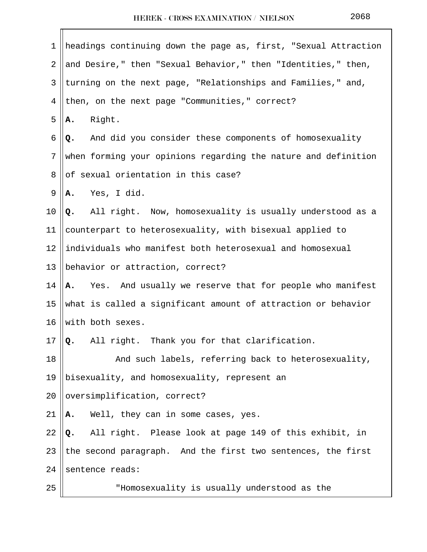| 1              | headings continuing down the page as, first, "Sexual Attraction |  |
|----------------|-----------------------------------------------------------------|--|
| $\overline{2}$ | and Desire," then "Sexual Behavior," then "Identities," then,   |  |
| 3              | turning on the next page, "Relationships and Families," and,    |  |
| 4              | then, on the next page "Communities," correct?                  |  |
| 5              | Right.<br>Α.                                                    |  |
| 6              | And did you consider these components of homosexuality<br>Q.    |  |
| 7              | when forming your opinions regarding the nature and definition  |  |
| 8              | of sexual orientation in this case?                             |  |
| $\mathsf 9$    | Yes, I did.<br>Α.                                               |  |
| 10             | Q. All right. Now, homosexuality is usually understood as a     |  |
| 11             | counterpart to heterosexuality, with bisexual applied to        |  |
| 12             | individuals who manifest both heterosexual and homosexual       |  |
| 13             | behavior or attraction, correct?                                |  |
| 14             | Yes. And usually we reserve that for people who manifest<br>A.  |  |
| 15             | what is called a significant amount of attraction or behavior   |  |
| 16             | with both sexes.                                                |  |
| 17             | Q. All right. Thank you for that clarification.                 |  |
| 18             | And such labels, referring back to heterosexuality,             |  |
| 19             | bisexuality, and homosexuality, represent an                    |  |
| 20             | oversimplification, correct?                                    |  |
| 21             | Well, they can in some cases, yes.<br>Α.                        |  |
| 22             | All right. Please look at page 149 of this exhibit, in<br>Q.    |  |
| 23             | the second paragraph. And the first two sentences, the first    |  |
| 24             | sentence reads:                                                 |  |
| 25             | "Homosexuality is usually understood as the                     |  |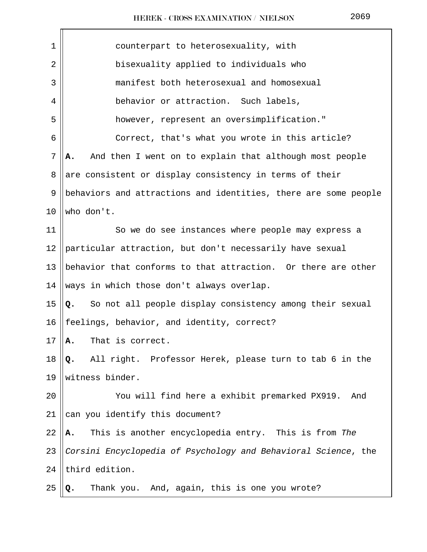| 1  | counterpart to heterosexuality, with                            |  |
|----|-----------------------------------------------------------------|--|
| 2  | bisexuality applied to individuals who                          |  |
| 3  | manifest both heterosexual and homosexual                       |  |
| 4  | behavior or attraction. Such labels,                            |  |
| 5  | however, represent an oversimplification."                      |  |
| 6  | Correct, that's what you wrote in this article?                 |  |
| 7  | And then I went on to explain that although most people<br>А.   |  |
| 8  | are consistent or display consistency in terms of their         |  |
| 9  | behaviors and attractions and identities, there are some people |  |
| 10 | who don't.                                                      |  |
| 11 | So we do see instances where people may express a               |  |
| 12 | particular attraction, but don't necessarily have sexual        |  |
| 13 | behavior that conforms to that attraction. Or there are other   |  |
| 14 | ways in which those don't always overlap.                       |  |
| 15 | So not all people display consistency among their sexual<br>Q.  |  |
| 16 | feelings, behavior, and identity, correct?                      |  |
| 17 | That is correct.<br>Α.                                          |  |
| 18 | All right. Professor Herek, please turn to tab 6 in the<br>Q.   |  |
| 19 | witness binder.                                                 |  |
| 20 | You will find here a exhibit premarked PX919.<br>And            |  |
| 21 | can you identify this document?                                 |  |
| 22 | This is another encyclopedia entry. This is from The<br>А.      |  |
| 23 | Corsini Encyclopedia of Psychology and Behavioral Science, the  |  |
| 24 | third edition.                                                  |  |
| 25 | Thank you. And, again, this is one you wrote?<br>Q.             |  |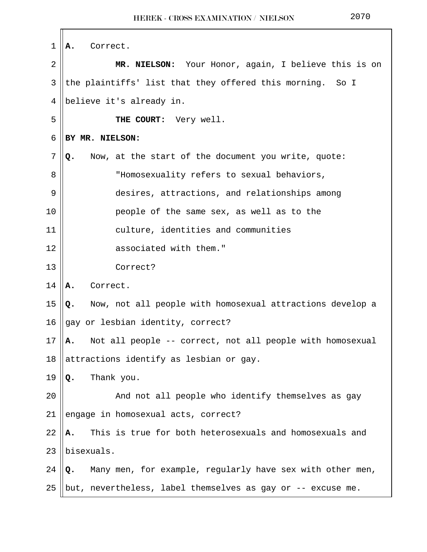| 1  | Α.              | Correct.                                                     |
|----|-----------------|--------------------------------------------------------------|
| 2  |                 | MR. NIELSON: Your Honor, again, I believe this is on         |
| 3  |                 | the plaintiffs' list that they offered this morning.<br>So I |
| 4  |                 | believe it's already in.                                     |
| 5  |                 | THE COURT: Very well.                                        |
| 6  | BY MR. NIELSON: |                                                              |
| 7  | Q.              | Now, at the start of the document you write, quote:          |
| 8  |                 | "Homosexuality refers to sexual behaviors,                   |
| 9  |                 | desires, attractions, and relationships among                |
| 10 |                 | people of the same sex, as well as to the                    |
| 11 |                 | culture, identities and communities                          |
| 12 |                 | associated with them."                                       |
| 13 |                 | Correct?                                                     |
| 14 | Α.              | Correct.                                                     |
| 15 | Q.              | Now, not all people with homosexual attractions develop a    |
| 16 |                 | gay or lesbian identity, correct?                            |
| 17 | А.              | Not all people -- correct, not all people with homosexual    |
| 18 |                 | attractions identify as lesbian or gay.                      |
| 19 | Q.              | Thank you.                                                   |
| 20 |                 | And not all people who identify themselves as gay            |
| 21 |                 | engage in homosexual acts, correct?                          |
| 22 | А.              | This is true for both heterosexuals and homosexuals and      |
| 23 | bisexuals.      |                                                              |
| 24 | Q.              | Many men, for example, regularly have sex with other men,    |
| 25 |                 | but, nevertheless, label themselves as gay or -- excuse me.  |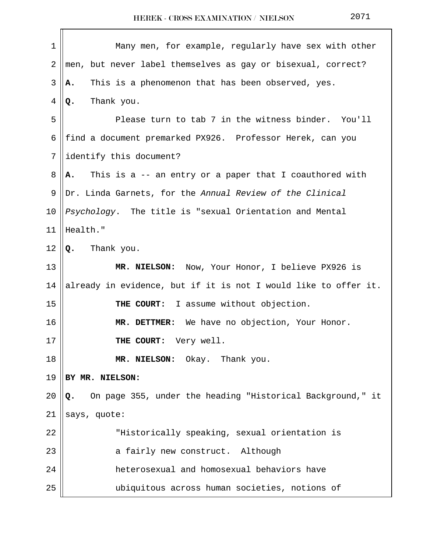| 1      | Many men, for example, regularly have sex with other             |  |
|--------|------------------------------------------------------------------|--|
| 2      | men, but never label themselves as gay or bisexual, correct?     |  |
| 3      | This is a phenomenon that has been observed, yes.<br>А.          |  |
| 4      | Thank you.<br>Q.                                                 |  |
| 5      | Please turn to tab 7 in the witness binder. You'll               |  |
| 6      | find a document premarked PX926. Professor Herek, can you        |  |
| 7      | identify this document?                                          |  |
| 8      | This is a -- an entry or a paper that I coauthored with<br>А.    |  |
| 9      | Dr. Linda Garnets, for the Annual Review of the Clinical         |  |
| 10     | Psychology. The title is "sexual Orientation and Mental          |  |
| 11     | Health."                                                         |  |
| 12     | Thank you.<br>Q.                                                 |  |
| 13     | MR. NIELSON: Now, Your Honor, I believe PX926 is                 |  |
| 14     | already in evidence, but if it is not I would like to offer it.  |  |
| 15     | THE COURT: I assume without objection.                           |  |
| 16     | We have no objection, Your Honor.<br>MR. DETTMER:                |  |
| $17\,$ | THE COURT: Very well.                                            |  |
| 18     | MR. NIELSON: Okay. Thank you.                                    |  |
| 19     | BY MR. NIELSON:                                                  |  |
| 20     | On page 355, under the heading "Historical Background," it<br>Q. |  |
| 21     | says, quote:                                                     |  |
| 22     | "Historically speaking, sexual orientation is                    |  |
| 23     | a fairly new construct. Although                                 |  |
| 24     | heterosexual and homosexual behaviors have                       |  |
| 25     | ubiquitous across human societies, notions of                    |  |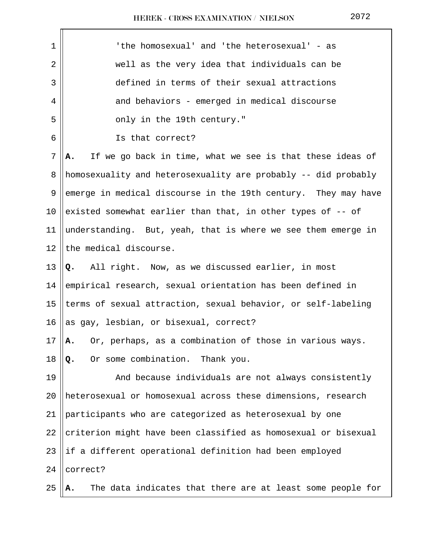| 1  | 'the homosexual' and 'the heterosexual' - as                    |  |  |
|----|-----------------------------------------------------------------|--|--|
| 2  | well as the very idea that individuals can be                   |  |  |
| 3  | defined in terms of their sexual attractions                    |  |  |
| 4  | and behaviors - emerged in medical discourse                    |  |  |
| 5  | only in the 19th century."                                      |  |  |
| 6  | Is that correct?                                                |  |  |
| 7  | If we go back in time, what we see is that these ideas of<br>Α. |  |  |
| 8  | homosexuality and heterosexuality are probably -- did probably  |  |  |
| 9  | emerge in medical discourse in the 19th century. They may have  |  |  |
| 10 | existed somewhat earlier than that, in other types of -- of     |  |  |
| 11 | understanding. But, yeah, that is where we see them emerge in   |  |  |
| 12 | the medical discourse.                                          |  |  |
| 13 | Q. All right. Now, as we discussed earlier, in most             |  |  |
| 14 | empirical research, sexual orientation has been defined in      |  |  |
| 15 | terms of sexual attraction, sexual behavior, or self-labeling   |  |  |
| 16 | as gay, lesbian, or bisexual, correct?                          |  |  |
| 17 | Or, perhaps, as a combination of those in various ways.<br>А.   |  |  |
| 18 | Or some combination. Thank you.<br>Q.                           |  |  |
| 19 | And because individuals are not always consistently             |  |  |
| 20 | heterosexual or homosexual across these dimensions, research    |  |  |
| 21 | participants who are categorized as heterosexual by one         |  |  |
| 22 | criterion might have been classified as homosexual or bisexual  |  |  |
| 23 | if a different operational definition had been employed         |  |  |
| 24 | correct?                                                        |  |  |
| 25 | The data indicates that there are at least some people for      |  |  |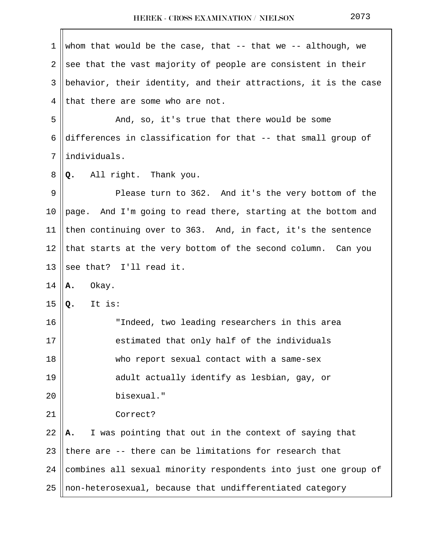| 1  | whom that would be the case, that $--$ that we $--$ although, we |  |
|----|------------------------------------------------------------------|--|
| 2  | see that the vast majority of people are consistent in their     |  |
| 3  | behavior, their identity, and their attractions, it is the case  |  |
| 4  | that there are some who are not.                                 |  |
| 5  | And, so, it's true that there would be some                      |  |
| 6  | differences in classification for that -- that small group of    |  |
| 7  | individuals.                                                     |  |
| 8  | Q. All right. Thank you.                                         |  |
| 9  | Please turn to 362. And it's the very bottom of the              |  |
| 10 | page. And I'm going to read there, starting at the bottom and    |  |
| 11 | then continuing over to 363. And, in fact, it's the sentence     |  |
| 12 | that starts at the very bottom of the second column. Can you     |  |
| 13 | see that? I'll read it.                                          |  |
| 14 | Okay.<br>Α.                                                      |  |
| 15 | It is:<br>Q.                                                     |  |
| 16 | "Indeed, two leading researchers in this area                    |  |
| 17 | estimated that only half of the individuals                      |  |
| 18 | who report sexual contact with a same-sex                        |  |
| 19 | adult actually identify as lesbian, gay, or                      |  |
| 20 | bisexual."                                                       |  |
| 21 | Correct?                                                         |  |
| 22 | I was pointing that out in the context of saying that<br>А.      |  |
| 23 | there are -- there can be limitations for research that          |  |
| 24 | combines all sexual minority respondents into just one group of  |  |
| 25 | non-heterosexual, because that undifferentiated category         |  |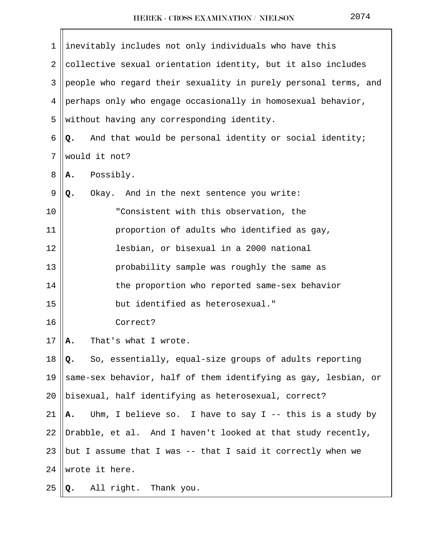| 1              | inevitably includes not only individuals who have this          |  |
|----------------|-----------------------------------------------------------------|--|
| $\overline{2}$ | collective sexual orientation identity, but it also includes    |  |
| 3              | people who regard their sexuality in purely personal terms, and |  |
| 4              | perhaps only who engage occasionally in homosexual behavior,    |  |
| 5              | without having any corresponding identity.                      |  |
| 6              | And that would be personal identity or social identity;<br>Q.   |  |
| 7              | would it not?                                                   |  |
| 8              | Possibly.<br>Α.                                                 |  |
| 9              | Okay. And in the next sentence you write:<br>Q.                 |  |
| 10             | "Consistent with this observation, the                          |  |
| 11             | proportion of adults who identified as gay,                     |  |
| 12             | lesbian, or bisexual in a 2000 national                         |  |
| 13             | probability sample was roughly the same as                      |  |
| 14             | the proportion who reported same-sex behavior                   |  |
| 15             | but identified as heterosexual."                                |  |
| 16             | Correct?                                                        |  |
| 17             | That's what I wrote.<br>А.                                      |  |
| 18             | So, essentially, equal-size groups of adults reporting<br>Q.    |  |
| 19             | same-sex behavior, half of them identifying as gay, lesbian, or |  |
| 20             | bisexual, half identifying as heterosexual, correct?            |  |
| 21             | Uhm, I believe so. I have to say I -- this is a study by<br>Α.  |  |
| 22             | Drabble, et al. And I haven't looked at that study recently,    |  |
| 23             | but I assume that I was -- that I said it correctly when we     |  |
| 24             | wrote it here.                                                  |  |
| 25             | All right. Thank you.<br>Q.                                     |  |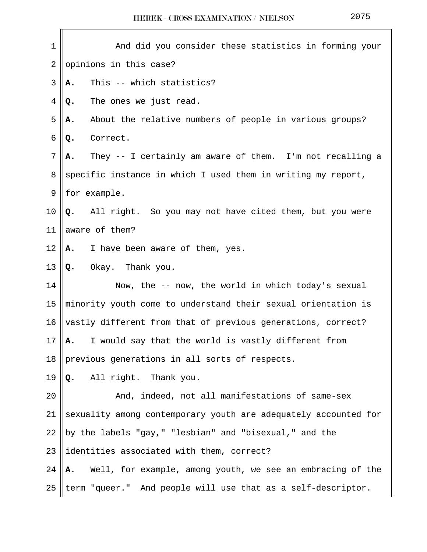| $\mathbf 1$    | And did you consider these statistics in forming your            |  |
|----------------|------------------------------------------------------------------|--|
| $\overline{2}$ | opinions in this case?                                           |  |
| 3              | This -- which statistics?<br>А.                                  |  |
| 4              | The ones we just read.<br>Q.                                     |  |
| 5              | About the relative numbers of people in various groups?<br>А.    |  |
| 6              | Correct.<br>Q.                                                   |  |
| 7              | They $-$ I certainly am aware of them. I'm not recalling a<br>Α. |  |
| 8              | specific instance in which I used them in writing my report,     |  |
| 9              | for example.                                                     |  |
| 10             | All right. So you may not have cited them, but you were<br>Q.    |  |
| 11             | aware of them?                                                   |  |
| 12             | I have been aware of them, yes.<br>А.                            |  |
| 13             | Okay. Thank you.<br>Q.                                           |  |
| 14             | Now, the -- now, the world in which today's sexual               |  |
| 15             | minority youth come to understand their sexual orientation is    |  |
| 16             | vastly different from that of previous generations, correct?     |  |
| 17             | I would say that the world is vastly different from<br>А.        |  |
| 18             | previous generations in all sorts of respects.                   |  |
| 19             | All right. Thank you.<br>Q.                                      |  |
| 20             | And, indeed, not all manifestations of same-sex                  |  |
| 21             | sexuality among contemporary youth are adequately accounted for  |  |
| 22             | by the labels "gay," "lesbian" and "bisexual," and the           |  |
| 23             | identities associated with them, correct?                        |  |
| 24             | Well, for example, among youth, we see an embracing of the<br>Α. |  |
| 25             | term "queer." And people will use that as a self-descriptor.     |  |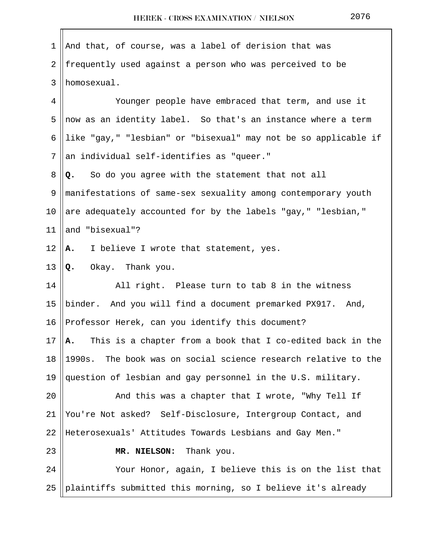| 1              | And that, of course, was a label of derision that was             |  |
|----------------|-------------------------------------------------------------------|--|
| $\overline{2}$ | frequently used against a person who was perceived to be          |  |
| 3              | homosexual.                                                       |  |
| 4              | Younger people have embraced that term, and use it                |  |
| 5              | now as an identity label. So that's an instance where a term      |  |
| 6              | like "gay," "lesbian" or "bisexual" may not be so applicable if   |  |
| 7              | an individual self-identifies as "queer."                         |  |
| 8              | So do you agree with the statement that not all<br>Q.             |  |
| 9              | manifestations of same-sex sexuality among contemporary youth     |  |
| 10             | are adequately accounted for by the labels "gay," "lesbian,"      |  |
| 11             | and "bisexual"?                                                   |  |
| 12             | I believe I wrote that statement, yes.<br>А.                      |  |
| 13             | Okay. Thank you.<br>Q.                                            |  |
| 14             | All right. Please turn to tab 8 in the witness                    |  |
| 15             | binder. And you will find a document premarked PX917. And,        |  |
| 16             | Professor Herek, can you identify this document?                  |  |
| 17             | This is a chapter from a book that I co-edited back in the<br>Α.  |  |
| 18             | The book was on social science research relative to the<br>1990s. |  |
| 19             | question of lesbian and gay personnel in the U.S. military.       |  |
| 20             | And this was a chapter that I wrote, "Why Tell If                 |  |
| 21             | You're Not asked? Self-Disclosure, Intergroup Contact, and        |  |
| 22             | Heterosexuals' Attitudes Towards Lesbians and Gay Men."           |  |
| 23             | Thank you.<br>MR. NIELSON:                                        |  |
| 24             | Your Honor, again, I believe this is on the list that             |  |
| 25             | plaintiffs submitted this morning, so I believe it's already      |  |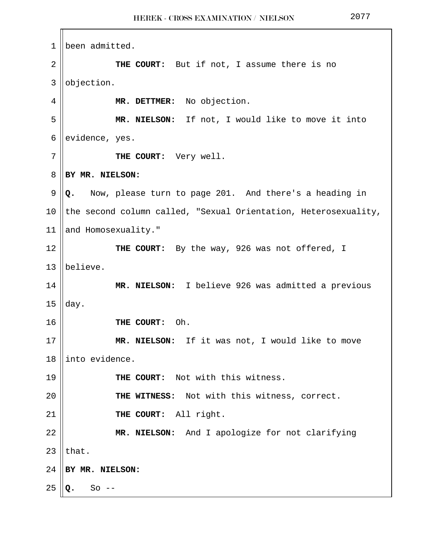| $\mathbf 1$ | been admitted.                                                  |  |
|-------------|-----------------------------------------------------------------|--|
| 2           | THE COURT: But if not, I assume there is no                     |  |
| 3           | objection.                                                      |  |
| 4           | MR. DETTMER: No objection.                                      |  |
| 5           | MR. NIELSON: If not, I would like to move it into               |  |
| 6           | evidence, yes.                                                  |  |
| 7           | THE COURT: Very well.                                           |  |
| 8           | BY MR. NIELSON:                                                 |  |
| 9           | Now, please turn to page 201. And there's a heading in<br>Q.    |  |
| 10          | the second column called, "Sexual Orientation, Heterosexuality, |  |
| 11          | and Homosexuality."                                             |  |
| 12          | THE COURT: By the way, 926 was not offered, I                   |  |
| 13          | believe.                                                        |  |
| 14          | MR. NIELSON: I believe 926 was admitted a previous              |  |
| 15          | day.                                                            |  |
| 16          | Oh.<br>THE COURT:                                               |  |
| 17          | MR. NIELSON:<br>If it was not, I would like to move             |  |
| 18          | into evidence.                                                  |  |
| 19          | THE COURT: Not with this witness.                               |  |
| 20          | Not with this witness, correct.<br>THE WITNESS:                 |  |
| 21          | All right.<br>THE COURT:                                        |  |
| 22          | MR. NIELSON: And I apologize for not clarifying                 |  |
| 23          | that.                                                           |  |
| 24          | BY MR. NIELSON:                                                 |  |
| 25          | $So$ --<br>Q.                                                   |  |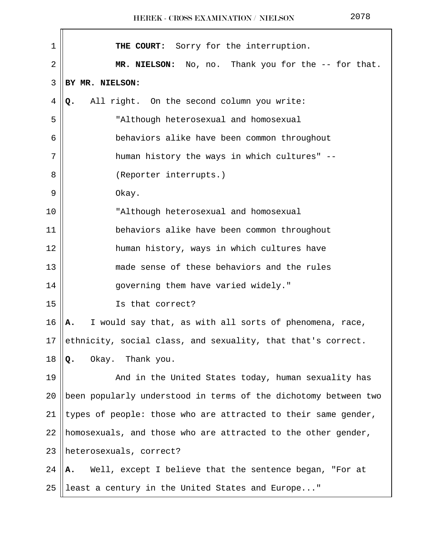| 1              | THE COURT: Sorry for the interruption.                          |
|----------------|-----------------------------------------------------------------|
| $\overline{2}$ | MR. NIELSON: No, no. Thank you for the -- for that.             |
| 3              | BY MR. NIELSON:                                                 |
| 4              | All right. On the second column you write:<br>Q.                |
| 5              | "Although heterosexual and homosexual                           |
| 6              | behaviors alike have been common throughout                     |
| 7              | human history the ways in which cultures" --                    |
| 8              | (Reporter interrupts.)                                          |
| 9              | Okay.                                                           |
| 10             | "Although heterosexual and homosexual                           |
| 11             | behaviors alike have been common throughout                     |
| 12             | human history, ways in which cultures have                      |
| 13             | made sense of these behaviors and the rules                     |
| 14             | governing them have varied widely."                             |
| 15             | Is that correct?                                                |
| 16             | I would say that, as with all sorts of phenomena, race,<br>Α.   |
| 17             | ethnicity, social class, and sexuality, that that's correct.    |
| 18             | Okay. Thank you.<br>Q.                                          |
| 19             | And in the United States today, human sexuality has             |
| 20             | been popularly understood in terms of the dichotomy between two |
| 21             | types of people: those who are attracted to their same gender,  |
| 22             | homosexuals, and those who are attracted to the other gender,   |
| 23             | heterosexuals, correct?                                         |
| 24             | Well, except I believe that the sentence began, "For at<br>Α.   |
| 25             | least a century in the United States and Europe"                |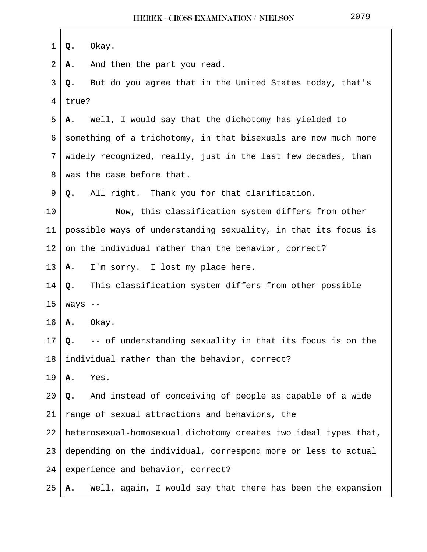| $\mathbf 1$  | Okay.<br>Q.                                                      |  |
|--------------|------------------------------------------------------------------|--|
| $\sqrt{2}$   | And then the part you read.<br>А.                                |  |
| $\mathbf{3}$ | But do you agree that in the United States today, that's<br>Q.   |  |
| 4            | true?                                                            |  |
| 5            | Well, I would say that the dichotomy has yielded to<br>Α.        |  |
| $\epsilon$   | something of a trichotomy, in that bisexuals are now much more   |  |
| 7            | widely recognized, really, just in the last few decades, than    |  |
| 8            | was the case before that.                                        |  |
| $\mathsf 9$  | All right. Thank you for that clarification.<br>Q.               |  |
| 10           | Now, this classification system differs from other               |  |
| 11           | possible ways of understanding sexuality, in that its focus is   |  |
| 12           | on the individual rather than the behavior, correct?             |  |
| 13           | I'm sorry. I lost my place here.<br>Α.                           |  |
| 14           | This classification system differs from other possible<br>Q.     |  |
| 15           | ways                                                             |  |
| 16           | Okay.<br>Α.                                                      |  |
| 17           | -- of understanding sexuality in that its focus is on the<br>Q.  |  |
| 18           | individual rather than the behavior, correct?                    |  |
| 19           | Yes.<br>Α.                                                       |  |
| 20           | And instead of conceiving of people as capable of a wide<br>Q.   |  |
| 21           | range of sexual attractions and behaviors, the                   |  |
| 22           | heterosexual-homosexual dichotomy creates two ideal types that,  |  |
| 23           | depending on the individual, correspond more or less to actual   |  |
| 24           | experience and behavior, correct?                                |  |
| 25           | Well, again, I would say that there has been the expansion<br>Α. |  |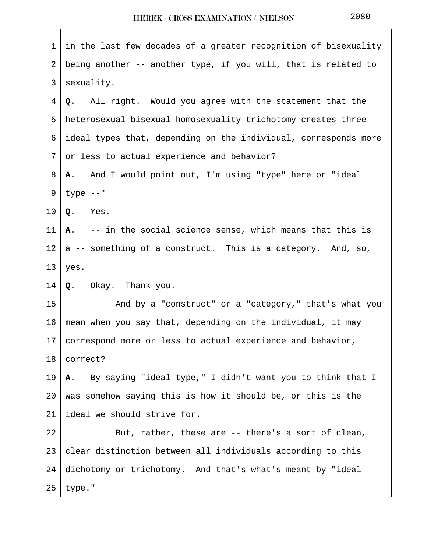| $\mathbf 1$ | in the last few decades of a greater recognition of bisexuality |  |
|-------------|-----------------------------------------------------------------|--|
| 2           | being another -- another type, if you will, that is related to  |  |
| 3           | sexuality.                                                      |  |
| 4           | Q. All right. Would you agree with the statement that the       |  |
| 5           | heterosexual-bisexual-homosexuality trichotomy creates three    |  |
| 6           | ideal types that, depending on the individual, corresponds more |  |
| 7           | or less to actual experience and behavior?                      |  |
| 8           | And I would point out, I'm using "type" here or "ideal<br>Α.    |  |
| 9           | $type --$                                                       |  |
| 10          | Yes.<br>Q.                                                      |  |
| 11          | -- in the social science sense, which means that this is<br>Α.  |  |
| 12          | a -- something of a construct. This is a category. And, so,     |  |
| 13          | yes.                                                            |  |
| 14          | Q. Okay. Thank you.                                             |  |
| 15          | And by a "construct" or a "category," that's what you           |  |
| 16          | mean when you say that, depending on the individual, it may     |  |
| 17          | correspond more or less to actual experience and behavior,      |  |
| 18          | correct?                                                        |  |
| 19          | By saying "ideal type," I didn't want you to think that I<br>Α. |  |
| 20          | was somehow saying this is how it should be, or this is the     |  |
| 21          | ideal we should strive for.                                     |  |
| 22          | But, rather, these are -- there's a sort of clean,              |  |
| 23          | clear distinction between all individuals according to this     |  |
| 24          | dichotomy or trichotomy. And that's what's meant by "ideal      |  |
| 25          | type."                                                          |  |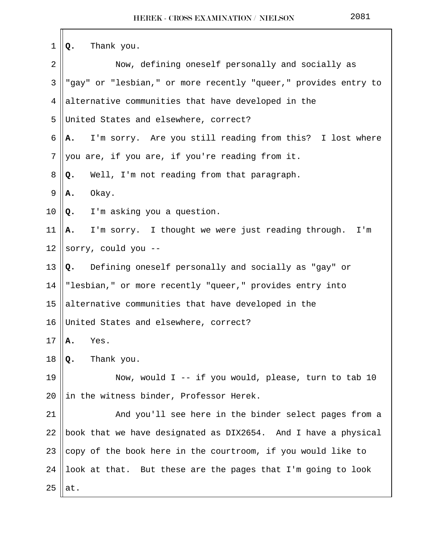| $\mathbf 1$ | Thank you.<br>Q.                                                |
|-------------|-----------------------------------------------------------------|
| 2           | Now, defining oneself personally and socially as                |
| 3           | "gay" or "lesbian," or more recently "queer," provides entry to |
| 4           | alternative communities that have developed in the              |
| 5           | United States and elsewhere, correct?                           |
| 6           | I'm sorry. Are you still reading from this? I lost where<br>Α.  |
| 7           | you are, if you are, if you're reading from it.                 |
| 8           | Well, I'm not reading from that paragraph.<br>Q.                |
| 9           | Okay.<br>Α.                                                     |
| 10          | Q. I'm asking you a question.                                   |
| 11          | I'm sorry. I thought we were just reading through. I'm<br>Α.    |
| 12          | sorry, could you --                                             |
| 13          | Q. Defining oneself personally and socially as "gay" or         |
| 14          | "lesbian," or more recently "queer," provides entry into        |
| 15          | alternative communities that have developed in the              |
| 16          | United States and elsewhere, correct?                           |
| 17          | Yes.<br>А.                                                      |
| 18          | Thank you.<br>Q.                                                |
| 19          | Now, would I -- if you would, please, turn to tab 10            |
| 20          | in the witness binder, Professor Herek.                         |
| 21          | And you'll see here in the binder select pages from a           |
| 22          | book that we have designated as DIX2654. And I have a physical  |
| 23          | copy of the book here in the courtroom, if you would like to    |
| 24          | look at that. But these are the pages that I'm going to look    |
| 25          | at.                                                             |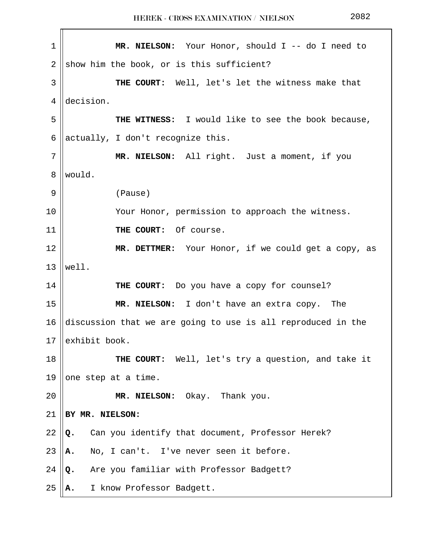**MR. NIELSON:** Your Honor, should I -- do I need to show him the book, or is this sufficient? **THE COURT:** Well, let's let the witness make that 4 decision. **THE WITNESS:** I would like to see the book because, 6 actually, I don't recognize this. **MR. NIELSON:** All right. Just a moment, if you 8 would. 9 (Pause) 10 || Your Honor, permission to approach the witness. **THE COURT:** Of course. **MR. DETTMER:** Your Honor, if we could get a copy, as  $|$  well. **THE COURT:** Do you have a copy for counsel? **MR. NIELSON:** I don't have an extra copy. The 16 discussion that we are going to use is all reproduced in the  $\parallel$  exhibit book. **THE COURT:** Well, let's try a question, and take it 19 || one step at a time. **MR. NIELSON:** Okay. Thank you. **BY MR. NIELSON: Q.** Can you identify that document, Professor Herek? **A.** No, I can't. I've never seen it before. **Q.** Are you familiar with Professor Badgett? 25 ||**A.** I know Professor Badgett.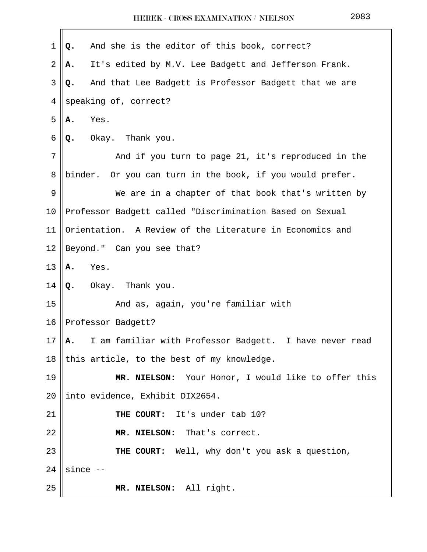| 1              | And she is the editor of this book, correct?<br>Q.            |
|----------------|---------------------------------------------------------------|
| $\overline{2}$ | It's edited by M.V. Lee Badgett and Jefferson Frank.<br>Α.    |
| 3              | And that Lee Badgett is Professor Badgett that we are<br>Q.   |
| 4              | speaking of, correct?                                         |
| 5              | Yes.<br>Α.                                                    |
| 6              | Okay. Thank you.<br>Q.                                        |
| 7              | And if you turn to page 21, it's reproduced in the            |
| 8              | binder. Or you can turn in the book, if you would prefer.     |
| 9              | We are in a chapter of that book that's written by            |
| 10             | Professor Badgett called "Discrimination Based on Sexual      |
| 11             | Orientation. A Review of the Literature in Economics and      |
| 12             | Beyond." Can you see that?                                    |
| 13             | Yes.<br>Α.                                                    |
| 14             | Okay. Thank you.<br>Q.                                        |
| 15             | And as, again, you're familiar with                           |
| 16             | Professor Badgett?                                            |
| 17             | I am familiar with Professor Badgett. I have never read<br>А. |
| 18             | this article, to the best of my knowledge.                    |
| 19             | MR. NIELSON: Your Honor, I would like to offer this           |
| 20             | into evidence, Exhibit DIX2654.                               |
| 21             | THE COURT: It's under tab 10?                                 |
| 22             | That's correct.<br>MR. NIELSON:                               |
| 23             | THE COURT: Well, why don't you ask a question,                |
| 24             | since --                                                      |
| 25             | MR. NIELSON: All right.                                       |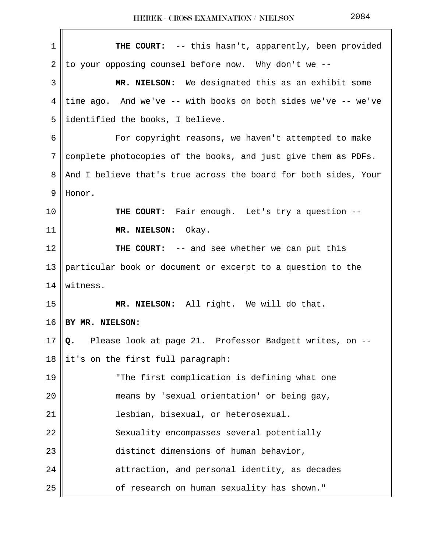| $\mathbf 1$    | THE COURT: -- this hasn't, apparently, been provided            |
|----------------|-----------------------------------------------------------------|
| $\overline{2}$ | to your opposing counsel before now. Why don't we --            |
| 3              | MR. NIELSON: We designated this as an exhibit some              |
| 4              | time ago. And we've -- with books on both sides we've -- we've  |
| 5              | identified the books, I believe.                                |
| 6              | For copyright reasons, we haven't attempted to make             |
| 7              | complete photocopies of the books, and just give them as PDFs.  |
| 8              | And I believe that's true across the board for both sides, Your |
| 9              | Honor.                                                          |
| 10             | THE COURT: Fair enough. Let's try a question --                 |
| 11             | MR. NIELSON:<br>Okay.                                           |
| 12             | <b>THE COURT:</b> -- and see whether we can put this            |
| 13             | particular book or document or excerpt to a question to the     |
| 14             | witness.                                                        |
| 15             | MR. NIELSON: All right. We will do that.                        |
| 16             | BY MR. NIELSON:                                                 |
| 17             | Please look at page 21. Professor Badgett writes, on --<br>Q.   |
| 18             | it's on the first full paragraph:                               |
| 19             | "The first complication is defining what one                    |
| 20             | means by 'sexual orientation' or being gay,                     |
| 21             | lesbian, bisexual, or heterosexual.                             |
| 22             | Sexuality encompasses several potentially                       |
| 23             | distinct dimensions of human behavior,                          |
| 24             | attraction, and personal identity, as decades                   |
| 25             | of research on human sexuality has shown."                      |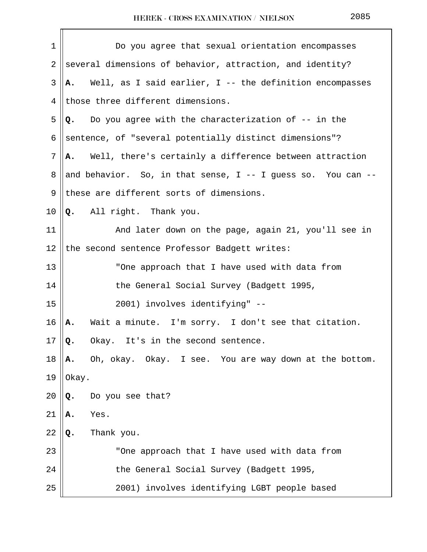| $\mathbf 1$    | Do you agree that sexual orientation encompasses                 |
|----------------|------------------------------------------------------------------|
| $\overline{2}$ | several dimensions of behavior, attraction, and identity?        |
| 3              | Well, as I said earlier, $I$ -- the definition encompasses<br>А. |
| 4              | those three different dimensions.                                |
| 5              | Do you agree with the characterization of -- in the<br>Q.        |
| 6              | sentence, of "several potentially distinct dimensions"?          |
| 7              | A. Well, there's certainly a difference between attraction       |
| 8              | and behavior. So, in that sense, $I - I$ guess so. You can $-$   |
| 9              | these are different sorts of dimensions.                         |
| 10             | Q. All right. Thank you.                                         |
| 11             | And later down on the page, again 21, you'll see in              |
| 12             | the second sentence Professor Badgett writes:                    |
| 13             | "One approach that I have used with data from                    |
| 14             | the General Social Survey (Badgett 1995,                         |
| 15             | 2001) involves identifying" --                                   |
| 16             | Wait a minute. I'm sorry. I don't see that citation.<br>Α.       |
| 17             | Okay. It's in the second sentence.<br>Q.                         |
| 18             | Oh, okay. Okay. I see. You are way down at the bottom.<br>Α.     |
| 19             | Okay.                                                            |
| 20             | Do you see that?<br>Q.                                           |
| 21             | Yes.<br>Α.                                                       |
| 22             | Thank you.<br>Q.                                                 |
| 23             | "One approach that I have used with data from                    |
| 24             | the General Social Survey (Badgett 1995,                         |
| 25             | 2001) involves identifying LGBT people based                     |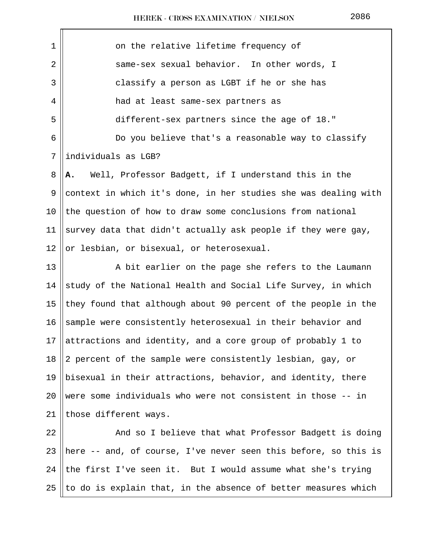| 1  | on the relative lifetime frequency of                                   |
|----|-------------------------------------------------------------------------|
| 2  | same-sex sexual behavior. In other words, I                             |
| 3  | classify a person as LGBT if he or she has                              |
| 4  | had at least same-sex partners as                                       |
| 5  | different-sex partners since the age of 18."                            |
| 6  | Do you believe that's a reasonable way to classify                      |
| 7  | individuals as LGB?                                                     |
| 8  | Well, Professor Badgett, if I understand this in the<br>Α.              |
| 9  | context in which it's done, in her studies she was dealing with         |
| 10 | the question of how to draw some conclusions from national              |
| 11 | survey data that didn't actually ask people if they were gay,           |
| 12 | or lesbian, or bisexual, or heterosexual.                               |
| 13 | A bit earlier on the page she refers to the Laumann                     |
| 14 | study of the National Health and Social Life Survey, in which           |
| 15 | they found that although about 90 percent of the people in the          |
| 16 | sample were consistently heterosexual in their behavior and             |
| 17 | $\parallel$ attractions and identity, and a core group of probably 1 to |
| 18 | 2 percent of the sample were consistently lesbian, gay, or              |
| 19 | bisexual in their attractions, behavior, and identity, there            |
| 20 | were some individuals who were not consistent in those -- in            |
| 21 | those different ways.                                                   |
| 22 | And so I believe that what Professor Badgett is doing                   |
| 23 | here -- and, of course, I've never seen this before, so this is         |
| 24 | the first I've seen it. But I would assume what she's trying            |
| 25 | to do is explain that, in the absence of better measures which          |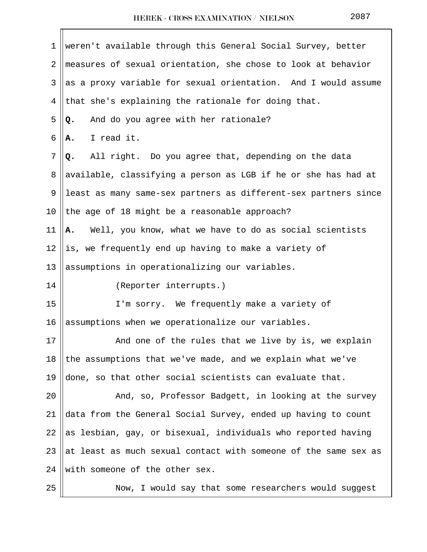| 1  | weren't available through this General Social Survey, better    |
|----|-----------------------------------------------------------------|
| 2  | measures of sexual orientation, she chose to look at behavior   |
| 3  | as a proxy variable for sexual orientation. And I would assume  |
| 4  | that she's explaining the rationale for doing that.             |
| 5  | And do you agree with her rationale?<br>Q.                      |
| 6  | I read it.<br>Α.                                                |
| 7  | All right. Do you agree that, depending on the data<br>Q.       |
| 8  | available, classifying a person as LGB if he or she has had at  |
| 9  | least as many same-sex partners as different-sex partners since |
| 10 | the age of 18 might be a reasonable approach?                   |
| 11 | Well, you know, what we have to do as social scientists<br>Α.   |
| 12 | is, we frequently end up having to make a variety of            |
| 13 | assumptions in operationalizing our variables.                  |
| 14 | (Reporter interrupts.)                                          |
| 15 | I'm sorry. We frequently make a variety of                      |
| 16 | assumptions when we operationalize our variables.               |
| 17 | And one of the rules that we live by is, we explain             |
| 18 | the assumptions that we've made, and we explain what we've      |
| 19 | done, so that other social scientists can evaluate that.        |
| 20 | And, so, Professor Badgett, in looking at the survey            |
| 21 | data from the General Social Survey, ended up having to count   |
| 22 | as lesbian, gay, or bisexual, individuals who reported having   |
| 23 | at least as much sexual contact with someone of the same sex as |
| 24 | with someone of the other sex.                                  |
| 25 | Now, I would say that some researchers would suggest            |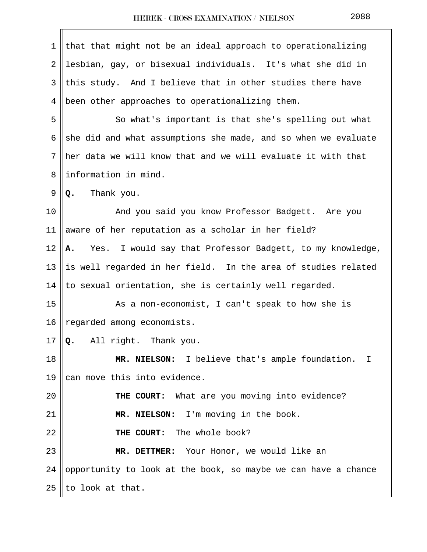| 1              | that that might not be an ideal approach to operationalizing    |
|----------------|-----------------------------------------------------------------|
| $\overline{2}$ | lesbian, gay, or bisexual individuals. It's what she did in     |
| 3              | this study. And I believe that in other studies there have      |
| 4              | been other approaches to operationalizing them.                 |
| 5              | So what's important is that she's spelling out what             |
| 6              | she did and what assumptions she made, and so when we evaluate  |
| 7              | her data we will know that and we will evaluate it with that    |
| 8              | information in mind.                                            |
| 9              | Thank you.<br>Q.                                                |
| 10             | And you said you know Professor Badgett. Are you                |
| 11             | aware of her reputation as a scholar in her field?              |
| 12             | Yes. I would say that Professor Badgett, to my knowledge,<br>А. |
| 13             | is well regarded in her field. In the area of studies related   |
| 14             | to sexual orientation, she is certainly well regarded.          |
| 15             | As a non-economist, I can't speak to how she is                 |
| 16             | regarded among economists.                                      |
| 17             | Q. All right. Thank you.                                        |
| 18             | MR. NIELSON: I believe that's ample foundation.<br>T            |
| 19             | can move this into evidence.                                    |
| 20             | <b>THE COURT:</b> What are you moving into evidence?            |
| 21             | MR. NIELSON: I'm moving in the book.                            |
| 22             | The whole book?<br>THE COURT:                                   |
| 23             | MR. DETTMER: Your Honor, we would like an                       |
| 24             | opportunity to look at the book, so maybe we can have a chance  |
| 25             | to look at that.                                                |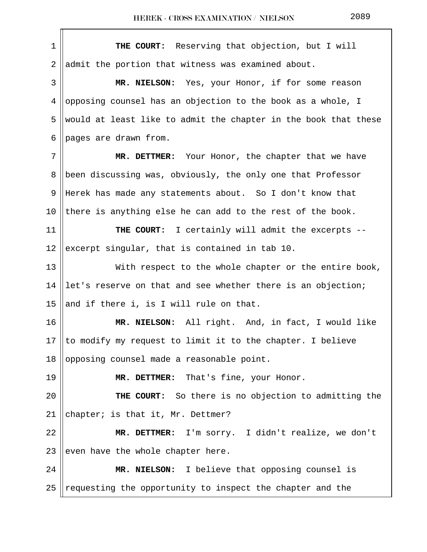| $\mathbf 1$    | THE COURT: Reserving that objection, but I will                 |
|----------------|-----------------------------------------------------------------|
| $\overline{2}$ | admit the portion that witness was examined about.              |
| 3              | MR. NIELSON: Yes, your Honor, if for some reason                |
| 4              | opposing counsel has an objection to the book as a whole, I     |
| 5              | would at least like to admit the chapter in the book that these |
| 6              | pages are drawn from.                                           |
| $\overline{7}$ | MR. DETTMER: Your Honor, the chapter that we have               |
| 8              | been discussing was, obviously, the only one that Professor     |
| 9              | Herek has made any statements about. So I don't know that       |
| 10             | there is anything else he can add to the rest of the book.      |
| 11             | THE COURT: I certainly will admit the excerpts --               |
| 12             | excerpt singular, that is contained in tab 10.                  |
| 13             | With respect to the whole chapter or the entire book,           |
| 14             | let's reserve on that and see whether there is an objection;    |
| 15             | and if there i, is I will rule on that.                         |
| 16             | MR. NIELSON: All right. And, in fact, I would like              |
| 17             | to modify my request to limit it to the chapter. I believe      |
| 18             | opposing counsel made a reasonable point.                       |
| 19             | MR. DETTMER: That's fine, your Honor.                           |
| 20             | THE COURT: So there is no objection to admitting the            |
| 21             | chapter; is that it, Mr. Dettmer?                               |
| 22             | MR. DETTMER: I'm sorry. I didn't realize, we don't              |
| 23             | even have the whole chapter here.                               |
| 24             | MR. NIELSON: I believe that opposing counsel is                 |
| 25             | requesting the opportunity to inspect the chapter and the       |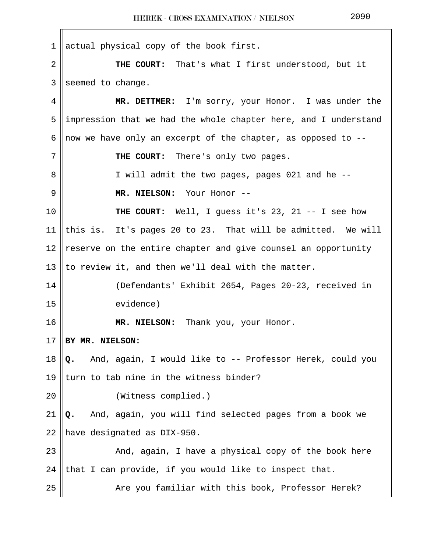$1$  actual physical copy of the book first. 2 || THE COURT: That's what I first understood, but it  $3$  seemed to change. 4 **MR. DETTMER:** I'm sorry, your Honor. I was under the  $5$  impression that we had the whole chapter here, and I understand 6 || now we have only an excerpt of the chapter, as opposed to  $-$ -7 **THE COURT:** There's only two pages. 8 || I will admit the two pages, pages 021 and he -- 9 **MR. NIELSON:** Your Honor -- 10 **THE COURT:** Well, I guess it's 23, 21 -- I see how 11 this is. It's pages 20 to 23. That will be admitted. We will 12 || reserve on the entire chapter and give counsel an opportunity 13 || to review it, and then we'll deal with the matter. 14 (Defendants' Exhibit 2654, Pages 20-23, received in 15 || evidence) 16 **MR. NIELSON:** Thank you, your Honor. 17 **BY MR. NIELSON:**  18 **Q.** And, again, I would like to -- Professor Herek, could you 19 turn to tab nine in the witness binder? 20 (Witness complied.) 21 **Q.** And, again, you will find selected pages from a book we 22  $\parallel$  have designated as DIX-950. 23 And, again, I have a physical copy of the book here 24 || that I can provide, if you would like to inspect that. 25 Are you familiar with this book, Professor Herek?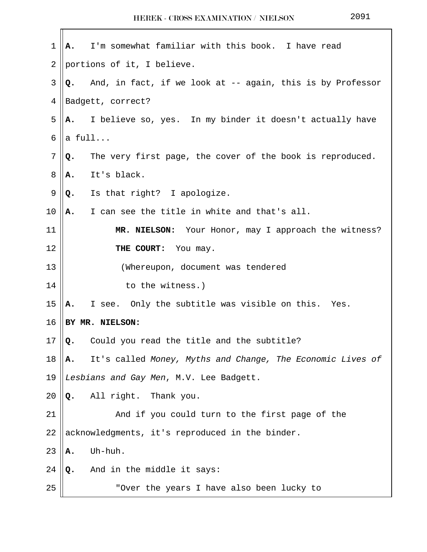| 1  | А.                                      | I'm somewhat familiar with this book. I have read          |
|----|-----------------------------------------|------------------------------------------------------------|
| 2  |                                         | portions of it, I believe.                                 |
| 3  | Q.                                      | And, in fact, if we look at -- again, this is by Professor |
| 4  |                                         | Badgett, correct?                                          |
| 5  | А.                                      | I believe so, yes. In my binder it doesn't actually have   |
| 6  |                                         | a full                                                     |
| 7  | Q.                                      | The very first page, the cover of the book is reproduced.  |
| 8  | А.                                      | It's black.                                                |
| 9  | Q.                                      | Is that right? I apologize.                                |
| 10 | Α.                                      | I can see the title in white and that's all.               |
| 11 |                                         | MR. NIELSON: Your Honor, may I approach the witness?       |
| 12 |                                         | THE COURT: You may.                                        |
| 13 |                                         | (Whereupon, document was tendered                          |
| 14 |                                         | to the witness.)                                           |
| 15 | А.                                      | I see. Only the subtitle was visible on this. Yes.         |
| 16 |                                         | BY MR. NIELSON:                                            |
| 17 | Q.                                      | Could you read the title and the subtitle?                 |
| 18 | Α.                                      | It's called Money, Myths and Change, The Economic Lives of |
| 19 | Lesbians and Gay Men, M.V. Lee Badgett. |                                                            |
| 20 | Q.                                      | All right. Thank you.                                      |
| 21 |                                         | And if you could turn to the first page of the             |
| 22 |                                         | acknowledgments, it's reproduced in the binder.            |
| 23 | Α.                                      | Uh-huh.                                                    |
| 24 | Q.                                      | And in the middle it says:                                 |
| 25 |                                         | "Over the years I have also been lucky to                  |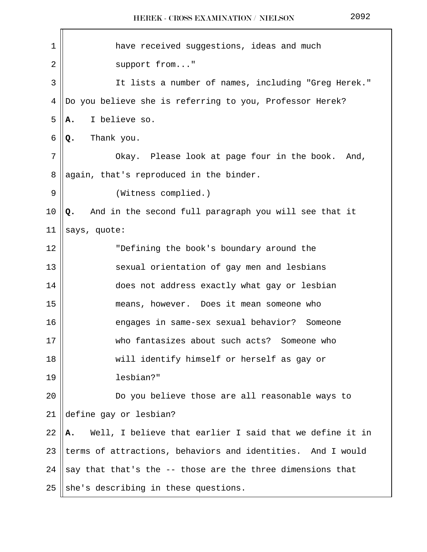| $\mathbf 1$ | have received suggestions, ideas and much                      |
|-------------|----------------------------------------------------------------|
| 2           | support from"                                                  |
| 3           | It lists a number of names, including "Greg Herek."            |
| 4           | Do you believe she is referring to you, Professor Herek?       |
| 5           | I believe so.<br>Α.                                            |
| 6           | Thank you.<br>Q.                                               |
| 7           | Okay. Please look at page four in the book. And,               |
| 8           | again, that's reproduced in the binder.                        |
| 9           | (Witness complied.)                                            |
| 10          | And in the second full paragraph you will see that it<br>Q.    |
| 11          | says, quote:                                                   |
| 12          | "Defining the book's boundary around the                       |
| 13          | sexual orientation of gay men and lesbians                     |
| 14          | does not address exactly what gay or lesbian                   |
| 15          | means, however. Does it mean someone who                       |
| 16          | engages in same-sex sexual behavior? Someone                   |
| 17          | who fantasizes about such acts? Someone who                    |
| 18          | will identify himself or herself as gay or                     |
| 19          | lesbian?"                                                      |
| 20          | Do you believe those are all reasonable ways to                |
| 21          | define gay or lesbian?                                         |
| 22          | Well, I believe that earlier I said that we define it in<br>Α. |
| 23          | terms of attractions, behaviors and identities. And I would    |
| 24          | say that that's the -- those are the three dimensions that     |
| 25          | she's describing in these questions.                           |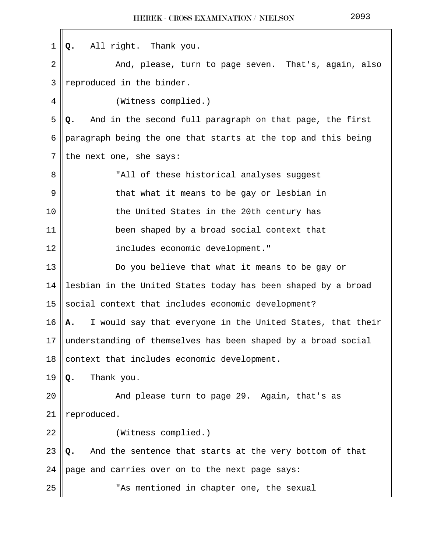| All right. Thank you.<br>Q.                                      |
|------------------------------------------------------------------|
| And, please, turn to page seven. That's, again, also             |
| reproduced in the binder.                                        |
| (Witness complied.)                                              |
| And in the second full paragraph on that page, the first<br>Q.   |
| paragraph being the one that starts at the top and this being    |
| the next one, she says:                                          |
| "All of these historical analyses suggest                        |
| that what it means to be gay or lesbian in                       |
| the United States in the 20th century has                        |
| been shaped by a broad social context that                       |
| includes economic development."                                  |
| Do you believe that what it means to be gay or                   |
| lesbian in the United States today has been shaped by a broad    |
| social context that includes economic development?               |
| I would say that everyone in the United States, that their<br>Α. |
| understanding of themselves has been shaped by a broad social    |
| context that includes economic development.                      |
| Thank you.<br>Q.                                                 |
| And please turn to page 29. Again, that's as                     |
| reproduced.                                                      |
| (Witness complied.)                                              |
| And the sentence that starts at the very bottom of that<br>Q.    |
| page and carries over on to the next page says:                  |
| "As mentioned in chapter one, the sexual                         |
|                                                                  |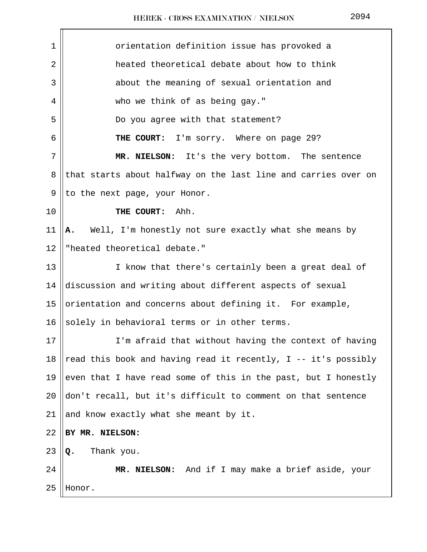| $\mathbf 1$ | orientation definition issue has provoked a                    |
|-------------|----------------------------------------------------------------|
| 2           | heated theoretical debate about how to think                   |
| 3           | about the meaning of sexual orientation and                    |
| 4           | who we think of as being gay."                                 |
| 5           | Do you agree with that statement?                              |
| 6           | THE COURT: I'm sorry. Where on page 29?                        |
| 7           | MR. NIELSON: It's the very bottom. The sentence                |
| 8           | that starts about halfway on the last line and carries over on |
| 9           | to the next page, your Honor.                                  |
| 10          | THE COURT:<br>Ahh.                                             |
| 11          | Well, I'm honestly not sure exactly what she means by<br>А.    |
| 12          | "heated theoretical debate."                                   |
| 13          | I know that there's certainly been a great deal of             |
| 14          | discussion and writing about different aspects of sexual       |
| 15          | orientation and concerns about defining it. For example,       |
| 16          | solely in behavioral terms or in other terms.                  |
| 17          | I'm afraid that without having the context of having           |
| 18          | read this book and having read it recently, I -- it's possibly |
| 19          | even that I have read some of this in the past, but I honestly |
| 20          | don't recall, but it's difficult to comment on that sentence   |
| 21          | and know exactly what she meant by it.                         |
| 22          | BY MR. NIELSON:                                                |
| 23          | Thank you.<br>Q.                                               |
| 24          | MR. NIELSON: And if I may make a brief aside, your             |
| 25          | Honor.                                                         |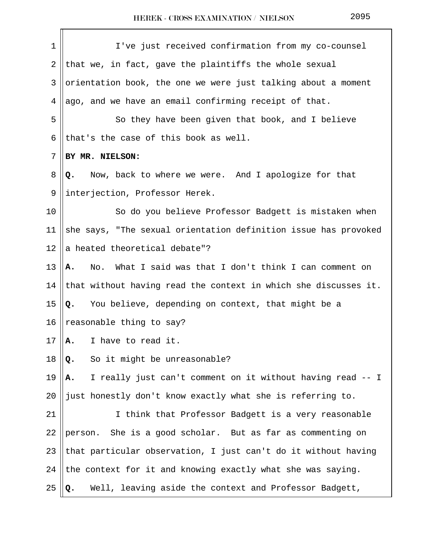$\mathbf{r}$ 

| $\mathbf 1$    | I've just received confirmation from my co-counsel               |
|----------------|------------------------------------------------------------------|
| 2              | that we, in fact, gave the plaintiffs the whole sexual           |
| 3              | orientation book, the one we were just talking about a moment    |
| 4              | ago, and we have an email confirming receipt of that.            |
| 5              | So they have been given that book, and I believe                 |
| 6              | that's the case of this book as well.                            |
| 7              | BY MR. NIELSON:                                                  |
| 8              | Now, back to where we were. And I apologize for that<br>Q.       |
| $\overline{9}$ | interjection, Professor Herek.                                   |
| 10             | So do you believe Professor Badgett is mistaken when             |
| 11             | she says, "The sexual orientation definition issue has provoked  |
| 12             | a heated theoretical debate"?                                    |
| 13             | What I said was that I don't think I can comment on<br>No.<br>Α. |
| 14             | that without having read the context in which she discusses it.  |
| 15             | You believe, depending on context, that might be a<br>Q.         |
| 16             | reasonable thing to say?                                         |
| 17             | I have to read it.<br>Α.                                         |
| 18             | So it might be unreasonable?<br>Q.                               |
| 19             | I really just can't comment on it without having read -- I<br>А. |
| 20             | just honestly don't know exactly what she is referring to.       |
| 21             | I think that Professor Badgett is a very reasonable              |
| 22             | She is a good scholar. But as far as commenting on<br>person.    |
| 23             | that particular observation, I just can't do it without having   |
| 24             | the context for it and knowing exactly what she was saying.      |
| 25             | Well, leaving aside the context and Professor Badgett,<br>Q.     |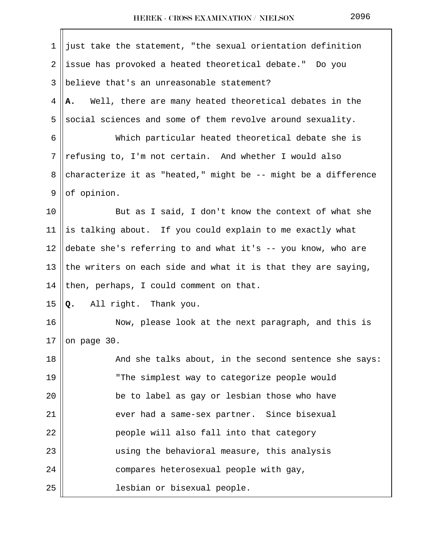| 1  | just take the statement, "the sexual orientation definition    |
|----|----------------------------------------------------------------|
| 2  | issue has provoked a heated theoretical debate." Do you        |
| 3  | believe that's an unreasonable statement?                      |
| 4  | Well, there are many heated theoretical debates in the<br>Α.   |
| 5  | social sciences and some of them revolve around sexuality.     |
| 6  | Which particular heated theoretical debate she is              |
| 7  | refusing to, I'm not certain. And whether I would also         |
| 8  | characterize it as "heated," might be -- might be a difference |
| 9  | of opinion.                                                    |
| 10 | But as I said, I don't know the context of what she            |
| 11 | is talking about. If you could explain to me exactly what      |
| 12 | debate she's referring to and what it's -- you know, who are   |
| 13 | the writers on each side and what it is that they are saying,  |
| 14 | then, perhaps, I could comment on that.                        |
| 15 | All right. Thank you.<br>Q.                                    |
| 16 | Now, please look at the next paragraph, and this is            |
| 17 | on page 30.                                                    |
| 18 | And she talks about, in the second sentence she says:          |
| 19 | "The simplest way to categorize people would                   |
| 20 | be to label as gay or lesbian those who have                   |
| 21 | ever had a same-sex partner. Since bisexual                    |
| 22 | people will also fall into that category                       |
| 23 | using the behavioral measure, this analysis                    |
| 24 | compares heterosexual people with gay,                         |
| 25 | lesbian or bisexual people.                                    |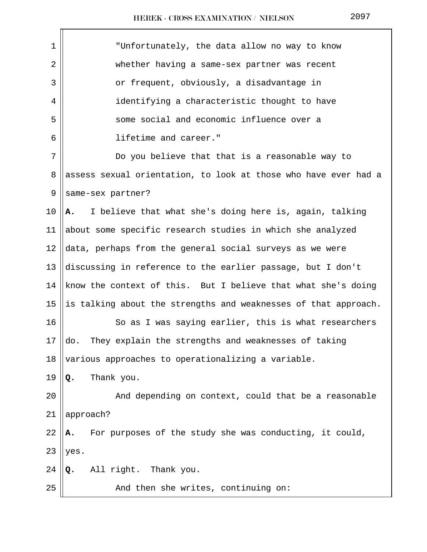| $\mathbf 1$ | "Unfortunately, the data allow no way to know                        |
|-------------|----------------------------------------------------------------------|
| 2           | whether having a same-sex partner was recent                         |
| 3           | or frequent, obviously, a disadvantage in                            |
| 4           | identifying a characteristic thought to have                         |
| 5           | some social and economic influence over a                            |
| 6           | lifetime and career."                                                |
| 7           | Do you believe that that is a reasonable way to                      |
| 8           | assess sexual orientation, to look at those who have ever had a      |
| 9           | same-sex partner?                                                    |
| 10          | I believe that what she's doing here is, again, talking<br><b>A.</b> |
| 11          | about some specific research studies in which she analyzed           |
| 12          | data, perhaps from the general social surveys as we were             |
| 13          | discussing in reference to the earlier passage, but I don't          |
| 14          | know the context of this. But I believe that what she's doing        |
| 15          | is talking about the strengths and weaknesses of that approach.      |
| 16          | So as I was saying earlier, this is what researchers                 |
| 17          | They explain the strengths and weaknesses of taking<br>do.           |
| 18          | various approaches to operationalizing a variable.                   |
| 19          | Thank you.<br>Q.                                                     |
| 20          | And depending on context, could that be a reasonable                 |
| 21          | approach?                                                            |
| 22          | For purposes of the study she was conducting, it could,<br>А.        |
| 23          | yes.                                                                 |
| 24          | All right. Thank you.<br>Q.                                          |
| 25          | And then she writes, continuing on:                                  |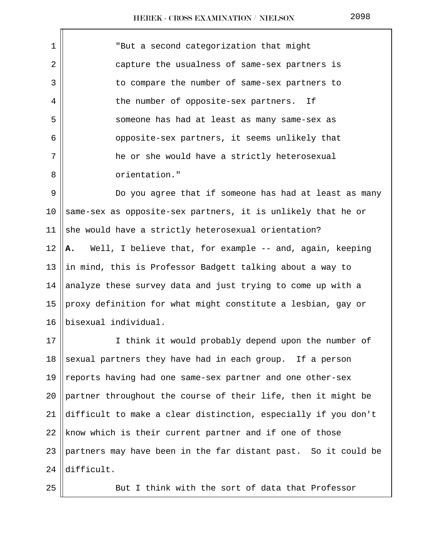|                | "But a second categorization that might               |
|----------------|-------------------------------------------------------|
| 2              | capture the usualness of same-sex partners is         |
| 3              | to compare the number of same-sex partners to         |
| $\overline{4}$ | the number of opposite-sex partners. If               |
| 5              | someone has had at least as many same-sex as          |
| 6              | opposite-sex partners, it seems unlikely that         |
| 7              | he or she would have a strictly heterosexual          |
| 8              | orientation."                                         |
| 9              | Do you agree that if someone has had at least as many |
|                |                                                       |

10 Same-sex as opposite-sex partners, it is unlikely that he or 11  $\parallel$  she would have a strictly heterosexual orientation? 12 **A.** Well, I believe that, for example -- and, again, keeping 13  $\parallel$  in mind, this is Professor Badgett talking about a way to 14 analyze these survey data and just trying to come up with a 15 || proxy definition for what might constitute a lesbian, gay or 16 bisexual individual.

17 || I think it would probably depend upon the number of 18 Sexual partners they have had in each group. If a person 19 || reports having had one same-sex partner and one other-sex 20  $\beta$  partner throughout the course of their life, then it might be 21 difficult to make a clear distinction, especially if you don't 22 Know which is their current partner and if one of those 23 || partners may have been in the far distant past. So it could be 24 difficult.

 $\mathbb T$ 

 $25$   $\parallel$  But I think with the sort of data that Professor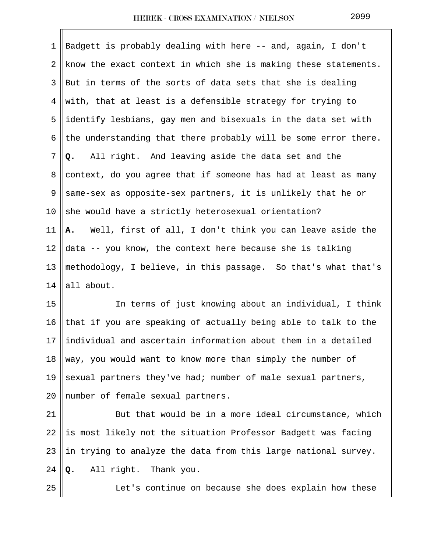$\mathbf{I}$ 

| $\mathbf{1}$ | Badgett is probably dealing with here -- and, again, I don't    |
|--------------|-----------------------------------------------------------------|
| 2            | know the exact context in which she is making these statements. |
| 3            | But in terms of the sorts of data sets that she is dealing      |
| 4            | with, that at least is a defensible strategy for trying to      |
| 5            | identify lesbians, gay men and bisexuals in the data set with   |
| 6            | the understanding that there probably will be some error there. |
| 7            | Q. All right. And leaving aside the data set and the            |
| 8            | context, do you agree that if someone has had at least as many  |
| 9            | same-sex as opposite-sex partners, it is unlikely that he or    |
| 10           | she would have a strictly heterosexual orientation?             |
| 11           | A. Well, first of all, I don't think you can leave aside the    |
| 12           | data -- you know, the context here because she is talking       |
| 13           | methodology, I believe, in this passage. So that's what that's  |
| 14           | all about.                                                      |

15 In terms of just knowing about an individual, I think 16 that if you are speaking of actually being able to talk to the 17  $\parallel$  individual and ascertain information about them in a detailed 18 Way, you would want to know more than simply the number of 19 Sexual partners they've had; number of male sexual partners,  $20$  ||number of female sexual partners.

21 || But that would be in a more ideal circumstance, which  $22$  ||is most likely not the situation Professor Badgett was facing 23 ||in trying to analyze the data from this large national survey.  $24$   $\vert \mathbf{Q}$ . All right. Thank you.

25 || Let's continue on because she does explain how these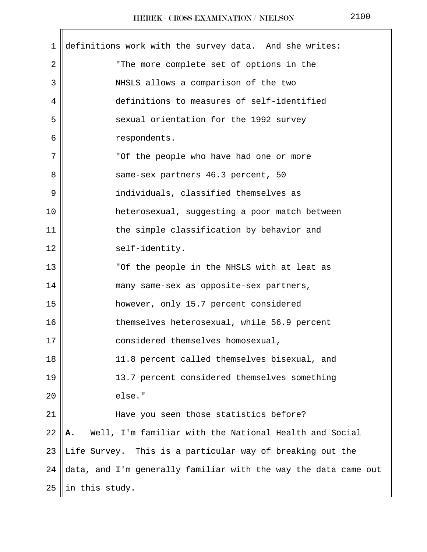| $\mathbf 1$    | definitions work with the survey data. And she writes:          |
|----------------|-----------------------------------------------------------------|
| $\overline{a}$ | "The more complete set of options in the                        |
| 3              | NHSLS allows a comparison of the two                            |
| 4              | definitions to measures of self-identified                      |
| 5              | sexual orientation for the 1992 survey                          |
| 6              | respondents.                                                    |
| 7              | "Of the people who have had one or more                         |
| 8              | same-sex partners 46.3 percent, 50                              |
| 9              | individuals, classified themselves as                           |
| 10             | heterosexual, suggesting a poor match between                   |
| 11             | the simple classification by behavior and                       |
| 12             | self-identity.                                                  |
| 13             | "Of the people in the NHSLS with at leat as                     |
| 14             | many same-sex as opposite-sex partners,                         |
| 15             | however, only 15.7 percent considered                           |
| 16             | themselves heterosexual, while 56.9 percent                     |
| 17             | considered themselves homosexual,                               |
| 18             | 11.8 percent called themselves bisexual, and                    |
| 19             | 13.7 percent considered themselves something                    |
| 20             | else."                                                          |
| 21             | Have you seen those statistics before?                          |
| 22             | Well, I'm familiar with the National Health and Social<br>Α.    |
| 23             | Life Survey. This is a particular way of breaking out the       |
| 24             | data, and I'm generally familiar with the way the data came out |
| 25             | in this study.                                                  |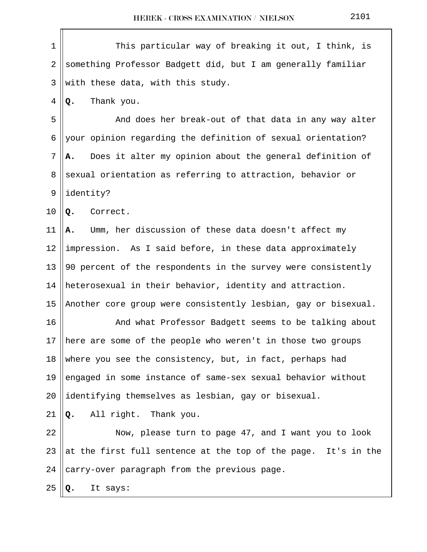| $\mathbf 1$    | This particular way of breaking it out, I think, is            |
|----------------|----------------------------------------------------------------|
| $\overline{2}$ | something Professor Badgett did, but I am generally familiar   |
| 3              | with these data, with this study.                              |
| 4              | Thank you.<br>Q.                                               |
| 5              | And does her break-out of that data in any way alter           |
| 6              | your opinion regarding the definition of sexual orientation?   |
| 7              | Does it alter my opinion about the general definition of<br>Α. |
| 8              | sexual orientation as referring to attraction, behavior or     |
| 9              | identity?                                                      |
| 10             | Correct.<br>Q.                                                 |
| 11             | Umm, her discussion of these data doesn't affect my<br>Α.      |
| 12             | impression. As I said before, in these data approximately      |
| 13             | 90 percent of the respondents in the survey were consistently  |
| 14             | heterosexual in their behavior, identity and attraction.       |
| 15             | Another core group were consistently lesbian, gay or bisexual. |
| 16             | And what Professor Badgett seems to be talking about           |
| 17             | here are some of the people who weren't in those two groups    |
| 18             | where you see the consistency, but, in fact, perhaps had       |
| 19             | engaged in some instance of same-sex sexual behavior without   |
| 20             | identifying themselves as lesbian, gay or bisexual.            |
| 21             | All right. Thank you.<br>Q.                                    |
| 22             | Now, please turn to page 47, and I want you to look            |
| 23             | at the first full sentence at the top of the page. It's in the |
| 24             | carry-over paragraph from the previous page.                   |
| 25             | It says:<br>Q.                                                 |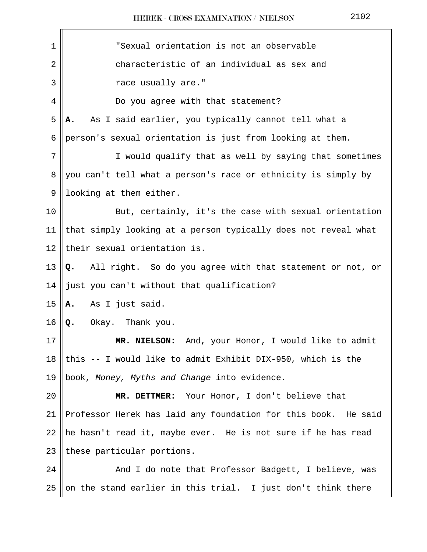| 1  | "Sexual orientation is not an observable                        |
|----|-----------------------------------------------------------------|
| 2  | characteristic of an individual as sex and                      |
| 3  | race usually are."                                              |
| 4  | Do you agree with that statement?                               |
| 5  | As I said earlier, you typically cannot tell what a<br>А.       |
| 6  | person's sexual orientation is just from looking at them.       |
| 7  | I would qualify that as well by saying that sometimes           |
| 8  | you can't tell what a person's race or ethnicity is simply by   |
| 9  | looking at them either.                                         |
| 10 | But, certainly, it's the case with sexual orientation           |
| 11 | that simply looking at a person typically does not reveal what  |
| 12 | their sexual orientation is.                                    |
| 13 | All right. So do you agree with that statement or not, or<br>Q. |
| 14 | just you can't without that qualification?                      |
| 15 | As I just said.<br>Α.                                           |
| 16 | Okay. Thank you.<br>Q.                                          |
| 17 | MR. NIELSON: And, your Honor, I would like to admit             |
| 18 | this -- I would like to admit Exhibit DIX-950, which is the     |
| 19 | book, Money, Myths and Change into evidence.                    |
| 20 | MR. DETTMER: Your Honor, I don't believe that                   |
| 21 | Professor Herek has laid any foundation for this book. He said  |
| 22 | he hasn't read it, maybe ever. He is not sure if he has read    |
| 23 | these particular portions.                                      |
| 24 | And I do note that Professor Badgett, I believe, was            |
| 25 | on the stand earlier in this trial. I just don't think there    |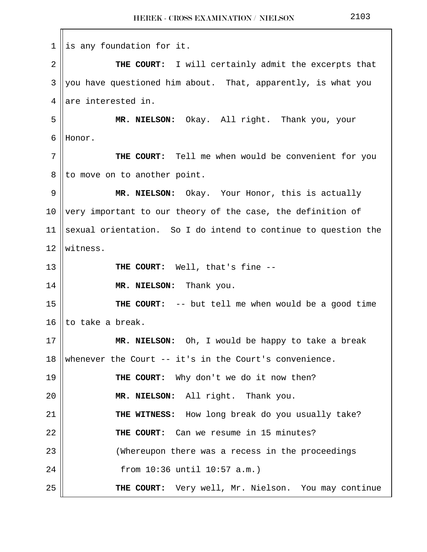| 1          | is any foundation for it.                                      |
|------------|----------------------------------------------------------------|
| $\sqrt{2}$ | THE COURT: I will certainly admit the excerpts that            |
| 3          | you have questioned him about. That, apparently, is what you   |
| 4          | are interested in.                                             |
| 5          | Okay. All right. Thank you, your<br>MR. NIELSON:               |
| 6          | Honor.                                                         |
| 7          | THE COURT: Tell me when would be convenient for you            |
| 8          | to move on to another point.                                   |
| 9          | MR. NIELSON: Okay. Your Honor, this is actually                |
| 10         | very important to our theory of the case, the definition of    |
| 11         | sexual orientation. So I do intend to continue to question the |
| 12         | witness.                                                       |
| 13         | THE COURT: Well, that's fine --                                |
| 14         | MR. NIELSON: Thank you.                                        |
| 15         | <b>THE COURT:</b> -- but tell me when would be a good time     |
| 16         | to take a break.                                               |
| 17         | MR. NIELSON: Oh, I would be happy to take a break              |
| 18         | whenever the Court -- it's in the Court's convenience.         |
| 19         | THE COURT: Why don't we do it now then?                        |
| 20         | MR. NIELSON: All right. Thank you.                             |
| 21         | THE WITNESS: How long break do you usually take?               |
| 22         | THE COURT: Can we resume in 15 minutes?                        |
| 23         | (Whereupon there was a recess in the proceedings               |
| 24         | from $10:36$ until $10:57$ a.m.)                               |
| 25         | THE COURT: Very well, Mr. Nielson. You may continue            |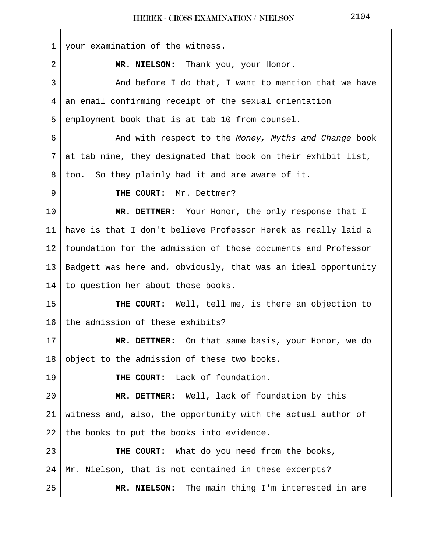$1$  your examination of the witness. 2 **MR. NIELSON:** Thank you, your Honor. 3 And before I do that, I want to mention that we have  $4 \parallel$  an email confirming receipt of the sexual orientation 5 employment book that is at tab 10 from counsel. 6 || The Money, Myths and Change book  $7$  at tab nine, they designated that book on their exhibit list, 8 || too. So they plainly had it and are aware of it. 9 **THE COURT:** Mr. Dettmer? 10 **MR. DETTMER:** Your Honor, the only response that I 11 have is that I don't believe Professor Herek as really laid a 12 || foundation for the admission of those documents and Professor 13  $\parallel$  Badgett was here and, obviously, that was an ideal opportunity 14 Ito question her about those books. 15 **THE COURT:** Well, tell me, is there an objection to 16 the admission of these exhibits? 17 **MR. DETTMER:** On that same basis, your Honor, we do 18 object to the admission of these two books. 19 **THE COURT:** Lack of foundation. 20 **MR. DETTMER:** Well, lack of foundation by this 21 || witness and, also, the opportunity with the actual author of 22 the books to put the books into evidence. 23 **THE COURT:** What do you need from the books, 24  $\parallel$  Mr. Nielson, that is not contained in these excerpts? 25 **MR. NIELSON:** The main thing I'm interested in are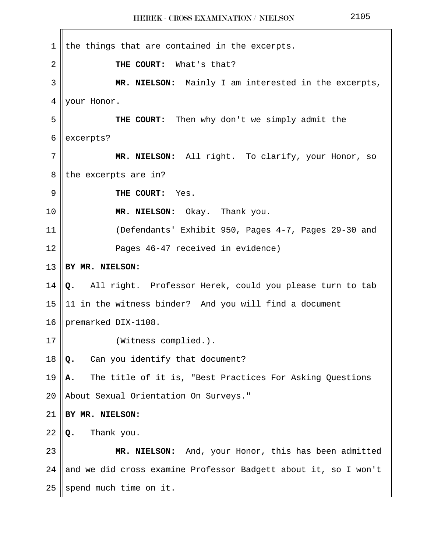1 the things that are contained in the excerpts. 2 **THE COURT:** What's that? 3 **MR. NIELSON:** Mainly I am interested in the excerpts, 4 vour Honor. 5 **THE COURT:** Then why don't we simply admit the  $6$  excerpts? 7 **MR. NIELSON:** All right. To clarify, your Honor, so 8 the excerpts are in? 9 **THE COURT:** Yes. 10 **MR. NIELSON:** Okay. Thank you. 11 (Defendants' Exhibit 950, Pages 4-7, Pages 29-30 and 12 || Pages 46-47 received in evidence) 13 **BY MR. NIELSON:**  14 **Q.** All right. Professor Herek, could you please turn to tab 15  $\parallel$  11 in the witness binder? And you will find a document 16 premarked DIX-1108. 17 || (Witness complied.). 18 **Q.** Can you identify that document? 19 **A.** The title of it is, "Best Practices For Asking Questions 20 About Sexual Orientation On Surveys." 21 **BY MR. NIELSON:**   $22 \parallel Q$ . Thank you. 23 **MR. NIELSON:** And, your Honor, this has been admitted 24 and we did cross examine Professor Badgett about it, so I won't  $25$  spend much time on it.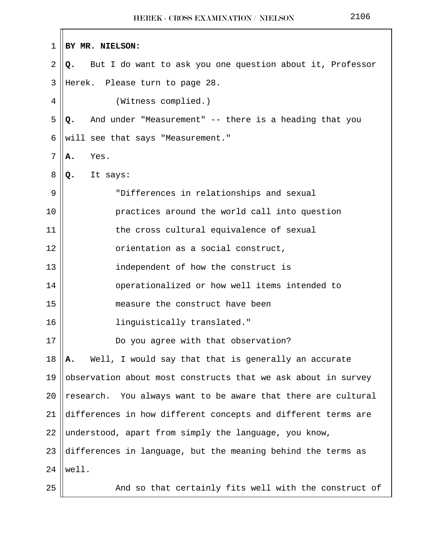| 1              | BY MR. NIELSON:                                                 |
|----------------|-----------------------------------------------------------------|
| $\overline{2}$ | But I do want to ask you one question about it, Professor<br>Q. |
| 3              | Herek. Please turn to page 28.                                  |
| 4              | (Witness complied.)                                             |
| 5              | And under "Measurement" -- there is a heading that you<br>Q.    |
| 6              | will see that says "Measurement."                               |
| 7              | Yes.<br>Α.                                                      |
| 8              | It says:<br>Q.                                                  |
| 9              | "Differences in relationships and sexual                        |
| 10             | practices around the world call into question                   |
| 11             | the cross cultural equivalence of sexual                        |
| 12             | orientation as a social construct,                              |
| 13             | independent of how the construct is                             |
| 14             | operationalized or how well items intended to                   |
| 15             | measure the construct have been                                 |
| 16             | linguistically translated."                                     |
| 17             | Do you agree with that observation?                             |
| 18             | Well, I would say that that is generally an accurate<br>Α.      |
| 19             | observation about most constructs that we ask about in survey   |
| 20             | research. You always want to be aware that there are cultural   |
| 21             | differences in how different concepts and different terms are   |
| 22             | understood, apart from simply the language, you know,           |
| 23             | differences in language, but the meaning behind the terms as    |
| 24             | well.                                                           |
| 25             | And so that certainly fits well with the construct of           |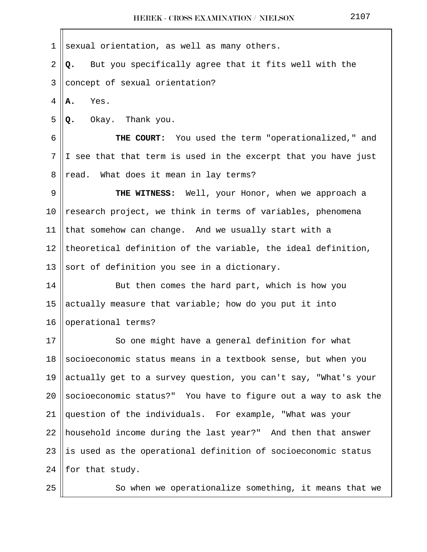| 1              | sexual orientation, as well as many others.                    |
|----------------|----------------------------------------------------------------|
| $\overline{2}$ | But you specifically agree that it fits well with the<br>Q.    |
| 3              | concept of sexual orientation?                                 |
| 4              | Yes.<br>А.                                                     |
| 5              | Okay. Thank you.<br>Q.                                         |
| 6              | <b>THE COURT:</b> You used the term "operationalized," and     |
| 7              | I see that that term is used in the excerpt that you have just |
| 8              | What does it mean in lay terms?<br>read.                       |
| 9              | THE WITNESS: Well, your Honor, when we approach a              |
| 10             | research project, we think in terms of variables, phenomena    |
| 11             | that somehow can change. And we usually start with a           |
| 12             | theoretical definition of the variable, the ideal definition,  |
| 13             | sort of definition you see in a dictionary.                    |
| 14             | But then comes the hard part, which is how you                 |
| 15             | actually measure that variable; how do you put it into         |
| 16             | operational terms?                                             |
| 17             | So one might have a general definition for what                |
| 18             | socioeconomic status means in a textbook sense, but when you   |
| 19             | actually get to a survey question, you can't say, "What's your |
| 20             | socioeconomic status?" You have to figure out a way to ask the |
| 21             | question of the individuals. For example, "What was your       |
| 22             | household income during the last year?" And then that answer   |
| 23             | is used as the operational definition of socioeconomic status  |
| 24             | for that study.                                                |
| 25             | So when we operationalize something, it means that we          |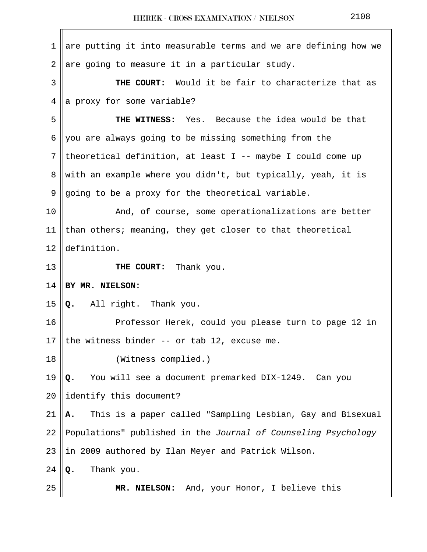| 1              | are putting it into measurable terms and we are defining how we  |  |
|----------------|------------------------------------------------------------------|--|
| $\overline{2}$ | are going to measure it in a particular study.                   |  |
| 3              | THE COURT: Would it be fair to characterize that as              |  |
| 4              | a proxy for some variable?                                       |  |
| 5              | THE WITNESS: Yes. Because the idea would be that                 |  |
| 6              | you are always going to be missing something from the            |  |
| 7              | theoretical definition, at least $I$ -- maybe I could come up    |  |
| 8              | with an example where you didn't, but typically, yeah, it is     |  |
| 9              | going to be a proxy for the theoretical variable.                |  |
| 10             | And, of course, some operationalizations are better              |  |
| 11             | than others; meaning, they get closer to that theoretical        |  |
| 12             | definition.                                                      |  |
| 13             | Thank you.<br>THE COURT:                                         |  |
| 14             | BY MR. NIELSON:                                                  |  |
| 15             | All right. Thank you.<br>Q.                                      |  |
| 16             | Professor Herek, could you please turn to page 12 in             |  |
| 17             | the witness binder $--$ or tab 12, excuse me.                    |  |
| 18             | (Witness complied.)                                              |  |
| 19             | You will see a document premarked DIX-1249. Can you<br>Q.        |  |
| 20             | identify this document?                                          |  |
| 21             | This is a paper called "Sampling Lesbian, Gay and Bisexual<br>Α. |  |
| 22             | Populations" published in the Journal of Counseling Psychology   |  |
| 23             | in 2009 authored by Ilan Meyer and Patrick Wilson.               |  |
| 24             | Thank you.<br>Q.                                                 |  |
| 25             | And, your Honor, I believe this<br>MR. NIELSON:                  |  |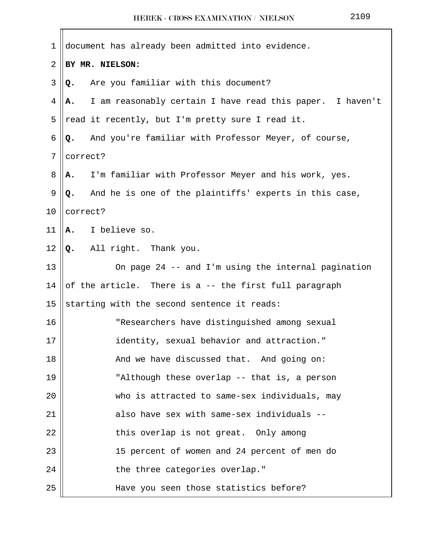|--|--|--|--|--|--|

| 1      | document has already been admitted into evidence.               |
|--------|-----------------------------------------------------------------|
| 2      | BY MR. NIELSON:                                                 |
| 3      | Are you familiar with this document?<br>Q.                      |
| 4      | I am reasonably certain I have read this paper. I haven't<br>А. |
| 5      | read it recently, but I'm pretty sure I read it.                |
| 6      | And you're familiar with Professor Meyer, of course,<br>Q.      |
| 7      | correct?                                                        |
| 8      | I'm familiar with Professor Meyer and his work, yes.<br>А.      |
| 9      | And he is one of the plaintiffs' experts in this case,<br>Q.    |
| 10     | correct?                                                        |
| 11     | A. I believe so.                                                |
| 12     | All right. Thank you.<br>Q.                                     |
| 13     | On page 24 -- and I'm using the internal pagination             |
| 14     | of the article. There is a -- the first full paragraph          |
| 15     | starting with the second sentence it reads:                     |
| 16     | "Researchers have distinguished among sexual                    |
| $17\,$ | identity, sexual behavior and attraction."                      |
| 18     | And we have discussed that. And going on:                       |
| 19     | "Although these overlap -- that is, a person                    |
| 20     | who is attracted to same-sex individuals, may                   |
| 21     | also have sex with same-sex individuals --                      |
| 22     | this overlap is not great. Only among                           |
| 23     | 15 percent of women and 24 percent of men do                    |
| 24     | the three categories overlap."                                  |
| 25     | Have you seen those statistics before?                          |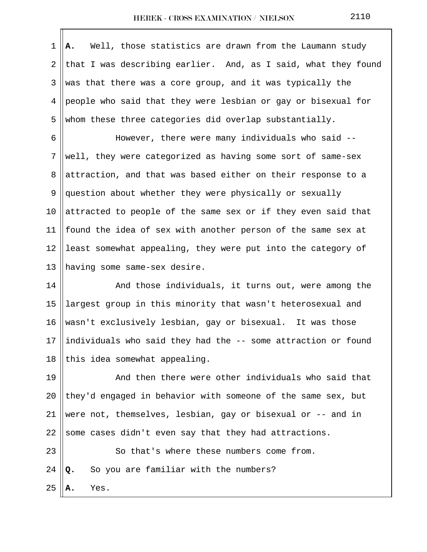1 **A.** Well, those statistics are drawn from the Laumann study 2 that I was describing earlier. And, as I said, what they found  $3 \parallel$  was that there was a core group, and it was typically the 4 people who said that they were lesbian or gay or bisexual for 5 Whom these three categories did overlap substantially.

 6 However, there were many individuals who said --  $7$  well, they were categorized as having some sort of same-sex 8 attraction, and that was based either on their response to a 9 question about whether they were physically or sexually 10  $\parallel$  attracted to people of the same sex or if they even said that 11 || found the idea of sex with another person of the same sex at 12 || least somewhat appealing, they were put into the category of 13 || having some same-sex desire.

14 || And those individuals, it turns out, were among the 15 || largest group in this minority that wasn't heterosexual and 16 || wasn't exclusively lesbian, gay or bisexual. It was those 17 ||individuals who said they had the  $-$ - some attraction or found 18 this idea somewhat appealing.

19 || And then there were other individuals who said that 20 || they'd engaged in behavior with someone of the same sex, but 21 ||were not, themselves, lesbian, gay or bisexual or  $-$  and in 22 Some cases didn't even say that they had attractions. 23 || So that's where these numbers come from.

24 **Q.** So you are familiar with the numbers?

 $25$   $\parallel$  **A.** Yes.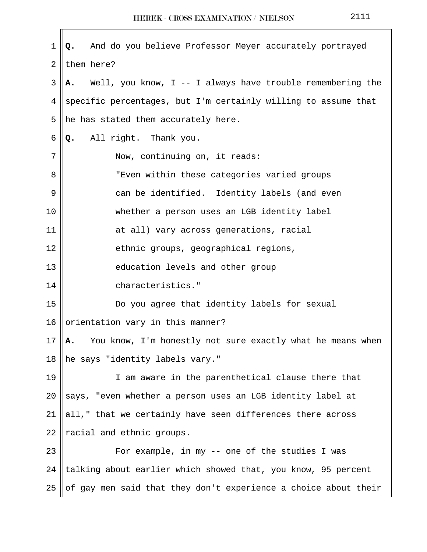| 1  | And do you believe Professor Meyer accurately portrayed<br>Q.      |
|----|--------------------------------------------------------------------|
| 2  | them here?                                                         |
| 3  | Well, you know, $I$ -- I always have trouble remembering the<br>А. |
| 4  | specific percentages, but I'm certainly willing to assume that     |
| 5  | he has stated them accurately here.                                |
| 6  | All right. Thank you.<br>Q.                                        |
| 7  | Now, continuing on, it reads:                                      |
| 8  | "Even within these categories varied groups                        |
| 9  | can be identified. Identity labels (and even                       |
| 10 | whether a person uses an LGB identity label                        |
| 11 | at all) vary across generations, racial                            |
| 12 | ethnic groups, geographical regions,                               |
| 13 | education levels and other group                                   |
| 14 | characteristics."                                                  |
| 15 | Do you agree that identity labels for sexual                       |
| 16 | orientation vary in this manner?                                   |
| 17 | You know, I'm honestly not sure exactly what he means when<br>А.   |
| 18 | he says "identity labels vary."                                    |
| 19 | I am aware in the parenthetical clause there that                  |
| 20 | says, "even whether a person uses an LGB identity label at         |
| 21 | all," that we certainly have seen differences there across         |
| 22 | racial and ethnic groups.                                          |
| 23 | For example, in my -- one of the studies I was                     |
| 24 | talking about earlier which showed that, you know, 95 percent      |
| 25 | of gay men said that they don't experience a choice about their    |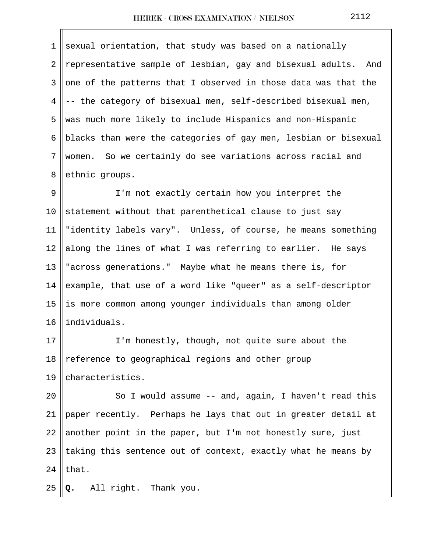1 sexual orientation, that study was based on a nationally 2 || representative sample of lesbian, gay and bisexual adults. And 3 ||one of the patterns that I observed in those data was that the 4  $\parallel$  -- the category of bisexual men, self-described bisexual men,  $5 \parallel$  was much more likely to include Hispanics and non-Hispanic 6 blacks than were the categories of gay men, lesbian or bisexual 7 Women. So we certainly do see variations across racial and  $8$  ethnic groups.

9 || I'm not exactly certain how you interpret the 10 Statement without that parenthetical clause to just say 11 "identity labels vary". Unless, of course, he means something 12 along the lines of what I was referring to earlier. He says 13 || "across generations." Maybe what he means there is, for 14 example, that use of a word like "queer" as a self-descriptor  $15$  is more common among younger individuals than among older 16 lindividuals.

17 || I'm honestly, though, not quite sure about the  $18$  reference to geographical regions and other group 19 || characteristics.

 $20$  || So I would assume -- and, again, I haven't read this 21  $\beta$  paper recently. Perhaps he lays that out in greater detail at 22 || another point in the paper, but I'm not honestly sure, just 23  $\parallel$  taking this sentence out of context, exactly what he means by  $24$  | that.

25  $\|$ **Q.** All right. Thank you.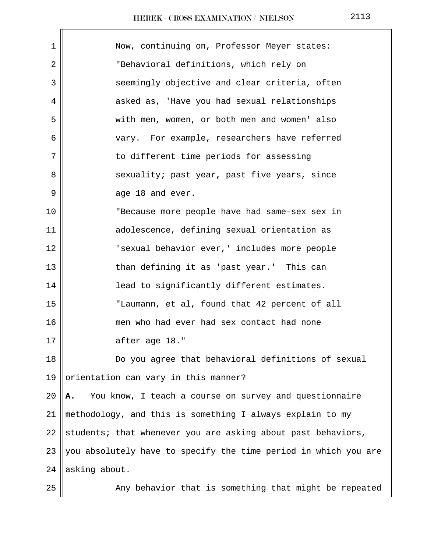| 1  | Now, continuing on, Professor Meyer states:                     |
|----|-----------------------------------------------------------------|
| 2  | "Behavioral definitions, which rely on                          |
| 3  | seemingly objective and clear criteria, often                   |
| 4  | asked as, 'Have you had sexual relationships                    |
| 5  | with men, women, or both men and women' also                    |
| 6  | vary. For example, researchers have referred                    |
| 7  | to different time periods for assessing                         |
| 8  | sexuality; past year, past five years, since                    |
| 9  | age 18 and ever.                                                |
| 10 | "Because more people have had same-sex sex in                   |
| 11 | adolescence, defining sexual orientation as                     |
| 12 | 'sexual behavior ever, ' includes more people                   |
| 13 | than defining it as 'past year.' This can                       |
| 14 | lead to significantly different estimates.                      |
| 15 | "Laumann, et al, found that 42 percent of all                   |
| 16 | men who had ever had sex contact had none                       |
| 17 | after age 18."                                                  |
| 18 | Do you agree that behavioral definitions of sexual              |
| 19 | orientation can vary in this manner?                            |
| 20 | You know, I teach a course on survey and questionnaire<br>Α.    |
| 21 | methodology, and this is something I always explain to my       |
| 22 | students; that whenever you are asking about past behaviors,    |
| 23 | you absolutely have to specify the time period in which you are |
| 24 | asking about.                                                   |
| 25 | Any behavior that is something that might be repeated           |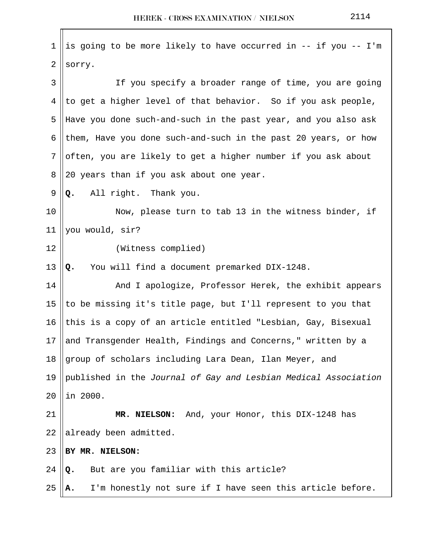| 1              | is going to be more likely to have occurred in -- if you -- I'm |
|----------------|-----------------------------------------------------------------|
| $\overline{2}$ | sorry.                                                          |
| 3              | If you specify a broader range of time, you are going           |
| 4              | to get a higher level of that behavior. So if you ask people,   |
| 5              | Have you done such-and-such in the past year, and you also ask  |
| 6              | them, Have you done such-and-such in the past 20 years, or how  |
| 7              | often, you are likely to get a higher number if you ask about   |
| 8              | 20 years than if you ask about one year.                        |
| 9              | All right. Thank you.<br>Q.                                     |
| 10             | Now, please turn to tab 13 in the witness binder, if            |
| 11             | you would, sir?                                                 |
| 12             | (Witness complied)                                              |
| 13             | You will find a document premarked DIX-1248.<br>Q.              |
| 14             | And I apologize, Professor Herek, the exhibit appears           |
| 15             | to be missing it's title page, but I'll represent to you that   |
| 16             | this is a copy of an article entitled "Lesbian, Gay, Bisexual   |
| 17             | and Transgender Health, Findings and Concerns," written by a    |
| 18             | group of scholars including Lara Dean, Ilan Meyer, and          |
| 19             | published in the Journal of Gay and Lesbian Medical Association |
| 20             | in 2000.                                                        |
| 21             | MR. NIELSON: And, your Honor, this DIX-1248 has                 |
| 22             | already been admitted.                                          |
| 23             | BY MR. NIELSON:                                                 |
| 24             | But are you familiar with this article?<br>Q.                   |
| 25             | I'm honestly not sure if I have seen this article before.<br>А. |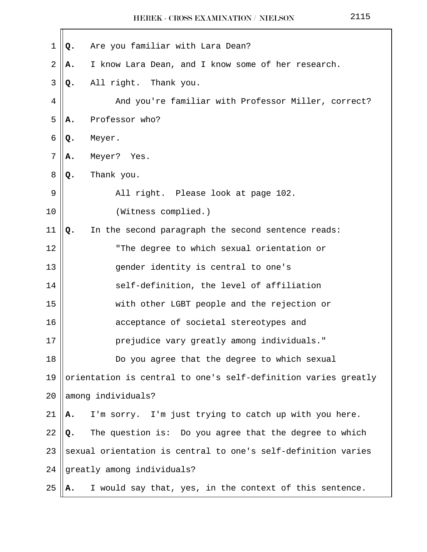| 1              | Q. | Are you familiar with Lara Dean?                               |
|----------------|----|----------------------------------------------------------------|
| $\overline{2}$ | А. | I know Lara Dean, and I know some of her research.             |
| 3              | Q. | All right. Thank you.                                          |
| 4              |    | And you're familiar with Professor Miller, correct?            |
| 5              | А. | Professor who?                                                 |
| 6              | Q. | Meyer.                                                         |
| 7              | А. | Meyer?<br>Yes.                                                 |
| 8              | Q. | Thank you.                                                     |
| 9              |    | All right. Please look at page 102.                            |
| 10             |    | (Witness complied.)                                            |
| 11             | Q. | In the second paragraph the second sentence reads:             |
| 12             |    | "The degree to which sexual orientation or                     |
| 13             |    | gender identity is central to one's                            |
| 14             |    | self-definition, the level of affiliation                      |
| 15             |    | with other LGBT people and the rejection or                    |
| 16             |    | acceptance of societal stereotypes and                         |
| 17             |    | prejudice vary greatly among individuals."                     |
| 18             |    | Do you agree that the degree to which sexual                   |
| 19             |    | orientation is central to one's self-definition varies greatly |
| 20             |    | among individuals?                                             |
| 21             | А. | I'm sorry. I'm just trying to catch up with you here.          |
| 22             | Q. | The question is: Do you agree that the degree to which         |
| 23             |    | sexual orientation is central to one's self-definition varies  |
| 24             |    | greatly among individuals?                                     |
| 25             | А. | I would say that, yes, in the context of this sentence.        |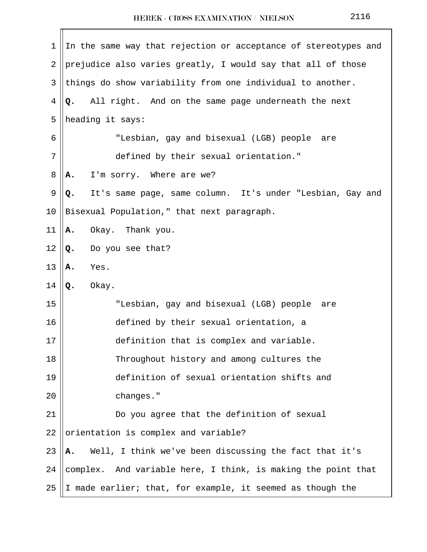| 1  | In the same way that rejection or acceptance of stereotypes and |
|----|-----------------------------------------------------------------|
| 2  | prejudice also varies greatly, I would say that all of those    |
| 3  | things do show variability from one individual to another.      |
| 4  | Q. All right. And on the same page underneath the next          |
| 5  | heading it says:                                                |
| 6  | "Lesbian, gay and bisexual (LGB) people are                     |
| 7  | defined by their sexual orientation."                           |
| 8  | I'm sorry. Where are we?<br>Α.                                  |
| 9  | It's same page, same column. It's under "Lesbian, Gay and<br>Q. |
| 10 | Bisexual Population," that next paragraph.                      |
| 11 | Okay. Thank you.<br>Α.                                          |
| 12 | Do you see that?<br>Q.                                          |
| 13 | Yes.<br>Α.                                                      |
| 14 | Okay.<br>Q.                                                     |
| 15 | "Lesbian, gay and bisexual (LGB) people<br>are                  |
| 16 | defined by their sexual orientation, a                          |
| 17 | definition that is complex and variable.                        |
| 18 | Throughout history and among cultures the                       |
| 19 | definition of sexual orientation shifts and                     |
| 20 | changes."                                                       |
| 21 | Do you agree that the definition of sexual                      |
| 22 | orientation is complex and variable?                            |
| 23 | Well, I think we've been discussing the fact that it's<br>Α.    |
| 24 | complex. And variable here, I think, is making the point that   |
| 25 | I made earlier; that, for example, it seemed as though the      |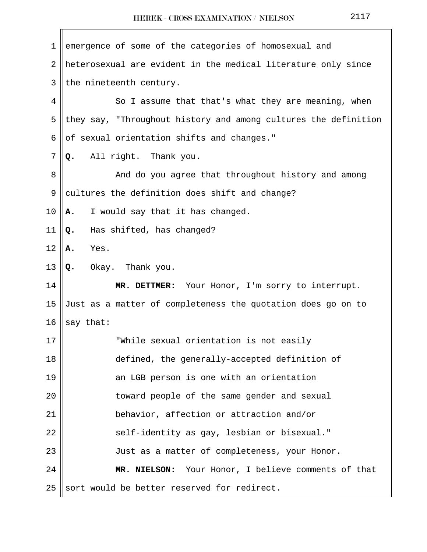| 1      | emergence of some of the categories of homosexual and           |
|--------|-----------------------------------------------------------------|
| 2      | heterosexual are evident in the medical literature only since   |
| 3      | the nineteenth century.                                         |
| 4      | So I assume that that's what they are meaning, when             |
| 5      | they say, "Throughout history and among cultures the definition |
| 6      | of sexual orientation shifts and changes."                      |
| 7      | All right. Thank you.<br>Q.                                     |
| 8      | And do you agree that throughout history and among              |
| 9      | cultures the definition does shift and change?                  |
| 10     | I would say that it has changed.<br>Α.                          |
| 11     | Has shifted, has changed?<br>Q.                                 |
| 12     | Yes.<br>Α.                                                      |
| 13     | Okay. Thank you.<br>Q.                                          |
| 14     | MR. DETTMER: Your Honor, I'm sorry to interrupt.                |
| 15     | Just as a matter of completeness the quotation does go on to    |
| 16     | say that:                                                       |
| $17\,$ | "While sexual orientation is not easily                         |
| 18     | defined, the generally-accepted definition of                   |
| 19     | an LGB person is one with an orientation                        |
| 20     | toward people of the same gender and sexual                     |
| 21     | behavior, affection or attraction and/or                        |
| 22     | self-identity as gay, lesbian or bisexual."                     |
| 23     | Just as a matter of completeness, your Honor.                   |
| 24     | MR. NIELSON: Your Honor, I believe comments of that             |
| 25     | sort would be better reserved for redirect.                     |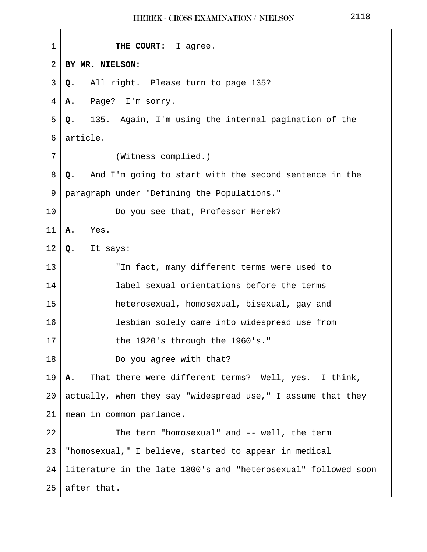| 1              | THE COURT: I agree.                                            |
|----------------|----------------------------------------------------------------|
| $\overline{2}$ | BY MR. NIELSON:                                                |
| 3              | All right. Please turn to page 135?<br>Q.                      |
| 4              | Page? I'm sorry.<br>А.                                         |
| 5              | 135. Again, I'm using the internal pagination of the<br>Q.     |
| 6              | article.                                                       |
| 7              | (Witness complied.)                                            |
| 8              | And I'm going to start with the second sentence in the<br>Q.   |
| 9              | paragraph under "Defining the Populations."                    |
| 10             | Do you see that, Professor Herek?                              |
| 11             | Yes.<br>Α.                                                     |
| 12             | It says:                                                       |
| 13             | "In fact, many different terms were used to                    |
| 14             | label sexual orientations before the terms                     |
| 15             | heterosexual, homosexual, bisexual, gay and                    |
| 16             | lesbian solely came into widespread use from                   |
| 17             | the 1920's through the 1960's."                                |
| 18             | Do you agree with that?                                        |
| 19             | That there were different terms? Well, yes. I think,<br>Α.     |
| 20             | actually, when they say "widespread use," I assume that they   |
| 21             | mean in common parlance.                                       |
| 22             | The term "homosexual" and -- well, the term                    |
| 23             | "homosexual," I believe, started to appear in medical          |
| 24             | literature in the late 1800's and "heterosexual" followed soon |
| 25             | after that.                                                    |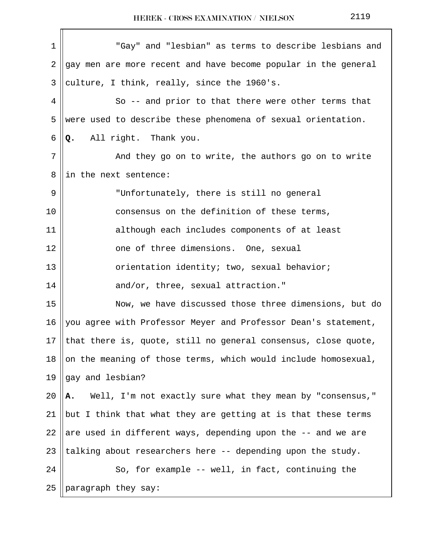| $\mathbf 1$    | "Gay" and "lesbian" as terms to describe lesbians and           |
|----------------|-----------------------------------------------------------------|
| $\overline{2}$ | gay men are more recent and have become popular in the general  |
| 3              | culture, I think, really, since the 1960's.                     |
| 4              | So -- and prior to that there were other terms that             |
| 5              | were used to describe these phenomena of sexual orientation.    |
| 6              | All right. Thank you.<br>Q.                                     |
| 7              | And they go on to write, the authors go on to write             |
| 8              | in the next sentence:                                           |
| 9              | "Unfortunately, there is still no general                       |
| 10             | consensus on the definition of these terms,                     |
| 11             | although each includes components of at least                   |
| 12             | one of three dimensions. One, sexual                            |
| 13             | orientation identity; two, sexual behavior;                     |
| 14             | and/or, three, sexual attraction."                              |
| 15             | Now, we have discussed those three dimensions, but do           |
| 16             | you agree with Professor Meyer and Professor Dean's statement,  |
| 17             | that there is, quote, still no general consensus, close quote,  |
| 18             | on the meaning of those terms, which would include homosexual,  |
| 19             | gay and lesbian?                                                |
| 20             | Well, I'm not exactly sure what they mean by "consensus,"<br>А. |
| 21             | but I think that what they are getting at is that these terms   |
| 22             | are used in different ways, depending upon the -- and we are    |
| 23             | talking about researchers here -- depending upon the study.     |
| 24             | So, for example -- well, in fact, continuing the                |
| 25             | paragraph they say:                                             |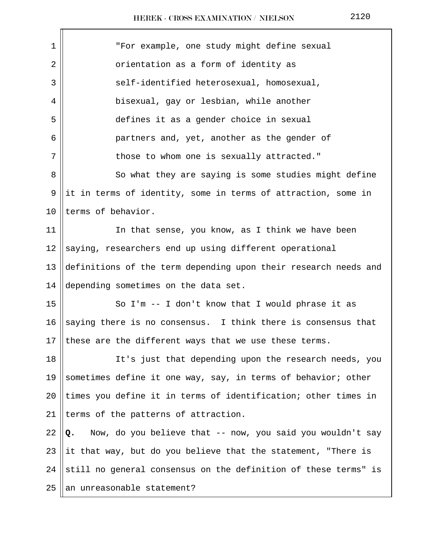| 1              | "For example, one study might define sexual                      |
|----------------|------------------------------------------------------------------|
| $\overline{2}$ | orientation as a form of identity as                             |
| 3              | self-identified heterosexual, homosexual,                        |
| 4              | bisexual, gay or lesbian, while another                          |
| 5              | defines it as a gender choice in sexual                          |
| 6              | partners and, yet, another as the gender of                      |
| 7              | those to whom one is sexually attracted."                        |
| 8              | So what they are saying is some studies might define             |
| 9              | it in terms of identity, some in terms of attraction, some in    |
| 10             | terms of behavior.                                               |
| 11             | In that sense, you know, as I think we have been                 |
| 12             | saying, researchers end up using different operational           |
| 13             | definitions of the term depending upon their research needs and  |
| 14             | depending sometimes on the data set.                             |
| 15             | So I'm -- I don't know that I would phrase it as                 |
| 16             | saying there is no consensus. I think there is consensus that    |
| 17             | these are the different ways that we use these terms.            |
| 18             | It's just that depending upon the research needs, you            |
| 19             | sometimes define it one way, say, in terms of behavior; other    |
| 20             | times you define it in terms of identification; other times in   |
| 21             | terms of the patterns of attraction.                             |
| 22             | Now, do you believe that -- now, you said you wouldn't say<br>Q. |
| 23             | it that way, but do you believe that the statement, "There is    |
| 24             | still no general consensus on the definition of these terms" is  |
| 25             | an unreasonable statement?                                       |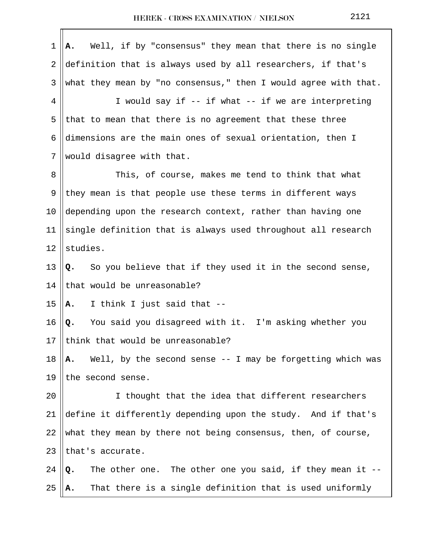| 1              | Well, if by "consensus" they mean that there is no single<br>Α.  |
|----------------|------------------------------------------------------------------|
| $\overline{2}$ | definition that is always used by all researchers, if that's     |
| 3              | what they mean by "no consensus," then I would agree with that.  |
| 4              | I would say if -- if what -- if we are interpreting              |
| 5              | that to mean that there is no agreement that these three         |
| 6              | dimensions are the main ones of sexual orientation, then I       |
| 7              | would disagree with that.                                        |
| 8              | This, of course, makes me tend to think that what                |
| 9              | they mean is that people use these terms in different ways       |
| 10             | depending upon the research context, rather than having one      |
| 11             | single definition that is always used throughout all research    |
| 12             | studies.                                                         |
| 13             | Q. So you believe that if they used it in the second sense,      |
| 14             | that would be unreasonable?                                      |
| 15             | I think I just said that --<br>A.                                |
| 16             | You said you disagreed with it. I'm asking whether you<br>Q.     |
| 17             | think that would be unreasonable?                                |
| 18             | Well, by the second sense -- I may be forgetting which was<br>Α. |
| 19             | the second sense.                                                |
| 20             | I thought that the idea that different researchers               |
| 21             | define it differently depending upon the study. And if that's    |
| 22             | what they mean by there not being consensus, then, of course,    |
| 23             | that's accurate.                                                 |
| 24             | The other one. The other one you said, if they mean it $-$<br>Q. |
| 25             | That there is a single definition that is used uniformly<br>А.   |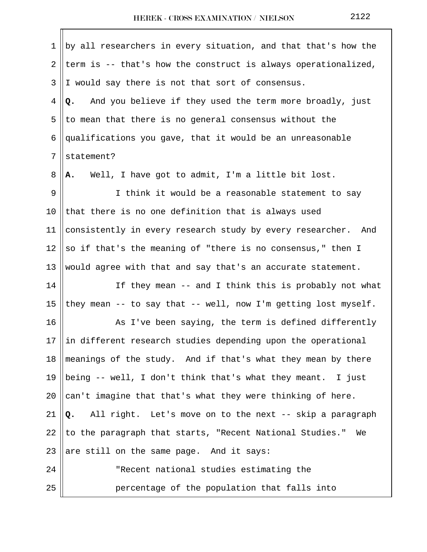| 1  | by all researchers in every situation, and that that's how the            |
|----|---------------------------------------------------------------------------|
| 2  | term is -- that's how the construct is always operationalized,            |
| 3  | I would say there is not that sort of consensus.                          |
| 4  | And you believe if they used the term more broadly, just<br>$Q_{\bullet}$ |
| 5  | to mean that there is no general consensus without the                    |
| 6  | qualifications you gave, that it would be an unreasonable                 |
| 7  | statement?                                                                |
| 8  | Well, I have got to admit, I'm a little bit lost.<br>А.                   |
| 9  | I think it would be a reasonable statement to say                         |
| 10 | that there is no one definition that is always used                       |
| 11 | consistently in every research study by every researcher.<br>And          |
| 12 | so if that's the meaning of "there is no consensus," then I               |
| 13 | would agree with that and say that's an accurate statement.               |
| 14 | If they mean -- and I think this is probably not what                     |
| 15 | they mean $-$ to say that $-$ well, now I'm getting lost myself.          |
| 16 | As I've been saying, the term is defined differently                      |
| 17 | in different research studies depending upon the operational              |
| 18 | meanings of the study. And if that's what they mean by there              |
| 19 | being -- well, I don't think that's what they meant. I just               |
| 20 | can't imagine that that's what they were thinking of here.                |
| 21 | All right. Let's move on to the next -- skip a paragraph<br>Q.            |
| 22 | to the paragraph that starts, "Recent National Studies."<br>We            |
| 23 | are still on the same page. And it says:                                  |
| 24 | "Recent national studies estimating the                                   |
| 25 | percentage of the population that falls into                              |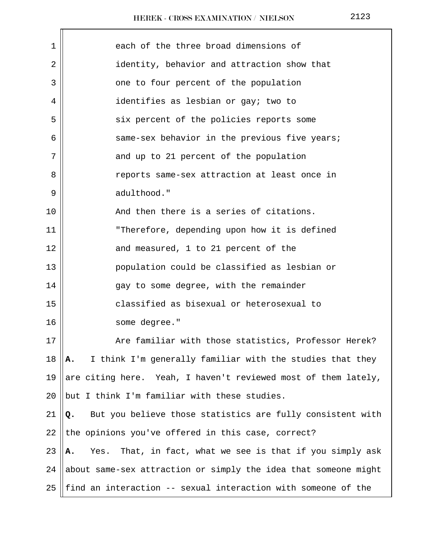| 1  | each of the three broad dimensions of                            |
|----|------------------------------------------------------------------|
| 2  | identity, behavior and attraction show that                      |
| 3  | one to four percent of the population                            |
| 4  | identifies as lesbian or gay; two to                             |
| 5  | six percent of the policies reports some                         |
| 6  | same-sex behavior in the previous five years;                    |
| 7  | and up to 21 percent of the population                           |
| 8  | reports same-sex attraction at least once in                     |
| 9  | adulthood."                                                      |
| 10 | And then there is a series of citations.                         |
| 11 | "Therefore, depending upon how it is defined                     |
| 12 | and measured, 1 to 21 percent of the                             |
| 13 | population could be classified as lesbian or                     |
| 14 | gay to some degree, with the remainder                           |
| 15 | classified as bisexual or heterosexual to                        |
| 16 | some degree."                                                    |
| 17 | Are familiar with those statistics, Professor Herek?             |
| 18 | I think I'm generally familiar with the studies that they<br>Α.  |
| 19 | are citing here. Yeah, I haven't reviewed most of them lately,   |
| 20 | but I think I'm familiar with these studies.                     |
| 21 | But you believe those statistics are fully consistent with<br>Q. |
| 22 | the opinions you've offered in this case, correct?               |
| 23 | Yes. That, in fact, what we see is that if you simply ask<br>Α.  |
| 24 | about same-sex attraction or simply the idea that someone might  |
| 25 | find an interaction -- sexual interaction with someone of the    |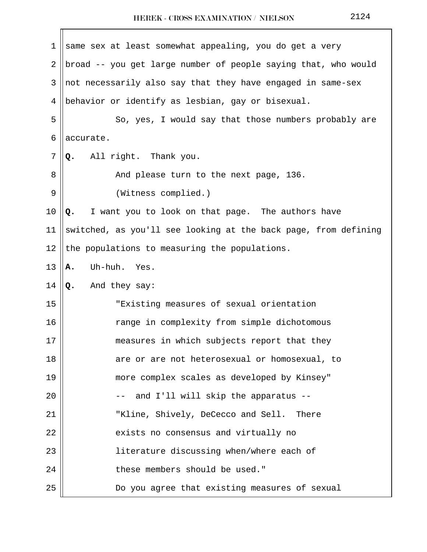| 1      | same sex at least somewhat appealing, you do get a very         |
|--------|-----------------------------------------------------------------|
| 2      | broad -- you get large number of people saying that, who would  |
| 3      | not necessarily also say that they have engaged in same-sex     |
| 4      | behavior or identify as lesbian, gay or bisexual.               |
| 5      | So, yes, I would say that those numbers probably are            |
| 6      | accurate.                                                       |
| 7      | All right. Thank you.<br>Q.                                     |
| 8      | And please turn to the next page, 136.                          |
| 9      | (Witness complied.)                                             |
| 10     | I want you to look on that page. The authors have<br>Q.         |
| 11     | switched, as you'll see looking at the back page, from defining |
| 12     | the populations to measuring the populations.                   |
| 13     | Uh-huh. Yes.<br>Α.                                              |
| 14     | And they say:<br>Q.                                             |
| 15     | "Existing measures of sexual orientation                        |
| 16     | range in complexity from simple dichotomous                     |
| $17\,$ | measures in which subjects report that they                     |
| 18     | are or are not heterosexual or homosexual, to                   |
| 19     | more complex scales as developed by Kinsey"                     |
| 20     | and I'll will skip the apparatus --                             |
| 21     | "Kline, Shively, DeCecco and Sell. There                        |
| 22     | exists no consensus and virtually no                            |
| 23     | literature discussing when/where each of                        |
| 24     | these members should be used."                                  |
| 25     | Do you agree that existing measures of sexual                   |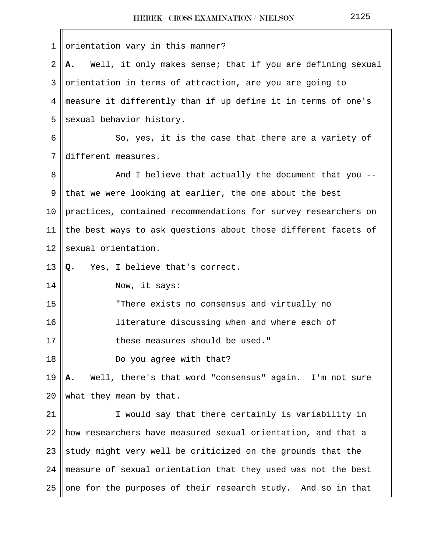| 1              | orientation vary in this manner?                                 |
|----------------|------------------------------------------------------------------|
| $\overline{2}$ | Well, it only makes sense; that if you are defining sexual<br>Α. |
| 3              | orientation in terms of attraction, are you are going to         |
| 4              | measure it differently than if up define it in terms of one's    |
| 5              | sexual behavior history.                                         |
| 6              | So, yes, it is the case that there are a variety of              |
| 7              | different measures.                                              |
| 8              | And I believe that actually the document that you --             |
| $\overline{9}$ | that we were looking at earlier, the one about the best          |
| 10             | practices, contained recommendations for survey researchers on   |
| 11             | the best ways to ask questions about those different facets of   |
| 12             | sexual orientation.                                              |
| 13             | Yes, I believe that's correct.<br>Q.                             |
| 14             | Now, it says:                                                    |
| 15             | "There exists no consensus and virtually no                      |
| 16             | literature discussing when and where each of                     |
| 17             | these measures should be used."                                  |
| 18             | Do you agree with that?                                          |
| 19             | Well, there's that word "consensus" again. I'm not sure<br>Α.    |
| 20             | what they mean by that.                                          |
| 21             | I would say that there certainly is variability in               |
| 22             | how researchers have measured sexual orientation, and that a     |
| 23             | study might very well be criticized on the grounds that the      |
| 24             | measure of sexual orientation that they used was not the best    |
| 25             | one for the purposes of their research study. And so in that     |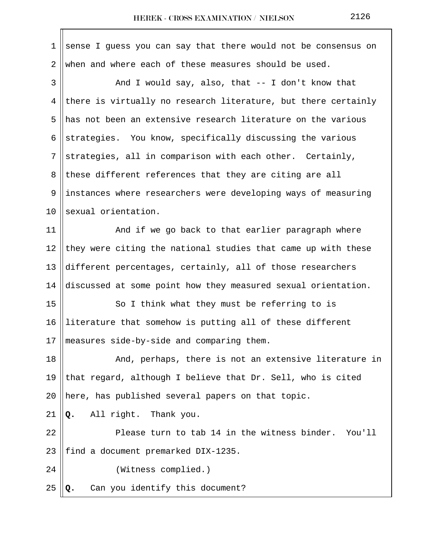| $\mathbf 1$ | sense I guess you can say that there would not be consensus on |
|-------------|----------------------------------------------------------------|
| 2           | when and where each of these measures should be used.          |
| 3           | And I would say, also, that -- I don't know that               |
| 4           | there is virtually no research literature, but there certainly |
| 5           | has not been an extensive research literature on the various   |
| 6           | strategies. You know, specifically discussing the various      |
| 7           | strategies, all in comparison with each other. Certainly,      |
| 8           | these different references that they are citing are all        |
| 9           | instances where researchers were developing ways of measuring  |
| 10          | sexual orientation.                                            |
| 11          | And if we go back to that earlier paragraph where              |
| 12          | they were citing the national studies that came up with these  |
| 13          | different percentages, certainly, all of those researchers     |
| 14          | discussed at some point how they measured sexual orientation.  |
| 15          | So I think what they must be referring to is                   |
| 16          | literature that somehow is putting all of these different      |
| 17          | measures side-by-side and comparing them.                      |
| 18          | And, perhaps, there is not an extensive literature in          |
| 19          | that regard, although I believe that Dr. Sell, who is cited    |
| 20          | here, has published several papers on that topic.              |
| 21          | All right. Thank you.<br>Q.                                    |
| 22          | Please turn to tab 14 in the witness binder. You'll            |
| 23          | find a document premarked DIX-1235.                            |
| 24          | (Witness complied.)                                            |
| 25          | Can you identify this document?<br>Q.                          |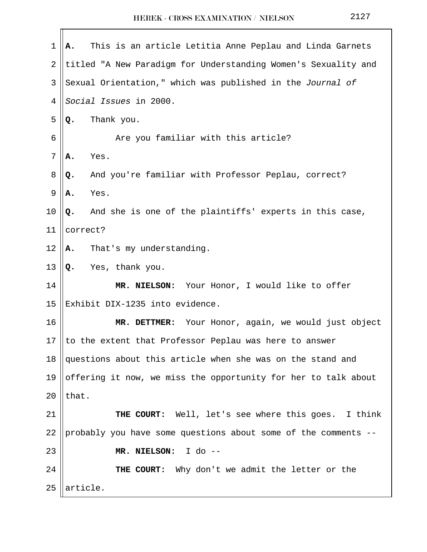| $\mathbf 1$    | This is an article Letitia Anne Peplau and Linda Garnets<br>Α. |
|----------------|----------------------------------------------------------------|
| $\overline{2}$ | titled "A New Paradigm for Understanding Women's Sexuality and |
| 3              | Sexual Orientation," which was published in the Journal of     |
| 4              | Social Issues in 2000.                                         |
| 5              | Thank you.<br>Q.                                               |
| 6              | Are you familiar with this article?                            |
| 7              | Yes.<br>Α.                                                     |
| 8              | And you're familiar with Professor Peplau, correct?<br>Q.      |
| 9              | Yes.<br>Α.                                                     |
| 10             | And she is one of the plaintiffs' experts in this case,<br>Q.  |
| 11             | correct?                                                       |
| 12             | That's my understanding.<br>А.                                 |
| 13             | Yes, thank you.<br>Q.                                          |
| 14             | MR. NIELSON: Your Honor, I would like to offer                 |
| 15             | Exhibit DIX-1235 into evidence.                                |
| 16             | MR. DETTMER: Your Honor, again, we would just object           |
| 17             | to the extent that Professor Peplau was here to answer         |
| 18             | questions about this article when she was on the stand and     |
| 19             | offering it now, we miss the opportunity for her to talk about |
| 20             | that.                                                          |
| 21             | THE COURT: Well, let's see where this goes. I think            |
| 22             | probably you have some questions about some of the comments -- |
| 23             | MR. NIELSON: I do --                                           |
| 24             | THE COURT: Why don't we admit the letter or the                |
| 25             | article.                                                       |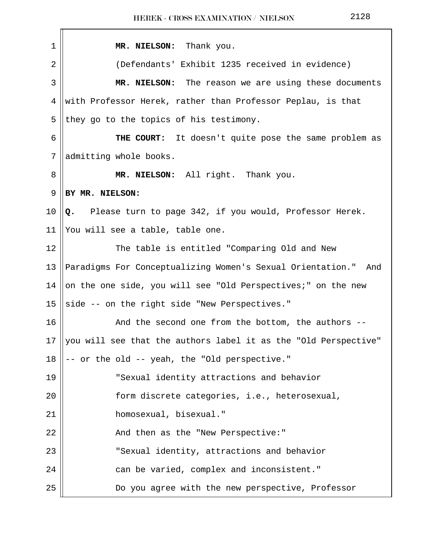| 1  | MR. NIELSON: Thank you.                                              |
|----|----------------------------------------------------------------------|
| 2  | (Defendants' Exhibit 1235 received in evidence)                      |
| 3  | MR. NIELSON: The reason we are using these documents                 |
| 4  | with Professor Herek, rather than Professor Peplau, is that          |
| 5  | they go to the topics of his testimony.                              |
| 6  | THE COURT: It doesn't quite pose the same problem as                 |
| 7  | admitting whole books.                                               |
| 8  | MR. NIELSON: All right. Thank you.                                   |
| 9  | BY MR. NIELSON:                                                      |
| 10 | Q. Please turn to page 342, if you would, Professor Herek.           |
| 11 | You will see a table, table one.                                     |
| 12 | The table is entitled "Comparing Old and New                         |
| 13 | Paradigms For Conceptualizing Women's Sexual Orientation." And       |
| 14 | on the one side, you will see "Old Perspectives;" on the new         |
| 15 | side -- on the right side "New Perspectives."                        |
| 16 | And the second one from the bottom, the authors --                   |
|    | 17   you will see that the authors label it as the "Old Perspective" |
| 18 | -- or the old -- yeah, the "Old perspective."                        |
| 19 | "Sexual identity attractions and behavior                            |
| 20 | form discrete categories, i.e., heterosexual,                        |
| 21 | homosexual, bisexual."                                               |
| 22 | And then as the "New Perspective:"                                   |
| 23 | "Sexual identity, attractions and behavior                           |
| 24 | can be varied, complex and inconsistent."                            |
| 25 | Do you agree with the new perspective, Professor                     |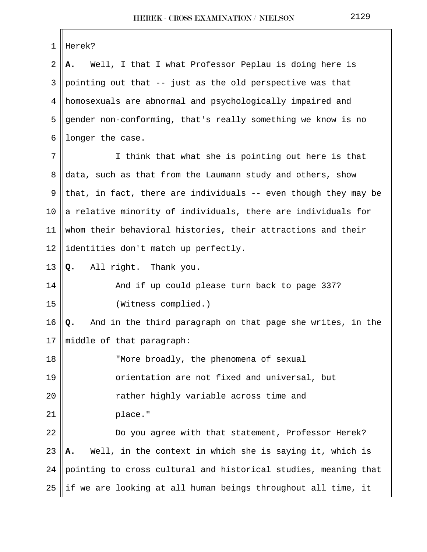| 1              | Herek?                                                           |
|----------------|------------------------------------------------------------------|
| 2              | Well, I that I what Professor Peplau is doing here is<br>Α.      |
| 3              | pointing out that -- just as the old perspective was that        |
| 4              | homosexuals are abnormal and psychologically impaired and        |
| 5              | gender non-conforming, that's really something we know is no     |
| 6              | longer the case.                                                 |
| $7\phantom{.}$ | I think that what she is pointing out here is that               |
| 8              | data, such as that from the Laumann study and others, show       |
| 9              | that, in fact, there are individuals -- even though they may be  |
| 10             | a relative minority of individuals, there are individuals for    |
| 11             | whom their behavioral histories, their attractions and their     |
| 12             | identities don't match up perfectly.                             |
| 13             | All right. Thank you.<br>Q.                                      |
| 14             | And if up could please turn back to page 337?                    |
| 15             | (Witness complied.)                                              |
| 16             | And in the third paragraph on that page she writes, in the<br>Q. |
| 17             | middle of that paragraph:                                        |
| 18             | "More broadly, the phenomena of sexual                           |
| 19             | orientation are not fixed and universal, but                     |
| 20             | rather highly variable across time and                           |
| 21             | place."                                                          |
| 22             | Do you agree with that statement, Professor Herek?               |
| 23             | Well, in the context in which she is saying it, which is<br>Α.   |
| 24             | pointing to cross cultural and historical studies, meaning that  |
| 25             | if we are looking at all human beings throughout all time, it    |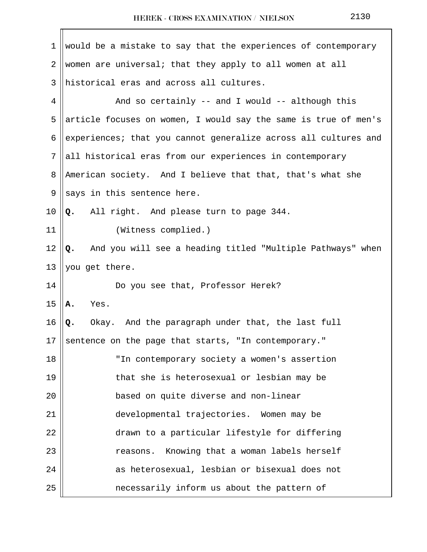| 1              | would be a mistake to say that the experiences of contemporary   |
|----------------|------------------------------------------------------------------|
| $\overline{2}$ | women are universal; that they apply to all women at all         |
| 3              | historical eras and across all cultures.                         |
| 4              | And so certainly $--$ and I would $--$ although this             |
| 5              | article focuses on women, I would say the same is true of men's  |
| 6              | experiences; that you cannot generalize across all cultures and  |
| 7              | all historical eras from our experiences in contemporary         |
| 8              | American society. And I believe that that, that's what she       |
| 9              | says in this sentence here.                                      |
| 10             | All right. And please turn to page 344.<br>Q.                    |
| 11             | (Witness complied.)                                              |
| 12             | And you will see a heading titled "Multiple Pathways" when<br>Q. |
| 13             | you get there.                                                   |
| 14             | Do you see that, Professor Herek?                                |
| 15             | Yes.<br>Α.                                                       |
| 16             | Okay. And the paragraph under that, the last full<br>Q.          |
| 17             | sentence on the page that starts, "In contemporary."             |
| 18             | "In contemporary society a women's assertion                     |
| 19             | that she is heterosexual or lesbian may be                       |
| 20             | based on quite diverse and non-linear                            |
| 21             | developmental trajectories. Women may be                         |
| 22             | drawn to a particular lifestyle for differing                    |
| 23             | Knowing that a woman labels herself<br>reasons.                  |
| 24             | as heterosexual, lesbian or bisexual does not                    |
| 25             | necessarily inform us about the pattern of                       |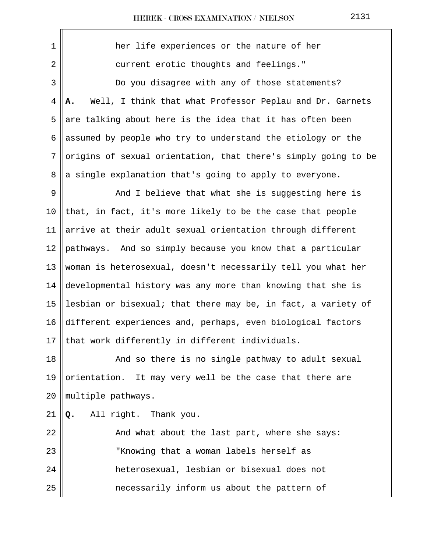| 1  | her life experiences or the nature of her                      |
|----|----------------------------------------------------------------|
| 2  | current erotic thoughts and feelings."                         |
| 3  | Do you disagree with any of those statements?                  |
| 4  | Well, I think that what Professor Peplau and Dr. Garnets<br>Α. |
| 5  | are talking about here is the idea that it has often been      |
| 6  | assumed by people who try to understand the etiology or the    |
| 7  | origins of sexual orientation, that there's simply going to be |
| 8  | a single explanation that's going to apply to everyone.        |
| 9  | And I believe that what she is suggesting here is              |
| 10 | that, in fact, it's more likely to be the case that people     |
| 11 | arrive at their adult sexual orientation through different     |
| 12 | pathways. And so simply because you know that a particular     |
| 13 | woman is heterosexual, doesn't necessarily tell you what her   |
| 14 | developmental history was any more than knowing that she is    |
| 15 | lesbian or bisexual; that there may be, in fact, a variety of  |
| 16 | different experiences and, perhaps, even biological factors    |
|    | 17    that work differently in different individuals.          |
| 18 | And so there is no single pathway to adult sexual              |
| 19 | orientation. It may very well be the case that there are       |
| 20 | multiple pathways.                                             |
| 21 | All right. Thank you.<br>Q.                                    |
| 22 | And what about the last part, where she says:                  |
| 23 | "Knowing that a woman labels herself as                        |
| 24 | heterosexual, lesbian or bisexual does not                     |
| 25 | necessarily inform us about the pattern of                     |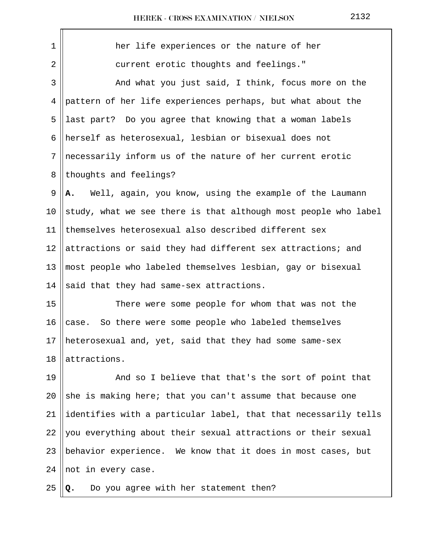| $\mathbf 1$ | her life experiences or the nature of her                       |
|-------------|-----------------------------------------------------------------|
| 2           | current erotic thoughts and feelings."                          |
| 3           | And what you just said, I think, focus more on the              |
| 4           | pattern of her life experiences perhaps, but what about the     |
| 5           | last part? Do you agree that knowing that a woman labels        |
| 6           | herself as heterosexual, lesbian or bisexual does not           |
| 7           | necessarily inform us of the nature of her current erotic       |
| 8           | thoughts and feelings?                                          |
| 9           | A. Well, again, you know, using the example of the Laumann      |
| 10          | study, what we see there is that although most people who label |
| 11          | themselves heterosexual also described different sex            |
| 12          | attractions or said they had different sex attractions; and     |
| 13          | most people who labeled themselves lesbian, gay or bisexual     |
| 14          | said that they had same-sex attractions.                        |
| 15          | There were some people for whom that was not the                |
| 16          | case. So there were some people who labeled themselves          |
| 17          | heterosexual and, yet, said that they had some same-sex         |
| 18          | attractions.                                                    |
| 19          | And so I believe that that's the sort of point that             |
| 20          | she is making here; that you can't assume that because one      |
| 21          | identifies with a particular label, that that necessarily tells |
| 22          | you everything about their sexual attractions or their sexual   |
| 23          | behavior experience. We know that it does in most cases, but    |
| 24          | not in every case.                                              |
|             |                                                                 |

 $25$   $\phi$ . Do you agree with her statement then?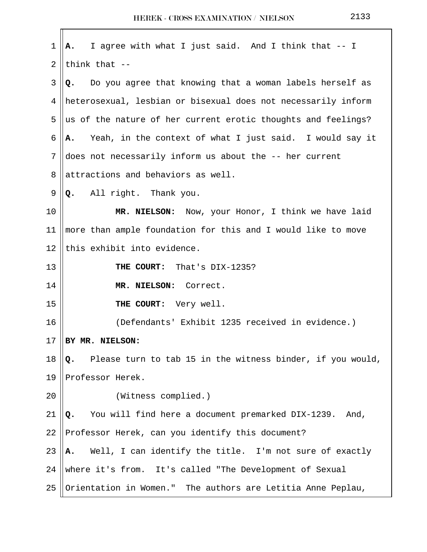| $\mathbf 1$    | I agree with what I just said. And I think that -- I<br><b>A.</b> |
|----------------|-------------------------------------------------------------------|
| $\overline{2}$ | think that --                                                     |
| 3              | Do you agree that knowing that a woman labels herself as<br>Q.    |
| 4              | heterosexual, lesbian or bisexual does not necessarily inform     |
| 5              | us of the nature of her current erotic thoughts and feelings?     |
| 6              | Yeah, in the context of what I just said. I would say it<br>Α.    |
| 7              | does not necessarily inform us about the -- her current           |
| 8              | attractions and behaviors as well.                                |
| 9              | All right. Thank you.<br>Q.                                       |
| 10             | MR. NIELSON: Now, your Honor, I think we have laid                |
| 11             | more than ample foundation for this and I would like to move      |
| 12             | this exhibit into evidence.                                       |
| 13             | THE COURT:<br>That's DIX-1235?                                    |
| 14             | MR. NIELSON: Correct.                                             |
| 15             | THE COURT: Very well.                                             |
| 16             | (Defendants' Exhibit 1235 received in evidence.)                  |
| $17$           | BY MR. NIELSON:                                                   |
| 18             | Please turn to tab 15 in the witness binder, if you would,<br>Q.  |
| 19             | Professor Herek.                                                  |
| 20             | (Witness complied.)                                               |
| 21             | You will find here a document premarked DIX-1239. And,<br>Q.      |
| 22             | Professor Herek, can you identify this document?                  |
| 23             | Well, I can identify the title. I'm not sure of exactly<br>Α.     |
| 24             | where it's from. It's called "The Development of Sexual           |
| 25             | Orientation in Women." The authors are Letitia Anne Peplau,       |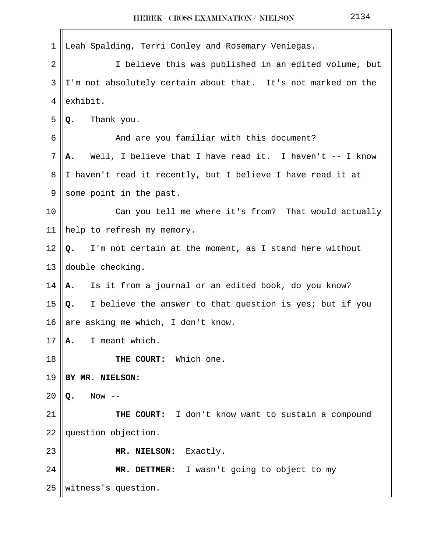| $\mathbf 1$ | Leah Spalding, Terri Conley and Rosemary Veniegas.                  |
|-------------|---------------------------------------------------------------------|
| 2           | I believe this was published in an edited volume, but               |
| 3           | I'm not absolutely certain about that. It's not marked on the       |
| 4           | exhibit.                                                            |
| 5           | Thank you.<br>Q.                                                    |
| 6           | And are you familiar with this document?                            |
| 7           | Well, I believe that I have read it. I haven't $-$ I know<br>А.     |
| 8           | I haven't read it recently, but I believe I have read it at         |
| 9           | some point in the past.                                             |
| 10          | Can you tell me where it's from? That would actually                |
| 11          | help to refresh my memory.                                          |
| 12          | I'm not certain at the moment, as I stand here without<br>Q.        |
| 13          | double checking.                                                    |
| 14          | Is it from a journal or an edited book, do you know?<br>${\bf A}$ . |
| 15          | I believe the answer to that question is yes; but if you<br>Q.      |
| 16          | are asking me which, I don't know.                                  |
| 17          | I meant which.<br>А.                                                |
| 18          | Which one.<br>THE COURT:                                            |
| 19          | BY MR. NIELSON:                                                     |
| 20          | Now<br>Q.                                                           |
| 21          | THE COURT: I don't know want to sustain a compound                  |
| 22          | question objection.                                                 |
| 23          | Exactly.<br>MR. NIELSON:                                            |
| 24          | MR. DETTMER: I wasn't going to object to my                         |
| 25          | witness's question.                                                 |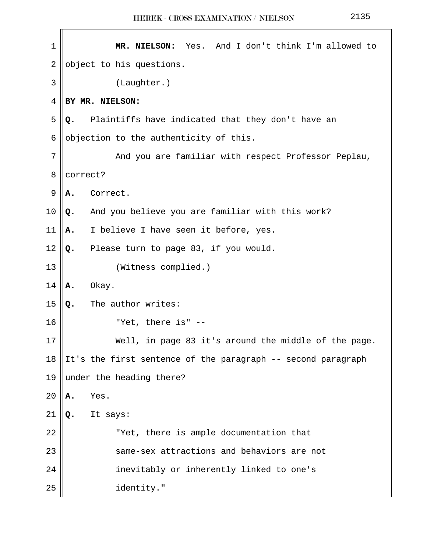| 1              |          | Yes. And I don't think I'm allowed to<br>MR. NIELSON:        |
|----------------|----------|--------------------------------------------------------------|
| $\overline{2}$ |          | object to his questions.                                     |
| 3              |          | (Laughter.)                                                  |
| 4              |          | BY MR. NIELSON:                                              |
| 5              | Q.       | Plaintiffs have indicated that they don't have an            |
| 6              |          | objection to the authenticity of this.                       |
| 7              |          | And you are familiar with respect Professor Peplau,          |
| 8              | correct? |                                                              |
| 9              | А.       | Correct.                                                     |
| 10             | Q.       | And you believe you are familiar with this work?             |
| 11             | Α.       | I believe I have seen it before, yes.                        |
| 12             | Q.       | Please turn to page 83, if you would.                        |
| 13             |          | (Witness complied.)                                          |
| 14             | Α.       | Okay.                                                        |
| 15             | Q.       | The author writes:                                           |
| 16             |          | "Yet, there is" --                                           |
| 17             |          | Well, in page 83 it's around the middle of the page.         |
| 18             |          | It's the first sentence of the paragraph -- second paragraph |
| 19             |          | under the heading there?                                     |
| 20             | А.       | Yes.                                                         |
| 21             | Q.       | It says:                                                     |
| 22             |          | "Yet, there is ample documentation that                      |
| 23             |          | same-sex attractions and behaviors are not                   |
| 24             |          | inevitably or inherently linked to one's                     |
| 25             |          | identity."                                                   |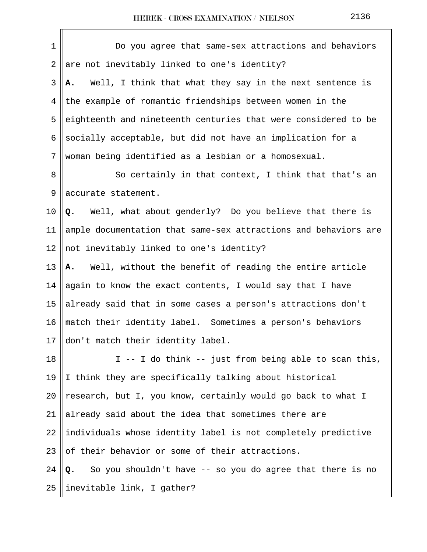| $\mathbf 1$    | Do you agree that same-sex attractions and behaviors            |
|----------------|-----------------------------------------------------------------|
| $\overline{2}$ | are not inevitably linked to one's identity?                    |
| 3              | Well, I think that what they say in the next sentence is<br>А.  |
| 4              | the example of romantic friendships between women in the        |
| 5              | eighteenth and nineteenth centuries that were considered to be  |
| 6              | socially acceptable, but did not have an implication for a      |
| 7              | woman being identified as a lesbian or a homosexual.            |
| 8              | So certainly in that context, I think that that's an            |
| 9              | accurate statement.                                             |
| 10             | Q. Well, what about genderly? Do you believe that there is      |
| 11             | ample documentation that same-sex attractions and behaviors are |
| 12             | not inevitably linked to one's identity?                        |
| 13             | Well, without the benefit of reading the entire article<br>А.   |
| 14             | again to know the exact contents, I would say that I have       |
| 15             | already said that in some cases a person's attractions don't    |
| 16             | match their identity label. Sometimes a person's behaviors      |
| 17             | don't match their identity label.                               |
| 18             | I -- I do think -- just from being able to scan this,           |
| 19             | I think they are specifically talking about historical          |
| 20             | research, but I, you know, certainly would go back to what I    |
| 21             | already said about the idea that sometimes there are            |
| 22             | individuals whose identity label is not completely predictive   |
| 23             | of their behavior or some of their attractions.                 |
| 24             | So you shouldn't have -- so you do agree that there is no<br>Q. |
| 25             | inevitable link, I gather?                                      |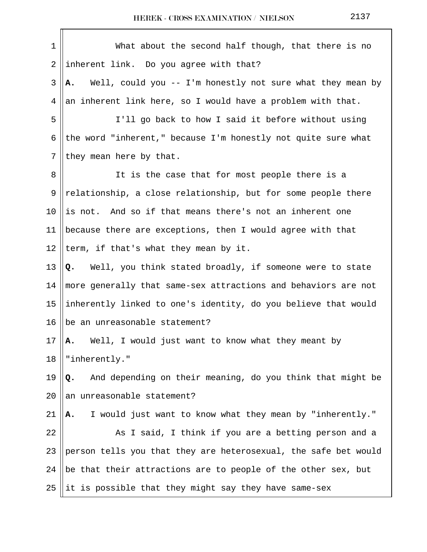| 1  | What about the second half though, that there is no              |
|----|------------------------------------------------------------------|
| 2  | inherent link. Do you agree with that?                           |
| 3  | Well, could you -- I'm honestly not sure what they mean by<br>A. |
| 4  | an inherent link here, so I would have a problem with that.      |
| 5  | I'll go back to how I said it before without using               |
| 6  | the word "inherent," because I'm honestly not quite sure what    |
| 7  | they mean here by that.                                          |
| 8  | It is the case that for most people there is a                   |
| 9  | relationship, a close relationship, but for some people there    |
| 10 | is not. And so if that means there's not an inherent one         |
| 11 | because there are exceptions, then I would agree with that       |
| 12 | term, if that's what they mean by it.                            |
| 13 | Q. Well, you think stated broadly, if someone were to state      |
| 14 | more generally that same-sex attractions and behaviors are not   |
| 15 | inherently linked to one's identity, do you believe that would   |
| 16 | be an unreasonable statement?                                    |
| 17 | Well, I would just want to know what they meant by<br>А.         |
| 18 | "inherently."                                                    |
| 19 | And depending on their meaning, do you think that might be<br>Q. |
| 20 | an unreasonable statement?                                       |
| 21 | I would just want to know what they mean by "inherently."<br>Α.  |
| 22 | As I said, I think if you are a betting person and a             |
| 23 | person tells you that they are heterosexual, the safe bet would  |
| 24 | be that their attractions are to people of the other sex, but    |
| 25 | it is possible that they might say they have same-sex            |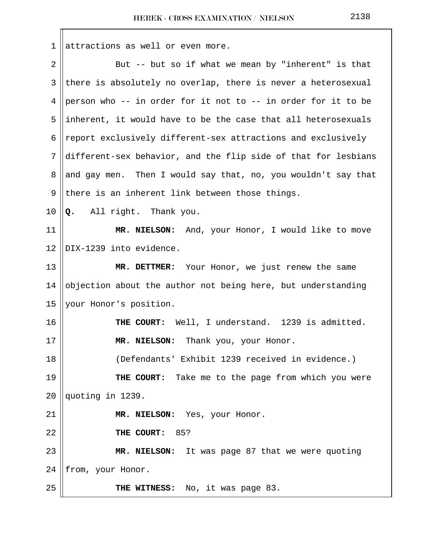| $\mathbf 1$    | attractions as well or even more.                              |
|----------------|----------------------------------------------------------------|
| 2              | But -- but so if what we mean by "inherent" is that            |
| 3              | there is absolutely no overlap, there is never a heterosexual  |
| 4              | person who -- in order for it not to -- in order for it to be  |
| 5              | inherent, it would have to be the case that all heterosexuals  |
| 6              | report exclusively different-sex attractions and exclusively   |
| $7\phantom{.}$ | different-sex behavior, and the flip side of that for lesbians |
| 8              | and gay men. Then I would say that, no, you wouldn't say that  |
| 9              | there is an inherent link between those things.                |
| 10             | Q. All right. Thank you.                                       |
| 11             | MR. NIELSON: And, your Honor, I would like to move             |
| 12             | DIX-1239 into evidence.                                        |
| 13             | MR. DETTMER: Your Honor, we just renew the same                |
| 14             | objection about the author not being here, but understanding   |
| 15             | your Honor's position.                                         |
| 16             | THE COURT: Well, I understand. 1239 is admitted.               |
| 17             | MR. NIELSON: Thank you, your Honor.                            |
| 18             | (Defendants' Exhibit 1239 received in evidence.)               |
| 19             | THE COURT: Take me to the page from which you were             |
| 20             | quoting in 1239.                                               |
| 21             | MR. NIELSON: Yes, your Honor.                                  |
| 22             | THE COURT:<br>85?                                              |
| 23             | MR. NIELSON: It was page 87 that we were quoting               |
| 24             | from, your Honor.                                              |
| 25             | THE WITNESS: No, it was page 83.                               |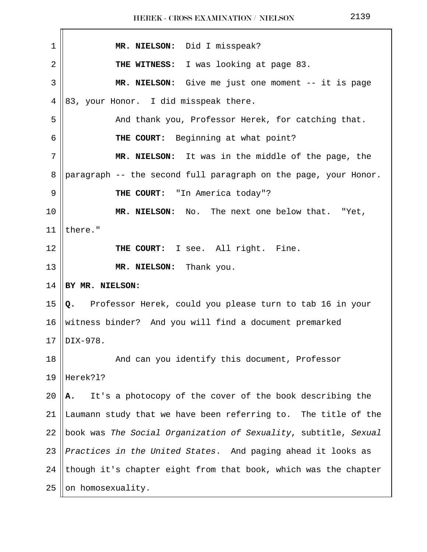| MR. NIELSON: Give me just one moment -- it is page              |
|-----------------------------------------------------------------|
|                                                                 |
| And thank you, Professor Herek, for catching that.              |
|                                                                 |
| MR. NIELSON: It was in the middle of the page, the              |
| paragraph -- the second full paragraph on the page, your Honor. |
|                                                                 |
| MR. NIELSON: No. The next one below that. "Yet,                 |
|                                                                 |
|                                                                 |
|                                                                 |
|                                                                 |
| Q. Professor Herek, could you please turn to tab 16 in your     |
|                                                                 |
|                                                                 |
|                                                                 |
|                                                                 |
| It's a photocopy of the cover of the book describing the        |
| Laumann study that we have been referring to. The title of the  |
| book was The Social Organization of Sexuality, subtitle, Sexual |
| Practices in the United States. And paging ahead it looks as    |
| though it's chapter eight from that book, which was the chapter |
|                                                                 |
|                                                                 |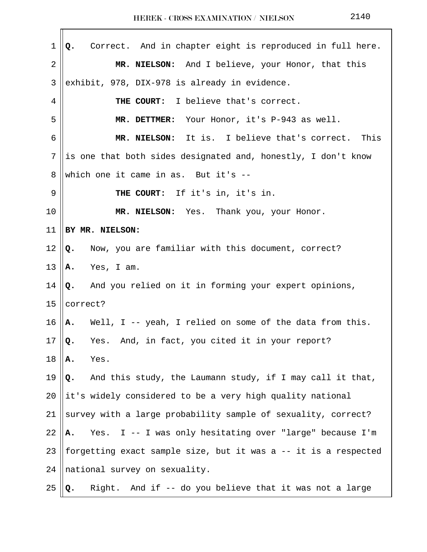| 1      | Correct. And in chapter eight is reproduced in full here.<br>Q. |
|--------|-----------------------------------------------------------------|
| 2      | MR. NIELSON: And I believe, your Honor, that this               |
| 3      | exhibit, 978, DIX-978 is already in evidence.                   |
| 4      | THE COURT: I believe that's correct.                            |
| 5      | MR. DETTMER: Your Honor, it's P-943 as well.                    |
| 6      | MR. NIELSON: It is. I believe that's correct. This              |
| 7      | is one that both sides designated and, honestly, I don't know   |
| 8      | which one it came in as. But it's --                            |
| 9      | THE COURT: If it's in, it's in.                                 |
| 10     | MR. NIELSON: Yes. Thank you, your Honor.                        |
| 11     | BY MR. NIELSON:                                                 |
| 12     | Now, you are familiar with this document, correct?<br>Q.        |
| 13     | Yes, I am.<br>Α.                                                |
| 14     | And you relied on it in forming your expert opinions,<br>Q.     |
| 15     | correct?                                                        |
| 16     | Well, I -- yeah, I relied on some of the data from this.<br>Α.  |
| $17\,$ | Yes. And, in fact, you cited it in your report?<br>Q.           |
| 18     | Yes.<br>Α.                                                      |
| 19     | And this study, the Laumann study, if I may call it that,<br>Q. |
| 20     | it's widely considered to be a very high quality national       |
| 21     | survey with a large probability sample of sexuality, correct?   |
| 22     | Yes. I -- I was only hesitating over "large" because I'm<br>А.  |
| 23     | forgetting exact sample size, but it was a -- it is a respected |
| 24     | national survey on sexuality.                                   |
| 25     | Right. And if -- do you believe that it was not a large<br>Q.   |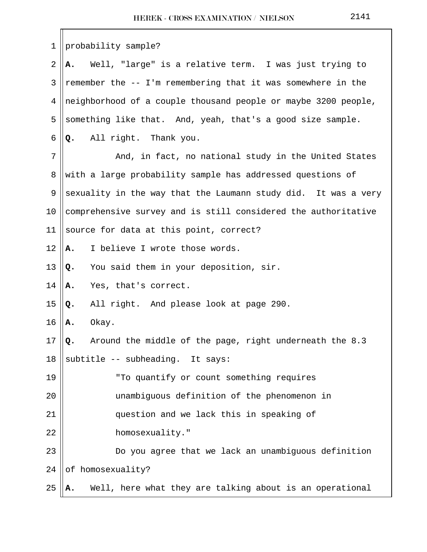| $\mathbf 1$    | probability sample?                                            |
|----------------|----------------------------------------------------------------|
| $\overline{2}$ | Well, "large" is a relative term. I was just trying to<br>А.   |
| 3              | remember the -- I'm remembering that it was somewhere in the   |
| 4              | neighborhood of a couple thousand people or maybe 3200 people, |
| 5              | something like that. And, yeah, that's a good size sample.     |
| 6              | All right. Thank you.<br>Q.                                    |
| 7              | And, in fact, no national study in the United States           |
| 8              | with a large probability sample has addressed questions of     |
| 9              | sexuality in the way that the Laumann study did. It was a very |
| 10             | comprehensive survey and is still considered the authoritative |
| 11             | source for data at this point, correct?                        |
| 12             | I believe I wrote those words.<br>Α.                           |
| 13             | You said them in your deposition, sir.<br>Q.                   |
| 14             | Yes, that's correct.<br>Α.                                     |
| 15             | All right. And please look at page 290.<br>Q.                  |
| 16             | Okay.<br>Α.                                                    |
| 17             | Around the middle of the page, right underneath the 8.3<br>Q.  |
| 18             | subtitle -- subheading. It says:                               |
| 19             | "To quantify or count something requires                       |
| 20             | unambiguous definition of the phenomenon in                    |
| 21             | question and we lack this in speaking of                       |
| 22             | homosexuality."                                                |
| 23             | Do you agree that we lack an unambiguous definition            |
| 24             | of homosexuality?                                              |
| 25             | Well, here what they are talking about is an operational<br>А. |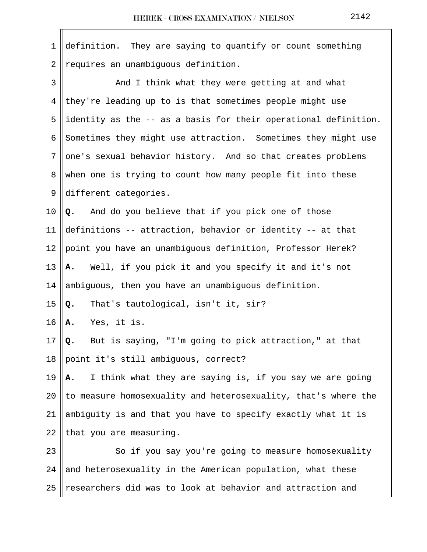| 1  | definition. They are saying to quantify or count something      |
|----|-----------------------------------------------------------------|
| 2  | requires an unambiguous definition.                             |
| 3  | And I think what they were getting at and what                  |
| 4  | they're leading up to is that sometimes people might use        |
| 5  | identity as the -- as a basis for their operational definition. |
| 6  | Sometimes they might use attraction. Sometimes they might use   |
| 7  | one's sexual behavior history. And so that creates problems     |
| 8  | when one is trying to count how many people fit into these      |
| 9  | different categories.                                           |
| 10 | And do you believe that if you pick one of those<br>Q.          |
| 11 | definitions -- attraction, behavior or identity -- at that      |
| 12 | point you have an unambiguous definition, Professor Herek?      |
| 13 | Well, if you pick it and you specify it and it's not<br>А.      |
| 14 | ambiguous, then you have an unambiguous definition.             |
| 15 | That's tautological, isn't it, sir?<br>Q.                       |
| 16 | Yes, it is.<br>Α.                                               |
| 17 | But is saying, "I'm going to pick attraction," at that<br>Q.    |
| 18 | point it's still ambiguous, correct?                            |
| 19 | I think what they are saying is, if you say we are going<br>Α.  |
| 20 | to measure homosexuality and heterosexuality, that's where the  |
| 21 | ambiguity is and that you have to specify exactly what it is    |
| 22 | that you are measuring.                                         |
| 23 | So if you say you're going to measure homosexuality             |
| 24 | and heterosexuality in the American population, what these      |
| 25 | researchers did was to look at behavior and attraction and      |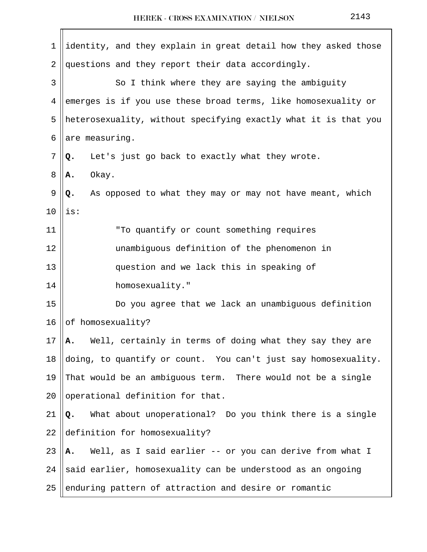| 1              | identity, and they explain in great detail how they asked those |
|----------------|-----------------------------------------------------------------|
| $\overline{2}$ | questions and they report their data accordingly.               |
| 3              | So I think where they are saying the ambiguity                  |
| 4              | emerges is if you use these broad terms, like homosexuality or  |
| 5              | heterosexuality, without specifying exactly what it is that you |
| 6              | are measuring.                                                  |
| 7              | Let's just go back to exactly what they wrote.<br>Q.            |
| 8              | Okay.<br>Α.                                                     |
| 9              | As opposed to what they may or may not have meant, which<br>Q.  |
| 10             | is:                                                             |
| 11             | "To quantify or count something requires                        |
| 12             | unambiguous definition of the phenomenon in                     |
| 13             | question and we lack this in speaking of                        |
| 14             | homosexuality."                                                 |
| 15             | Do you agree that we lack an unambiguous definition             |
| 16             | of homosexuality?                                               |
| 17             | Well, certainly in terms of doing what they say they are<br>А.  |
| 18             | doing, to quantify or count. You can't just say homosexuality.  |
| 19             | That would be an ambiguous term. There would not be a single    |
| 20             | operational definition for that.                                |
| 21             | What about unoperational? Do you think there is a single<br>Q.  |
| 22             | definition for homosexuality?                                   |
| 23             | Well, as I said earlier -- or you can derive from what I<br>Α.  |
| 24             | said earlier, homosexuality can be understood as an ongoing     |
| 25             | enduring pattern of attraction and desire or romantic           |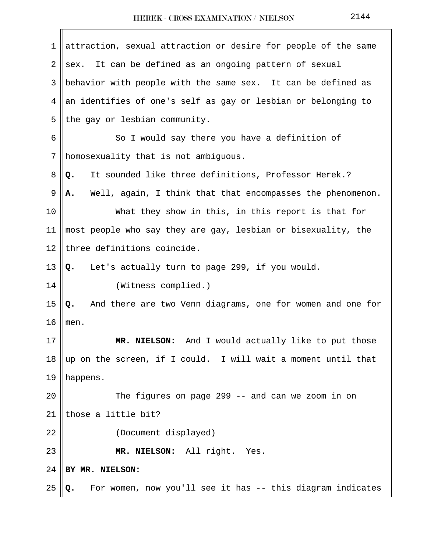| 1              | attraction, sexual attraction or desire for people of the same   |
|----------------|------------------------------------------------------------------|
| $\overline{2}$ | It can be defined as an ongoing pattern of sexual<br>sex.        |
| 3              | behavior with people with the same sex. It can be defined as     |
| 4              | an identifies of one's self as gay or lesbian or belonging to    |
| 5              | the gay or lesbian community.                                    |
| 6              | So I would say there you have a definition of                    |
| 7              | homosexuality that is not ambiguous.                             |
| 8              | It sounded like three definitions, Professor Herek.?<br>Q.       |
| 9              | Well, again, I think that that encompasses the phenomenon.<br>Α. |
| 10             | What they show in this, in this report is that for               |
| 11             | most people who say they are gay, lesbian or bisexuality, the    |
| 12             | three definitions coincide.                                      |
| 13             | Let's actually turn to page 299, if you would.<br>Q.             |
| 14             | (Witness complied.)                                              |
| 15             | And there are two Venn diagrams, one for women and one for<br>Q. |
| 16             | men.                                                             |
| 17             | MR. NIELSON: And I would actually like to put those              |
| 18             | up on the screen, if I could. I will wait a moment until that    |
| 19             | happens.                                                         |
| 20             | The figures on page 299 -- and can we zoom in on                 |
| 21             | those a little bit?                                              |
| 22             | (Document displayed)                                             |
| 23             | MR. NIELSON: All right. Yes.                                     |
| 24             | BY MR. NIELSON:                                                  |
| 25             | For women, now you'll see it has -- this diagram indicates<br>Q. |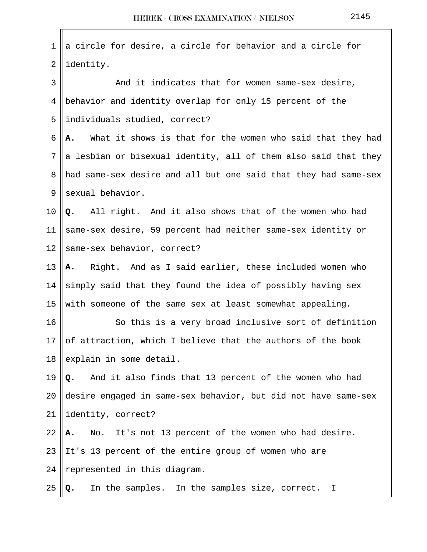| 1  | a circle for desire, a circle for behavior and a circle for      |
|----|------------------------------------------------------------------|
| 2  | identity.                                                        |
| 3  | And it indicates that for women same-sex desire,                 |
| 4  | behavior and identity overlap for only 15 percent of the         |
| 5  | individuals studied, correct?                                    |
| 6  | What it shows is that for the women who said that they had<br>Α. |
| 7  | a lesbian or bisexual identity, all of them also said that they  |
| 8  | had same-sex desire and all but one said that they had same-sex  |
| 9  | sexual behavior.                                                 |
| 10 | All right. And it also shows that of the women who had<br>Q.     |
| 11 | same-sex desire, 59 percent had neither same-sex identity or     |
| 12 | same-sex behavior, correct?                                      |
| 13 | Right. And as I said earlier, these included women who<br>A.,    |
| 14 | simply said that they found the idea of possibly having sex      |
| 15 | with someone of the same sex at least somewhat appealing.        |
| 16 | So this is a very broad inclusive sort of definition             |
| 17 | of attraction, which I believe that the authors of the book      |
| 18 | explain in some detail.                                          |
| 19 | And it also finds that 13 percent of the women who had<br>Q.     |
| 20 | desire engaged in same-sex behavior, but did not have same-sex   |
| 21 | identity, correct?                                               |
| 22 | No. It's not 13 percent of the women who had desire.<br>Α.       |
| 23 | It's 13 percent of the entire group of women who are             |
| 24 | represented in this diagram.                                     |
| 25 | In the samples. In the samples size, correct.<br>I<br>Q.         |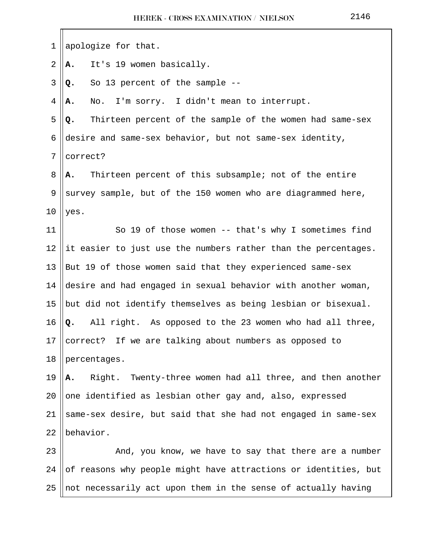1 || apologize for that. 2 **A.** It's 19 women basically.  $3 \parallel Q$ . So 13 percent of the sample  $-$  4 **A.** No. I'm sorry. I didn't mean to interrupt. 5 **Q.** Thirteen percent of the sample of the women had same-sex 6 desire and same-sex behavior, but not same-sex identity, 7 || correct? 8 **A.** Thirteen percent of this subsample; not of the entire 9 Survey sample, but of the 150 women who are diagrammed here,  $10$  | yes. 11 || So 19 of those women -- that's why I sometimes find 12 ||it easier to just use the numbers rather than the percentages. 13  $\parallel$  But 19 of those women said that they experienced same-sex 14  $\parallel$  desire and had engaged in sexual behavior with another woman, 15  $\parallel$  but did not identify themselves as being lesbian or bisexual. 16 **Q.** All right. As opposed to the 23 women who had all three, 17  $|$  correct? If we are talking about numbers as opposed to 18 | percentages. 19 **A.** Right. Twenty-three women had all three, and then another 20 ||one identified as lesbian other gay and, also, expressed 21  $\parallel$  same-sex desire, but said that she had not engaged in same-sex 22 behavior. 23 And, you know, we have to say that there are a number 24  $\vert\vert$  of reasons why people might have attractions or identities, but 25 || not necessarily act upon them in the sense of actually having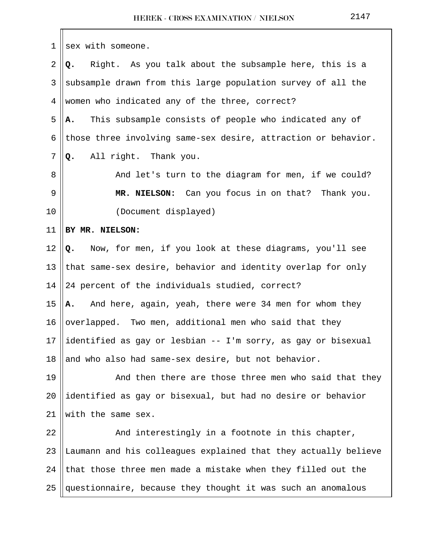| 1  | sex with someone.                                               |
|----|-----------------------------------------------------------------|
| 2  | Right. As you talk about the subsample here, this is a<br>Q.    |
| 3  | subsample drawn from this large population survey of all the    |
| 4  | women who indicated any of the three, correct?                  |
| 5  | This subsample consists of people who indicated any of<br>Α.    |
| 6  | those three involving same-sex desire, attraction or behavior.  |
| 7  | All right. Thank you.<br>Q.                                     |
| 8  | And let's turn to the diagram for men, if we could?             |
| 9  | MR. NIELSON: Can you focus in on that? Thank you.               |
| 10 | (Document displayed)                                            |
| 11 | BY MR. NIELSON:                                                 |
| 12 | Now, for men, if you look at these diagrams, you'll see<br>Q.   |
| 13 | that same-sex desire, behavior and identity overlap for only    |
| 14 | 24 percent of the individuals studied, correct?                 |
| 15 | A. And here, again, yeah, there were 34 men for whom they       |
| 16 | overlapped. Two men, additional men who said that they          |
| 17 | identified as gay or lesbian -- I'm sorry, as gay or bisexual   |
| 18 | and who also had same-sex desire, but not behavior.             |
| 19 | And then there are those three men who said that they           |
| 20 | identified as gay or bisexual, but had no desire or behavior    |
| 21 | with the same sex.                                              |
| 22 | And interestingly in a footnote in this chapter,                |
| 23 | Laumann and his colleagues explained that they actually believe |
| 24 | that those three men made a mistake when they filled out the    |
| 25 | questionnaire, because they thought it was such an anomalous    |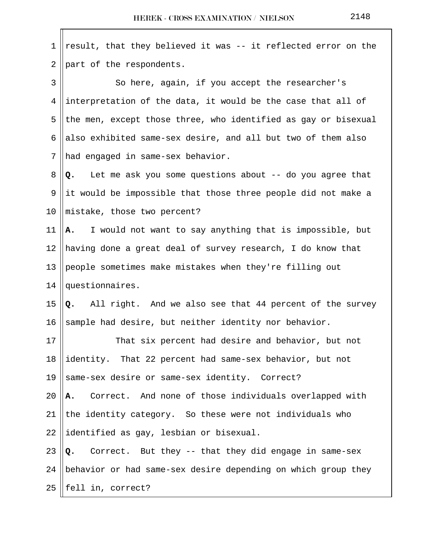1 ||result, that they believed it was -- it reflected error on the  $2$  ||part of the respondents.  $3 \parallel$  So here, again, if you accept the researcher's  $4$  interpretation of the data, it would be the case that all of 5 || the men, except those three, who identified as gay or bisexual 6 also exhibited same-sex desire, and all but two of them also  $7$  || had engaged in same-sex behavior. 8 **Q.** Let me ask you some questions about -- do you agree that 9 it would be impossible that those three people did not make a 10 mistake, those two percent? 11 **A.** I would not want to say anything that is impossible, but 12 || having done a great deal of survey research, I do know that 13 people sometimes make mistakes when they're filling out 14 ||questionnaires. 15 **Q.** All right. And we also see that 44 percent of the survey 16 sample had desire, but neither identity nor behavior. 17 || That six percent had desire and behavior, but not 18 identity. That 22 percent had same-sex behavior, but not 19 Same-sex desire or same-sex identity. Correct? 20 **A.** Correct. And none of those individuals overlapped with 21 the identity category. So these were not individuals who 22 didentified as gay, lesbian or bisexual. 23  $\mathbf{Q}$ . Correct. But they  $-$  that they did engage in same-sex 24  $\parallel$  behavior or had same-sex desire depending on which group they  $25$  ||fell in, correct?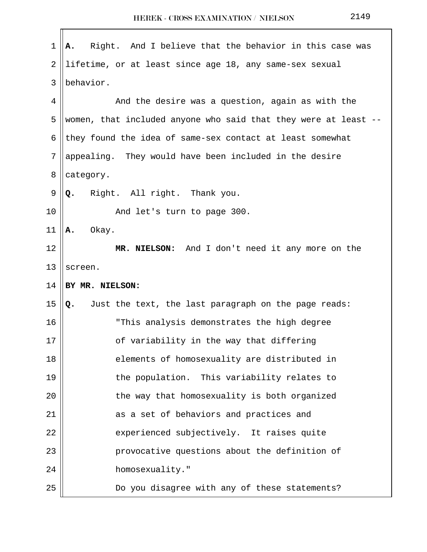| $\mathbf 1$    | Right. And I believe that the behavior in this case was<br>Α.   |
|----------------|-----------------------------------------------------------------|
| $\overline{2}$ | lifetime, or at least since age 18, any same-sex sexual         |
| 3              | behavior.                                                       |
| 4              | And the desire was a question, again as with the                |
| 5              | women, that included anyone who said that they were at least -- |
| 6              | they found the idea of same-sex contact at least somewhat       |
| 7              | appealing. They would have been included in the desire          |
| 8              | category.                                                       |
| 9              | Right. All right. Thank you.<br>Q.                              |
| 10             | And let's turn to page 300.                                     |
| 11             | Okay.<br>Α.                                                     |
| 12             | MR. NIELSON: And I don't need it any more on the                |
| 13             | screen.                                                         |
| 14             | BY MR. NIELSON:                                                 |
| 15             | Just the text, the last paragraph on the page reads:<br>Q.      |
| 16             | "This analysis demonstrates the high degree                     |
| 17             | of variability in the way that differing                        |
| 18             | elements of homosexuality are distributed in                    |
| 19             | the population. This variability relates to                     |
| 20             | the way that homosexuality is both organized                    |
| 21             | as a set of behaviors and practices and                         |
| 22             | experienced subjectively. It raises quite                       |
| 23             | provocative questions about the definition of                   |
| 24             | homosexuality."                                                 |
| 25             | Do you disagree with any of these statements?                   |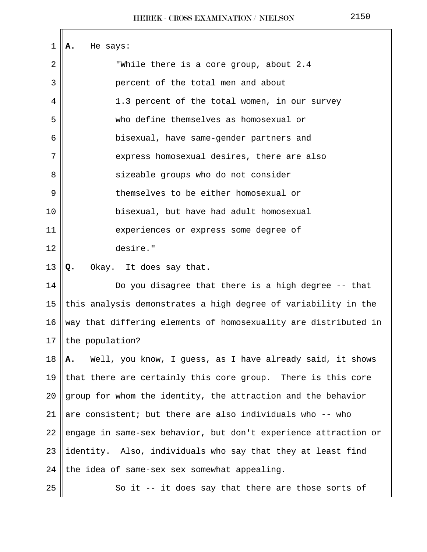| $\mathbf 1$    | He says:<br>Α.                                                  |
|----------------|-----------------------------------------------------------------|
| $\overline{2}$ | "While there is a core group, about 2.4                         |
| 3              | percent of the total men and about                              |
| 4              | 1.3 percent of the total women, in our survey                   |
| 5              | who define themselves as homosexual or                          |
| 6              | bisexual, have same-gender partners and                         |
| 7              | express homosexual desires, there are also                      |
| 8              | sizeable groups who do not consider                             |
| 9              | themselves to be either homosexual or                           |
| 10             | bisexual, but have had adult homosexual                         |
| 11             | experiences or express some degree of                           |
| 12             | desire."                                                        |
| 13             | Okay. It does say that.<br>Q.                                   |
| 14             | Do you disagree that there is a high degree -- that             |
| 15             | this analysis demonstrates a high degree of variability in the  |
| 16             | way that differing elements of homosexuality are distributed in |
| 17             | the population?                                                 |
| 18             | Well, you know, I guess, as I have already said, it shows<br>Α. |
| 19             | that there are certainly this core group. There is this core    |
| 20             | group for whom the identity, the attraction and the behavior    |
| 21             | are consistent; but there are also individuals who -- who       |
| 22             | engage in same-sex behavior, but don't experience attraction or |
| 23             | identity. Also, individuals who say that they at least find     |
| 24             | the idea of same-sex sex somewhat appealing.                    |
| 25             | So it -- it does say that there are those sorts of              |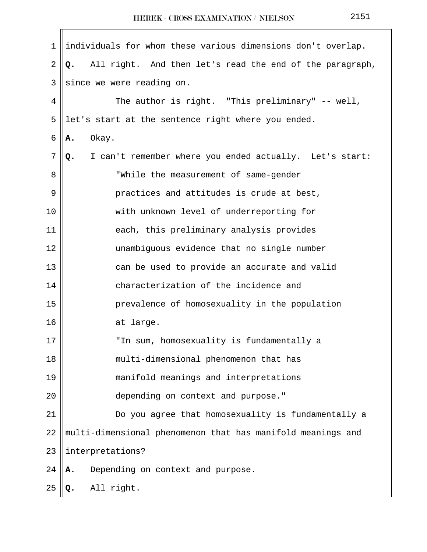| 1              | individuals for whom these various dimensions don't overlap.   |
|----------------|----------------------------------------------------------------|
| $\overline{2}$ | All right. And then let's read the end of the paragraph,<br>Q. |
| 3              | since we were reading on.                                      |
| 4              | The author is right. "This preliminary" -- well,               |
| 5              | let's start at the sentence right where you ended.             |
| 6              | Okay.<br>Α.                                                    |
| 7              | I can't remember where you ended actually. Let's start:<br>Q.  |
| 8              | "While the measurement of same-gender                          |
| 9              | practices and attitudes is crude at best,                      |
| 10             | with unknown level of underreporting for                       |
| 11             | each, this preliminary analysis provides                       |
| 12             | unambiguous evidence that no single number                     |
| 13             | can be used to provide an accurate and valid                   |
| 14             | characterization of the incidence and                          |
| 15             | prevalence of homosexuality in the population                  |
| 16             | at large.                                                      |
| $17\,$         | "In sum, homosexuality is fundamentally a                      |
| 18             | multi-dimensional phenomenon that has                          |
| 19             | manifold meanings and interpretations                          |
| 20             | depending on context and purpose."                             |
| 21             | Do you agree that homosexuality is fundamentally a             |
| 22             | multi-dimensional phenomenon that has manifold meanings and    |
| 23             | interpretations?                                               |
| 24             | Depending on context and purpose.<br>А.                        |
| 25             | All right.                                                     |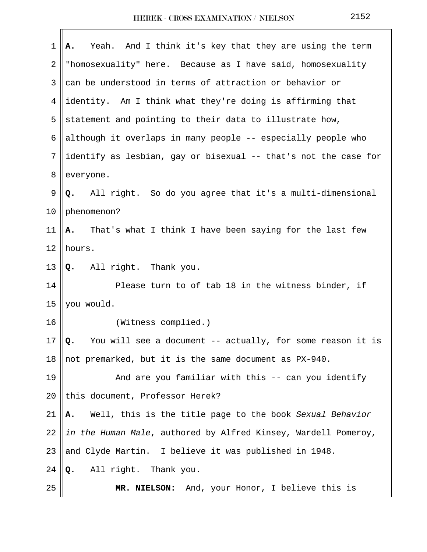| 1  | Yeah. And I think it's key that they are using the term<br>Α.    |
|----|------------------------------------------------------------------|
| 2  | "homosexuality" here. Because as I have said, homosexuality      |
| 3  | can be understood in terms of attraction or behavior or          |
| 4  | identity. Am I think what they're doing is affirming that        |
| 5  | statement and pointing to their data to illustrate how,          |
| 6  | although it overlaps in many people -- especially people who     |
| 7  | identify as lesbian, gay or bisexual -- that's not the case for  |
| 8  | everyone.                                                        |
| 9  | Q. All right. So do you agree that it's a multi-dimensional      |
| 10 | phenomenon?                                                      |
| 11 | That's what I think I have been saying for the last few<br>Α.    |
| 12 | hours.                                                           |
| 13 | Q. All right. Thank you.                                         |
| 14 | Please turn to of tab 18 in the witness binder, if               |
| 15 | you would.                                                       |
| 16 | (Witness complied.)                                              |
| 17 | You will see a document -- actually, for some reason it is<br>Q. |
| 18 | not premarked, but it is the same document as PX-940.            |
| 19 | And are you familiar with this -- can you identify               |
| 20 | this document, Professor Herek?                                  |
| 21 | Well, this is the title page to the book Sexual Behavior<br>Α.   |
| 22 | in the Human Male, authored by Alfred Kinsey, Wardell Pomeroy,   |
| 23 | and Clyde Martin. I believe it was published in 1948.            |
| 24 | All right. Thank you.<br>Q.                                      |
| 25 | MR. NIELSON: And, your Honor, I believe this is                  |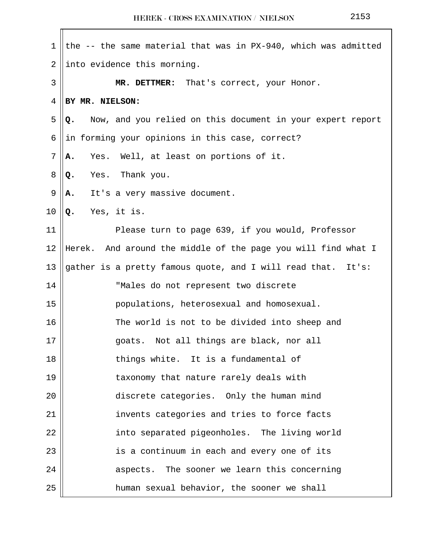| 1              | the -- the same material that was in PX-940, which was admitted  |
|----------------|------------------------------------------------------------------|
| $\overline{2}$ | into evidence this morning.                                      |
| 3              | MR. DETTMER: That's correct, your Honor.                         |
| 4              | BY MR. NIELSON:                                                  |
| 5              | Now, and you relied on this document in your expert report<br>Q. |
| 6              | in forming your opinions in this case, correct?                  |
| 7              | Yes. Well, at least on portions of it.<br>А.                     |
| 8              | Yes. Thank you.<br>Q.                                            |
| 9              | It's a very massive document.<br>Α.                              |
| 10             | Yes, it is.<br>Q.                                                |
| 11             | Please turn to page 639, if you would, Professor                 |
| 12             | Herek. And around the middle of the page you will find what I    |
| 13             | gather is a pretty famous quote, and I will read that. It's:     |
| 14             | "Males do not represent two discrete                             |
| 15             | populations, heterosexual and homosexual.                        |
| 16             | The world is not to be divided into sheep and                    |
| 17             | goats. Not all things are black, nor all                         |
| 18             | things white. It is a fundamental of                             |
| 19             | taxonomy that nature rarely deals with                           |
| 20             | discrete categories. Only the human mind                         |
| 21             | invents categories and tries to force facts                      |
| 22             | into separated pigeonholes. The living world                     |
| 23             | is a continuum in each and every one of its                      |
| 24             | aspects. The sooner we learn this concerning                     |
| 25             | human sexual behavior, the sooner we shall                       |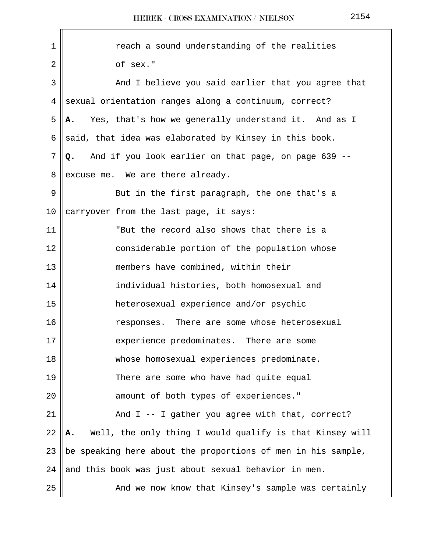| 1  | reach a sound understanding of the realities                   |
|----|----------------------------------------------------------------|
| 2  | of sex."                                                       |
| 3  | And I believe you said earlier that you agree that             |
| 4  | sexual orientation ranges along a continuum, correct?          |
| 5  | Yes, that's how we generally understand it. And as I<br>Α.     |
| 6  | said, that idea was elaborated by Kinsey in this book.         |
| 7  | And if you look earlier on that page, on page 639 --<br>Q.     |
| 8  | excuse me. We are there already.                               |
| 9  | But in the first paragraph, the one that's a                   |
| 10 | carryover from the last page, it says:                         |
| 11 | "But the record also shows that there is a                     |
| 12 | considerable portion of the population whose                   |
| 13 | members have combined, within their                            |
| 14 | individual histories, both homosexual and                      |
| 15 | heterosexual experience and/or psychic                         |
| 16 | responses. There are some whose heterosexual                   |
| 17 | experience predominates. There are some                        |
| 18 | whose homosexual experiences predominate.                      |
| 19 | There are some who have had quite equal                        |
| 20 | amount of both types of experiences."                          |
| 21 | And I -- I gather you agree with that, correct?                |
| 22 | Well, the only thing I would qualify is that Kinsey will<br>Α. |
| 23 | be speaking here about the proportions of men in his sample,   |
| 24 | and this book was just about sexual behavior in men.           |
| 25 | And we now know that Kinsey's sample was certainly             |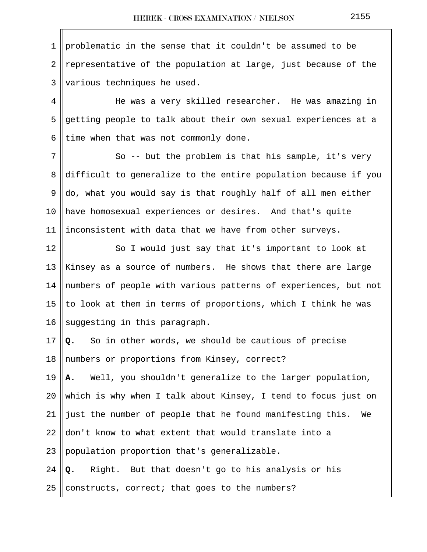1 || problematic in the sense that it couldn't be assumed to be 2 || representative of the population at large, just because of the  $3$  | various techniques he used.

 4 He was a very skilled researcher. He was amazing in 5 getting people to talk about their own sexual experiences at a 6 time when that was not commonly done.

 $7 \parallel$  So -- but the problem is that his sample, it's very 8 difficult to generalize to the entire population because if you 9  $\parallel$  do, what you would say is that roughly half of all men either 10 have homosexual experiences or desires. And that's quite 11 ||inconsistent with data that we have from other surveys.

 $12$   $\parallel$  So I would just say that it's important to look at 13 ||Kinsey as a source of numbers. He shows that there are large 14 numbers of people with various patterns of experiences, but not 15 ||to look at them in terms of proportions, which I think he was 16 suggesting in this paragraph.

17 **Q.** So in other words, we should be cautious of precise 18 || numbers or proportions from Kinsey, correct?

19 **A.** Well, you shouldn't generalize to the larger population, 20 Which is why when I talk about Kinsey, I tend to focus just on 21  $\parallel$  just the number of people that he found manifesting this. We 22  $\parallel$  don't know to what extent that would translate into a 23 || population proportion that's generalizable.

24 **Q.** Right. But that doesn't go to his analysis or his

25 constructs, correct; that goes to the numbers?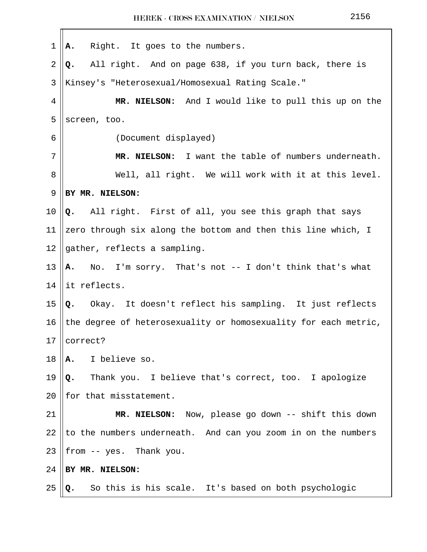| 1              | Right. It goes to the numbers.<br>Α.                            |
|----------------|-----------------------------------------------------------------|
| $\overline{2}$ | All right. And on page 638, if you turn back, there is<br>Q.    |
| 3              | Kinsey's "Heterosexual/Homosexual Rating Scale."                |
| 4              | MR. NIELSON: And I would like to pull this up on the            |
| 5              | screen, too.                                                    |
| 6              | (Document displayed)                                            |
| 7              | MR. NIELSON: I want the table of numbers underneath.            |
| 8              | Well, all right. We will work with it at this level.            |
| 9              | BY MR. NIELSON:                                                 |
| 10             | Q. All right. First of all, you see this graph that says        |
| 11             | zero through six along the bottom and then this line which, I   |
| 12             | gather, reflects a sampling.                                    |
| 13             | No. I'm sorry. That's not -- I don't think that's what<br>А.    |
| 14             | it reflects.                                                    |
| 15             | Okay. It doesn't reflect his sampling. It just reflects<br>Q.   |
| 16             | the degree of heterosexuality or homosexuality for each metric, |
| 17             | correct?                                                        |
| 18             | I believe so.<br>Α.                                             |
| 19             | Thank you. I believe that's correct, too. I apologize<br>Q.     |
| 20             | for that misstatement.                                          |
| 21             | MR. NIELSON: Now, please go down -- shift this down             |
| 22             | to the numbers underneath. And can you zoom in on the numbers   |
| 23             | from -- yes. Thank you.                                         |
| 24             | BY MR. NIELSON:                                                 |
| 25             | So this is his scale. It's based on both psychologic            |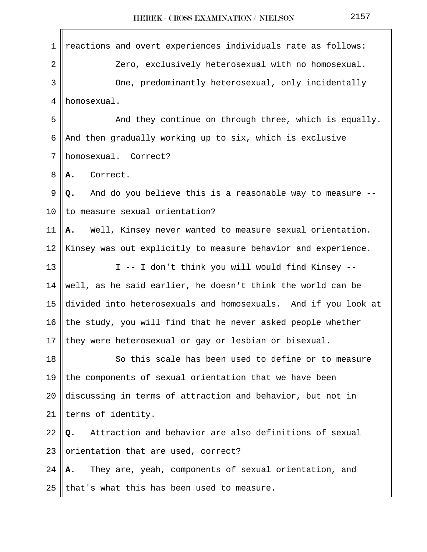| 1  | reactions and overt experiences individuals rate as follows:    |
|----|-----------------------------------------------------------------|
| 2  | Zero, exclusively heterosexual with no homosexual.              |
| 3  | One, predominantly heterosexual, only incidentally              |
| 4  | homosexual.                                                     |
| 5  | And they continue on through three, which is equally.           |
| 6  | And then gradually working up to six, which is exclusive        |
| 7  | homosexual. Correct?                                            |
| 8  | Correct.<br>Α.                                                  |
| 9  | And do you believe this is a reasonable way to measure --<br>Q. |
| 10 | to measure sexual orientation?                                  |
| 11 | Well, Kinsey never wanted to measure sexual orientation.<br>Α.  |
| 12 | Kinsey was out explicitly to measure behavior and experience.   |
| 13 | I -- I don't think you will would find Kinsey --                |
| 14 | well, as he said earlier, he doesn't think the world can be     |
| 15 | divided into heterosexuals and homosexuals. And if you look at  |
| 16 | the study, you will find that he never asked people whether     |
| 17 | they were heterosexual or gay or lesbian or bisexual.           |
| 18 | So this scale has been used to define or to measure             |
| 19 | the components of sexual orientation that we have been          |
| 20 | discussing in terms of attraction and behavior, but not in      |
| 21 | terms of identity.                                              |
| 22 | Attraction and behavior are also definitions of sexual<br>Q.    |
| 23 | orientation that are used, correct?                             |
| 24 | They are, yeah, components of sexual orientation, and<br>Α.     |
| 25 | that's what this has been used to measure.                      |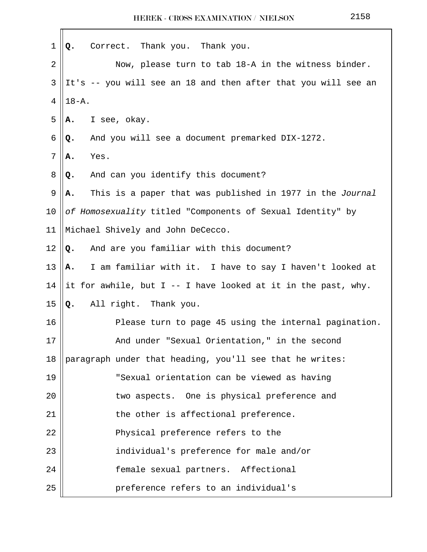| 1              | Correct. Thank you. Thank you.<br>Q.                            |
|----------------|-----------------------------------------------------------------|
| $\overline{2}$ | Now, please turn to tab 18-A in the witness binder.             |
| 3              | It's -- you will see an 18 and then after that you will see an  |
| 4              | $18 - A.$                                                       |
| 5              | I see, okay.<br>А.                                              |
| 6              | And you will see a document premarked DIX-1272.<br>Q.           |
| 7              | Yes.<br>Α.                                                      |
| 8              | And can you identify this document?<br>Q.                       |
| 9              | This is a paper that was published in 1977 in the Journal<br>А. |
| 10             | of Homosexuality titled "Components of Sexual Identity" by      |
| 11             | Michael Shively and John DeCecco.                               |
| 12             | And are you familiar with this document?<br>Q.                  |
| 13             | I am familiar with it. I have to say I haven't looked at<br>Α.  |
| 14             | it for awhile, but $I - I$ have looked at it in the past, why.  |
| 15             | All right. Thank you.<br>Q.                                     |
| 16             | Please turn to page 45 using the internal pagination.           |
| 17             | And under "Sexual Orientation," in the second                   |
| 18             | paragraph under that heading, you'll see that he writes:        |
| 19             | "Sexual orientation can be viewed as having                     |
| 20             | two aspects. One is physical preference and                     |
| 21             | the other is affectional preference.                            |
| 22             | Physical preference refers to the                               |
| 23             | individual's preference for male and/or                         |
| 24             | female sexual partners. Affectional                             |
| 25             | preference refers to an individual's                            |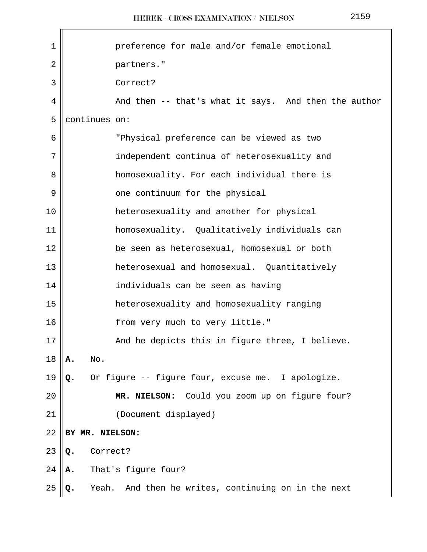| 1  |    | preference for male and/or female emotional          |
|----|----|------------------------------------------------------|
| 2  |    | partners."                                           |
| 3  |    | Correct?                                             |
| 4  |    | And then -- that's what it says. And then the author |
| 5  |    | continues on:                                        |
| 6  |    | "Physical preference can be viewed as two            |
| 7  |    | independent continua of heterosexuality and          |
| 8  |    | homosexuality. For each individual there is          |
| 9  |    | one continuum for the physical                       |
| 10 |    | heterosexuality and another for physical             |
| 11 |    | homosexuality. Qualitatively individuals can         |
| 12 |    | be seen as heterosexual, homosexual or both          |
| 13 |    | heterosexual and homosexual. Quantitatively          |
| 14 |    | individuals can be seen as having                    |
| 15 |    | heterosexuality and homosexuality ranging            |
| 16 |    | from very much to very little."                      |
| 17 |    | And he depicts this in figure three, I believe.      |
| 18 | А. | No.                                                  |
| 19 | Q. | Or figure -- figure four, excuse me. I apologize.    |
| 20 |    | MR. NIELSON:<br>Could you zoom up on figure four?    |
| 21 |    | (Document displayed)                                 |
| 22 |    | BY MR. NIELSON:                                      |
| 23 | Q. | Correct?                                             |
| 24 | А. | That's figure four?                                  |
| 25 | Q. | Yeah. And then he writes, continuing on in the next  |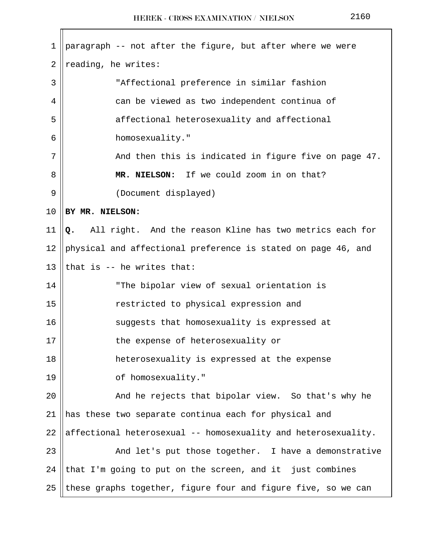| 1              | paragraph -- not after the figure, but after where we were     |
|----------------|----------------------------------------------------------------|
| $\overline{2}$ | reading, he writes:                                            |
| 3              | "Affectional preference in similar fashion                     |
| 4              | can be viewed as two independent continua of                   |
| 5              | affectional heterosexuality and affectional                    |
| 6              | homosexuality."                                                |
| 7              | And then this is indicated in figure five on page 47.          |
| 8              | MR. NIELSON: If we could zoom in on that?                      |
| 9              | (Document displayed)                                           |
| 10             | BY MR. NIELSON:                                                |
| 11             | All right. And the reason Kline has two metrics each for<br>Q. |
| 12             | physical and affectional preference is stated on page 46, and  |
| 13             | that is -- he writes that:                                     |
| 14             | "The bipolar view of sexual orientation is                     |
| 15             | restricted to physical expression and                          |
| 16             | suggests that homosexuality is expressed at                    |
| 17             | the expense of heterosexuality or                              |
| 18             | heterosexuality is expressed at the expense                    |
| 19             | of homosexuality."                                             |
| 20             | And he rejects that bipolar view. So that's why he             |
| 21             | has these two separate continua each for physical and          |
| 22             | affectional heterosexual -- homosexuality and heterosexuality. |
| 23             | And let's put those together. I have a demonstrative           |
| 24             | that I'm going to put on the screen, and it just combines      |
| 25             | these graphs together, figure four and figure five, so we can  |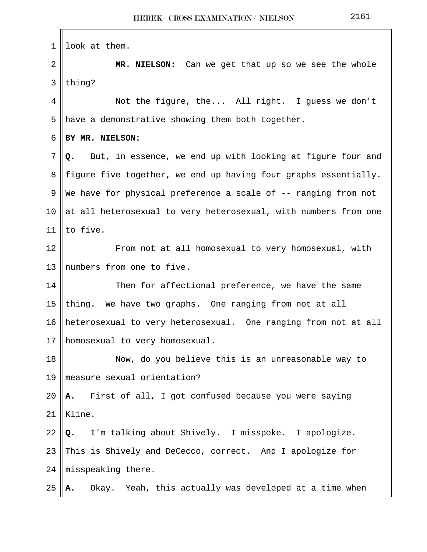| 1  | look at them.                                                    |
|----|------------------------------------------------------------------|
| 2  | MR. NIELSON: Can we get that up so we see the whole              |
| 3  | thing?                                                           |
| 4  | Not the figure, the All right. I guess we don't                  |
| 5  | have a demonstrative showing them both together.                 |
| 6  | BY MR. NIELSON:                                                  |
| 7  | But, in essence, we end up with looking at figure four and<br>Q. |
| 8  | figure five together, we end up having four graphs essentially.  |
| 9  | We have for physical preference a scale of -- ranging from not   |
| 10 | at all heterosexual to very heterosexual, with numbers from one  |
| 11 | to five.                                                         |
| 12 | From not at all homosexual to very homosexual, with              |
| 13 | numbers from one to five.                                        |
| 14 | Then for affectional preference, we have the same                |
| 15 | We have two graphs. One ranging from not at all<br>thing.        |
| 16 | heterosexual to very heterosexual. One ranging from not at all   |
| 17 | homosexual to very homosexual.                                   |
| 18 | Now, do you believe this is an unreasonable way to               |
| 19 | measure sexual orientation?                                      |
| 20 | A. First of all, I got confused because you were saying          |
| 21 | Kline.                                                           |
| 22 | I'm talking about Shively. I misspoke. I apologize.<br>Q.        |
| 23 | This is Shively and DeCecco, correct. And I apologize for        |
| 24 | misspeaking there.                                               |
| 25 | Okay. Yeah, this actually was developed at a time when<br>Α.     |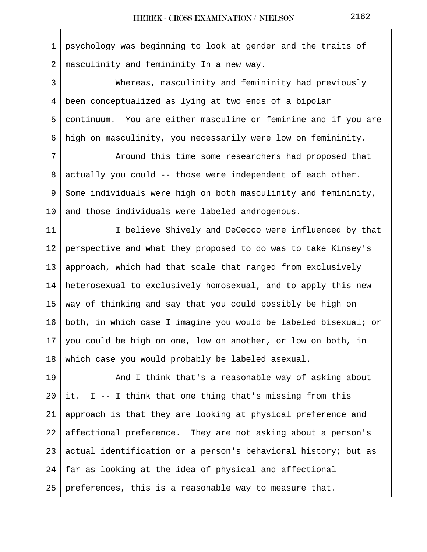1 || psychology was beginning to look at gender and the traits of 2 masculinity and femininity In a new way.

 3 Whereas, masculinity and femininity had previously 4 | been conceptualized as lying at two ends of a bipolar 5 continuum. You are either masculine or feminine and if you are 6 high on masculinity, you necessarily were low on femininity.

7 || Around this time some researchers had proposed that 8 actually you could -- those were independent of each other. 9 Some individuals were high on both masculinity and femininity, 10  $\parallel$  and those individuals were labeled androgenous.

11 || I believe Shively and DeCecco were influenced by that 12 | perspective and what they proposed to do was to take Kinsey's 13  $\parallel$  approach, which had that scale that ranged from exclusively 14 heterosexual to exclusively homosexual, and to apply this new 15 Way of thinking and say that you could possibly be high on 16 ||both, in which case I imagine you would be labeled bisexual; or 17 you could be high on one, low on another, or low on both, in 18 which case you would probably be labeled asexual.

19 || And I think that's a reasonable way of asking about 20 ||it. I -- I think that one thing that's missing from this 21  $\parallel$  approach is that they are looking at physical preference and  $22$  ||affectional preference. They are not asking about a person's 23 || actual identification or a person's behavioral history; but as 24  $\parallel$  far as looking at the idea of physical and affectional 25 || preferences, this is a reasonable way to measure that.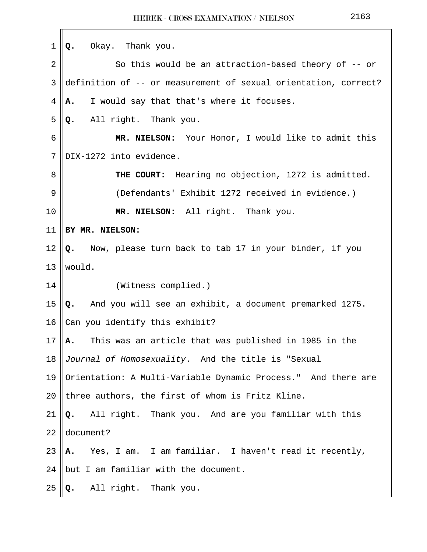| $\mathbf 1$    | Okay. Thank you.<br>Q.                                          |
|----------------|-----------------------------------------------------------------|
| $\overline{2}$ | So this would be an attraction-based theory of -- or            |
| $\mathfrak{Z}$ | definition of -- or measurement of sexual orientation, correct? |
| $\overline{4}$ | I would say that that's where it focuses.<br>Α.                 |
| 5              | All right. Thank you.<br>Q.                                     |
| 6              | MR. NIELSON: Your Honor, I would like to admit this             |
| 7              | DIX-1272 into evidence.                                         |
| 8              | THE COURT: Hearing no objection, 1272 is admitted.              |
| 9              | (Defendants' Exhibit 1272 received in evidence.)                |
| 10             | MR. NIELSON: All right. Thank you.                              |
| 11             | BY MR. NIELSON:                                                 |
| 12             | Q. Now, please turn back to tab 17 in your binder, if you       |
| 13             | would.                                                          |
| 14             | (Witness complied.)                                             |
| 15             | And you will see an exhibit, a document premarked 1275.<br>Q.   |
| 16             | Can you identify this exhibit?                                  |
| 17             | This was an article that was published in 1985 in the<br>А.     |
| 18             | Journal of Homosexuality. And the title is "Sexual              |
| 19             | Orientation: A Multi-Variable Dynamic Process." And there are   |
| 20             | three authors, the first of whom is Fritz Kline.                |
| 21             | All right. Thank you. And are you familiar with this<br>Q.      |
| 22             | document?                                                       |
| 23             | Yes, I am. I am familiar. I haven't read it recently,<br>Α.     |
| 24             | but I am familiar with the document.                            |
| 25             | All right. Thank you.<br>Q.                                     |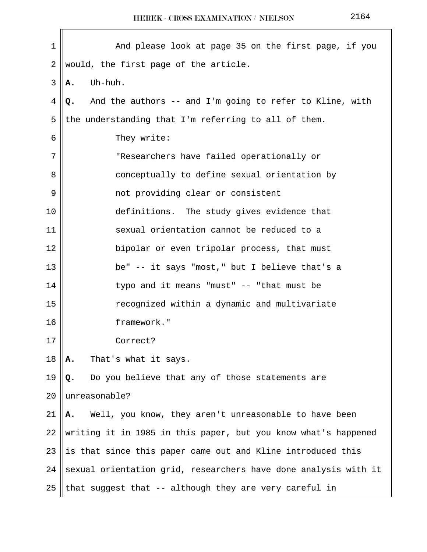| $\mathbf 1$ | And please look at page 35 on the first page, if you            |
|-------------|-----------------------------------------------------------------|
| 2           | would, the first page of the article.                           |
| 3           | Uh-huh.<br>А.                                                   |
| 4           | And the authors -- and I'm going to refer to Kline, with<br>Q.  |
| 5           | the understanding that I'm referring to all of them.            |
| 6           | They write:                                                     |
| 7           | "Researchers have failed operationally or                       |
| 8           | conceptually to define sexual orientation by                    |
| 9           | not providing clear or consistent                               |
| 10          | definitions. The study gives evidence that                      |
| 11          | sexual orientation cannot be reduced to a                       |
| 12          | bipolar or even tripolar process, that must                     |
| 13          | be" $-$ it says "most," but I believe that's a                  |
| 14          | typo and it means "must" -- "that must be                       |
| 15          | recognized within a dynamic and multivariate                    |
| 16          | framework."                                                     |
| 17          | Correct?                                                        |
| 18          | That's what it says.<br>Α.                                      |
| 19          | Do you believe that any of those statements are<br>Q.           |
| 20          | unreasonable?                                                   |
| 21          | Well, you know, they aren't unreasonable to have been<br>Α.     |
| 22          | writing it in 1985 in this paper, but you know what's happened  |
| 23          | is that since this paper came out and Kline introduced this     |
| 24          | sexual orientation grid, researchers have done analysis with it |
| 25          | that suggest that -- although they are very careful in          |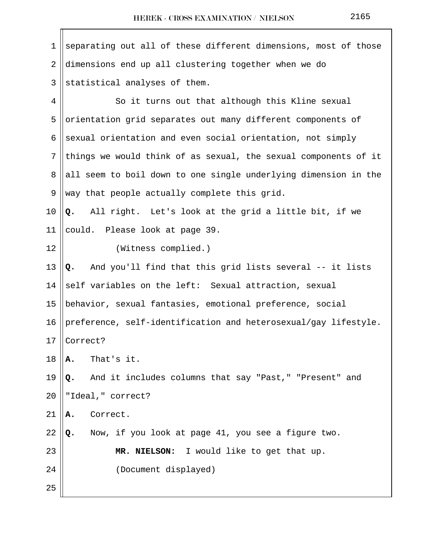1 separating out all of these different dimensions, most of those 2 dimensions end up all clustering together when we do  $3$  statistical analyses of them. 4 || So it turns out that although this Kline sexual  $5$  orientation grid separates out many different components of 6 Sexual orientation and even social orientation, not simply  $7$  things we would think of as sexual, the sexual components of it 8 all seem to boil down to one single underlying dimension in the 9 Way that people actually complete this grid. 10 **Q.** All right. Let's look at the grid a little bit, if we 11 || could. Please look at page 39. 12 (Witness complied.) 13 **Q.** And you'll find that this grid lists several -- it lists 14 self variables on the left: Sexual attraction, sexual 15 || behavior, sexual fantasies, emotional preference, social 16  $\beta$  preference, self-identification and heterosexual/gay lifestyle.  $17$  | Correct? 18  $\mathbf{A}$ . That's it. 19 **Q.** And it includes columns that say "Past," "Present" and  $20$  || "Ideal, " correct? 21 **A.** Correct. 22 **Q.** Now, if you look at page 41, you see a figure two. 23 **MR. NIELSON:** I would like to get that up. 24 (Document displayed) 25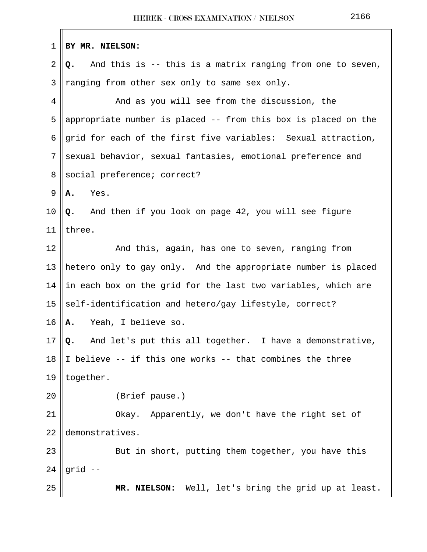| 1  | BY MR. NIELSON:                                                  |
|----|------------------------------------------------------------------|
| 2  | And this is -- this is a matrix ranging from one to seven,<br>Q. |
| 3  | ranging from other sex only to same sex only.                    |
| 4  | And as you will see from the discussion, the                     |
| 5  | appropriate number is placed -- from this box is placed on the   |
| 6  | grid for each of the first five variables: Sexual attraction,    |
| 7  | sexual behavior, sexual fantasies, emotional preference and      |
| 8  | social preference; correct?                                      |
| 9  | Yes.<br>А.                                                       |
| 10 | Q. And then if you look on page 42, you will see figure          |
| 11 | three.                                                           |
| 12 | And this, again, has one to seven, ranging from                  |
| 13 | hetero only to gay only. And the appropriate number is placed    |
| 14 | in each box on the grid for the last two variables, which are    |
| 15 | self-identification and hetero/gay lifestyle, correct?           |
| 16 | Yeah, I believe so.<br>Α.                                        |
| 17 | And let's put this all together. I have a demonstrative,<br>Q.   |
| 18 | I believe -- if this one works -- that combines the three        |
| 19 | together.                                                        |
| 20 | (Brief pause.)                                                   |
| 21 | Apparently, we don't have the right set of<br>Okay.              |
| 22 | demonstratives.                                                  |
| 23 | But in short, putting them together, you have this               |
| 24 | grid --                                                          |
| 25 | Well, let's bring the grid up at least.<br>MR. NIELSON:          |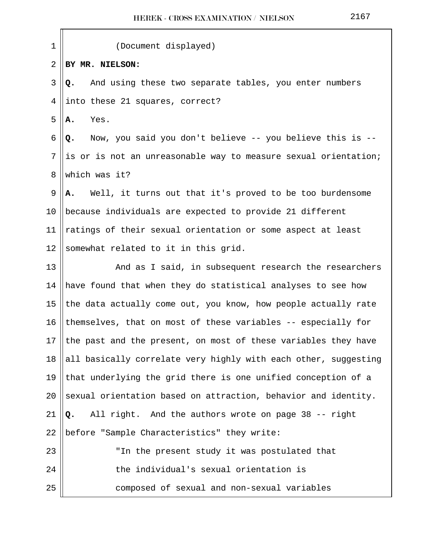| 1  | (Document displayed)                                                 |
|----|----------------------------------------------------------------------|
| 2  | BY MR. NIELSON:                                                      |
| 3  | And using these two separate tables, you enter numbers<br>Q.         |
| 4  | into these 21 squares, correct?                                      |
| 5  | Yes.<br>А.                                                           |
| 6  | Now, you said you don't believe -- you believe this is --<br>Q.      |
| 7  | is or is not an unreasonable way to measure sexual orientation;      |
| 8  | which was it?                                                        |
| 9  | Well, it turns out that it's proved to be too burdensome<br>А.       |
| 10 | because individuals are expected to provide 21 different             |
| 11 | ratings of their sexual orientation or some aspect at least          |
| 12 | somewhat related to it in this grid.                                 |
| 13 | And as I said, in subsequent research the researchers                |
| 14 | have found that when they do statistical analyses to see how         |
| 15 | the data actually come out, you know, how people actually rate       |
| 16 | themselves, that on most of these variables -- especially for        |
|    | 17    the past and the present, on most of these variables they have |
| 18 | all basically correlate very highly with each other, suggesting      |
| 19 | that underlying the grid there is one unified conception of a        |
| 20 | sexual orientation based on attraction, behavior and identity.       |
| 21 | All right. And the authors wrote on page 38 -- right<br>Q.           |
| 22 | before "Sample Characteristics" they write:                          |
| 23 | "In the present study it was postulated that                         |
| 24 | the individual's sexual orientation is                               |
| 25 | composed of sexual and non-sexual variables                          |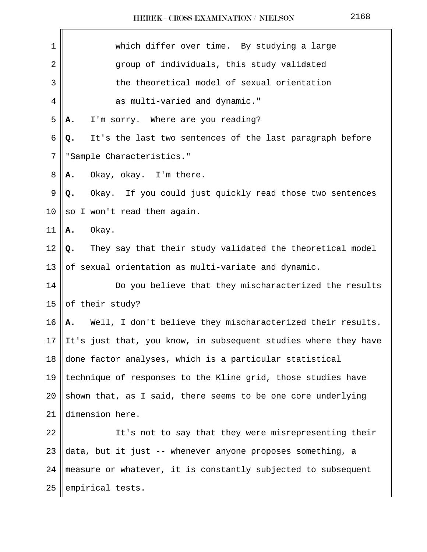| $\mathbf 1$ | which differ over time. By studying a large                      |
|-------------|------------------------------------------------------------------|
| 2           | group of individuals, this study validated                       |
| 3           | the theoretical model of sexual orientation                      |
| 4           | as multi-varied and dynamic."                                    |
| 5           | I'm sorry. Where are you reading?<br>А.                          |
| 6           | It's the last two sentences of the last paragraph before<br>Q.   |
| 7           | "Sample Characteristics."                                        |
| 8           | Okay, okay. I'm there.<br>Α.                                     |
| 9           | Okay. If you could just quickly read those two sentences<br>Q.   |
| 10          | so I won't read them again.                                      |
| 11          | Okay.<br>Α.                                                      |
| 12          | They say that their study validated the theoretical model<br>Q.  |
| 13          | of sexual orientation as multi-variate and dynamic.              |
| 14          | Do you believe that they mischaracterized the results            |
| 15          | of their study?                                                  |
| 16          | Well, I don't believe they mischaracterized their results.<br>Α. |
| 17          | It's just that, you know, in subsequent studies where they have  |
| 18          | done factor analyses, which is a particular statistical          |
| 19          | technique of responses to the Kline grid, those studies have     |
| 20          | shown that, as I said, there seems to be one core underlying     |
| 21          | dimension here.                                                  |
| 22          | It's not to say that they were misrepresenting their             |
| 23          | data, but it just -- whenever anyone proposes something, a       |
| 24          | measure or whatever, it is constantly subjected to subsequent    |
| 25          | empirical tests.                                                 |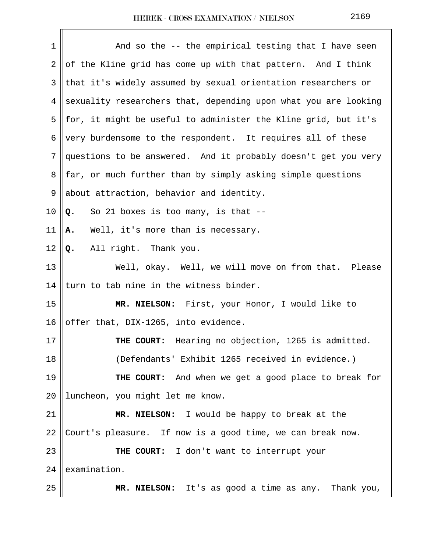| 1  | And so the -- the empirical testing that I have seen            |
|----|-----------------------------------------------------------------|
| 2  | of the Kline grid has come up with that pattern. And I think    |
| 3  | that it's widely assumed by sexual orientation researchers or   |
| 4  | sexuality researchers that, depending upon what you are looking |
| 5  | for, it might be useful to administer the Kline grid, but it's  |
| 6  | very burdensome to the respondent. It requires all of these     |
| 7  | questions to be answered. And it probably doesn't get you very  |
| 8  | far, or much further than by simply asking simple questions     |
| 9  | about attraction, behavior and identity.                        |
| 10 | So 21 boxes is too many, is that --<br>Q.                       |
| 11 | Well, it's more than is necessary.<br>Α.                        |
| 12 | All right. Thank you.<br>Q.                                     |
| 13 | Well, okay. Well, we will move on from that. Please             |
| 14 | turn to tab nine in the witness binder.                         |
| 15 | MR. NIELSON: First, your Honor, I would like to                 |
| 16 | offer that, DIX-1265, into evidence.                            |
| 17 | THE COURT: Hearing no objection, 1265 is admitted.              |
| 18 | (Defendants' Exhibit 1265 received in evidence.)                |
| 19 | THE COURT: And when we get a good place to break for            |
| 20 | luncheon, you might let me know.                                |
| 21 | MR. NIELSON: I would be happy to break at the                   |
| 22 | Court's pleasure. If now is a good time, we can break now.      |
| 23 | THE COURT: I don't want to interrupt your                       |
| 24 | examination.                                                    |
| 25 | MR. NIELSON: It's as good a time as any. Thank you,             |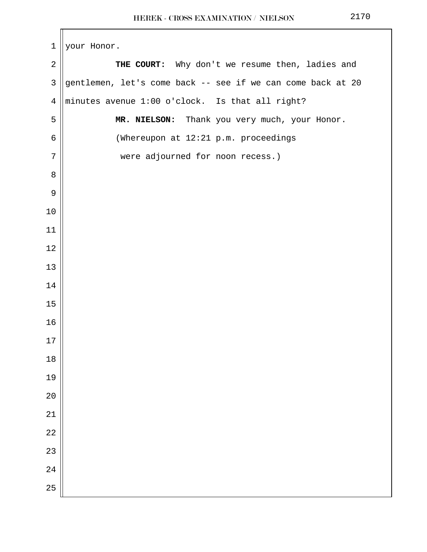| $\mathbf{1}$   | your Honor.                                                 |
|----------------|-------------------------------------------------------------|
| $\sqrt{2}$     | THE COURT: Why don't we resume then, ladies and             |
| $\mathbf{3}$   | gentlemen, let's come back -- see if we can come back at 20 |
| $\overline{4}$ | minutes avenue 1:00 o'clock. Is that all right?             |
| 5              | MR. NIELSON: Thank you very much, your Honor.               |
| $\epsilon$     | (Whereupon at 12:21 p.m. proceedings                        |
| 7              | were adjourned for noon recess.)                            |
| $\,8\,$        |                                                             |
| 9              |                                                             |
| 10             |                                                             |
| 11             |                                                             |
| 12             |                                                             |
| 13             |                                                             |
| 14             |                                                             |
| 15             |                                                             |
| 16             |                                                             |
| 17             |                                                             |
| 18             |                                                             |
| 19             |                                                             |
| 20             |                                                             |
| 21             |                                                             |
| 22             |                                                             |
| 23             |                                                             |
| 24             |                                                             |
| 25             |                                                             |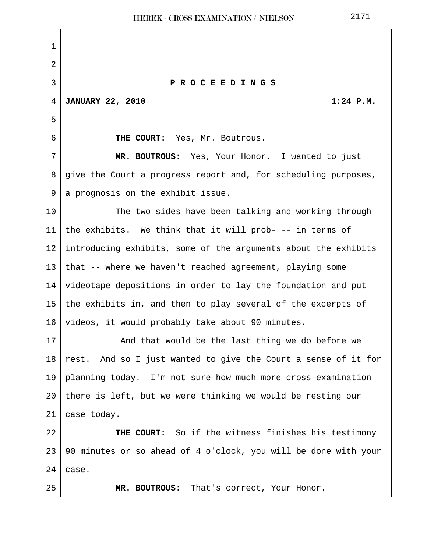| 1  |                                                                 |
|----|-----------------------------------------------------------------|
| 2  |                                                                 |
| 3  | PROCEEDINGS                                                     |
| 4  | <b>JANUARY 22, 2010</b><br>$1:24$ P.M.                          |
| 5  |                                                                 |
| 6  | THE COURT: Yes, Mr. Boutrous.                                   |
| 7  | MR. BOUTROUS: Yes, Your Honor. I wanted to just                 |
| 8  | give the Court a progress report and, for scheduling purposes,  |
| 9  | a prognosis on the exhibit issue.                               |
| 10 | The two sides have been talking and working through             |
| 11 | the exhibits. We think that it will prob- -- in terms of        |
| 12 | introducing exhibits, some of the arguments about the exhibits  |
| 13 | that -- where we haven't reached agreement, playing some        |
| 14 | videotape depositions in order to lay the foundation and put    |
| 15 | the exhibits in, and then to play several of the excerpts of    |
| 16 | videos, it would probably take about 90 minutes.                |
| 17 | And that would be the last thing we do before we                |
| 18 | rest. And so I just wanted to give the Court a sense of it for  |
| 19 | planning today. I'm not sure how much more cross-examination    |
| 20 | there is left, but we were thinking we would be resting our     |
| 21 | case today.                                                     |
| 22 | THE COURT: So if the witness finishes his testimony             |
| 23 | 90 minutes or so ahead of 4 o'clock, you will be done with your |
| 24 | case.                                                           |
| 25 | MR. BOUTROUS:<br>That's correct, Your Honor.                    |
|    |                                                                 |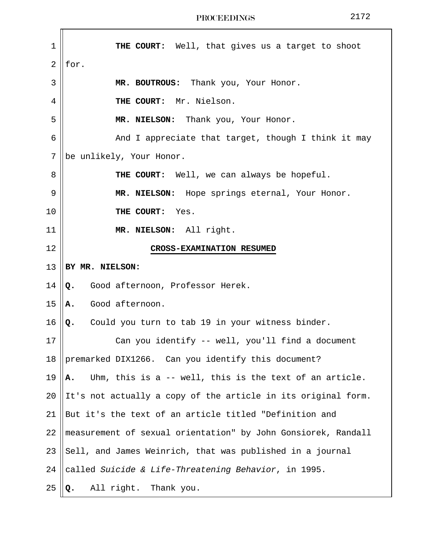| $\mathbf 1$<br>$\overline{2}$ | THE COURT: Well, that gives us a target to shoot<br>for.      |
|-------------------------------|---------------------------------------------------------------|
| 3                             | MR. BOUTROUS: Thank you, Your Honor.                          |
| 4                             | THE COURT: Mr. Nielson.                                       |
| 5                             | MR. NIELSON: Thank you, Your Honor.                           |
| 6                             | And I appreciate that target, though I think it may           |
| 7                             | be unlikely, Your Honor.                                      |
| 8                             |                                                               |
|                               | THE COURT: Well, we can always be hopeful.                    |
| 9                             | MR. NIELSON: Hope springs eternal, Your Honor.                |
| 10                            | THE COURT:<br>Yes.                                            |
| 11                            | MR. NIELSON: All right.                                       |
| 12                            | CROSS-EXAMINATION RESUMED                                     |
| 13                            | BY MR. NIELSON:                                               |
| 14                            | Good afternoon, Professor Herek.<br>Q.                        |
| 15                            | Good afternoon.<br>Α.                                         |
| 16                            | Could you turn to tab 19 in your witness binder.<br>Q.        |
| 17                            | Can you identify -- well, you'll find a document              |
| 18                            | premarked DIX1266. Can you identify this document?            |
| 19                            | Uhm, this is a -- well, this is the text of an article.<br>А. |
| 20                            | It's not actually a copy of the article in its original form. |
| 21                            | But it's the text of an article titled "Definition and        |
| 22                            | measurement of sexual orientation" by John Gonsiorek, Randall |
| 23                            | Sell, and James Weinrich, that was published in a journal     |
| 24                            | called Suicide & Life-Threatening Behavior, in 1995.          |
| 25                            | All right. Thank you.<br>o.                                   |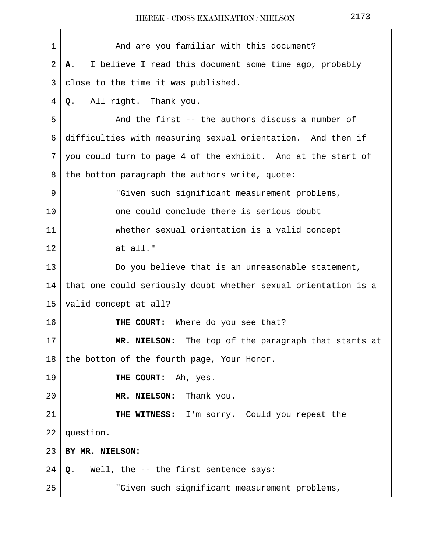| 1  | And are you familiar with this document?                       |
|----|----------------------------------------------------------------|
| 2  | I believe I read this document some time ago, probably<br>А.   |
| 3  | close to the time it was published.                            |
| 4  | All right. Thank you.<br>Q.                                    |
| 5  | And the first -- the authors discuss a number of               |
| 6  | difficulties with measuring sexual orientation. And then if    |
| 7  | you could turn to page 4 of the exhibit. And at the start of   |
| 8  | the bottom paragraph the authors write, quote:                 |
| 9  | "Given such significant measurement problems,                  |
| 10 | one could conclude there is serious doubt                      |
| 11 | whether sexual orientation is a valid concept                  |
| 12 | at all."                                                       |
| 13 | Do you believe that is an unreasonable statement,              |
| 14 | that one could seriously doubt whether sexual orientation is a |
| 15 | valid concept at all?                                          |
| 16 | THE COURT: Where do you see that?                              |
| 17 | The top of the paragraph that starts at<br>MR. NIELSON:        |
| 18 | the bottom of the fourth page, Your Honor.                     |
| 19 | THE COURT: Ah, yes.                                            |
| 20 | MR. NIELSON: Thank you.                                        |
| 21 | THE WITNESS: I'm sorry. Could you repeat the                   |
| 22 | question.                                                      |
| 23 | BY MR. NIELSON:                                                |
| 24 | Well, the -- the first sentence says:<br>Q.                    |
| 25 | "Given such significant measurement problems,                  |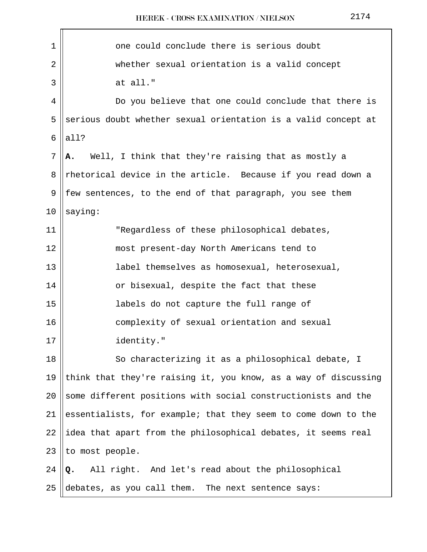| 1  | one could conclude there is serious doubt                       |
|----|-----------------------------------------------------------------|
| 2  | whether sexual orientation is a valid concept                   |
| 3  | at all."                                                        |
| 4  | Do you believe that one could conclude that there is            |
| 5  | serious doubt whether sexual orientation is a valid concept at  |
| 6  | all?                                                            |
| 7  | Well, I think that they're raising that as mostly a<br>А.       |
| 8  | rhetorical device in the article. Because if you read down a    |
| 9  | few sentences, to the end of that paragraph, you see them       |
| 10 | saying:                                                         |
| 11 | "Regardless of these philosophical debates,                     |
| 12 | most present-day North Americans tend to                        |
| 13 | label themselves as homosexual, heterosexual,                   |
| 14 | or bisexual, despite the fact that these                        |
| 15 | labels do not capture the full range of                         |
| 16 | complexity of sexual orientation and sexual                     |
| 17 | identity."                                                      |
| 18 | So characterizing it as a philosophical debate, I               |
| 19 | think that they're raising it, you know, as a way of discussing |
| 20 | some different positions with social constructionists and the   |
| 21 | essentialists, for example; that they seem to come down to the  |
| 22 | idea that apart from the philosophical debates, it seems real   |
| 23 | to most people.                                                 |
| 24 | All right. And let's read about the philosophical<br>Q.         |
| 25 | debates, as you call them. The next sentence says:              |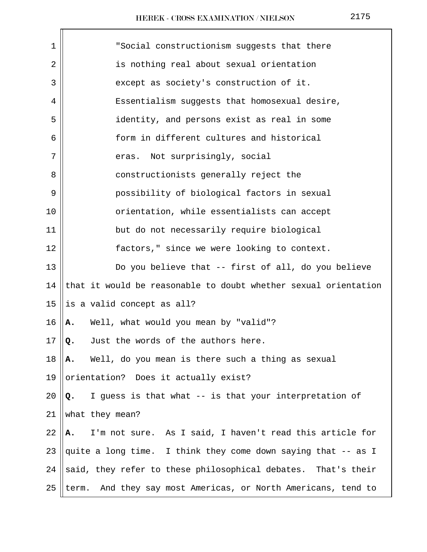| 1  | "Social constructionism suggests that there                      |
|----|------------------------------------------------------------------|
| 2  | is nothing real about sexual orientation                         |
| 3  | except as society's construction of it.                          |
| 4  | Essentialism suggests that homosexual desire,                    |
| 5  | identity, and persons exist as real in some                      |
| 6  | form in different cultures and historical                        |
| 7  | Not surprisingly, social<br>eras.                                |
| 8  | constructionists generally reject the                            |
| 9  | possibility of biological factors in sexual                      |
| 10 | orientation, while essentialists can accept                      |
| 11 | but do not necessarily require biological                        |
| 12 | factors," since we were looking to context.                      |
| 13 | Do you believe that -- first of all, do you believe              |
| 14 | that it would be reasonable to doubt whether sexual orientation  |
| 15 | is a valid concept as all?                                       |
| 16 | Well, what would you mean by "valid"?<br>Α.                      |
| 17 | Just the words of the authors here.<br>Q.                        |
| 18 | Well, do you mean is there such a thing as sexual<br>Α.          |
| 19 | orientation? Does it actually exist?                             |
| 20 | I guess is that what -- is that your interpretation of<br>Q.     |
| 21 | what they mean?                                                  |
| 22 | I'm not sure. As I said, I haven't read this article for<br>А.   |
| 23 | quite a long time. I think they come down saying that -- as I    |
| 24 | said, they refer to these philosophical debates. That's their    |
| 25 | And they say most Americas, or North Americans, tend to<br>term. |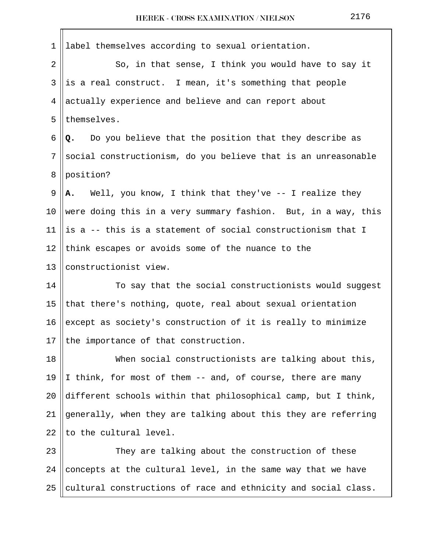1 || label themselves according to sexual orientation.  $2 \parallel$  So, in that sense, I think you would have to say it  $3 \parallel$  is a real construct. I mean, it's something that people 4 actually experience and believe and can report about  $5$  lthemselves. 6  $\|$ **Q.** Do you believe that the position that they describe as  $7$  social constructionism, do you believe that is an unreasonable 8 | position? 9 **A.** Well, you know, I think that they've -- I realize they 10 Were doing this in a very summary fashion. But, in a way, this 11  $\parallel$  is a -- this is a statement of social constructionism that I 12 think escapes or avoids some of the nuance to the 13 Heonstructionist view. 14 To say that the social constructionists would suggest 15  $\parallel$  that there's nothing, quote, real about sexual orientation 16 except as society's construction of it is really to minimize 17 the importance of that construction. 18 When social constructionists are talking about this, 19  $\parallel$ I think, for most of them  $-$  and, of course, there are many 20  $\text{differential}$  schools within that philosophical camp, but I think, 21  $\beta$  generally, when they are talking about this they are referring 22 to the cultural level. 23 || They are talking about the construction of these 24 concepts at the cultural level, in the same way that we have 25  $\|$  cultural constructions of race and ethnicity and social class.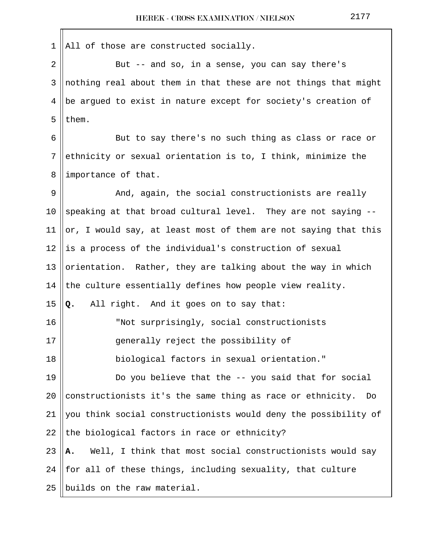| 1              | All of those are constructed socially.                           |
|----------------|------------------------------------------------------------------|
| 2              | But -- and so, in a sense, you can say there's                   |
| 3              | nothing real about them in that these are not things that might  |
| 4              | be argued to exist in nature except for society's creation of    |
| 5              | them.                                                            |
| 6              | But to say there's no such thing as class or race or             |
| $7\phantom{.}$ | ethnicity or sexual orientation is to, I think, minimize the     |
| 8              | importance of that.                                              |
| 9              | And, again, the social constructionists are really               |
| 10             | speaking at that broad cultural level. They are not saying --    |
| 11             | or, I would say, at least most of them are not saying that this  |
| 12             | is a process of the individual's construction of sexual          |
| 13             | orientation. Rather, they are talking about the way in which     |
| 14             | the culture essentially defines how people view reality.         |
| 15             | All right. And it goes on to say that:<br>Q.                     |
| 16             | "Not surprisingly, social constructionists                       |
| 17             | generally reject the possibility of                              |
| 18             | biological factors in sexual orientation."                       |
| 19             | Do you believe that the -- you said that for social              |
| 20             | constructionists it's the same thing as race or ethnicity.<br>Do |
| 21             | you think social constructionists would deny the possibility of  |
| 22             | the biological factors in race or ethnicity?                     |
| 23             | Well, I think that most social constructionists would say<br>Α.  |
| 24             | for all of these things, including sexuality, that culture       |
| 25             | builds on the raw material.                                      |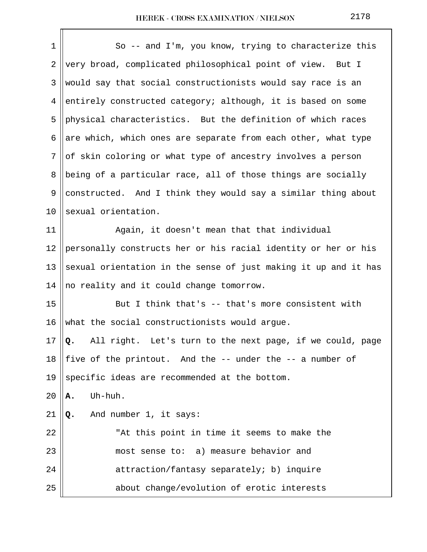| $\mathbf 1$ | So -- and I'm, you know, trying to characterize this            |
|-------------|-----------------------------------------------------------------|
| 2           | very broad, complicated philosophical point of view. But I      |
| 3           | would say that social constructionists would say race is an     |
| 4           | entirely constructed category; although, it is based on some    |
| 5           | physical characteristics. But the definition of which races     |
| 6           | are which, which ones are separate from each other, what type   |
| 7           | of skin coloring or what type of ancestry involves a person     |
| 8           | being of a particular race, all of those things are socially    |
| 9           | constructed. And I think they would say a similar thing about   |
| 10          | sexual orientation.                                             |
| 11          | Again, it doesn't mean that that individual                     |
| 12          | personally constructs her or his racial identity or her or his  |
| 13          | sexual orientation in the sense of just making it up and it has |
| 14          | no reality and it could change tomorrow.                        |
| 15          | But I think that's -- that's more consistent with               |
| 16          | what the social constructionists would argue.                   |
| 17          | Q. All right. Let's turn to the next page, if we could, page    |
| 18          | five of the printout. And the -- under the -- a number of       |
| 19          | specific ideas are recommended at the bottom.                   |
| 20          | Uh-huh.<br>Α.                                                   |
| 21          | And number 1, it says:<br>Q.                                    |
| 22          | "At this point in time it seems to make the                     |
| 23          | most sense to: a) measure behavior and                          |
| 24          | attraction/fantasy separately; b) inquire                       |
| 25          | about change/evolution of erotic interests                      |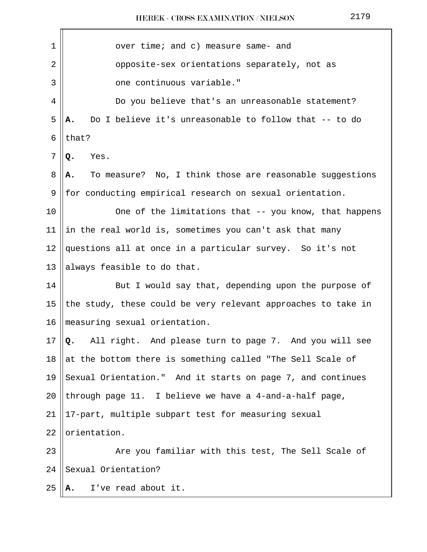1 || over time; and c) measure same- and 2 || opposite-sex orientations separately, not as 3 || one continuous variable." 4 Do you believe that's an unreasonable statement? 5 **A.** Do I believe it's unreasonable to follow that -- to do  $6$  that?  $7 \parallel \mathbf{Q}$ . Yes. 8 **A.** To measure? No, I think those are reasonable suggestions 9 for conducting empirical research on sexual orientation. 10 || One of the limitations that -- you know, that happens 11  $\parallel$  in the real world is, sometimes you can't ask that many 12 ||questions all at once in a particular survey. So it's not 13  $\parallel$  always feasible to do that. 14 || But I would say that, depending upon the purpose of 15 || the study, these could be very relevant approaches to take in 16 measuring sexual orientation. 17 **Q.** All right. And please turn to page 7. And you will see 18  $\parallel$  at the bottom there is something called "The Sell Scale of 19  $\parallel$  Sexual Orientation." And it starts on page 7, and continues 20 || through page 11. I believe we have a 4-and-a-half page, 21 17-part, multiple subpart test for measuring sexual 22 | orientation. 23 || Are you familiar with this test, The Sell Scale of 24 Sexual Orientation?  $25$   $\parallel$ **A.** I've read about it.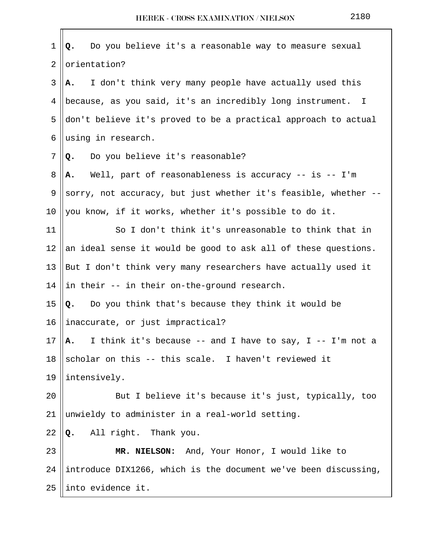| 1  | Do you believe it's a reasonable way to measure sexual<br>Q.    |
|----|-----------------------------------------------------------------|
| 2  | orientation?                                                    |
| 3  | I don't think very many people have actually used this<br>A.,   |
| 4  | because, as you said, it's an incredibly long instrument. I     |
| 5  | don't believe it's proved to be a practical approach to actual  |
| 6  | using in research.                                              |
| 7  | Do you believe it's reasonable?<br>Q.                           |
| 8  | Well, part of reasonableness is accuracy -- is -- I'm<br>А.     |
| 9  | sorry, not accuracy, but just whether it's feasible, whether -- |
| 10 | you know, if it works, whether it's possible to do it.          |
| 11 | So I don't think it's unreasonable to think that in             |
| 12 | an ideal sense it would be good to ask all of these questions.  |
| 13 | But I don't think very many researchers have actually used it   |
| 14 | in their -- in their on-the-ground research.                    |
| 15 | Do you think that's because they think it would be<br>Q.        |
| 16 | inaccurate, or just impractical?                                |
| 17 | A. I think it's because -- and I have to say, $I - - I'm$ not a |
| 18 | scholar on this -- this scale. I haven't reviewed it            |
| 19 | intensively.                                                    |
| 20 | But I believe it's because it's just, typically, too            |
| 21 | unwieldy to administer in a real-world setting.                 |
| 22 | All right. Thank you.<br>Q.                                     |
| 23 | MR. NIELSON: And, Your Honor, I would like to                   |
| 24 | introduce DIX1266, which is the document we've been discussing, |
| 25 | into evidence it.                                               |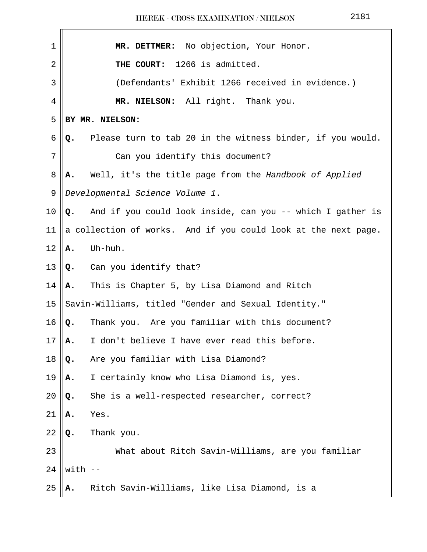| 1              |      | MR. DETTMER: No objection, Your Honor.                         |
|----------------|------|----------------------------------------------------------------|
| $\overline{2}$ |      | THE COURT: 1266 is admitted.                                   |
| 3              |      | (Defendants' Exhibit 1266 received in evidence.)               |
| 4              |      | MR. NIELSON: All right. Thank you.                             |
| 5              |      | BY MR. NIELSON:                                                |
| 6              | Q.   | Please turn to tab 20 in the witness binder, if you would.     |
| 7              |      | Can you identify this document?                                |
| 8              | Α.   | Well, it's the title page from the Handbook of Applied         |
| 9              |      | Developmental Science Volume 1.                                |
| 10             | Q.   | And if you could look inside, can you -- which I gather is     |
| 11             |      | a collection of works. And if you could look at the next page. |
| 12             | А.   | Uh-huh.                                                        |
| 13             | Q.   | Can you identify that?                                         |
| 14             | Α.   | This is Chapter 5, by Lisa Diamond and Ritch                   |
| 15             |      | Savin-Williams, titled "Gender and Sexual Identity."           |
| 16             | Q.   | Thank you. Are you familiar with this document?                |
| $17\,$         | А.   | I don't believe I have ever read this before.                  |
| 18             | Q.   | Are you familiar with Lisa Diamond?                            |
| 19             |      | I certainly know who Lisa Diamond is, yes.                     |
| 20             | Q.   | She is a well-respected researcher, correct?                   |
| 21             |      | Yes.                                                           |
| 22             | Q.   | Thank you.                                                     |
| 23             |      | What about Ritch Savin-Williams, are you familiar              |
| 24             | with |                                                                |
| 25             |      | Ritch Savin-Williams, like Lisa Diamond, is a                  |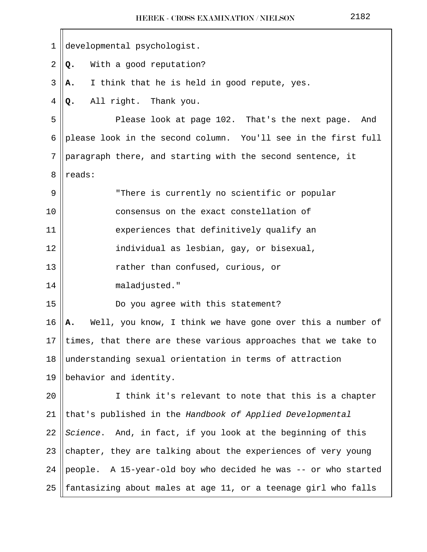| 1  | developmental psychologist.                                      |
|----|------------------------------------------------------------------|
| 2  | With a good reputation?<br>Q.                                    |
| 3  | I think that he is held in good repute, yes.<br>А.               |
| 4  | All right. Thank you.<br>Q.                                      |
| 5  | Please look at page 102. That's the next page.<br>And            |
| 6  | please look in the second column. You'll see in the first full   |
| 7  | paragraph there, and starting with the second sentence, it       |
| 8  | reads:                                                           |
| 9  | "There is currently no scientific or popular                     |
| 10 | consensus on the exact constellation of                          |
| 11 | experiences that definitively qualify an                         |
| 12 | individual as lesbian, gay, or bisexual,                         |
| 13 | rather than confused, curious, or                                |
| 14 | maladjusted."                                                    |
| 15 | Do you agree with this statement?                                |
| 16 | Well, you know, I think we have gone over this a number of<br>Α. |
| 17 | times, that there are these various approaches that we take to   |
| 18 | understanding sexual orientation in terms of attraction          |
| 19 | behavior and identity.                                           |
| 20 | I think it's relevant to note that this is a chapter             |
| 21 | that's published in the Handbook of Applied Developmental        |
| 22 | Science. And, in fact, if you look at the beginning of this      |
| 23 | chapter, they are talking about the experiences of very young    |
| 24 | people. A 15-year-old boy who decided he was -- or who started   |
| 25 | fantasizing about males at age 11, or a teenage girl who falls   |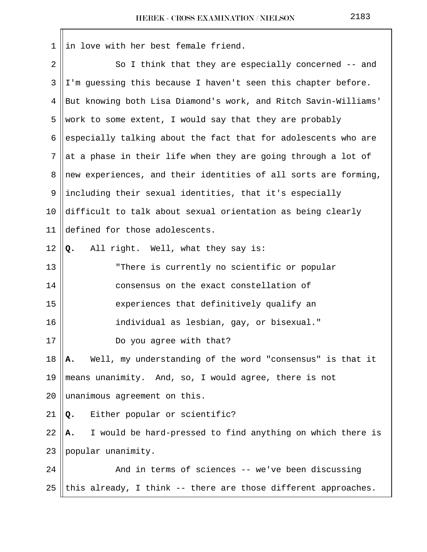| 1  | in love with her best female friend.                             |
|----|------------------------------------------------------------------|
| 2  | So I think that they are especially concerned -- and             |
| 3  | I'm guessing this because I haven't seen this chapter before.    |
| 4  | But knowing both Lisa Diamond's work, and Ritch Savin-Williams'  |
| 5  | work to some extent, I would say that they are probably          |
| 6  | especially talking about the fact that for adolescents who are   |
| 7  | at a phase in their life when they are going through a lot of    |
| 8  | new experiences, and their identities of all sorts are forming,  |
| 9  | including their sexual identities, that it's especially          |
| 10 | difficult to talk about sexual orientation as being clearly      |
| 11 | defined for those adolescents.                                   |
| 12 | All right. Well, what they say is:<br>Q.                         |
| 13 | "There is currently no scientific or popular                     |
| 14 | consensus on the exact constellation of                          |
| 15 | experiences that definitively qualify an                         |
| 16 | individual as lesbian, gay, or bisexual."                        |
| 17 | Do you agree with that?                                          |
| 18 | Well, my understanding of the word "consensus" is that it<br>А.  |
| 19 | means unanimity. And, so, I would agree, there is not            |
| 20 | unanimous agreement on this.                                     |
| 21 | Either popular or scientific?<br>Q.                              |
| 22 | I would be hard-pressed to find anything on which there is<br>А. |
| 23 | popular unanimity.                                               |
| 24 | And in terms of sciences -- we've been discussing                |
| 25 | this already, I think -- there are those different approaches.   |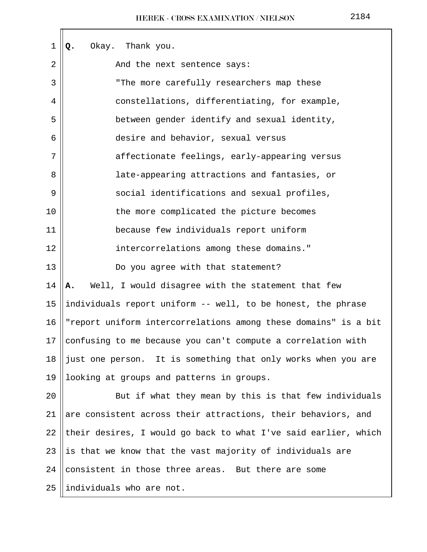| $1\,$          | Okay. Thank you.<br>Q.                                          |
|----------------|-----------------------------------------------------------------|
| $\overline{2}$ | And the next sentence says:                                     |
| 3              | "The more carefully researchers map these                       |
| 4              | constellations, differentiating, for example,                   |
| 5              | between gender identify and sexual identity,                    |
| 6              | desire and behavior, sexual versus                              |
| 7              | affectionate feelings, early-appearing versus                   |
| 8              | late-appearing attractions and fantasies, or                    |
| 9              | social identifications and sexual profiles,                     |
| 10             | the more complicated the picture becomes                        |
| 11             | because few individuals report uniform                          |
| 12             | intercorrelations among these domains."                         |
| 13             | Do you agree with that statement?                               |
| 14             | Well, I would disagree with the statement that few<br>А.        |
| 15             | individuals report uniform -- well, to be honest, the phrase    |
| 16             | "report uniform intercorrelations among these domains" is a bit |
| 17             | confusing to me because you can't compute a correlation with    |
| 18             | just one person. It is something that only works when you are   |
| 19             | looking at groups and patterns in groups.                       |
| 20             | But if what they mean by this is that few individuals           |
| 21             | are consistent across their attractions, their behaviors, and   |
| 22             | their desires, I would go back to what I've said earlier, which |
| 23             | is that we know that the vast majority of individuals are       |
| 24             | consistent in those three areas. But there are some             |
| 25             | individuals who are not.                                        |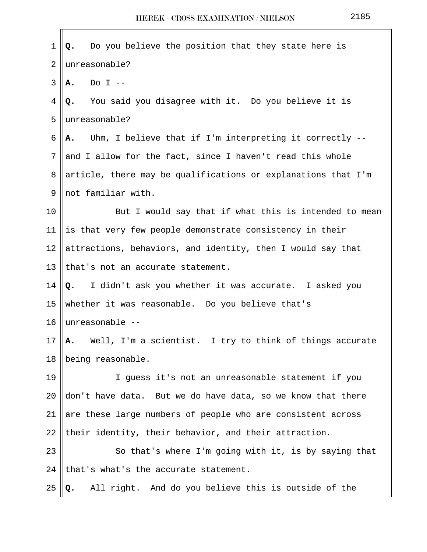| 1  | Do you believe the position that they state here is<br>Q.      |
|----|----------------------------------------------------------------|
| 2  | unreasonable?                                                  |
| 3  | Do I $--$<br>Α.                                                |
| 4  | You said you disagree with it. Do you believe it is<br>Q.      |
| 5  | unreasonable?                                                  |
| 6  | Uhm, I believe that if I'm interpreting it correctly $-$<br>Α. |
| 7  | and I allow for the fact, since I haven't read this whole      |
| 8  | article, there may be qualifications or explanations that I'm  |
| 9  | not familiar with.                                             |
| 10 | But I would say that if what this is intended to mean          |
| 11 | is that very few people demonstrate consistency in their       |
| 12 | attractions, behaviors, and identity, then I would say that    |
| 13 | that's not an accurate statement.                              |
| 14 | Q. I didn't ask you whether it was accurate. I asked you       |
| 15 | whether it was reasonable. Do you believe that's               |
| 16 | unreasonable --                                                |
| 17 | Well, I'm a scientist. I try to think of things accurate<br>А. |
| 18 | being reasonable.                                              |
| 19 | I guess it's not an unreasonable statement if you              |
| 20 | don't have data. But we do have data, so we know that there    |
| 21 | are these large numbers of people who are consistent across    |
| 22 | their identity, their behavior, and their attraction.          |
| 23 | So that's where I'm going with it, is by saying that           |
| 24 | that's what's the accurate statement.                          |
| 25 | All right. And do you believe this is outside of the<br>Q.     |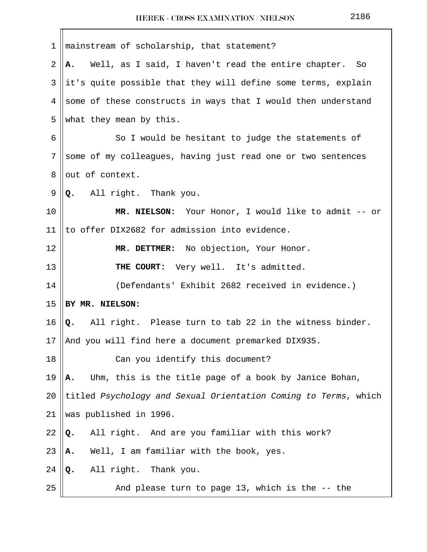| 1              | mainstream of scholarship, that statement?                      |
|----------------|-----------------------------------------------------------------|
| $\overline{2}$ | A. Well, as I said, I haven't read the entire chapter. So       |
| 3              | it's quite possible that they will define some terms, explain   |
| 4              | some of these constructs in ways that I would then understand   |
| 5              | what they mean by this.                                         |
| 6              | So I would be hesitant to judge the statements of               |
| 7              | some of my colleagues, having just read one or two sentences    |
| 8              | out of context.                                                 |
| 9              | All right. Thank you.<br>Q.                                     |
| 10             | MR. NIELSON: Your Honor, I would like to admit -- or            |
| 11             | to offer DIX2682 for admission into evidence.                   |
| 12             | MR. DETTMER: No objection, Your Honor.                          |
| 13             | THE COURT: Very well. It's admitted.                            |
| 14             | (Defendants' Exhibit 2682 received in evidence.)                |
| 15             | BY MR. NIELSON:                                                 |
| 16             | All right. Please turn to tab 22 in the witness binder.<br>Q.   |
| $17$           | And you will find here a document premarked DIX935.             |
| 18             | Can you identify this document?                                 |
| 19             | Uhm, this is the title page of a book by Janice Bohan,<br>Α.    |
| 20             | titled Psychology and Sexual Orientation Coming to Terms, which |
| 21             | was published in 1996.                                          |
| 22             | All right. And are you familiar with this work?<br>Q.           |
| 23             | Well, I am familiar with the book, yes.<br>Α.                   |
| 24             | All right. Thank you.<br>Q.                                     |
| 25             | And please turn to page 13, which is the -- the                 |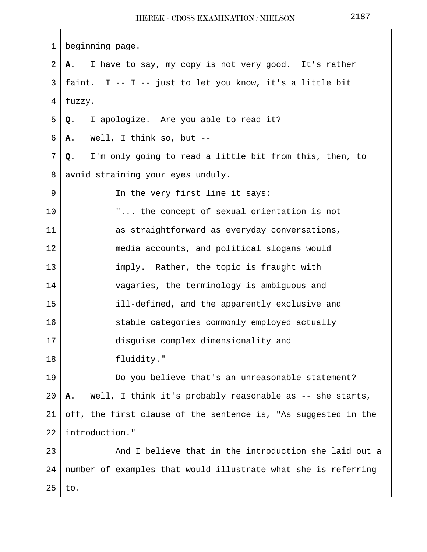| 1  | beginning page.                                                |
|----|----------------------------------------------------------------|
| 2  | I have to say, my copy is not very good. It's rather<br>A.     |
| 3  | faint. I -- I -- just to let you know, it's a little bit       |
| 4  | fuzzy.                                                         |
| 5  | I apologize. Are you able to read it?<br>Q.                    |
| 6  | Well, I think so, but --<br>Α.                                 |
| 7  | I'm only going to read a little bit from this, then, to<br>Q.  |
| 8  | avoid straining your eyes unduly.                              |
| 9  | In the very first line it says:                                |
| 10 | " the concept of sexual orientation is not                     |
| 11 | as straightforward as everyday conversations,                  |
| 12 | media accounts, and political slogans would                    |
| 13 | imply. Rather, the topic is fraught with                       |
| 14 | vagaries, the terminology is ambiguous and                     |
| 15 | ill-defined, and the apparently exclusive and                  |
| 16 | stable categories commonly employed actually                   |
| 17 | disguise complex dimensionality and                            |
| 18 | fluidity."                                                     |
| 19 | Do you believe that's an unreasonable statement?               |
| 20 | Well, I think it's probably reasonable as -- she starts,<br>Α. |
| 21 | off, the first clause of the sentence is, "As suggested in the |
| 22 | introduction."                                                 |
| 23 | And I believe that in the introduction she laid out a          |
| 24 | number of examples that would illustrate what she is referring |
| 25 | to.                                                            |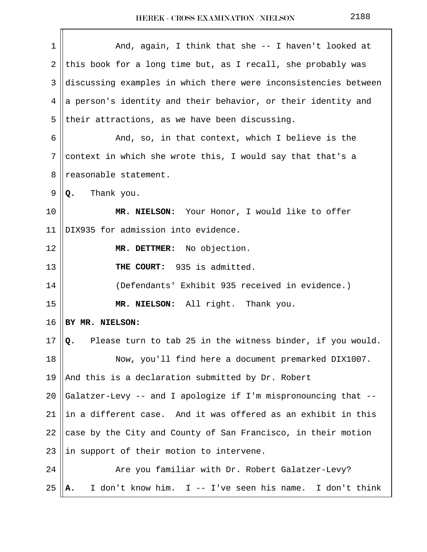| $\mathbf 1$    | And, again, I think that she -- I haven't looked at              |
|----------------|------------------------------------------------------------------|
| $\overline{2}$ | this book for a long time but, as I recall, she probably was     |
| 3              | discussing examples in which there were inconsistencies between  |
| 4              | a person's identity and their behavior, or their identity and    |
| 5              | their attractions, as we have been discussing.                   |
| 6              | And, so, in that context, which I believe is the                 |
| 7              | context in which she wrote this, I would say that that's a       |
| 8              | reasonable statement.                                            |
| 9              | Thank you.<br>Q.                                                 |
| 10             | MR. NIELSON: Your Honor, I would like to offer                   |
| 11             | DIX935 for admission into evidence.                              |
| 12             | No objection.<br>MR. DETTMER:                                    |
| 13             | THE COURT: 935 is admitted.                                      |
| 14             | (Defendants' Exhibit 935 received in evidence.)                  |
| 15             | MR. NIELSON: All right. Thank you.                               |
| 16             | BY MR. NIELSON:                                                  |
| 17             | Please turn to tab 25 in the witness binder, if you would.<br>Q. |
| 18             | Now, you'll find here a document premarked DIX1007.              |
| 19             | And this is a declaration submitted by Dr. Robert                |
| 20             | Galatzer-Levy -- and I apologize if I'm mispronouncing that --   |
| 21             | in a different case. And it was offered as an exhibit in this    |
| 22             | case by the City and County of San Francisco, in their motion    |
| 23             | in support of their motion to intervene.                         |
| 24             | Are you familiar with Dr. Robert Galatzer-Levy?                  |
| 25             | I don't know him. I -- I've seen his name. I don't think<br>А.   |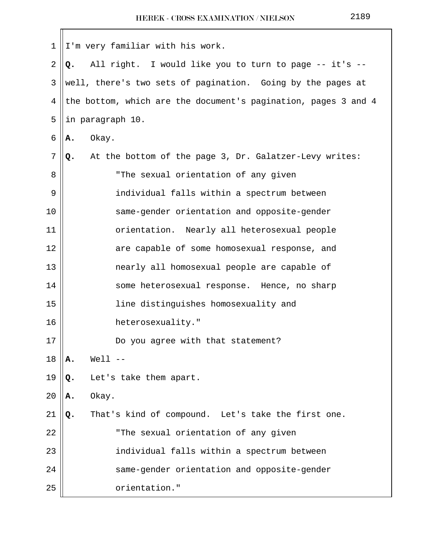| 1  |    | I'm very familiar with his work.                               |
|----|----|----------------------------------------------------------------|
| 2  | Q. | All right. I would like you to turn to page -- it's --         |
| 3  |    | well, there's two sets of pagination. Going by the pages at    |
| 4  |    | the bottom, which are the document's pagination, pages 3 and 4 |
| 5  |    | in paragraph 10.                                               |
| 6  | Α. | Okay.                                                          |
| 7  | Q. | At the bottom of the page 3, Dr. Galatzer-Levy writes:         |
| 8  |    | "The sexual orientation of any given                           |
| 9  |    | individual falls within a spectrum between                     |
| 10 |    | same-gender orientation and opposite-gender                    |
| 11 |    | orientation. Nearly all heterosexual people                    |
| 12 |    | are capable of some homosexual response, and                   |
| 13 |    | nearly all homosexual people are capable of                    |
| 14 |    | some heterosexual response. Hence, no sharp                    |
| 15 |    | line distinguishes homosexuality and                           |
| 16 |    | heterosexuality."                                              |
| 17 |    | Do you agree with that statement?                              |
| 18 | A. | $Well1$ --                                                     |
| 19 | Q. | Let's take them apart.                                         |
| 20 | Α. | Okay.                                                          |
| 21 | Q. | That's kind of compound. Let's take the first one.             |
| 22 |    | "The sexual orientation of any given                           |
| 23 |    | individual falls within a spectrum between                     |
| 24 |    | same-gender orientation and opposite-gender                    |
| 25 |    | orientation."                                                  |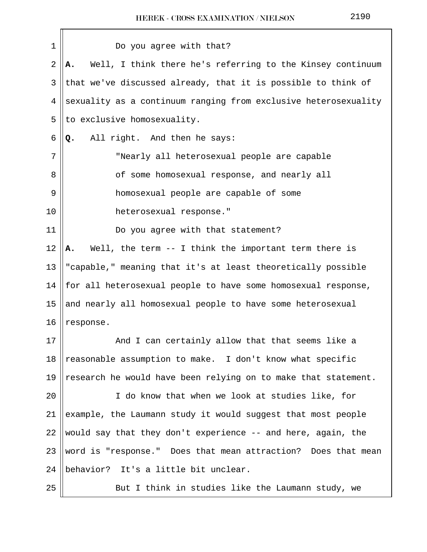| 1  | Do you agree with that?                                          |
|----|------------------------------------------------------------------|
| 2  | Well, I think there he's referring to the Kinsey continuum<br>Α. |
| 3  | that we've discussed already, that it is possible to think of    |
| 4  | sexuality as a continuum ranging from exclusive heterosexuality  |
| 5  | to exclusive homosexuality.                                      |
| 6  | All right. And then he says:<br>Q.                               |
| 7  | "Nearly all heterosexual people are capable                      |
| 8  | of some homosexual response, and nearly all                      |
| 9  | homosexual people are capable of some                            |
| 10 | heterosexual response."                                          |
| 11 | Do you agree with that statement?                                |
| 12 | Well, the term $-$ - I think the important term there is<br>А.   |
| 13 | "capable," meaning that it's at least theoretically possible     |
| 14 | for all heterosexual people to have some homosexual response,    |
| 15 | and nearly all homosexual people to have some heterosexual       |
| 16 | response.                                                        |
| 17 | And I can certainly allow that that seems like a                 |
| 18 | reasonable assumption to make. I don't know what specific        |
| 19 | research he would have been relying on to make that statement.   |
| 20 | I do know that when we look at studies like, for                 |
| 21 | example, the Laumann study it would suggest that most people     |
| 22 | would say that they don't experience -- and here, again, the     |
| 23 | word is "response." Does that mean attraction? Does that mean    |
| 24 | behavior? It's a little bit unclear.                             |
| 25 | But I think in studies like the Laumann study, we                |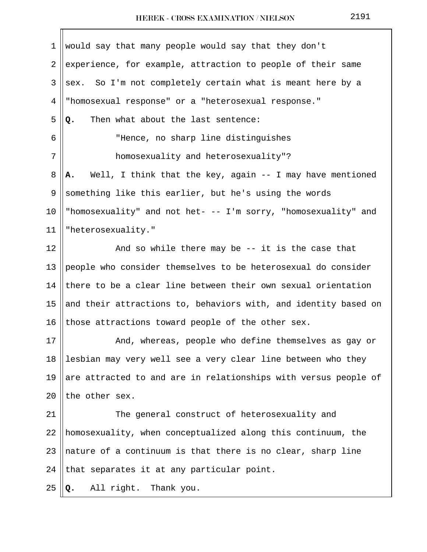| 1              | would say that many people would say that they don't             |
|----------------|------------------------------------------------------------------|
| 2              | experience, for example, attraction to people of their same      |
| 3              | sex. So I'm not completely certain what is meant here by a       |
| 4              | "homosexual response" or a "heterosexual response."              |
| 5              | Then what about the last sentence:<br>Q.                         |
| 6              | "Hence, no sharp line distinguishes                              |
| $7\phantom{.}$ | homosexuality and heterosexuality"?                              |
| 8              | Well, I think that the key, again $-$ I may have mentioned<br>Α. |
| 9              | something like this earlier, but he's using the words            |
| 10             | "homosexuality" and not het- -- I'm sorry, "homosexuality" and   |
| 11             | "heterosexuality."                                               |
| 12             | And so while there may be $-$ it is the case that                |
| 13             | people who consider themselves to be heterosexual do consider    |
| 14             | there to be a clear line between their own sexual orientation    |
| 15             | and their attractions to, behaviors with, and identity based on  |
| 16             | those attractions toward people of the other sex.                |
| 17             | And, whereas, people who define themselves as gay or             |
| 18             | lesbian may very well see a very clear line between who they     |
| 19             | are attracted to and are in relationships with versus people of  |
| 20             | the other sex.                                                   |
| 21             | The general construct of heterosexuality and                     |
| 22             | homosexuality, when conceptualized along this continuum, the     |
| 23             | nature of a continuum is that there is no clear, sharp line      |
| 24             | that separates it at any particular point.                       |
| 25             | All right. Thank you.<br>Q.                                      |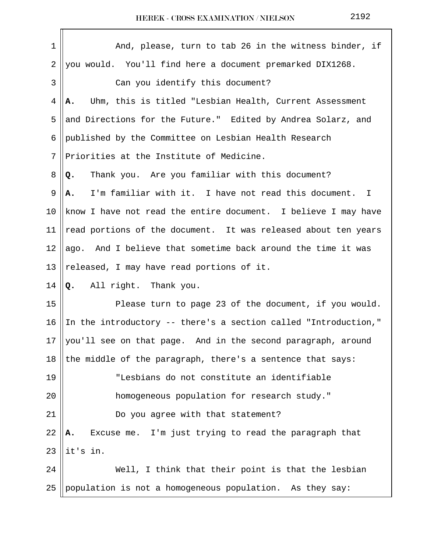$\blacksquare$ 

| $\mathbf 1$ | And, please, turn to tab 26 in the witness binder, if                       |
|-------------|-----------------------------------------------------------------------------|
| 2           | you would. You'll find here a document premarked DIX1268.                   |
| 3           | Can you identify this document?                                             |
| 4           | Uhm, this is titled "Lesbian Health, Current Assessment<br>Α.               |
| 5           | and Directions for the Future." Edited by Andrea Solarz, and                |
| 6           | published by the Committee on Lesbian Health Research                       |
| 7           | Priorities at the Institute of Medicine.                                    |
| 8           | Thank you. Are you familiar with this document?<br>Q.                       |
| 9           | I'm familiar with it. I have not read this document. I<br>Α.                |
| 10          | know I have not read the entire document. I believe I may have              |
| 11          | read portions of the document. It was released about ten years              |
| 12          | ago. And I believe that sometime back around the time it was                |
| 13          | released, I may have read portions of it.                                   |
| 14          | All right. Thank you.<br>Q.                                                 |
| 15          | Please turn to page 23 of the document, if you would.                       |
| 16          | In the introductory -- there's a section called "Introduction,"             |
|             | 17 $\parallel$ you'll see on that page. And in the second paragraph, around |
| 18          | the middle of the paragraph, there's a sentence that says:                  |
| 19          | "Lesbians do not constitute an identifiable                                 |
| 20          | homogeneous population for research study."                                 |
| 21          | Do you agree with that statement?                                           |
| 22          | Excuse me. I'm just trying to read the paragraph that<br>Α.                 |
| 23          | it's in.                                                                    |
| 24          | Well, I think that their point is that the lesbian                          |
| 25          | population is not a homogeneous population. As they say:                    |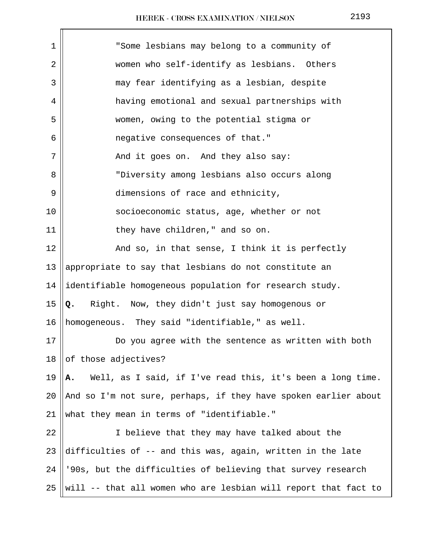| 1              | "Some lesbians may belong to a community of                      |
|----------------|------------------------------------------------------------------|
| $\overline{2}$ | women who self-identify as lesbians. Others                      |
| 3              | may fear identifying as a lesbian, despite                       |
| 4              | having emotional and sexual partnerships with                    |
| 5              | women, owing to the potential stigma or                          |
| 6              | negative consequences of that."                                  |
| 7              | And it goes on. And they also say:                               |
| 8              | "Diversity among lesbians also occurs along                      |
| 9              | dimensions of race and ethnicity,                                |
| 10             | socioeconomic status, age, whether or not                        |
| 11             | they have children," and so on.                                  |
| 12             | And so, in that sense, I think it is perfectly                   |
| 13             | appropriate to say that lesbians do not constitute an            |
| 14             | identifiable homogeneous population for research study.          |
| 15             | Right. Now, they didn't just say homogenous or<br>Q.             |
| 16             | homogeneous. They said "identifiable," as well.                  |
| 17             | Do you agree with the sentence as written with both              |
| 18             | of those adjectives?                                             |
| 19             | Well, as I said, if I've read this, it's been a long time.<br>Α. |
| 20             | And so I'm not sure, perhaps, if they have spoken earlier about  |
| 21             | what they mean in terms of "identifiable."                       |
| 22             | I believe that they may have talked about the                    |
| 23             | difficulties of -- and this was, again, written in the late      |
| 24             | '90s, but the difficulties of believing that survey research     |
| 25             | will -- that all women who are lesbian will report that fact to  |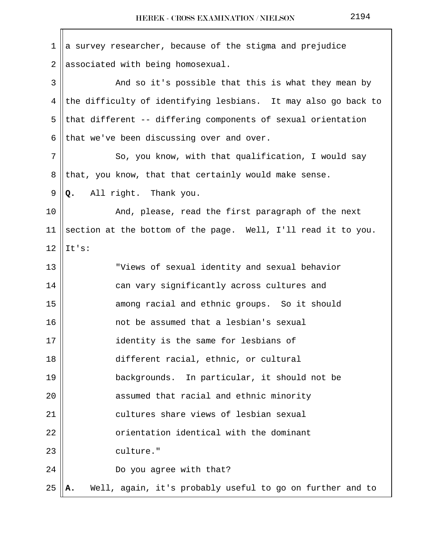| 1              | a survey researcher, because of the stigma and prejudice        |
|----------------|-----------------------------------------------------------------|
| $\overline{2}$ | associated with being homosexual.                               |
| 3              | And so it's possible that this is what they mean by             |
| 4              | the difficulty of identifying lesbians. It may also go back to  |
| 5              | that different -- differing components of sexual orientation    |
| 6              | that we've been discussing over and over.                       |
| 7              | So, you know, with that qualification, I would say              |
| 8              | that, you know, that that certainly would make sense.           |
| 9              | All right. Thank you.<br>Q.                                     |
| 10             | And, please, read the first paragraph of the next               |
| 11             | section at the bottom of the page. Well, I'll read it to you.   |
| 12             | It's:                                                           |
| 13             | "Views of sexual identity and sexual behavior                   |
| 14             | can vary significantly across cultures and                      |
| 15             | among racial and ethnic groups. So it should                    |
| 16             | not be assumed that a lesbian's sexual                          |
| $17\,$         | identity is the same for lesbians of                            |
| 18             | different racial, ethnic, or cultural                           |
| 19             | backgrounds. In particular, it should not be                    |
| 20             | assumed that racial and ethnic minority                         |
| 21             | cultures share views of lesbian sexual                          |
| 22             | orientation identical with the dominant                         |
| 23             | culture."                                                       |
| 24             | Do you agree with that?                                         |
| 25             | Well, again, it's probably useful to go on further and to<br>А. |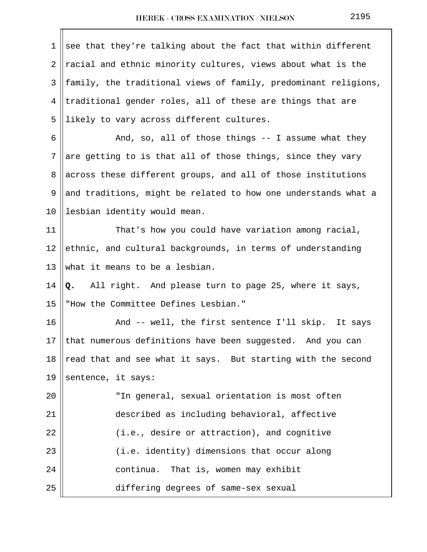| 1  | see that they're talking about the fact that within different   |
|----|-----------------------------------------------------------------|
| 2  | racial and ethnic minority cultures, views about what is the    |
| 3  | family, the traditional views of family, predominant religions, |
| 4  | traditional gender roles, all of these are things that are      |
| 5  | likely to vary across different cultures.                       |
| 6  | And, so, all of those things -- I assume what they              |
| 7  | are getting to is that all of those things, since they vary     |
| 8  | across these different groups, and all of those institutions    |
| 9  | and traditions, might be related to how one understands what a  |
| 10 | lesbian identity would mean.                                    |
| 11 | That's how you could have variation among racial,               |
| 12 | ethnic, and cultural backgrounds, in terms of understanding     |
| 13 | what it means to be a lesbian.                                  |
| 14 | All right. And please turn to page 25, where it says,<br>Q.     |
| 15 | "How the Committee Defines Lesbian."                            |
| 16 | And -- well, the first sentence I'll skip. It says              |
| 17 | that numerous definitions have been suggested. And you can      |
| 18 | read that and see what it says. But starting with the second    |
| 19 | sentence, it says:                                              |
| 20 | "In general, sexual orientation is most often                   |
| 21 | described as including behavioral, affective                    |
| 22 | (i.e., desire or attraction), and cognitive                     |
| 23 | (i.e. identity) dimensions that occur along                     |
| 24 | continua. That is, women may exhibit                            |
| 25 | differing degrees of same-sex sexual                            |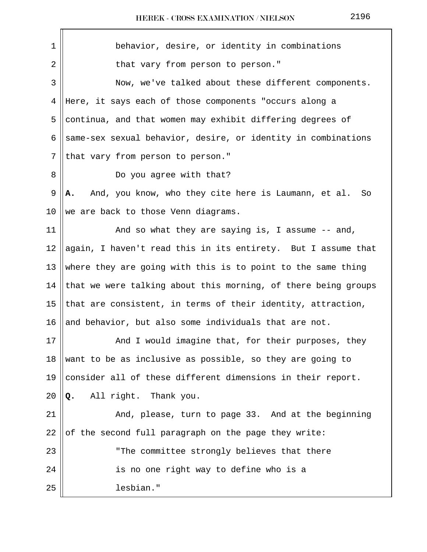|                | 2196<br>HEREK - CROSS EXAMINATION / NIELSON                   |
|----------------|---------------------------------------------------------------|
| $\mathbf{1}$   | behavior, desire, or identity in combinations                 |
| 2              | that vary from person to person."                             |
| 3              | Now, we've talked about these different components.           |
| 4              | Here, it says each of those components "occurs along a        |
| 5              | continua, and that women may exhibit differing degrees of     |
| 6              | same-sex sexual behavior, desire, or identity in combinations |
| 7              | that vary from person to person."                             |
| 8              | Do you agree with that?                                       |
| $\overline{9}$ | And, you know, who they cite here is Laumann, et al. So<br>А. |
| 10             | we are back to those Venn diagrams.                           |
| 11             | And so what they are saying is, I assume $-$ and,             |
| 12             | again, I haven't read this in its entirety. But I assume tha  |
| 13             | where they are going with this is to point to the same thing  |
| 14             | that we were talking about this morning, of there being group |
|                |                                                               |

12 || again, I haven't read this in its entirety. But I assume that 13  $\parallel$  where they are going with this is to point to the same thing 14 that we were talking about this morning, of there being groups 15 || that are consistent, in terms of their identity, attraction, 16 and behavior, but also some individuals that are not.

17 And I would imagine that, for their purposes, they 18 Want to be as inclusive as possible, so they are going to 19 || consider all of these different dimensions in their report. 20 **Q.** All right. Thank you.

21 || The And, please, turn to page 33. And at the beginning 22  $\vert$  of the second full paragraph on the page they write: 23 || The committee strongly believes that there  $24$  || is no one right way to define who is a 25 || lesbian."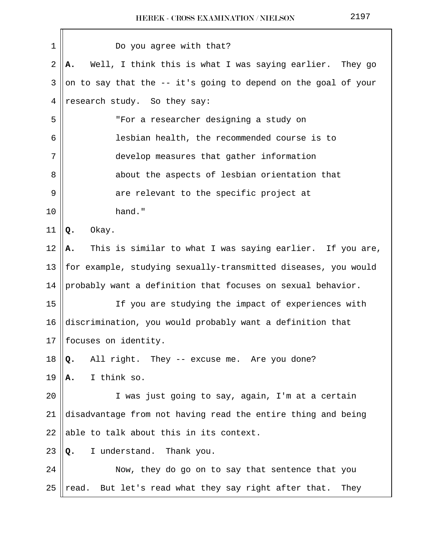| 1  | Do you agree with that?                                         |
|----|-----------------------------------------------------------------|
| 2  | Well, I think this is what I was saying earlier. They go<br>А.  |
| 3  | on to say that the -- it's going to depend on the goal of your  |
| 4  | research study. So they say:                                    |
| 5  | "For a researcher designing a study on                          |
| 6  | lesbian health, the recommended course is to                    |
| 7  | develop measures that gather information                        |
| 8  | about the aspects of lesbian orientation that                   |
| 9  | are relevant to the specific project at                         |
| 10 | hand."                                                          |
| 11 | Okay.<br>Q.                                                     |
| 12 | This is similar to what I was saying earlier. If you are,<br>А. |
| 13 | for example, studying sexually-transmitted diseases, you would  |
| 14 | probably want a definition that focuses on sexual behavior.     |
| 15 | If you are studying the impact of experiences with              |
| 16 | discrimination, you would probably want a definition that       |
| 17 | focuses on identity.                                            |
| 18 | All right. They -- excuse me. Are you done?<br>Q.               |
| 19 | I think so.<br>Α.                                               |
| 20 | I was just going to say, again, I'm at a certain                |
| 21 | disadvantage from not having read the entire thing and being    |
| 22 | able to talk about this in its context.                         |
| 23 | I understand. Thank you.<br>Q.                                  |
| 24 | Now, they do go on to say that sentence that you                |
| 25 | read. But let's read what they say right after that.<br>They    |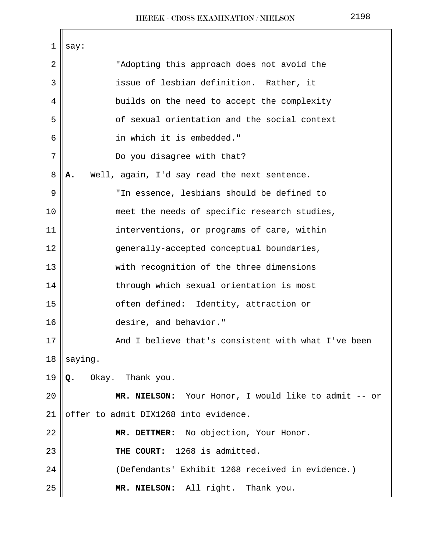| 1  | say:                                                 |
|----|------------------------------------------------------|
| 2  |                                                      |
|    | "Adopting this approach does not avoid the           |
| 3  | issue of lesbian definition. Rather, it              |
| 4  | builds on the need to accept the complexity          |
| 5  | of sexual orientation and the social context         |
| 6  | in which it is embedded."                            |
| 7  | Do you disagree with that?                           |
| 8  | Well, again, I'd say read the next sentence.<br>Α.   |
| 9  | "In essence, lesbians should be defined to           |
| 10 | meet the needs of specific research studies,         |
| 11 | interventions, or programs of care, within           |
| 12 | generally-accepted conceptual boundaries,            |
| 13 | with recognition of the three dimensions             |
| 14 | through which sexual orientation is most             |
| 15 | often defined: Identity, attraction or               |
| 16 | desire, and behavior."                               |
| 17 | And I believe that's consistent with what I've been  |
| 18 | saying.                                              |
| 19 | Okay. Thank you.<br>Q.                               |
| 20 | MR. NIELSON: Your Honor, I would like to admit -- or |
| 21 | offer to admit DIX1268 into evidence.                |
| 22 | MR. DETTMER: No objection, Your Honor.               |
| 23 | THE COURT: 1268 is admitted.                         |
| 24 | (Defendants' Exhibit 1268 received in evidence.)     |
| 25 | MR. NIELSON: All right. Thank you.                   |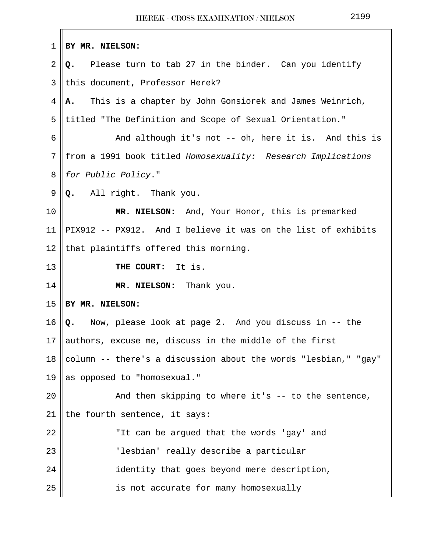| $\mathbf 1$    | BY MR. NIELSON:                                                 |
|----------------|-----------------------------------------------------------------|
| $\overline{2}$ | Please turn to tab 27 in the binder. Can you identify<br>Q.     |
| 3              | this document, Professor Herek?                                 |
| 4              | This is a chapter by John Gonsiorek and James Weinrich,<br>А.   |
| 5              | titled "The Definition and Scope of Sexual Orientation."        |
| 6              | And although it's not -- oh, here it is. And this is            |
| 7              | from a 1991 book titled Homosexuality: Research Implications    |
| 8              | for Public Policy."                                             |
| 9              | Q. All right. Thank you.                                        |
| 10             | MR. NIELSON: And, Your Honor, this is premarked                 |
| 11             | PIX912 -- PX912. And I believe it was on the list of exhibits   |
| 12             | that plaintiffs offered this morning.                           |
| 13             | THE COURT:<br>It is.                                            |
| 14             | MR. NIELSON: Thank you.                                         |
| 15             | BY MR. NIELSON:                                                 |
| 16             | Now, please look at page 2. And you discuss in -- the<br>Q.     |
| 17             | authors, excuse me, discuss in the middle of the first          |
| 18             | column -- there's a discussion about the words "lesbian," "gay" |
| 19             | as opposed to "homosexual."                                     |
| 20             | And then skipping to where it's -- to the sentence,             |
| 21             | the fourth sentence, it says:                                   |
| 22             | "It can be argued that the words 'gay' and                      |
| 23             | 'lesbian' really describe a particular                          |
| 24             | identity that goes beyond mere description,                     |
| 25             | is not accurate for many homosexually                           |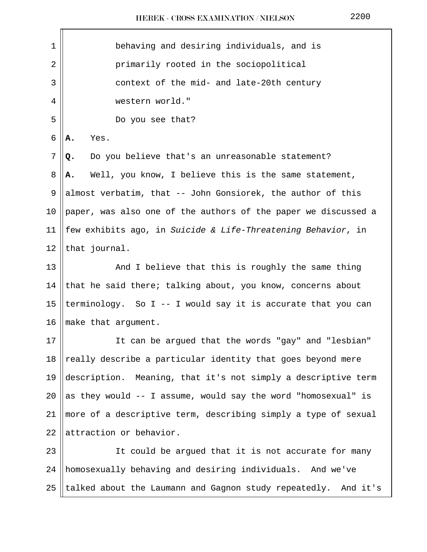| 1       | behaving and desiring individuals, and is                      |
|---------|----------------------------------------------------------------|
| 2       | primarily rooted in the sociopolitical                         |
| 3       | context of the mid- and late-20th century                      |
| 4       | western world."                                                |
| 5       | Do you see that?                                               |
| 6       | Yes.<br>Α.                                                     |
| 7       | Do you believe that's an unreasonable statement?<br>Q.         |
| 8       | Well, you know, I believe this is the same statement,<br>Α.    |
| 9       | almost verbatim, that -- John Gonsiorek, the author of this    |
| 10      | paper, was also one of the authors of the paper we discussed a |
| 11      | few exhibits ago, in Suicide & Life-Threatening Behavior, in   |
| 12      | that journal.                                                  |
| 13      | And I believe that this is roughly the same thing              |
| 14      | that he said there; talking about, you know, concerns about    |
| 15      | terminology. So I -- I would say it is accurate that you can   |
| 16      | make that argument.                                            |
| $17 \,$ | It can be argued that the words "gay" and "lesbian"            |
| 18      | really describe a particular identity that goes beyond mere    |
| 19      | description. Meaning, that it's not simply a descriptive term  |
| 20      | as they would -- I assume, would say the word "homosexual" is  |
| 21      | more of a descriptive term, describing simply a type of sexual |
| 22      | attraction or behavior.                                        |
| 23      | It could be argued that it is not accurate for many            |
| 24      | homosexually behaving and desiring individuals. And we've      |
| 25      | talked about the Laumann and Gagnon study repeatedly. And it's |
|         |                                                                |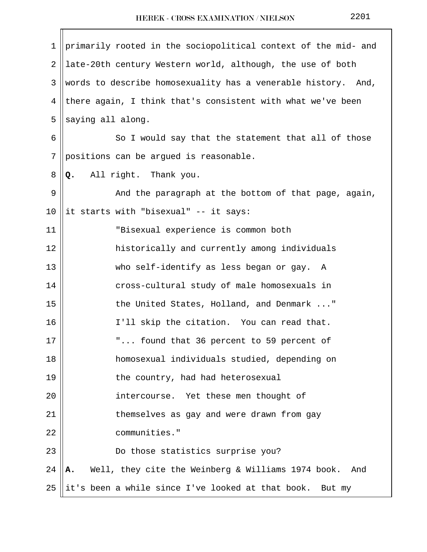| $\mathbf 1$ | primarily rooted in the sociopolitical context of the mid- and |
|-------------|----------------------------------------------------------------|
| 2           | late-20th century Western world, although, the use of both     |
| 3           | words to describe homosexuality has a venerable history. And,  |
| 4           | there again, I think that's consistent with what we've been    |
| 5           | saying all along.                                              |
| 6           | So I would say that the statement that all of those            |
| 7           | positions can be argued is reasonable.                         |
| 8           | All right. Thank you.<br>Q.                                    |
| 9           | And the paragraph at the bottom of that page, again,           |
| 10          | it starts with "bisexual" -- it says:                          |
| 11          | "Bisexual experience is common both                            |
| 12          | historically and currently among individuals                   |
| 13          | who self-identify as less began or gay. A                      |
| 14          | cross-cultural study of male homosexuals in                    |
| 15          | the United States, Holland, and Denmark "                      |
| 16          | I'll skip the citation. You can read that.                     |
| 17          | " found that 36 percent to 59 percent of                       |
| 18          | homosexual individuals studied, depending on                   |
| 19          | the country, had had heterosexual                              |
| 20          | intercourse. Yet these men thought of                          |
| 21          | themselves as gay and were drawn from gay                      |
| 22          | communities."                                                  |
| 23          | Do those statistics surprise you?                              |
| 24          | Well, they cite the Weinberg & Williams 1974 book. And<br>Α.   |
| 25          | it's been a while since I've looked at that book. But my       |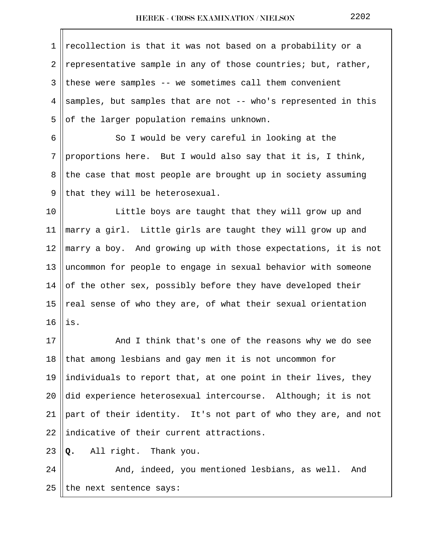| $\mathbf 1$ | recollection is that it was not based on a probability or a    |
|-------------|----------------------------------------------------------------|
| 2           | representative sample in any of those countries; but, rather,  |
| 3           | these were samples -- we sometimes call them convenient        |
| 4           | samples, but samples that are not -- who's represented in this |
| 5           | of the larger population remains unknown.                      |
| 6           | So I would be very careful in looking at the                   |
| 7           | proportions here. But I would also say that it is, I think,    |
| 8           | the case that most people are brought up in society assuming   |
| 9           | that they will be heterosexual.                                |
| 10          | Little boys are taught that they will grow up and              |
| 11          | marry a girl. Little girls are taught they will grow up and    |
| 12          | marry a boy. And growing up with those expectations, it is not |
| 13          | uncommon for people to engage in sexual behavior with someone  |
| 14          | of the other sex, possibly before they have developed their    |
| 15          | real sense of who they are, of what their sexual orientation   |
| 16          | is.                                                            |
| 17          | And I think that's one of the reasons why we do see            |
| 18          | that among lesbians and gay men it is not uncommon for         |
| 19          | individuals to report that, at one point in their lives, they  |
| 20          | did experience heterosexual intercourse. Although; it is not   |
| 21          | part of their identity. It's not part of who they are, and not |
| 22          | indicative of their current attractions.                       |
| 23          | All right. Thank you.<br>Q.                                    |
| 24          | And, indeed, you mentioned lesbians, as well. And              |
| 25          | the next sentence says:                                        |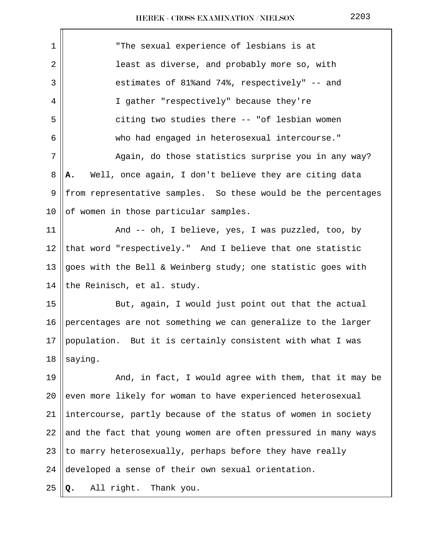| $\mathbf 1$ | "The sexual experience of lesbians is at                       |
|-------------|----------------------------------------------------------------|
| 2           | least as diverse, and probably more so, with                   |
| 3           | estimates of 81% and 74%, respectively" -- and                 |
| 4           | I gather "respectively" because they're                        |
| 5           | citing two studies there -- "of lesbian women                  |
| 6           | who had engaged in heterosexual intercourse."                  |
| 7           | Again, do those statistics surprise you in any way?            |
| 8           | Well, once again, I don't believe they are citing data<br>А.   |
| 9           | from representative samples. So these would be the percentages |
| 10          | of women in those particular samples.                          |
| 11          | And -- oh, I believe, yes, I was puzzled, too, by              |
| 12          | that word "respectively." And I believe that one statistic     |
| 13          | goes with the Bell & Weinberg study; one statistic goes with   |
| 14          | the Reinisch, et al. study.                                    |
| 15          | But, again, I would just point out that the actual             |
| 16          | percentages are not something we can generalize to the larger  |
| 17          | population. But it is certainly consistent with what I was     |
| 18          | saying.                                                        |
| 19          | And, in fact, I would agree with them, that it may be          |
| 20          | even more likely for woman to have experienced heterosexual    |
| 21          | intercourse, partly because of the status of women in society  |
| 22          | and the fact that young women are often pressured in many ways |
| 23          | to marry heterosexually, perhaps before they have really       |
| 24          | developed a sense of their own sexual orientation.             |
| 25          | All right. Thank you.<br>Q.                                    |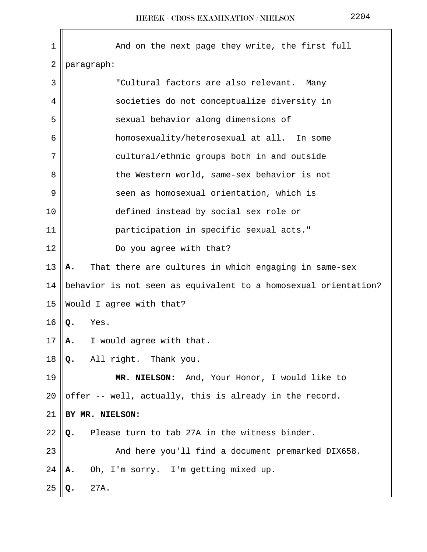| 1  |                 | And on the next page they write, the first full                 |
|----|-----------------|-----------------------------------------------------------------|
| 2  | paragraph:      |                                                                 |
| 3  |                 | "Cultural factors are also relevant.<br>Many                    |
| 4  |                 | societies do not conceptualize diversity in                     |
| 5  |                 | sexual behavior along dimensions of                             |
| 6  |                 | homosexuality/heterosexual at all. In some                      |
| 7  |                 | cultural/ethnic groups both in and outside                      |
| 8  |                 | the Western world, same-sex behavior is not                     |
| 9  |                 | seen as homosexual orientation, which is                        |
| 10 |                 | defined instead by social sex role or                           |
| 11 |                 | participation in specific sexual acts."                         |
| 12 |                 | Do you agree with that?                                         |
| 13 | Α.              | That there are cultures in which engaging in same-sex           |
| 14 |                 | behavior is not seen as equivalent to a homosexual orientation? |
| 15 |                 | Would I agree with that?                                        |
| 16 | Yes.<br>Q.      |                                                                 |
| 17 | А.              | I would agree with that.                                        |
| 18 |                 | All right. Thank you.                                           |
| 19 |                 | MR. NIELSON: And, Your Honor, I would like to                   |
| 20 |                 | offer -- well, actually, this is already in the record.         |
| 21 | BY MR. NIELSON: |                                                                 |
| 22 | Q.              | Please turn to tab 27A in the witness binder.                   |
| 23 |                 | And here you'll find a document premarked DIX658.               |
| 24 | Α.              | Oh, I'm sorry. I'm getting mixed up.                            |
| 25 | 27A.            |                                                                 |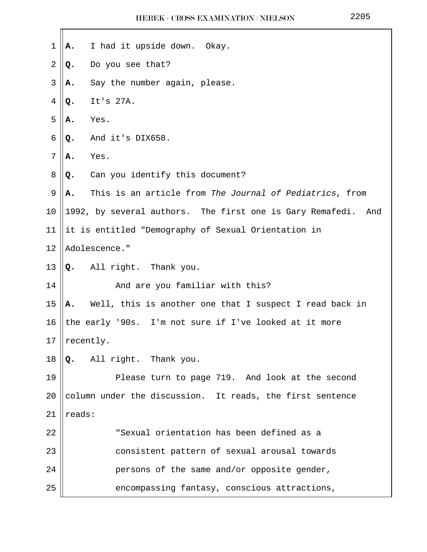| 1              | Α.     | I had it upside down. Okay.                                      |
|----------------|--------|------------------------------------------------------------------|
| $\overline{2}$ | Q.     | Do you see that?                                                 |
| 3              | Α.     | Say the number again, please.                                    |
| 4              | Q.     | It's 27A.                                                        |
| 5              | А.     | Yes.                                                             |
| 6              | Q.     | And it's DIX658.                                                 |
| 7              | Α.     | Yes.                                                             |
| 8              | Q.     | Can you identify this document?                                  |
| 9              | А.     | This is an article from The Journal of Pediatrics, from          |
| 10             |        | 1992, by several authors. The first one is Gary Remafedi.<br>And |
| 11             |        | it is entitled "Demography of Sexual Orientation in              |
| 12             |        | Adolescence."                                                    |
| 13             | Q.     | All right. Thank you.                                            |
| 14             |        | And are you familiar with this?                                  |
| 15             | Α.     | Well, this is another one that I suspect I read back in          |
| 16             |        | the early '90s. I'm not sure if I've looked at it more           |
| 17             |        | recently.                                                        |
| 18             | Q.     | All right. Thank you.                                            |
| 19             |        | Please turn to page 719. And look at the second                  |
| 20             |        | column under the discussion. It reads, the first sentence        |
| 21             | reads: |                                                                  |
| 22             |        | "Sexual orientation has been defined as a                        |
| 23             |        | consistent pattern of sexual arousal towards                     |
| 24             |        | persons of the same and/or opposite gender,                      |
| 25             |        | encompassing fantasy, conscious attractions,                     |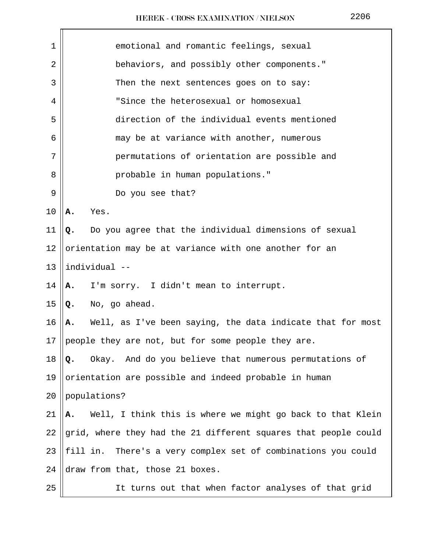| $\mathbf 1$ |    | emotional and romantic feelings, sexual                         |
|-------------|----|-----------------------------------------------------------------|
| 2           |    | behaviors, and possibly other components."                      |
| 3           |    | Then the next sentences goes on to say:                         |
| 4           |    | "Since the heterosexual or homosexual                           |
| 5           |    | direction of the individual events mentioned                    |
| 6           |    | may be at variance with another, numerous                       |
| 7           |    | permutations of orientation are possible and                    |
| 8           |    | probable in human populations."                                 |
| 9           |    | Do you see that?                                                |
| 10          | Α. | Yes.                                                            |
| 11          | Q. | Do you agree that the individual dimensions of sexual           |
| 12          |    | orientation may be at variance with one another for an          |
| 13          |    | individual --                                                   |
| 14          | А. | I'm sorry. I didn't mean to interrupt.                          |
| 15          | Q. | No, go ahead.                                                   |
| 16          | Α. | Well, as I've been saying, the data indicate that for most      |
| 17          |    | $\parallel$ people they are not, but for some people they are   |
| 18          | Q. | Okay. And do you believe that numerous permutations of          |
| 19          |    | orientation are possible and indeed probable in human           |
| 20          |    | populations?                                                    |
| 21          | Α. | Well, I think this is where we might go back to that Klein      |
| 22          |    | grid, where they had the 21 different squares that people could |
| 23          |    | fill in. There's a very complex set of combinations you could   |
| 24          |    | draw from that, those 21 boxes.                                 |
| 25          |    | It turns out that when factor analyses of that grid             |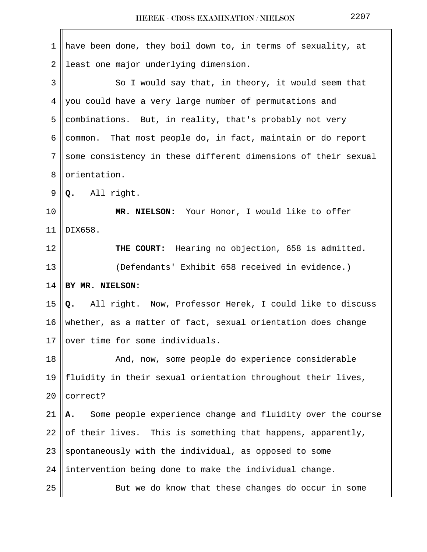| 1  | have been done, they boil down to, in terms of sexuality, at     |
|----|------------------------------------------------------------------|
| 2  | least one major underlying dimension.                            |
| 3  | So I would say that, in theory, it would seem that               |
| 4  | you could have a very large number of permutations and           |
| 5  | combinations. But, in reality, that's probably not very          |
| 6  | common. That most people do, in fact, maintain or do report      |
| 7  | some consistency in these different dimensions of their sexual   |
| 8  | orientation.                                                     |
| 9  | Q. All right.                                                    |
| 10 | MR. NIELSON: Your Honor, I would like to offer                   |
| 11 | DIX658.                                                          |
| 12 | THE COURT: Hearing no objection, 658 is admitted.                |
| 13 | (Defendants' Exhibit 658 received in evidence.)                  |
| 14 | BY MR. NIELSON:                                                  |
| 15 | All right. Now, Professor Herek, I could like to discuss<br>Q.   |
| 16 | whether, as a matter of fact, sexual orientation does change     |
| 17 | over time for some individuals.                                  |
| 18 | And, now, some people do experience considerable                 |
| 19 | fluidity in their sexual orientation throughout their lives,     |
| 20 | correct?                                                         |
| 21 | Some people experience change and fluidity over the course<br>Α. |
| 22 | of their lives. This is something that happens, apparently,      |
| 23 | spontaneously with the individual, as opposed to some            |
| 24 | intervention being done to make the individual change.           |
| 25 | But we do know that these changes do occur in some               |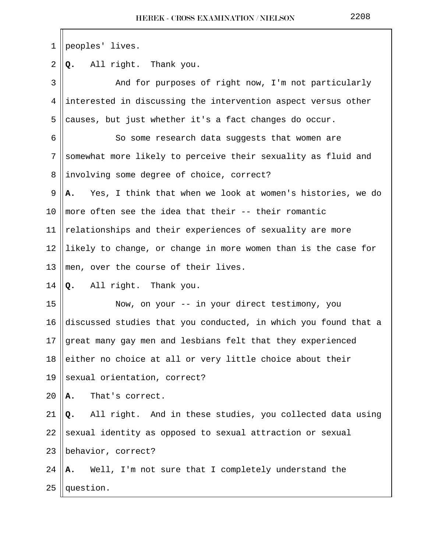| $\mathbf 1$    | peoples' lives.                                                  |
|----------------|------------------------------------------------------------------|
| $\overline{a}$ | All right. Thank you.<br>Q.                                      |
| 3              | And for purposes of right now, I'm not particularly              |
| 4              | interested in discussing the intervention aspect versus other    |
| 5              | causes, but just whether it's a fact changes do occur.           |
| 6              | So some research data suggests that women are                    |
| 7              | somewhat more likely to perceive their sexuality as fluid and    |
| 8              | involving some degree of choice, correct?                        |
| 9              | Yes, I think that when we look at women's histories, we do<br>А. |
| 10             | more often see the idea that their -- their romantic             |
| 11             | relationships and their experiences of sexuality are more        |
| 12             | likely to change, or change in more women than is the case for   |
| 13             | men, over the course of their lives.                             |
| 14             | Q. All right. Thank you.                                         |
| 15             | Now, on your -- in your direct testimony, you                    |
| 16             | discussed studies that you conducted, in which you found that a  |
| 17             | great many gay men and lesbians felt that they experienced       |
| 18             | either no choice at all or very little choice about their        |
| 19             | sexual orientation, correct?                                     |
| 20             | That's correct.<br>Α.                                            |
| 21             | All right. And in these studies, you collected data using<br>Q.  |
| 22             | sexual identity as opposed to sexual attraction or sexual        |
| 23             | behavior, correct?                                               |
| 24             | Well, I'm not sure that I completely understand the<br>А.        |
| 25             | question.                                                        |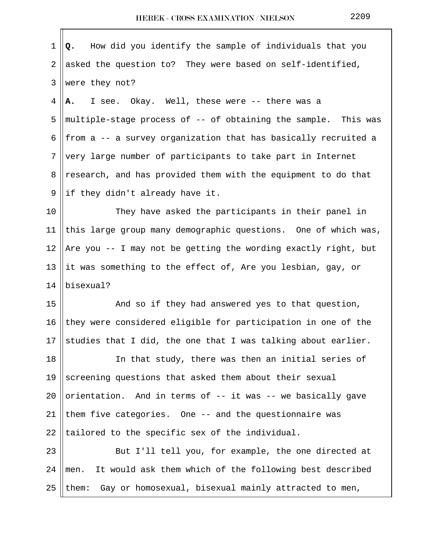| 1              | How did you identify the sample of individuals that you<br>Q.   |
|----------------|-----------------------------------------------------------------|
| $\overline{2}$ | asked the question to? They were based on self-identified,      |
| 3              | were they not?                                                  |
| 4              | I see. Okay. Well, these were -- there was a<br>А.              |
| 5              | multiple-stage process of -- of obtaining the sample. This was  |
| 6              | from a -- a survey organization that has basically recruited a  |
| 7              | very large number of participants to take part in Internet      |
| 8              | research, and has provided them with the equipment to do that   |
| 9              | if they didn't already have it.                                 |
| 10             | They have asked the participants in their panel in              |
| 11             | this large group many demographic questions. One of which was,  |
| 12             | Are you -- I may not be getting the wording exactly right, but  |
| 13             | it was something to the effect of, Are you lesbian, gay, or     |
| 14             | bisexual?                                                       |
| 15             | And so if they had answered yes to that question,               |
| 16             | they were considered eligible for participation in one of the   |
| 17             | studies that I did, the one that I was talking about earlier.   |
| 18             | In that study, there was then an initial series of              |
| 19             | screening questions that asked them about their sexual          |
| 20             | orientation. And in terms of -- it was -- we basically gave     |
| 21             | them five categories. One -- and the questionnaire was          |
| 22             | tailored to the specific sex of the individual.                 |
| 23             | But I'll tell you, for example, the one directed at             |
| 24             | It would ask them which of the following best described<br>men. |
| 25             | Gay or homosexual, bisexual mainly attracted to men,<br>them:   |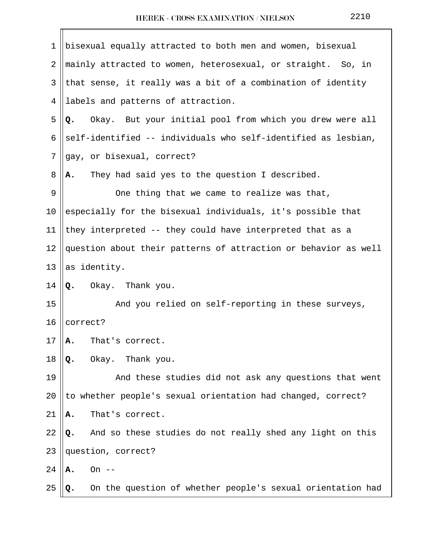| $\mathbf 1$    | bisexual equally attracted to both men and women, bisexual       |
|----------------|------------------------------------------------------------------|
| $\overline{2}$ | mainly attracted to women, heterosexual, or straight. So, in     |
| 3              | that sense, it really was a bit of a combination of identity     |
| 4              | labels and patterns of attraction.                               |
| 5              | Okay. But your initial pool from which you drew were all<br>Q.   |
| 6              | self-identified -- individuals who self-identified as lesbian,   |
| 7              | gay, or bisexual, correct?                                       |
| 8              | They had said yes to the question I described.<br>Α.             |
| 9              | One thing that we came to realize was that,                      |
| 10             | especially for the bisexual individuals, it's possible that      |
| 11             | they interpreted -- they could have interpreted that as a        |
| 12             | question about their patterns of attraction or behavior as well  |
| 13             | as identity.                                                     |
| 14             | Q. Okay. Thank you.                                              |
| 15             | And you relied on self-reporting in these surveys,               |
| 16             | correct?                                                         |
| 17             | That's correct.<br>А.                                            |
| 18             | Thank you.<br>Okay.<br>Q.                                        |
| 19             | And these studies did not ask any questions that went            |
| 20             | to whether people's sexual orientation had changed, correct?     |
| 21             | That's correct.<br>А.                                            |
| 22             | And so these studies do not really shed any light on this<br>Q.  |
| 23             | question, correct?                                               |
| 24             | А.<br>On --                                                      |
| 25             | On the question of whether people's sexual orientation had<br>Q. |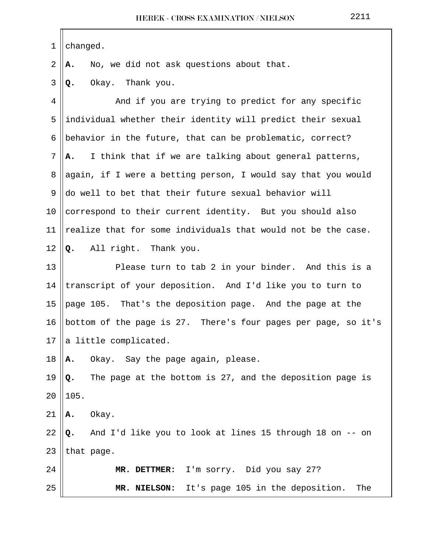$\mathbf{r}$ 

| 1  | changed.                                                       |
|----|----------------------------------------------------------------|
| 2  | No, we did not ask questions about that.<br>Α.                 |
| 3  | Okay. Thank you.<br>Q.                                         |
| 4  | And if you are trying to predict for any specific              |
| 5  | individual whether their identity will predict their sexual    |
| 6  | behavior in the future, that can be problematic, correct?      |
| 7  | I think that if we are talking about general patterns,<br>A.   |
| 8  | again, if I were a betting person, I would say that you would  |
| 9  | do well to bet that their future sexual behavior will          |
| 10 | correspond to their current identity. But you should also      |
| 11 | realize that for some individuals that would not be the case.  |
| 12 | Q. All right. Thank you.                                       |
| 13 | Please turn to tab 2 in your binder. And this is a             |
| 14 | transcript of your deposition. And I'd like you to turn to     |
| 15 | page 105. That's the deposition page. And the page at the      |
| 16 | bottom of the page is 27. There's four pages per page, so it's |
| 17 | a little complicated.                                          |
| 18 | Okay. Say the page again, please.<br>А.                        |
| 19 | The page at the bottom is 27, and the deposition page is<br>Q. |
| 20 | 105.                                                           |
| 21 | Okay.<br>Α.                                                    |
| 22 | And I'd like you to look at lines 15 through 18 on -- on<br>Q. |
| 23 | that page.                                                     |
| 24 | MR. DETTMER:<br>I'm sorry. Did you say 27?                     |
| 25 | MR. NIELSON:<br>It's page 105 in the deposition.<br>The        |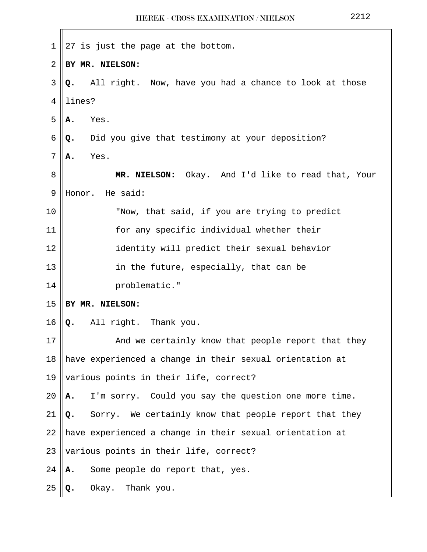| 1              | 27 is just the page at the bottom.                           |  |  |  |
|----------------|--------------------------------------------------------------|--|--|--|
| 2              | BY MR. NIELSON:                                              |  |  |  |
| 3              | All right. Now, have you had a chance to look at those<br>Q. |  |  |  |
| 4              | lines?                                                       |  |  |  |
| 5              | Yes.<br>Α.                                                   |  |  |  |
| 6              | Did you give that testimony at your deposition?<br>Q.        |  |  |  |
| 7              | Yes.<br>Α.                                                   |  |  |  |
| 8              | MR. NIELSON: Okay. And I'd like to read that, Your           |  |  |  |
| $\overline{9}$ | Honor.<br>He said:                                           |  |  |  |
| 10             | "Now, that said, if you are trying to predict                |  |  |  |
| 11             | for any specific individual whether their                    |  |  |  |
| 12             | identity will predict their sexual behavior                  |  |  |  |
| 13             | in the future, especially, that can be                       |  |  |  |
| 14             | problematic."                                                |  |  |  |
| 15             | BY MR. NIELSON:                                              |  |  |  |
| 16             | All right. Thank you.<br>Q.                                  |  |  |  |
| 17             | And we certainly know that people report that they           |  |  |  |
| 18             | have experienced a change in their sexual orientation at     |  |  |  |
| 19             | various points in their life, correct?                       |  |  |  |
| 20             | I'm sorry. Could you say the question one more time.<br>Α.   |  |  |  |
| 21             | Sorry. We certainly know that people report that they<br>Q.  |  |  |  |
| 22             | have experienced a change in their sexual orientation at     |  |  |  |
| 23             | various points in their life, correct?                       |  |  |  |
| 24             | Some people do report that, yes.<br>Α.                       |  |  |  |
| 25             | Okay. Thank you.<br>Q.                                       |  |  |  |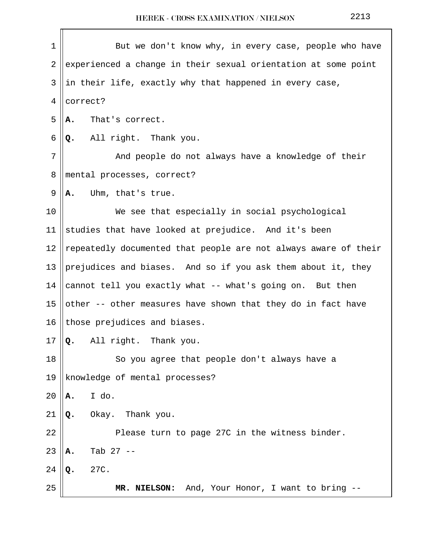| 1              | But we don't know why, in every case, people who have           |  |  |
|----------------|-----------------------------------------------------------------|--|--|
| 2              | experienced a change in their sexual orientation at some point  |  |  |
| 3              | in their life, exactly why that happened in every case,         |  |  |
| 4              | correct?                                                        |  |  |
| 5              | That's correct.<br>А.                                           |  |  |
| 6              | All right. Thank you.<br>Q.                                     |  |  |
| 7              | And people do not always have a knowledge of their              |  |  |
| 8              | mental processes, correct?                                      |  |  |
| $\overline{9}$ | Uhm, that's true.<br>Α.                                         |  |  |
| 10             | We see that especially in social psychological                  |  |  |
| 11             | studies that have looked at prejudice. And it's been            |  |  |
| 12             | repeatedly documented that people are not always aware of their |  |  |
| 13             | prejudices and biases. And so if you ask them about it, they    |  |  |
| 14             | cannot tell you exactly what -- what's going on. But then       |  |  |
| 15             | other -- other measures have shown that they do in fact have    |  |  |
| 16             | those prejudices and biases.                                    |  |  |
| 17             | $ Q.$ All right. Thank you.                                     |  |  |
| 18             | So you agree that people don't always have a                    |  |  |
| 19             | knowledge of mental processes?                                  |  |  |
| 20             | I do.<br>Α.                                                     |  |  |
| 21             | Thank you.<br>Okay.<br>Q.                                       |  |  |
| 22             | Please turn to page 27C in the witness binder.                  |  |  |
| 23             | Tab 27 --<br>Α.                                                 |  |  |
| 24             | 27C.<br>Q.                                                      |  |  |
| 25             | MR. NIELSON: And, Your Honor, I want to bring --                |  |  |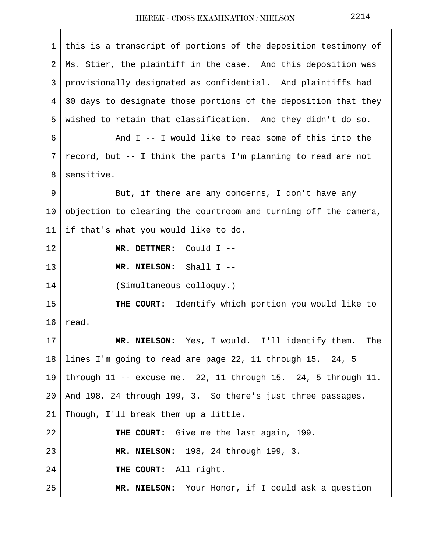| 1              | this is a transcript of portions of the deposition testimony of |  |  |  |
|----------------|-----------------------------------------------------------------|--|--|--|
| $\overline{2}$ | Ms. Stier, the plaintiff in the case. And this deposition was   |  |  |  |
| 3              | provisionally designated as confidential. And plaintiffs had    |  |  |  |
| 4              | 30 days to designate those portions of the deposition that they |  |  |  |
| 5              | wished to retain that classification. And they didn't do so.    |  |  |  |
| 6              | And $I$ -- I would like to read some of this into the           |  |  |  |
| 7              | record, but -- I think the parts I'm planning to read are not   |  |  |  |
| 8              | sensitive.                                                      |  |  |  |
| 9              | But, if there are any concerns, I don't have any                |  |  |  |
| 10             | objection to clearing the courtroom and turning off the camera, |  |  |  |
| 11             | if that's what you would like to do.                            |  |  |  |
| 12             | Could $I$ --<br>MR. DETTMER:                                    |  |  |  |
| 13             | Shall $I$ --<br>MR. NIELSON:                                    |  |  |  |
| 14             | (Simultaneous colloquy.)                                        |  |  |  |
| 15             | Identify which portion you would like to<br>THE COURT:          |  |  |  |
| 16             | read.                                                           |  |  |  |
| 17             | MR. NIELSON: Yes, I would. I'll identify them. The              |  |  |  |
| 18             | lines I'm going to read are page 22, 11 through 15. 24, 5       |  |  |  |
| 19             | through $11$ -- excuse me. 22, 11 through 15. 24, 5 through 11. |  |  |  |
| 20             | And 198, 24 through 199, 3. So there's just three passages.     |  |  |  |
| 21             | Though, I'll break them up a little.                            |  |  |  |
| 22             | THE COURT: Give me the last again, 199.                         |  |  |  |
| 23             | MR. NIELSON: 198, 24 through 199, 3.                            |  |  |  |
| 24             | THE COURT: All right.                                           |  |  |  |
| 25             | MR. NIELSON: Your Honor, if I could ask a question              |  |  |  |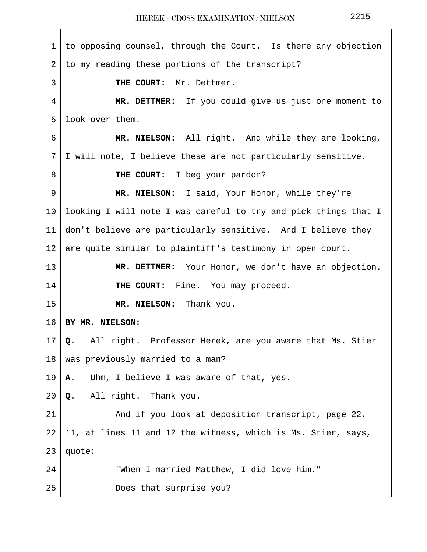| 1              | to opposing counsel, through the Court. Is there any objection  |
|----------------|-----------------------------------------------------------------|
| $\overline{2}$ | to my reading these portions of the transcript?                 |
| 3              | THE COURT: Mr. Dettmer.                                         |
| 4              | MR. DETTMER: If you could give us just one moment to            |
| 5              | look over them.                                                 |
| 6              | MR. NIELSON: All right. And while they are looking,             |
| 7              | I will note, I believe these are not particularly sensitive.    |
| 8              | THE COURT: I beg your pardon?                                   |
| 9              | MR. NIELSON: I said, Your Honor, while they're                  |
| 10             | looking I will note I was careful to try and pick things that I |
| 11             | don't believe are particularly sensitive. And I believe they    |
| 12             | are quite similar to plaintiff's testimony in open court.       |
| 13             | MR. DETTMER: Your Honor, we don't have an objection.            |
| 14             | THE COURT: Fine. You may proceed.                               |
| 15             | MR. NIELSON: Thank you.                                         |
| 16             | BY MR. NIELSON:                                                 |
| 17             | All right. Professor Herek, are you aware that Ms. Stier<br>Q.  |
| 18             | was previously married to a man?                                |
| 19             | Uhm, I believe I was aware of that, yes.<br>Α.                  |
| 20             | All right. Thank you.<br>Q.                                     |
| 21             | And if you look at deposition transcript, page 22,              |
| 22             | 11, at lines 11 and 12 the witness, which is Ms. Stier, says,   |
| 23             | quote:                                                          |
| 24             | "When I married Matthew, I did love him."                       |
| 25             | Does that surprise you?                                         |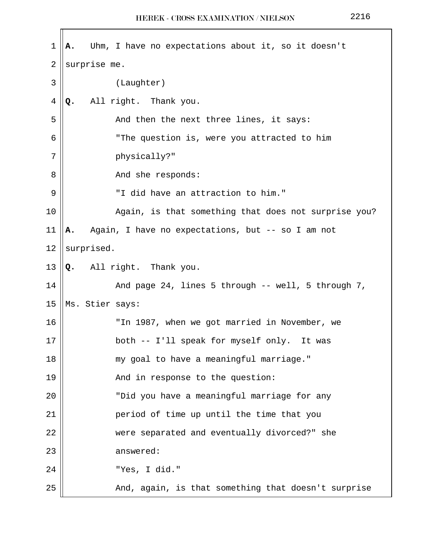| 1              | А.                                          | Uhm, I have no expectations about it, so it doesn't  |  |  |  |  |
|----------------|---------------------------------------------|------------------------------------------------------|--|--|--|--|
| $\overline{2}$ | surprise me.                                |                                                      |  |  |  |  |
| 3              |                                             | (Laughter)                                           |  |  |  |  |
| 4              | Q.                                          | All right. Thank you.                                |  |  |  |  |
| 5              |                                             | And then the next three lines, it says:              |  |  |  |  |
| 6              | "The question is, were you attracted to him |                                                      |  |  |  |  |
| 7              | physically?"                                |                                                      |  |  |  |  |
| 8              | And she responds:                           |                                                      |  |  |  |  |
| 9              |                                             | "I did have an attraction to him."                   |  |  |  |  |
| 10             |                                             | Again, is that something that does not surprise you? |  |  |  |  |
| 11             | Α.                                          | Again, I have no expectations, but -- so I am not    |  |  |  |  |
| 12             | surprised.                                  |                                                      |  |  |  |  |
| 13             | Q.                                          | All right. Thank you.                                |  |  |  |  |
| 14             |                                             | And page 24, lines 5 through -- well, 5 through 7,   |  |  |  |  |
| 15             |                                             | Ms. Stier says:                                      |  |  |  |  |
| 16             |                                             | "In 1987, when we got married in November, we        |  |  |  |  |
| 17             |                                             | both -- I'll speak for myself only. It was           |  |  |  |  |
| 18             |                                             | my goal to have a meaningful marriage."              |  |  |  |  |
| 19             |                                             | And in response to the question:                     |  |  |  |  |
| 20             |                                             | "Did you have a meaningful marriage for any          |  |  |  |  |
| 21             |                                             | period of time up until the time that you            |  |  |  |  |
| 22             |                                             | were separated and eventually divorced?" she         |  |  |  |  |
| 23             |                                             | answered:                                            |  |  |  |  |
| 24             |                                             | "Yes, I did."                                        |  |  |  |  |
| 25             |                                             | And, again, is that something that doesn't surprise  |  |  |  |  |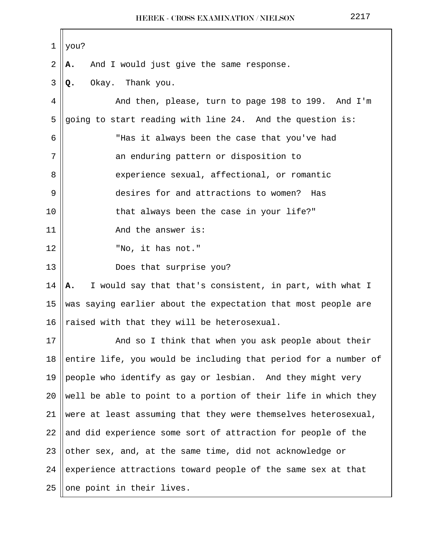| 1    | you?                                                            |
|------|-----------------------------------------------------------------|
| 2    | And I would just give the same response.<br>А.                  |
| 3    | Okay. Thank you.<br>Q.                                          |
| 4    | And then, please, turn to page 198 to 199. And I'm              |
| 5    | going to start reading with line 24. And the question is:       |
| 6    | "Has it always been the case that you've had                    |
| 7    | an enduring pattern or disposition to                           |
| 8    | experience sexual, affectional, or romantic                     |
| 9    | desires for and attractions to women?<br>Has                    |
| 10   | that always been the case in your life?"                        |
| 11   | And the answer is:                                              |
| 12   | "No, it has not."                                               |
| 13   | Does that surprise you?                                         |
| 14   | I would say that that's consistent, in part, with what I<br>Α.  |
| 15   | was saying earlier about the expectation that most people are   |
| 16   | raised with that they will be heterosexual.                     |
| $17$ | And so I think that when you ask people about their             |
| 18   | entire life, you would be including that period for a number of |
| 19   | people who identify as gay or lesbian. And they might very      |
| 20   | well be able to point to a portion of their life in which they  |
| 21   | were at least assuming that they were themselves heterosexual,  |
| 22   | and did experience some sort of attraction for people of the    |
| 23   | other sex, and, at the same time, did not acknowledge or        |
| 24   | experience attractions toward people of the same sex at that    |
| 25   | one point in their lives.                                       |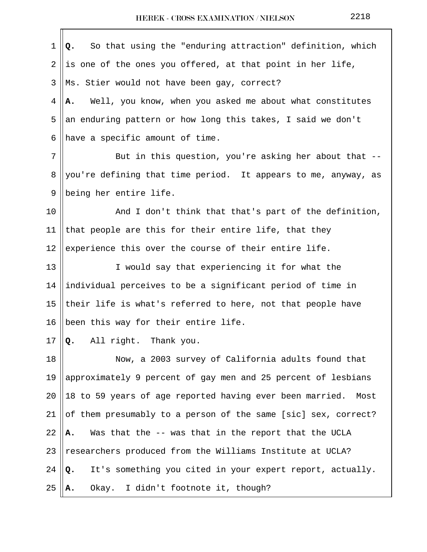| 1  | So that using the "enduring attraction" definition, which<br>Q.  |  |  |  |
|----|------------------------------------------------------------------|--|--|--|
| 2  | is one of the ones you offered, at that point in her life,       |  |  |  |
| 3  | Ms. Stier would not have been gay, correct?                      |  |  |  |
| 4  | Well, you know, when you asked me about what constitutes<br>А.   |  |  |  |
| 5  | an enduring pattern or how long this takes, I said we don't      |  |  |  |
| 6  | have a specific amount of time.                                  |  |  |  |
| 7  | But in this question, you're asking her about that --            |  |  |  |
| 8  | you're defining that time period. It appears to me, anyway, as   |  |  |  |
| 9  | being her entire life.                                           |  |  |  |
| 10 | And I don't think that that's part of the definition,            |  |  |  |
| 11 | that people are this for their entire life, that they            |  |  |  |
| 12 | experience this over the course of their entire life.            |  |  |  |
| 13 | I would say that experiencing it for what the                    |  |  |  |
| 14 | individual perceives to be a significant period of time in       |  |  |  |
| 15 | their life is what's referred to here, not that people have      |  |  |  |
| 16 | been this way for their entire life.                             |  |  |  |
| 17 | All right. Thank you.<br>Q.                                      |  |  |  |
| 18 | Now, a 2003 survey of California adults found that               |  |  |  |
| 19 | approximately 9 percent of gay men and 25 percent of lesbians    |  |  |  |
| 20 | 18 to 59 years of age reported having ever been married.<br>Most |  |  |  |
| 21 | of them presumably to a person of the same [sic] sex, correct?   |  |  |  |
| 22 | Was that the -- was that in the report that the UCLA<br>Α.       |  |  |  |
| 23 | researchers produced from the Williams Institute at UCLA?        |  |  |  |
| 24 | It's something you cited in your expert report, actually.<br>Q.  |  |  |  |
| 25 | Okay. I didn't footnote it, though?<br>А.                        |  |  |  |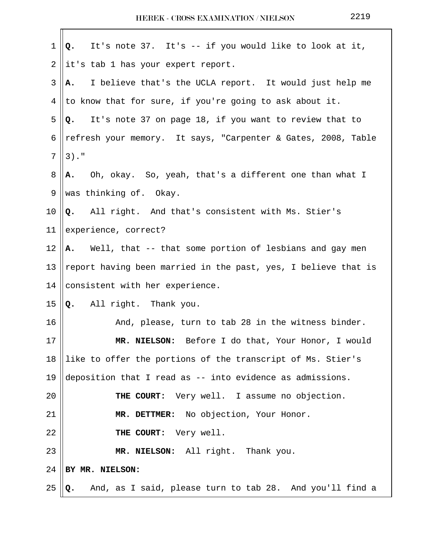| 1              | It's note 37. It's -- if you would like to look at it,<br>Q.   |  |  |  |  |
|----------------|----------------------------------------------------------------|--|--|--|--|
| $\overline{2}$ | it's tab 1 has your expert report.                             |  |  |  |  |
| 3              | I believe that's the UCLA report. It would just help me<br>А.  |  |  |  |  |
| 4              | to know that for sure, if you're going to ask about it.        |  |  |  |  |
| 5              | It's note 37 on page 18, if you want to review that to<br>Q.   |  |  |  |  |
| 6              | refresh your memory. It says, "Carpenter & Gates, 2008, Table  |  |  |  |  |
| 7              | $3)$ ."                                                        |  |  |  |  |
| 8              | Oh, okay. So, yeah, that's a different one than what I<br>А.   |  |  |  |  |
| 9              | was thinking of. Okay.                                         |  |  |  |  |
| 10             | Q. All right. And that's consistent with Ms. Stier's           |  |  |  |  |
| 11             | experience, correct?                                           |  |  |  |  |
| 12             | Well, that -- that some portion of lesbians and gay men<br>А.  |  |  |  |  |
| 13             | report having been married in the past, yes, I believe that is |  |  |  |  |
| 14             | consistent with her experience.                                |  |  |  |  |
| 15             | All right. Thank you.<br>Q.                                    |  |  |  |  |
| 16             | And, please, turn to tab 28 in the witness binder.             |  |  |  |  |
| $17$           | MR. NIELSON: Before I do that, Your Honor, I would             |  |  |  |  |
| 18             | like to offer the portions of the transcript of Ms. Stier's    |  |  |  |  |
| 19             | deposition that I read as -- into evidence as admissions.      |  |  |  |  |
| 20             | THE COURT: Very well. I assume no objection.                   |  |  |  |  |
| 21             | MR. DETTMER: No objection, Your Honor.                         |  |  |  |  |
| 22             | THE COURT: Very well.                                          |  |  |  |  |
| 23             | MR. NIELSON: All right. Thank you.                             |  |  |  |  |
| 24             | BY MR. NIELSON:                                                |  |  |  |  |
| 25             | And, as I said, please turn to tab 28. And you'll find a       |  |  |  |  |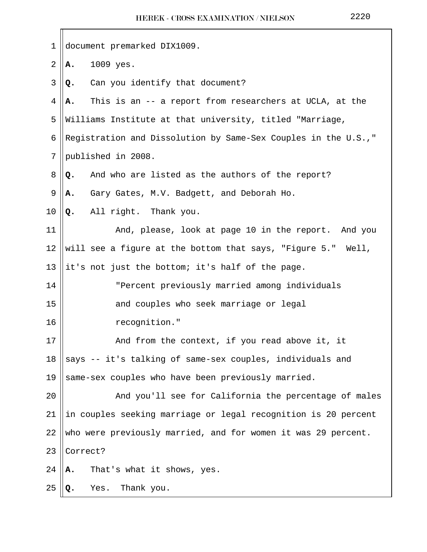| $\mathbf 1$    | document premarked DIX1009.                                     |  |  |  |
|----------------|-----------------------------------------------------------------|--|--|--|
| $\overline{2}$ | 1009 yes.<br>Α.                                                 |  |  |  |
| 3              | Can you identify that document?<br>Q.                           |  |  |  |
| 4              | This is an -- a report from researchers at UCLA, at the<br>А.   |  |  |  |
| 5              | Williams Institute at that university, titled "Marriage,        |  |  |  |
| 6              | Registration and Dissolution by Same-Sex Couples in the U.S., " |  |  |  |
| 7              | published in 2008.                                              |  |  |  |
| 8              | And who are listed as the authors of the report?<br>Q.          |  |  |  |
| 9              | Gary Gates, M.V. Badgett, and Deborah Ho.<br>Α.                 |  |  |  |
| 10             | All right. Thank you.<br>Q.                                     |  |  |  |
| 11             | And, please, look at page 10 in the report. And you             |  |  |  |
| 12             | will see a figure at the bottom that says, "Figure 5." Well,    |  |  |  |
| 13             | it's not just the bottom; it's half of the page.                |  |  |  |
| 14             | "Percent previously married among individuals                   |  |  |  |
| 15             | and couples who seek marriage or legal                          |  |  |  |
| 16             | recognition."                                                   |  |  |  |
| 17             | And from the context, if you read above it, it                  |  |  |  |
| 18             | says -- it's talking of same-sex couples, individuals and       |  |  |  |
| 19             | same-sex couples who have been previously married.              |  |  |  |
| 20             | And you'll see for California the percentage of males           |  |  |  |
| 21             | in couples seeking marriage or legal recognition is 20 percent  |  |  |  |
| 22             | who were previously married, and for women it was 29 percent.   |  |  |  |
| 23             | Correct?                                                        |  |  |  |
| 24             | That's what it shows, yes.<br>А.                                |  |  |  |
| 25             | Yes. Thank you.                                                 |  |  |  |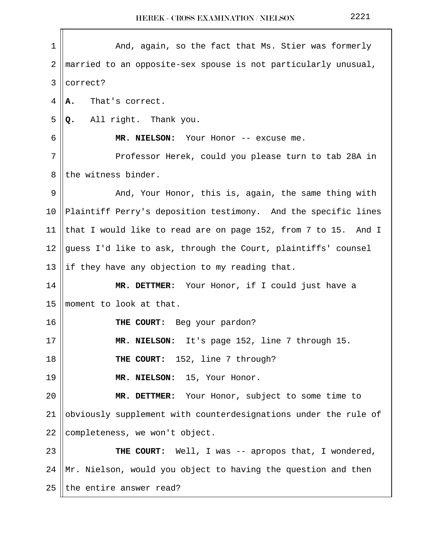| $\mathbf 1$    | And, again, so the fact that Ms. Stier was formerly               |  |  |  |  |
|----------------|-------------------------------------------------------------------|--|--|--|--|
| $\overline{2}$ | married to an opposite-sex spouse is not particularly unusual,    |  |  |  |  |
| 3              | correct?                                                          |  |  |  |  |
| 4              | That's correct.<br>А.                                             |  |  |  |  |
| 5              | All right. Thank you.<br>Q.                                       |  |  |  |  |
| 6              | MR. NIELSON: Your Honor -- excuse me.                             |  |  |  |  |
| 7              | Professor Herek, could you please turn to tab 28A in              |  |  |  |  |
| 8              | the witness binder.                                               |  |  |  |  |
| 9              | And, Your Honor, this is, again, the same thing with              |  |  |  |  |
| 10             | Plaintiff Perry's deposition testimony. And the specific lines    |  |  |  |  |
| 11             | that I would like to read are on page 152, from 7 to 15.<br>And I |  |  |  |  |
| 12             | guess I'd like to ask, through the Court, plaintiffs' counsel     |  |  |  |  |
| 13             | if they have any objection to my reading that.                    |  |  |  |  |
| 14             | MR. DETTMER: Your Honor, if I could just have a                   |  |  |  |  |
| 15             | moment to look at that.                                           |  |  |  |  |
| 16             | THE COURT: Beg your pardon?                                       |  |  |  |  |
| $17$           | MR. NIELSON: It's page 152, line 7 through 15.                    |  |  |  |  |
| 18             | THE COURT: 152, line 7 through?                                   |  |  |  |  |
| 19             | MR. NIELSON: 15, Your Honor.                                      |  |  |  |  |
| 20             | MR. DETTMER: Your Honor, subject to some time to                  |  |  |  |  |
| 21             | obviously supplement with counterdesignations under the rule of   |  |  |  |  |
| 22             | completeness, we won't object.                                    |  |  |  |  |
| 23             | THE COURT: Well, I was -- apropos that, I wondered,               |  |  |  |  |
| 24             | Mr. Nielson, would you object to having the question and then     |  |  |  |  |
| 25             | the entire answer read?                                           |  |  |  |  |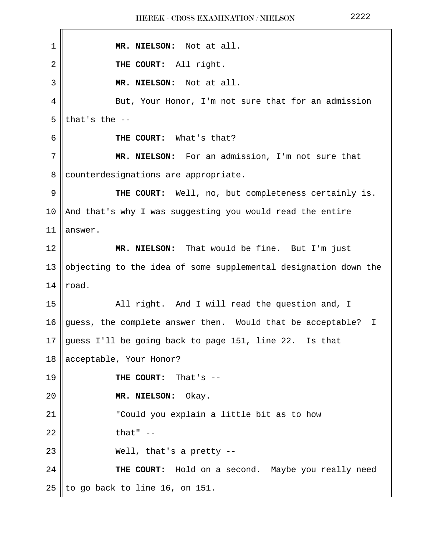| 1  | MR. NIELSON: Not at all.                                         |
|----|------------------------------------------------------------------|
| 2  | THE COURT: All right.                                            |
| 3  | MR. NIELSON: Not at all.                                         |
| 4  | But, Your Honor, I'm not sure that for an admission              |
| 5  | that's the $--$                                                  |
| 6  | THE COURT: What's that?                                          |
| 7  | MR. NIELSON: For an admission, I'm not sure that                 |
| 8  | counterdesignations are appropriate.                             |
| 9  | THE COURT: Well, no, but completeness certainly is.              |
| 10 | And that's why I was suggesting you would read the entire        |
| 11 | answer.                                                          |
| 12 | MR. NIELSON: That would be fine. But I'm just                    |
| 13 | objecting to the idea of some supplemental designation down the  |
| 14 | road.                                                            |
| 15 | All right. And I will read the question and, I                   |
| 16 | guess, the complete answer then. Would that be acceptable?<br>I. |
| 17 | guess I'll be going back to page 151, line 22. Is that           |
| 18 | acceptable, Your Honor?                                          |
| 19 | THE COURT: That's --                                             |
| 20 | MR. NIELSON: Okay.                                               |
| 21 | "Could you explain a little bit as to how                        |
| 22 | that" $-$                                                        |
| 23 | Well, that's a pretty $-$ -                                      |
| 24 | THE COURT: Hold on a second. Maybe you really need               |
| 25 | to go back to line 16, on 151.                                   |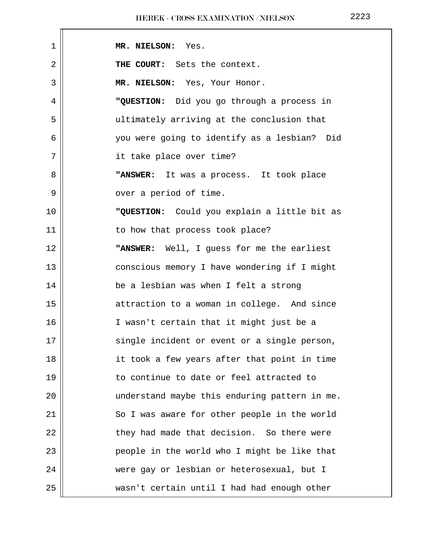| 1  | MR. NIELSON: Yes.                             |
|----|-----------------------------------------------|
| 2  | THE COURT: Sets the context.                  |
| 3  | MR. NIELSON: Yes, Your Honor.                 |
| 4  | "QUESTION: Did you go through a process in    |
| 5  | ultimately arriving at the conclusion that    |
| 6  | you were going to identify as a lesbian? Did  |
| 7  | it take place over time?                      |
| 8  | "ANSWER: It was a process. It took place      |
| 9  | over a period of time.                        |
| 10 | "QUESTION: Could you explain a little bit as  |
| 11 | to how that process took place?               |
| 12 | "ANSWER: Well, I guess for me the earliest    |
| 13 | conscious memory I have wondering if I might  |
| 14 | be a lesbian was when I felt a strong         |
| 15 | attraction to a woman in college. And since   |
| 16 | I wasn't certain that it might just be a      |
| 17 | single incident or event or a single person,  |
| 18 | it took a few years after that point in time  |
| 19 | to continue to date or feel attracted to      |
| 20 | understand maybe this enduring pattern in me. |
| 21 | So I was aware for other people in the world  |
| 22 | they had made that decision. So there were    |
| 23 | people in the world who I might be like that  |
| 24 | were gay or lesbian or heterosexual, but I    |
| 25 | wasn't certain until I had had enough other   |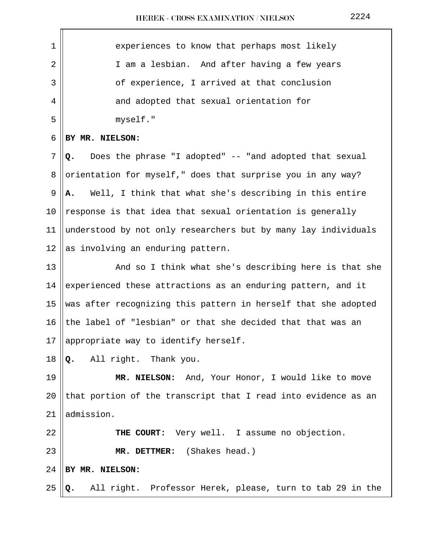| 1           | experiences to know that perhaps most likely                    |
|-------------|-----------------------------------------------------------------|
| 2           | I am a lesbian. And after having a few years                    |
| 3           | of experience, I arrived at that conclusion                     |
| 4           | and adopted that sexual orientation for                         |
| 5           | myself."                                                        |
| 6           | BY MR. NIELSON:                                                 |
| 7           | Does the phrase "I adopted" -- "and adopted that sexual<br>Q.   |
| 8           | orientation for myself," does that surprise you in any way?     |
| $\mathsf 9$ | Well, I think that what she's describing in this entire<br>Α.   |
| 10          | response is that idea that sexual orientation is generally      |
| 11          | understood by not only researchers but by many lay individuals  |
| 12          | as involving an enduring pattern.                               |
| 13          | And so I think what she's describing here is that she           |
| 14          | experienced these attractions as an enduring pattern, and it    |
| 15          | was after recognizing this pattern in herself that she adopted  |
| 16          | the label of "lesbian" or that she decided that that was an     |
| 17          | appropriate way to identify herself.                            |
| 18          | All right. Thank you.<br>Q.                                     |
| 19          | MR. NIELSON: And, Your Honor, I would like to move              |
| 20          | that portion of the transcript that I read into evidence as an  |
| 21          | admission.                                                      |
| 22          | Very well. I assume no objection.<br>THE COURT:                 |
| 23          | MR. DETTMER:<br>(Shakes head.)                                  |
| 24          | BY MR. NIELSON:                                                 |
| 25          | All right. Professor Herek, please, turn to tab 29 in the<br>Q. |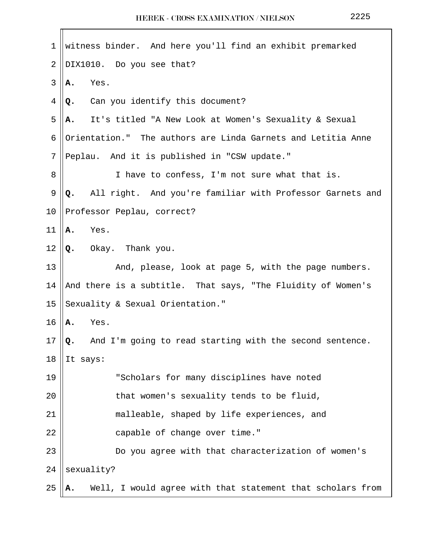| 1  | witness binder. And here you'll find an exhibit premarked        |
|----|------------------------------------------------------------------|
| 2  | DIX1010. Do you see that?                                        |
| 3  | Yes.<br>Α.                                                       |
| 4  | Can you identify this document?<br>Q.                            |
| 5  | It's titled "A New Look at Women's Sexuality & Sexual<br>Α.      |
| 6  | Orientation." The authors are Linda Garnets and Letitia Anne     |
| 7  | Peplau. And it is published in "CSW update."                     |
| 8  | I have to confess, I'm not sure what that is.                    |
| 9  | All right. And you're familiar with Professor Garnets and<br>Q.  |
| 10 | Professor Peplau, correct?                                       |
| 11 | Yes.<br>Α.                                                       |
| 12 | Okay. Thank you.<br>Q.                                           |
| 13 | And, please, look at page 5, with the page numbers.              |
| 14 | And there is a subtitle. That says, "The Fluidity of Women's     |
| 15 | Sexuality & Sexual Orientation."                                 |
| 16 | Α.<br>Yes.                                                       |
| 17 | And I'm going to read starting with the second sentence.<br>Q.   |
| 18 | It says:                                                         |
| 19 | "Scholars for many disciplines have noted                        |
| 20 | that women's sexuality tends to be fluid,                        |
| 21 | malleable, shaped by life experiences, and                       |
| 22 | capable of change over time."                                    |
| 23 | Do you agree with that characterization of women's               |
| 24 | sexuality?                                                       |
| 25 | Well, I would agree with that statement that scholars from<br>А. |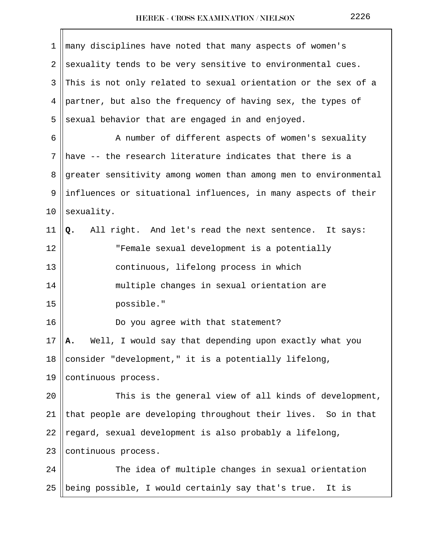| $\mathbf 1$ | many disciplines have noted that many aspects of women's        |
|-------------|-----------------------------------------------------------------|
| 2           | sexuality tends to be very sensitive to environmental cues.     |
| 3           | This is not only related to sexual orientation or the sex of a  |
| 4           | partner, but also the frequency of having sex, the types of     |
| 5           | sexual behavior that are engaged in and enjoyed.                |
| 6           | A number of different aspects of women's sexuality              |
| 7           | have -- the research literature indicates that there is a       |
| 8           | greater sensitivity among women than among men to environmental |
| 9           | influences or situational influences, in many aspects of their  |
| 10          | sexuality.                                                      |
| 11          | All right. And let's read the next sentence. It says:<br>Q.     |
| 12          | "Female sexual development is a potentially                     |
| 13          | continuous, lifelong process in which                           |
| 14          | multiple changes in sexual orientation are                      |
| 15          | possible."                                                      |
| 16          | Do you agree with that statement?                               |
| 17          | Well, I would say that depending upon exactly what you<br>А.    |
| 18          | consider "development," it is a potentially lifelong,           |
| 19          | continuous process.                                             |
| 20          | This is the general view of all kinds of development,           |
| 21          | that people are developing throughout their lives. So in that   |
| 22          | regard, sexual development is also probably a lifelong,         |
| 23          | continuous process.                                             |
| 24          | The idea of multiple changes in sexual orientation              |
| 25          | being possible, I would certainly say that's true.<br>It is     |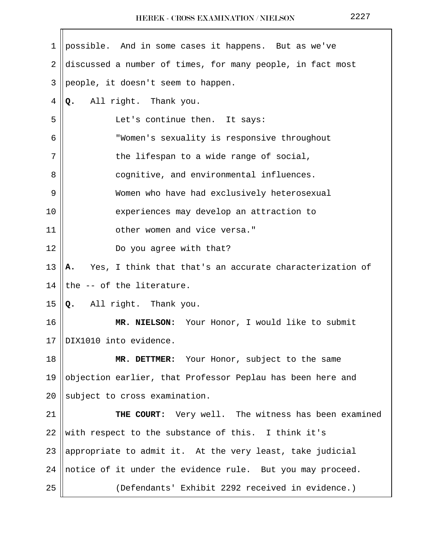| 1              | possible. And in some cases it happens. But as we've           |
|----------------|----------------------------------------------------------------|
| $\overline{2}$ | discussed a number of times, for many people, in fact most     |
| 3              | people, it doesn't seem to happen.                             |
| 4              | All right. Thank you.<br>Q.                                    |
| 5              | Let's continue then. It says:                                  |
| 6              | "Women's sexuality is responsive throughout                    |
| 7              | the lifespan to a wide range of social,                        |
| 8              | cognitive, and environmental influences.                       |
| 9              | Women who have had exclusively heterosexual                    |
| 10             | experiences may develop an attraction to                       |
| 11             | other women and vice versa."                                   |
| 12             | Do you agree with that?                                        |
| 13             | Yes, I think that that's an accurate characterization of<br>Α. |
| 14             | the -- of the literature.                                      |
| 15             | Q. All right. Thank you.                                       |
| 16             | MR. NIELSON: Your Honor, I would like to submit                |
| 17             | DIX1010 into evidence.                                         |
| 18             | MR. DETTMER: Your Honor, subject to the same                   |
| 19             | objection earlier, that Professor Peplau has been here and     |
| 20             | subject to cross examination.                                  |
| 21             | THE COURT: Very well. The witness has been examined            |
| 22             | with respect to the substance of this. I think it's            |
| 23             | appropriate to admit it. At the very least, take judicial      |
| 24             | notice of it under the evidence rule. But you may proceed.     |
| 25             | (Defendants' Exhibit 2292 received in evidence.)               |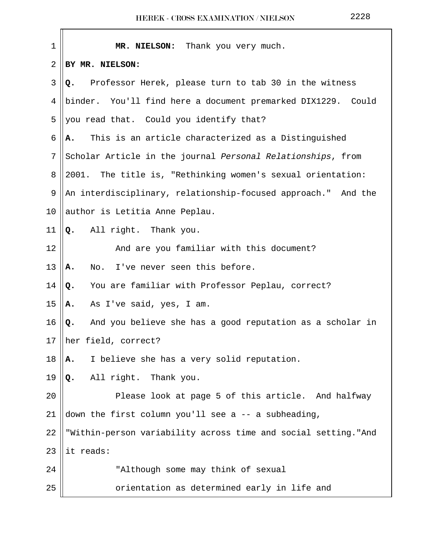| 1  | MR. NIELSON: Thank you very much.                               |
|----|-----------------------------------------------------------------|
| 2  | BY MR. NIELSON:                                                 |
| 3  | Professor Herek, please turn to tab 30 in the witness<br>Q.     |
| 4  | binder. You'll find here a document premarked DIX1229. Could    |
| 5  | you read that. Could you identify that?                         |
| 6  | This is an article characterized as a Distinguished<br>Α.       |
| 7  | Scholar Article in the journal Personal Relationships, from     |
| 8  | 2001. The title is, "Rethinking women's sexual orientation:     |
| 9  | An interdisciplinary, relationship-focused approach." And the   |
| 10 | author is Letitia Anne Peplau.                                  |
| 11 | All right. Thank you.<br>Q.                                     |
| 12 | And are you familiar with this document?                        |
| 13 | No. I've never seen this before.<br>Α.                          |
| 14 | You are familiar with Professor Peplau, correct?<br>Q.          |
| 15 | As I've said, yes, I am.<br>Α.                                  |
| 16 | And you believe she has a good reputation as a scholar in<br>Q. |
| 17 | her field, correct?                                             |
| 18 | I believe she has a very solid reputation.<br>Α.                |
| 19 | All right. Thank you.<br>Q.                                     |
| 20 | Please look at page 5 of this article. And halfway              |
| 21 | down the first column you'll see a -- a subheading,             |
| 22 | "Within-person variability across time and social setting."And  |
| 23 | it reads:                                                       |
| 24 | "Although some may think of sexual                              |
| 25 | orientation as determined early in life and                     |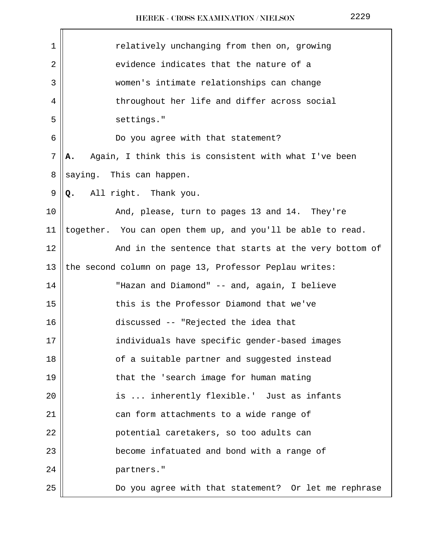| 1              | relatively unchanging from then on, growing                 |
|----------------|-------------------------------------------------------------|
| $\sqrt{2}$     | evidence indicates that the nature of a                     |
| 3              | women's intimate relationships can change                   |
| 4              | throughout her life and differ across social                |
| 5              | settings."                                                  |
| 6              | Do you agree with that statement?                           |
| $7\phantom{.}$ | Again, I think this is consistent with what I've been<br>Α. |
| 8              | saying. This can happen.                                    |
| 9              | All right. Thank you.<br>Q.                                 |
| 10             | And, please, turn to pages 13 and 14. They're               |
| 11             | together. You can open them up, and you'll be able to read. |
| 12             | And in the sentence that starts at the very bottom of       |
| 13             | the second column on page 13, Professor Peplau writes:      |
| 14             | "Hazan and Diamond" -- and, again, I believe                |
| 15             | this is the Professor Diamond that we've                    |
| 16             | discussed -- "Rejected the idea that                        |
| 17             | individuals have specific gender-based images               |
| 18             | of a suitable partner and suggested instead                 |
| 19             | that the 'search image for human mating                     |
| 20             | is  inherently flexible.' Just as infants                   |
| 21             | can form attachments to a wide range of                     |
| 22             | potential caretakers, so too adults can                     |
| 23             | become infatuated and bond with a range of                  |
| 24             | partners."                                                  |
| 25             | Do you agree with that statement? Or let me rephrase        |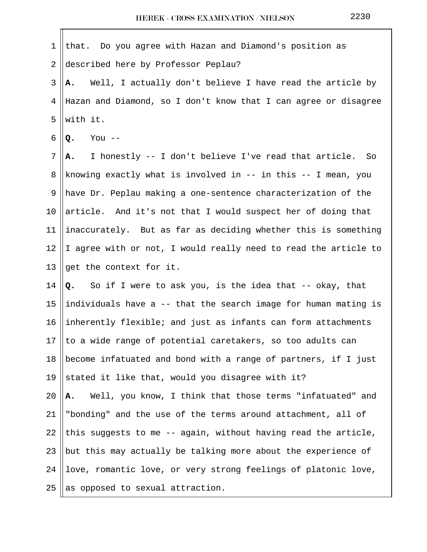1 that. Do you agree with Hazan and Diamond's position as 2 described here by Professor Peplau? 3 **A.** Well, I actually don't believe I have read the article by 4 Hazan and Diamond, so I don't know that I can agree or disagree 5 with it.  $6 \mid \mathbf{Q.}$  You -- $7 \parallel \mathbf{A}$ . I honestly -- I don't believe I've read that article. So 8 || knowing exactly what is involved in  $--$  in this  $--$  I mean, you 9 have Dr. Peplau making a one-sentence characterization of the 10  $\parallel$  article. And it's not that I would suspect her of doing that 11  $\parallel$  inaccurately. But as far as deciding whether this is something 12 I agree with or not, I would really need to read the article to 13 ||get the context for it. 14  $\|$ **Q.** So if I were to ask you, is the idea that  $-$ - okay, that 15 ||individuals have a  $-$  that the search image for human mating is 16  $\parallel$  inherently flexible; and just as infants can form attachments 17 || to a wide range of potential caretakers, so too adults can 18  $\parallel$  become infatuated and bond with a range of partners, if I just 19 Stated it like that, would you disagree with it? 20 **A.** Well, you know, I think that those terms "infatuated" and 21 "bonding" and the use of the terms around attachment, all of 22 this suggests to me -- again, without having read the article, 23  $\parallel$  but this may actually be talking more about the experience of  $24$  ||love, romantic love, or very strong feelings of platonic love, 25 as opposed to sexual attraction.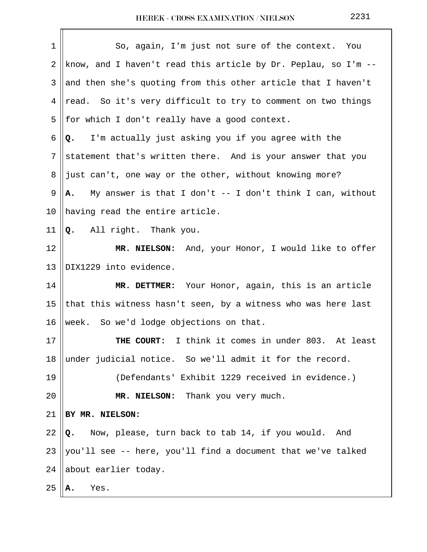| 1  | So, again, I'm just not sure of the context. You                  |
|----|-------------------------------------------------------------------|
| 2  | know, and I haven't read this article by Dr. Peplau, so I'm --    |
| 3  | and then she's quoting from this other article that I haven't     |
| 4  | read. So it's very difficult to try to comment on two things      |
| 5  | for which I don't really have a good context.                     |
| 6  | I'm actually just asking you if you agree with the<br>Q.          |
| 7  | statement that's written there. And is your answer that you       |
| 8  | just can't, one way or the other, without knowing more?           |
| 9  | My answer is that I don't $--$ I don't think I can, without<br>А. |
| 10 | having read the entire article.                                   |
| 11 | All right. Thank you.<br>Q.                                       |
| 12 | MR. NIELSON: And, your Honor, I would like to offer               |
| 13 | DIX1229 into evidence.                                            |
| 14 | MR. DETTMER: Your Honor, again, this is an article                |
| 15 | that this witness hasn't seen, by a witness who was here last     |
| 16 | week. So we'd lodge objections on that.                           |
| 17 | THE COURT: I think it comes in under 803. At least                |
| 18 | under judicial notice. So we'll admit it for the record.          |
| 19 | (Defendants' Exhibit 1229 received in evidence.)                  |
| 20 | MR. NIELSON: Thank you very much.                                 |
| 21 | BY MR. NIELSON:                                                   |
| 22 | Now, please, turn back to tab 14, if you would.<br>And<br>Q.      |
| 23 | you'll see -- here, you'll find a document that we've talked      |
| 24 | about earlier today.                                              |
| 25 | Yes.<br>А.                                                        |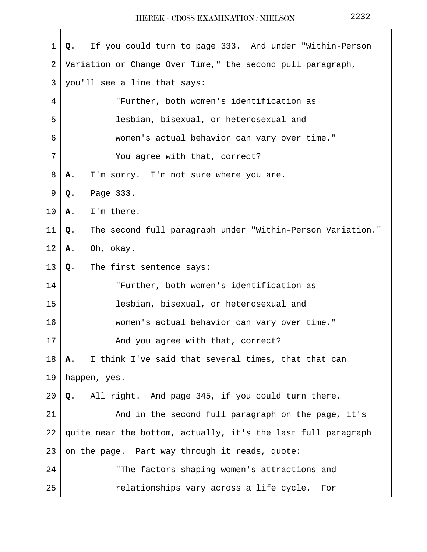$\blacksquare$ 

| $\mathbf 1$ | If you could turn to page 333. And under "Within-Person<br>Q.    |
|-------------|------------------------------------------------------------------|
| 2           | Variation or Change Over Time," the second pull paragraph,       |
|             |                                                                  |
| 3           | you'll see a line that says:                                     |
| 4           | "Further, both women's identification as                         |
| 5           | lesbian, bisexual, or heterosexual and                           |
| 6           | women's actual behavior can vary over time."                     |
| 7           | You agree with that, correct?                                    |
| 8           | I'm sorry. I'm not sure where you are.<br>Α.                     |
| 9           | Page 333.<br>Q.                                                  |
| 10          | I'm there.<br>А.                                                 |
| 11          | The second full paragraph under "Within-Person Variation."<br>Q. |
| 12          | Oh, okay.<br>Α.                                                  |
| 13          | The first sentence says:<br>Q.                                   |
| 14          | "Further, both women's identification as                         |
| 15          | lesbian, bisexual, or heterosexual and                           |
| 16          | women's actual behavior can vary over time."                     |
| 17          | And you agree with that, correct?                                |
| 18          | I think I've said that several times, that that can<br>А.        |
| 19          | happen, yes.                                                     |
| 20          | All right. And page 345, if you could turn there.<br>Q.          |
| 21          | And in the second full paragraph on the page, it's               |
| 22          | quite near the bottom, actually, it's the last full paragraph    |
| 23          | on the page. Part way through it reads, quote:                   |
| 24          | "The factors shaping women's attractions and                     |
| 25          | relationships vary across a life cycle.<br>For                   |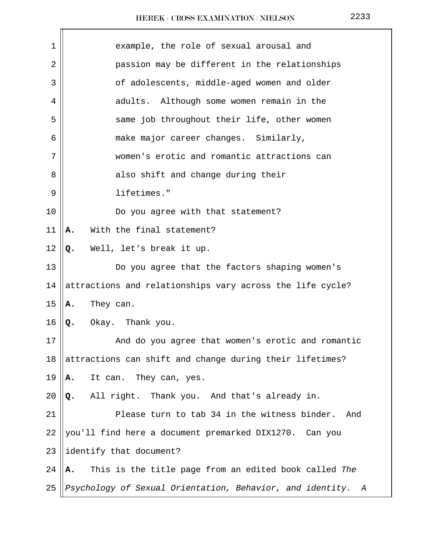| $\mathbf 1$    | example, the role of sexual arousal and                     |
|----------------|-------------------------------------------------------------|
| $\overline{2}$ | passion may be different in the relationships               |
| 3              | of adolescents, middle-aged women and older                 |
| 4              | adults. Although some women remain in the                   |
| 5              | same job throughout their life, other women                 |
| 6              | make major career changes. Similarly,                       |
| 7              | women's erotic and romantic attractions can                 |
| 8              | also shift and change during their                          |
| 9              | lifetimes."                                                 |
| 10             | Do you agree with that statement?                           |
| 11             | With the final statement?<br>Α.                             |
| 12             | Well, let's break it up.<br>Q.                              |
| 13             | Do you agree that the factors shaping women's               |
| 14             | attractions and relationships vary across the life cycle?   |
| 15             | They can.<br>Α.                                             |
| 16             | Okay. Thank you.<br>Q.                                      |
| 17             | And do you agree that women's erotic and romantic           |
| 18             | attractions can shift and change during their lifetimes?    |
| 19             | It can. They can, yes.<br>А.                                |
| 20             | All right. Thank you. And that's already in.<br>Q.          |
| 21             | Please turn to tab 34 in the witness binder.<br>And         |
| 22             | you'll find here a document premarked DIX1270. Can you      |
| 23             | identify that document?                                     |
| 24             | This is the title page from an edited book called The<br>Α. |
| 25             | Psychology of Sexual Orientation, Behavior, and identity. A |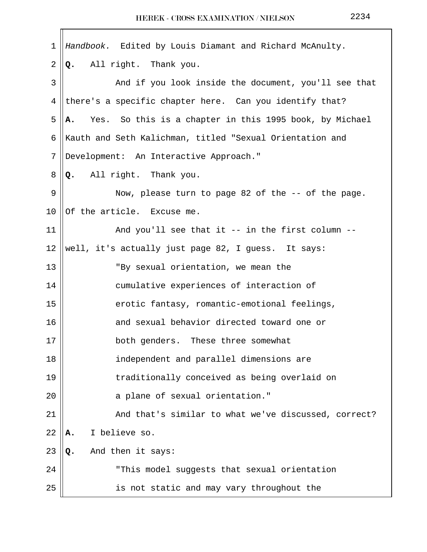$\blacksquare$ 

| 1              | Handbook. Edited by Louis Diamant and Richard McAnulty.       |
|----------------|---------------------------------------------------------------|
| $\overline{2}$ | All right. Thank you.<br>Q.                                   |
| 3              | And if you look inside the document, you'll see that          |
| 4              | there's a specific chapter here. Can you identify that?       |
| 5              | Yes. So this is a chapter in this 1995 book, by Michael<br>Α. |
| 6              | Kauth and Seth Kalichman, titled "Sexual Orientation and      |
| 7              | Development: An Interactive Approach."                        |
| 8              | All right. Thank you.<br>Q.                                   |
| 9              | Now, please turn to page 82 of the -- of the page.            |
| 10             | Of the article. Excuse me.                                    |
| 11             | And you'll see that it -- in the first column --              |
| 12             | well, it's actually just page 82, I guess. It says:           |
| 13             | "By sexual orientation, we mean the                           |
| 14             | cumulative experiences of interaction of                      |
| 15             | erotic fantasy, romantic-emotional feelings,                  |
| 16             | and sexual behavior directed toward one or                    |
| 17             | both genders. These three somewhat                            |
| 18             | independent and parallel dimensions are                       |
| 19             | traditionally conceived as being overlaid on                  |
| 20             | a plane of sexual orientation."                               |
| 21             | And that's similar to what we've discussed, correct?          |
| 22             | I believe so.<br>Α.                                           |
| 23             | And then it says:<br>Q.                                       |
| 24             | "This model suggests that sexual orientation                  |
| 25             | is not static and may vary throughout the                     |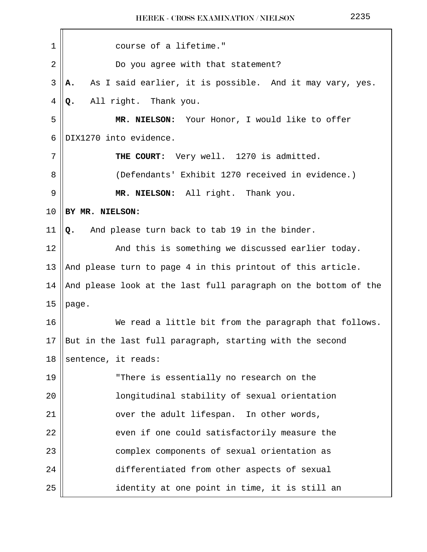| 1              | course of a lifetime."                                          |
|----------------|-----------------------------------------------------------------|
| $\overline{2}$ | Do you agree with that statement?                               |
| 3              | As I said earlier, it is possible. And it may vary, yes.<br>Α.  |
| $\overline{4}$ | All right. Thank you.<br>Q.                                     |
| 5              | MR. NIELSON: Your Honor, I would like to offer                  |
| 6              | DIX1270 into evidence.                                          |
| 7              | Very well. 1270 is admitted.<br>THE COURT:                      |
| 8              | (Defendants' Exhibit 1270 received in evidence.)                |
| 9              | MR. NIELSON: All right. Thank you.                              |
| 10             | BY MR. NIELSON:                                                 |
| 11             | And please turn back to tab 19 in the binder.<br>Q.             |
| 12             | And this is something we discussed earlier today.               |
| 13             | And please turn to page 4 in this printout of this article.     |
| 14             | And please look at the last full paragraph on the bottom of the |
| 15             | page.                                                           |
| 16             | We read a little bit from the paragraph that follows.           |
| 17             | But in the last full paragraph, starting with the second        |
| 18             | sentence, it reads:                                             |
| 19             | "There is essentially no research on the                        |
| 20             | longitudinal stability of sexual orientation                    |
| 21             | over the adult lifespan. In other words,                        |
| 22             | even if one could satisfactorily measure the                    |
| 23             | complex components of sexual orientation as                     |
| 24             | differentiated from other aspects of sexual                     |
| 25             | identity at one point in time, it is still an                   |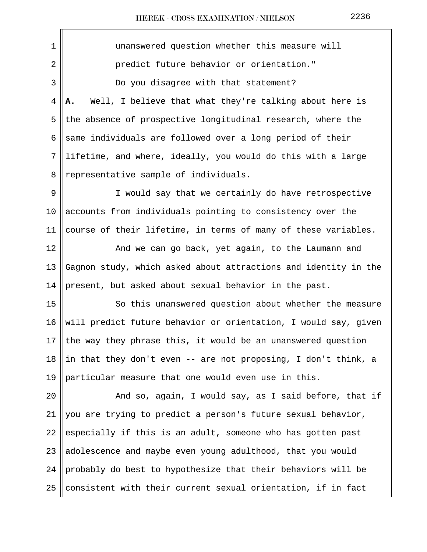| $\mathbf 1$ | unanswered question whether this measure will                      |
|-------------|--------------------------------------------------------------------|
| 2           | predict future behavior or orientation."                           |
| 3           | Do you disagree with that statement?                               |
| 4           | Well, I believe that what they're talking about here is<br>Α.      |
| 5           | the absence of prospective longitudinal research, where the        |
| 6           | same individuals are followed over a long period of their          |
| 7           | lifetime, and where, ideally, you would do this with a large       |
| 8           | representative sample of individuals.                              |
| 9           | I would say that we certainly do have retrospective                |
| 10          | accounts from individuals pointing to consistency over the         |
| 11          | course of their lifetime, in terms of many of these variables.     |
| 12          | And we can go back, yet again, to the Laumann and                  |
| 13          | Gagnon study, which asked about attractions and identity in the    |
| 14          | present, but asked about sexual behavior in the past.              |
| 15          | So this unanswered question about whether the measure              |
| 16          | will predict future behavior or orientation, I would say, given    |
|             | 17    the way they phrase this, it would be an unanswered question |
| 18          | in that they don't even -- are not proposing, I don't think, a     |
| 19          | particular measure that one would even use in this.                |
| 20          | And so, again, I would say, as I said before, that if              |
| 21          | you are trying to predict a person's future sexual behavior,       |
| 22          | especially if this is an adult, someone who has gotten past        |
| 23          | adolescence and maybe even young adulthood, that you would         |
| 24          | probably do best to hypothesize that their behaviors will be       |
| 25          | consistent with their current sexual orientation, if in fact       |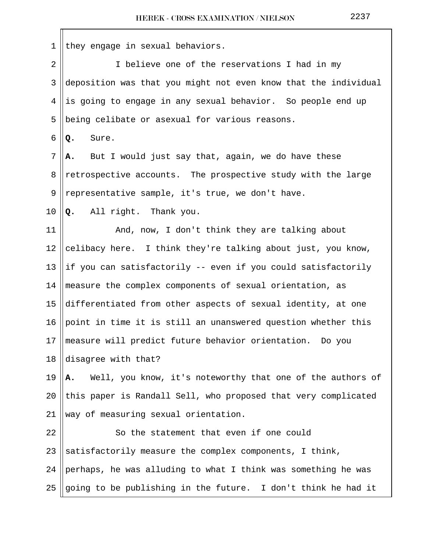| 1       | they engage in sexual behaviors.                                 |
|---------|------------------------------------------------------------------|
| 2       | I believe one of the reservations I had in my                    |
| 3       | deposition was that you might not even know that the individual  |
| 4       | is going to engage in any sexual behavior. So people end up      |
| 5       | being celibate or asexual for various reasons.                   |
| 6       | Sure.<br>Q.                                                      |
| 7       | A. But I would just say that, again, we do have these            |
| 8       | retrospective accounts. The prospective study with the large     |
| 9       | representative sample, it's true, we don't have.                 |
| $10 \,$ | All right. Thank you.<br>Q.                                      |
| 11      | And, now, I don't think they are talking about                   |
| 12      | celibacy here. I think they're talking about just, you know,     |
| 13      | if you can satisfactorily -- even if you could satisfactorily    |
| 14      | measure the complex components of sexual orientation, as         |
| 15      | differentiated from other aspects of sexual identity, at one     |
| 16      | point in time it is still an unanswered question whether this    |
| 17      | measure will predict future behavior orientation. Do you         |
| 18      | disagree with that?                                              |
| 19      | Well, you know, it's noteworthy that one of the authors of<br>Α. |
| 20      | this paper is Randall Sell, who proposed that very complicated   |
| 21      | way of measuring sexual orientation.                             |
| 22      | So the statement that even if one could                          |
| 23      | satisfactorily measure the complex components, I think,          |
| 24      | perhaps, he was alluding to what I think was something he was    |
| 25      | going to be publishing in the future. I don't think he had it    |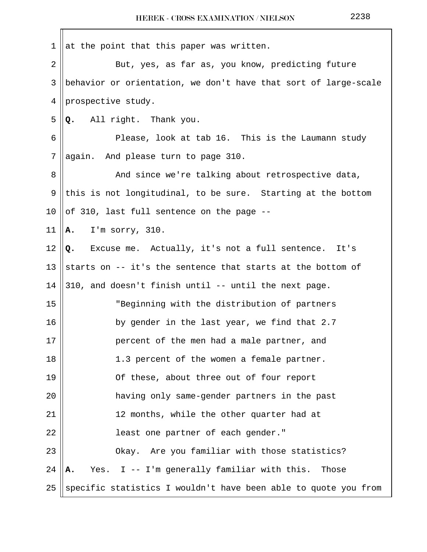| 1              | at the point that this paper was written.                       |
|----------------|-----------------------------------------------------------------|
| $\sqrt{2}$     | But, yes, as far as, you know, predicting future                |
| 3              | behavior or orientation, we don't have that sort of large-scale |
| 4              | prospective study.                                              |
| 5              | All right. Thank you.<br>Q.                                     |
| 6              | Please, look at tab 16. This is the Laumann study               |
| $7\phantom{.}$ | And please turn to page 310.<br>again.                          |
| 8              | And since we're talking about retrospective data,               |
| $\mathsf 9$    | this is not longitudinal, to be sure. Starting at the bottom    |
| 10             | of 310, last full sentence on the page --                       |
| 11             | I'm sorry, 310.<br>Α.                                           |
| 12             | Excuse me. Actually, it's not a full sentence.<br>Q.<br>It's    |
| 13             | starts on -- it's the sentence that starts at the bottom of     |
| 14             | 310, and doesn't finish until -- until the next page.           |
| 15             | "Beginning with the distribution of partners                    |
| 16             | by gender in the last year, we find that 2.7                    |
| $17\,$         | percent of the men had a male partner, and                      |
| 18             | 1.3 percent of the women a female partner.                      |
| 19             | Of these, about three out of four report                        |
| 20             | having only same-gender partners in the past                    |
| 21             | 12 months, while the other quarter had at                       |
| 22             | least one partner of each gender."                              |
| 23             | Are you familiar with those statistics?<br>Okay.                |
| 24             | Yes. I -- I'm generally familiar with this.<br>Those<br>А.      |
| 25             | specific statistics I wouldn't have been able to quote you from |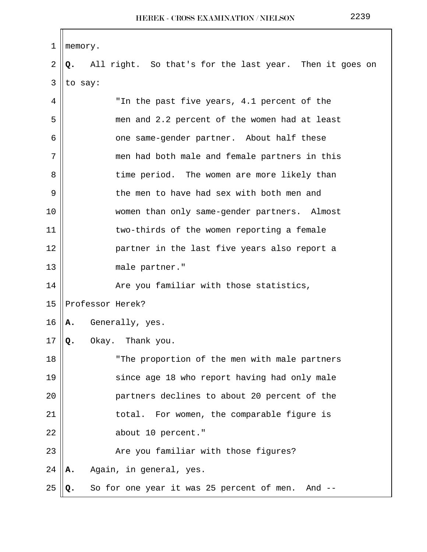| $\mathbf 1$    | memory.                                                       |
|----------------|---------------------------------------------------------------|
| $\overline{2}$ | All right. So that's for the last year. Then it goes on<br>Q. |
| 3              | to say:                                                       |
|                |                                                               |
| 4              | "In the past five years, 4.1 percent of the                   |
| 5              | men and 2.2 percent of the women had at least                 |
| 6              | one same-gender partner. About half these                     |
| 7              | men had both male and female partners in this                 |
| 8              | time period. The women are more likely than                   |
| 9              | the men to have had sex with both men and                     |
| 10             | women than only same-gender partners. Almost                  |
| 11             | two-thirds of the women reporting a female                    |
| 12             | partner in the last five years also report a                  |
| 13             | male partner."                                                |
| 14             | Are you familiar with those statistics,                       |
| 15             | Professor Herek?                                              |
| 16             | Generally, yes.<br>Α.                                         |
| 17             | Okay. Thank you.<br>Q.                                        |
| 18             | "The proportion of the men with male partners                 |
| 19             | since age 18 who report having had only male                  |
| 20             | partners declines to about 20 percent of the                  |
| 21             | total. For women, the comparable figure is                    |
| 22             | about 10 percent."                                            |
| 23             | Are you familiar with those figures?                          |
| 24             | Again, in general, yes.<br>А.                                 |
| 25             | So for one year it was 25 percent of men.<br>And --<br>Q.     |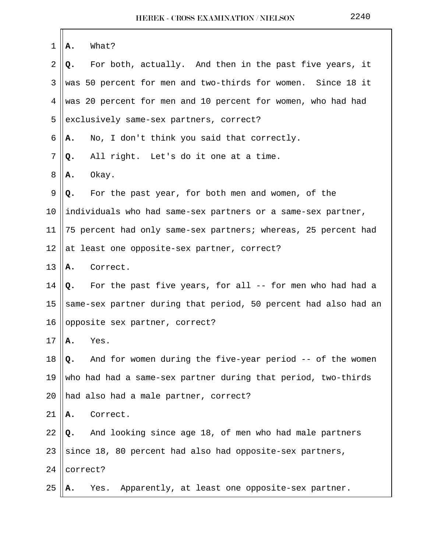| 1  | What?<br>Α.                                                     |
|----|-----------------------------------------------------------------|
| 2  | For both, actually. And then in the past five years, it<br>Q.   |
| 3  | was 50 percent for men and two-thirds for women. Since 18 it    |
| 4  | was 20 percent for men and 10 percent for women, who had had    |
| 5  | exclusively same-sex partners, correct?                         |
| 6  | No, I don't think you said that correctly.<br>Α.                |
| 7  | All right. Let's do it one at a time.<br>Q.                     |
| 8  | Okay.<br>А.                                                     |
| 9  | For the past year, for both men and women, of the<br>Q.         |
| 10 | individuals who had same-sex partners or a same-sex partner,    |
| 11 | 75 percent had only same-sex partners; whereas, 25 percent had  |
| 12 | at least one opposite-sex partner, correct?                     |
| 13 | Correct.<br>А.                                                  |
| 14 | Q. For the past five years, for all -- for men who had had a    |
| 15 | same-sex partner during that period, 50 percent had also had an |
| 16 | opposite sex partner, correct?                                  |
| 17 | Yes.<br>Α.                                                      |
| 18 | And for women during the five-year period -- of the women<br>Q. |
| 19 | who had had a same-sex partner during that period, two-thirds   |
| 20 | had also had a male partner, correct?                           |
| 21 | Correct.<br>Α.                                                  |
| 22 | And looking since age 18, of men who had male partners<br>Q.    |
| 23 | since 18, 80 percent had also had opposite-sex partners,        |
| 24 | correct?                                                        |
| 25 | Apparently, at least one opposite-sex partner.<br>Yes.<br>А.    |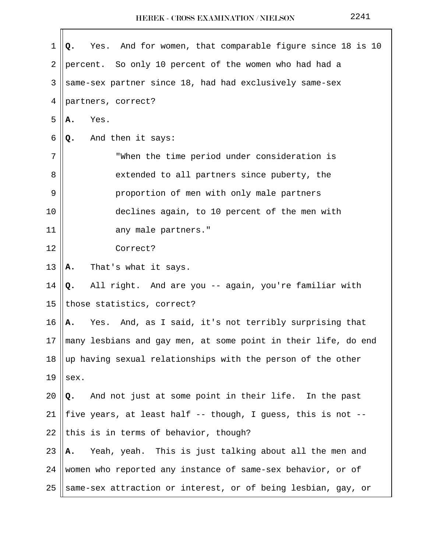| 1              | Q.   | And for women, that comparable figure since 18 is 10<br>Yes.   |
|----------------|------|----------------------------------------------------------------|
| $\overline{2}$ |      | percent. So only 10 percent of the women who had had a         |
| 3              |      | same-sex partner since 18, had had exclusively same-sex        |
| 4              |      | partners, correct?                                             |
| 5              | А.   | Yes.                                                           |
| 6              | Q.   | And then it says:                                              |
| 7              |      | "When the time period under consideration is                   |
| 8              |      | extended to all partners since puberty, the                    |
| 9              |      | proportion of men with only male partners                      |
| 10             |      | declines again, to 10 percent of the men with                  |
| 11             |      | any male partners."                                            |
| 12             |      | Correct?                                                       |
| 13             | Α.   | That's what it says.                                           |
| 14             | Q.   | All right. And are you -- again, you're familiar with          |
| 15             |      | those statistics, correct?                                     |
| 16             | Α.   | Yes. And, as I said, it's not terribly surprising that         |
| 17             |      | many lesbians and gay men, at some point in their life, do end |
| 18             |      | up having sexual relationships with the person of the other    |
| 19             | sex. |                                                                |
| 20             | Q.   | And not just at some point in their life. In the past          |
| 21             |      | five years, at least half -- though, I guess, this is not --   |
| 22             |      | this is in terms of behavior, though?                          |
| 23             | А.   | Yeah, yeah. This is just talking about all the men and         |
| 24             |      | women who reported any instance of same-sex behavior, or of    |
| 25             |      | same-sex attraction or interest, or of being lesbian, gay, or  |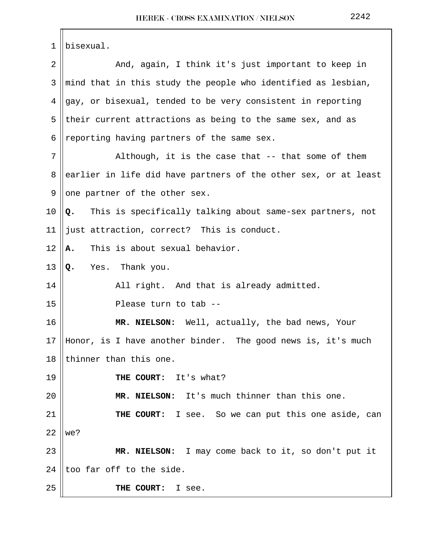| 1              | bisexual.                                                       |
|----------------|-----------------------------------------------------------------|
| $\overline{2}$ | And, again, I think it's just important to keep in              |
| 3              | mind that in this study the people who identified as lesbian,   |
| 4              | gay, or bisexual, tended to be very consistent in reporting     |
| 5              | their current attractions as being to the same sex, and as      |
| 6              | reporting having partners of the same sex.                      |
| 7              | Although, it is the case that -- that some of them              |
| 8              | earlier in life did have partners of the other sex, or at least |
| 9              | one partner of the other sex.                                   |
| 10             | This is specifically talking about same-sex partners, not<br>Q. |
| 11             | just attraction, correct? This is conduct.                      |
| 12             | This is about sexual behavior.<br>Α.                            |
| 13             | Yes. Thank you.<br>Q.                                           |
| 14             | All right. And that is already admitted.                        |
| 15             | Please turn to tab --                                           |
| 16             | MR. NIELSON: Well, actually, the bad news, Your                 |
| 17             | Honor, is I have another binder. The good news is, it's much    |
| 18             | thinner than this one.                                          |
| 19             | It's what?<br>THE COURT:                                        |
| 20             | MR. NIELSON: It's much thinner than this one.                   |
| 21             | THE COURT: I see. So we can put this one aside, can             |
| 22             | we?                                                             |
| 23             | MR. NIELSON: I may come back to it, so don't put it             |
| 24             | too far off to the side.                                        |
| 25             | THE COURT:<br>I see.                                            |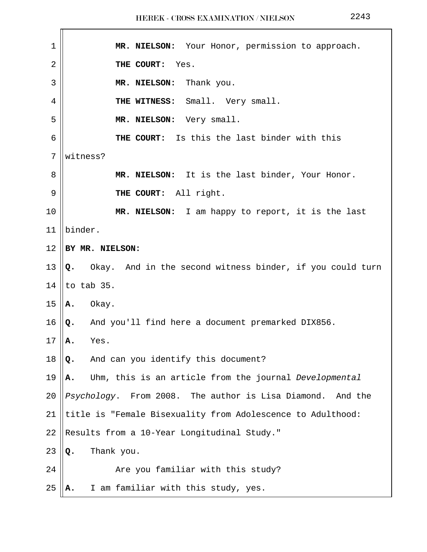|  | × |  |
|--|---|--|

| 1        | MR. NIELSON: Your Honor, permission to approach.                 |
|----------|------------------------------------------------------------------|
| 2        | THE COURT:<br>Yes.                                               |
| 3        | MR. NIELSON: Thank you.                                          |
| 4        | THE WITNESS: Small. Very small.                                  |
| 5        | MR. NIELSON: Very small.                                         |
| 6        | THE COURT: Is this the last binder with this                     |
| 7        | witness?                                                         |
| 8        | MR. NIELSON: It is the last binder, Your Honor.                  |
| 9        | THE COURT: All right.                                            |
| 10       | MR. NIELSON: I am happy to report, it is the last                |
| 11       | binder.                                                          |
| 12       | BY MR. NIELSON:                                                  |
| 13<br>Q. | Okay. And in the second witness binder, if you could turn        |
| 14       | to tab 35.                                                       |
| 15<br>Α. | Okay.                                                            |
| 16<br>Q. | And you'll find here a document premarked DIX856.                |
| 17<br>А. | Yes.                                                             |
| 18<br>Q. | And can you identify this document?                              |
| 19<br>Α. | Uhm, this is an article from the journal Developmental           |
| 20       | From 2008. The author is Lisa Diamond.<br>Psychology.<br>And the |
| 21       | title is "Female Bisexuality from Adolescence to Adulthood:      |
| 22       | Results from a 10-Year Longitudinal Study."                      |
| 23<br>Q. | Thank you.                                                       |
| 24       | Are you familiar with this study?                                |
| 25<br>А. | I am familiar with this study, yes.                              |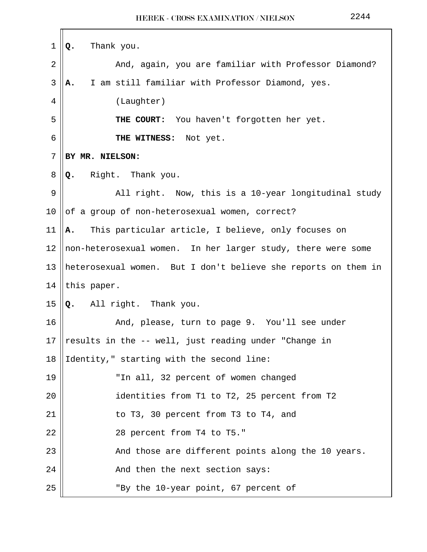| $\mathbf 1$    | Thank you.<br>Q.                                               |
|----------------|----------------------------------------------------------------|
| $\overline{2}$ | And, again, you are familiar with Professor Diamond?           |
| 3              | I am still familiar with Professor Diamond, yes.<br>Α.         |
| 4              | (Laughter)                                                     |
| 5              | THE COURT: You haven't forgotten her yet.                      |
| 6              | THE WITNESS: Not yet.                                          |
| 7              | BY MR. NIELSON:                                                |
| 8              | Right. Thank you.<br>Q.                                        |
| 9              | All right. Now, this is a 10-year longitudinal study           |
| 10             | of a group of non-heterosexual women, correct?                 |
| 11             | This particular article, I believe, only focuses on<br>Α.      |
| 12             | non-heterosexual women. In her larger study, there were some   |
| 13             | heterosexual women. But I don't believe she reports on them in |
| 14             | this paper.                                                    |
| 15             | All right. Thank you.<br>Q.                                    |
| 16             | And, please, turn to page 9. You'll see under                  |
| $17$           | results in the -- well, just reading under "Change in          |
| 18             | Identity," starting with the second line:                      |
| 19             | "In all, 32 percent of women changed                           |
| 20             | identities from T1 to T2, 25 percent from T2                   |
| 21             | to T3, 30 percent from T3 to T4, and                           |
| 22             | 28 percent from T4 to T5."                                     |
| 23             | And those are different points along the 10 years.             |
| 24             | And then the next section says:                                |
| 25             | "By the 10-year point, 67 percent of                           |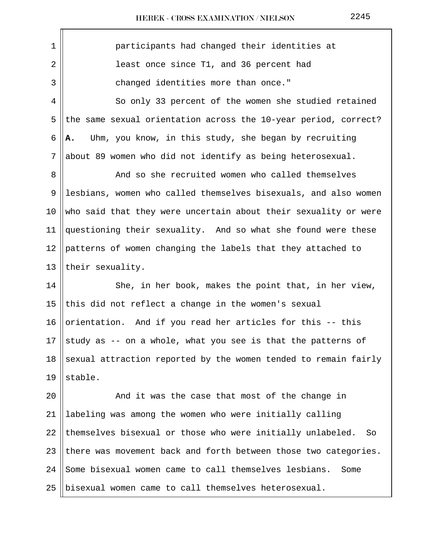| 1  | participants had changed their identities at                     |
|----|------------------------------------------------------------------|
| 2  | least once since T1, and 36 percent had                          |
| 3  | changed identities more than once."                              |
| 4  | So only 33 percent of the women she studied retained             |
| 5  | the same sexual orientation across the 10-year period, correct?  |
| 6  | Uhm, you know, in this study, she began by recruiting<br>Α.      |
| 7  | about 89 women who did not identify as being heterosexual.       |
| 8  | And so she recruited women who called themselves                 |
| 9  | lesbians, women who called themselves bisexuals, and also women  |
| 10 | who said that they were uncertain about their sexuality or were  |
| 11 | questioning their sexuality. And so what she found were these    |
| 12 | patterns of women changing the labels that they attached to      |
| 13 | their sexuality.                                                 |
| 14 | She, in her book, makes the point that, in her view,             |
| 15 | this did not reflect a change in the women's sexual              |
| 16 | orientation. And if you read her articles for this -- this       |
| 17 | study as -- on a whole, what you see is that the patterns of     |
| 18 | sexual attraction reported by the women tended to remain fairly  |
| 19 | stable.                                                          |
| 20 | And it was the case that most of the change in                   |
| 21 | labeling was among the women who were initially calling          |
| 22 | themselves bisexual or those who were initially unlabeled.<br>So |
| 23 | there was movement back and forth between those two categories.  |
| 24 | Some bisexual women came to call themselves lesbians.<br>Some    |

25 bisexual women came to call themselves heterosexual.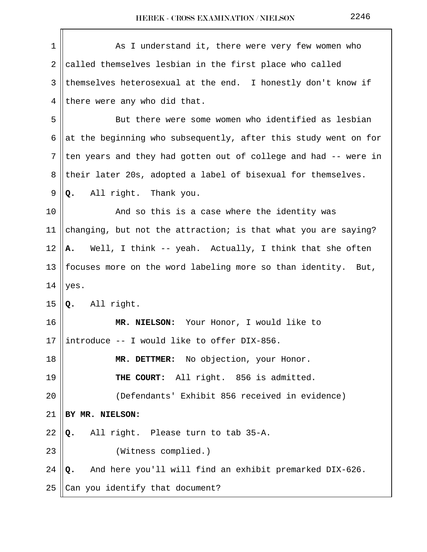| $\mathbf 1$ | As I understand it, there were very few women who               |
|-------------|-----------------------------------------------------------------|
| $\sqrt{2}$  | called themselves lesbian in the first place who called         |
| 3           | themselves heterosexual at the end. I honestly don't know if    |
| 4           | there were any who did that.                                    |
| 5           | But there were some women who identified as lesbian             |
| 6           | at the beginning who subsequently, after this study went on for |
| 7           | ten years and they had gotten out of college and had -- were in |
| 8           | their later 20s, adopted a label of bisexual for themselves.    |
| 9           | Q. All right. Thank you.                                        |
| 10          | And so this is a case where the identity was                    |
| 11          | changing, but not the attraction; is that what you are saying?  |
| 12          | A. Well, I think -- yeah. Actually, I think that she often      |
| 13          | focuses more on the word labeling more so than identity. But,   |
| 14          | yes.                                                            |
| 15          | Q. All right.                                                   |
| 16          | MR. NIELSON: Your Honor, I would like to                        |
| 17          | introduce -- I would like to offer DIX-856.                     |
| 18          | MR. DETTMER: No objection, your Honor.                          |
| 19          | THE COURT: All right. 856 is admitted.                          |
| 20          | (Defendants' Exhibit 856 received in evidence)                  |
| 21          | BY MR. NIELSON:                                                 |
| 22          | All right. Please turn to tab 35-A.<br>Q.                       |
| 23          | (Witness complied.)                                             |
| 24          | And here you'll will find an exhibit premarked DIX-626.<br>Q.   |
| 25          | Can you identify that document?                                 |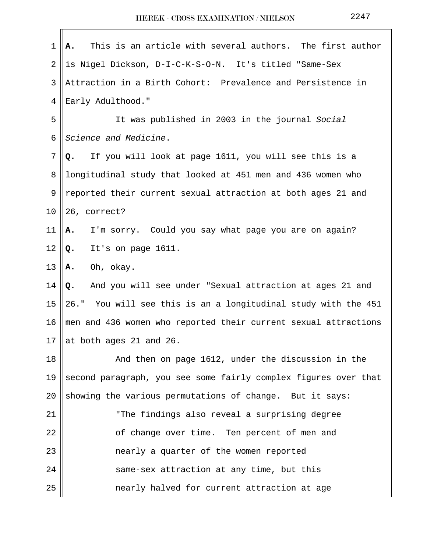$\mathbf{r}$ 

| $\mathbf 1$ | This is an article with several authors. The first author<br>А.      |
|-------------|----------------------------------------------------------------------|
| 2           | is Nigel Dickson, D-I-C-K-S-O-N. It's titled "Same-Sex               |
| 3           | Attraction in a Birth Cohort: Prevalence and Persistence in          |
| 4           | Early Adulthood."                                                    |
| 5           | It was published in 2003 in the journal Social                       |
| 6           | Science and Medicine.                                                |
| 7           | If you will look at page 1611, you will see this is a<br>Q.          |
| 8           | longitudinal study that looked at 451 men and 436 women who          |
| 9           | reported their current sexual attraction at both ages 21 and         |
| 10          | 26, correct?                                                         |
| 11          | I'm sorry. Could you say what page you are on again?<br>Α.           |
| 12          | It's on page 1611.<br>Q.                                             |
| 13          | Oh, okay.<br>Α.                                                      |
| 14          | And you will see under "Sexual attraction at ages 21 and<br>Q.       |
| 15          | $26.$ "<br>You will see this is an a longitudinal study with the 451 |
| 16          | men and 436 women who reported their current sexual attractions      |
| 17          | $\vert$ at both ages 21 and 26.                                      |
| 18          | And then on page 1612, under the discussion in the                   |
| 19          | second paragraph, you see some fairly complex figures over that      |
| 20          | showing the various permutations of change. But it says:             |
| 21          | "The findings also reveal a surprising degree                        |
| 22          | of change over time. Ten percent of men and                          |
| 23          | nearly a quarter of the women reported                               |
| 24          | same-sex attraction at any time, but this                            |
| 25          | nearly halved for current attraction at age                          |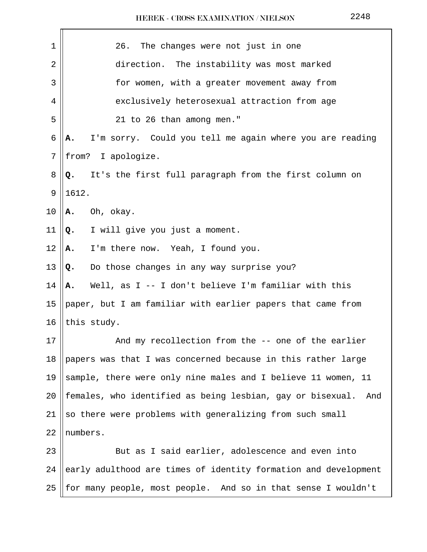| $\mathbf 1$    | 26.<br>The changes were not just in one                           |
|----------------|-------------------------------------------------------------------|
| $\overline{2}$ | direction. The instability was most marked                        |
| 3              | for women, with a greater movement away from                      |
| 4              | exclusively heterosexual attraction from age                      |
| 5              | 21 to 26 than among men."                                         |
| 6              | I'm sorry. Could you tell me again where you are reading<br>А.    |
| 7              | from? I apologize.                                                |
| 8              | It's the first full paragraph from the first column on<br>Q.      |
| 9              | 1612.                                                             |
| 10             | Oh, okay.<br>А.                                                   |
| 11             | I will give you just a moment.<br>Q.                              |
| 12             | I'm there now. Yeah, I found you.<br>Α.                           |
| 13             | Do those changes in any way surprise you?<br>Q.                   |
| 14             | Well, as I -- I don't believe I'm familiar with this<br>А.        |
| 15             | paper, but I am familiar with earlier papers that came from       |
| 16             | this study.                                                       |
| 17             | And my recollection from the -- one of the earlier                |
| 18             | papers was that I was concerned because in this rather large      |
| 19             | sample, there were only nine males and I believe 11 women, 11     |
| 20             | females, who identified as being lesbian, gay or bisexual.<br>And |
| 21             | so there were problems with generalizing from such small          |
| 22             | numbers.                                                          |
| 23             | But as I said earlier, adolescence and even into                  |
| 24             | early adulthood are times of identity formation and development   |
| 25             | for many people, most people. And so in that sense I wouldn't     |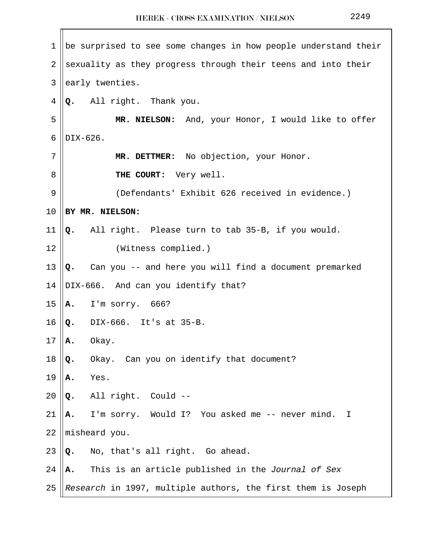| $\mathbf 1$    | be surprised to see some changes in how people understand their |
|----------------|-----------------------------------------------------------------|
| $\overline{2}$ | sexuality as they progress through their teens and into their   |
| 3              | early twenties.                                                 |
| $\overline{4}$ | All right. Thank you.<br>Q.                                     |
| 5              | MR. NIELSON: And, your Honor, I would like to offer             |
| 6              | DIX-626.                                                        |
| 7              | MR. DETTMER: No objection, your Honor.                          |
| 8              | THE COURT: Very well.                                           |
| 9              | (Defendants' Exhibit 626 received in evidence.)                 |
| 10             | BY MR. NIELSON:                                                 |
| 11             | All right. Please turn to tab 35-B, if you would.<br>Q.         |
| 12             | (Witness complied.)                                             |
| 13             | Can you -- and here you will find a document premarked<br>Q.    |
| 14             | DIX-666. And can you identify that?                             |
| 15             | I'm sorry. 666?<br>Α.                                           |
| 16             | DIX-666. It's at 35-B.<br>Q.                                    |
| $17$           | Okay.<br>А.                                                     |
| 18             | Can you on identify that document?<br>Okay.<br>Q.               |
| 19             | Yes.<br>Α.                                                      |
| 20             | All right. Could --<br>Q.                                       |
| 21             | I'm sorry. Would I? You asked me -- never mind.<br>Α.<br>I.     |
| 22             | misheard you.                                                   |
| 23             | No, that's all right. Go ahead.<br>Q.                           |
| 24             | This is an article published in the Journal of Sex<br>Α.        |
| 25             | Research in 1997, multiple authors, the first them is Joseph    |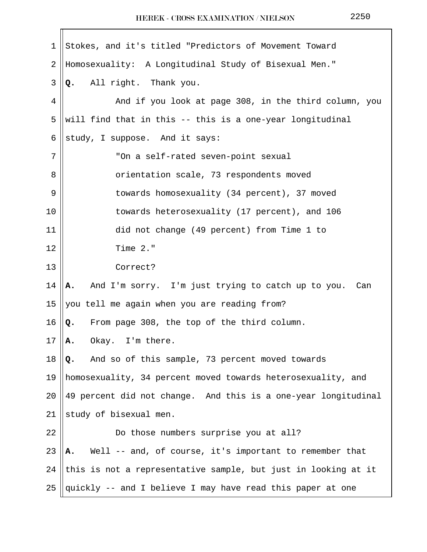| 1              | Stokes, and it's titled "Predictors of Movement Toward         |
|----------------|----------------------------------------------------------------|
| $\overline{2}$ | Homosexuality: A Longitudinal Study of Bisexual Men."          |
| 3              | All right. Thank you.<br>Q.                                    |
| 4              | And if you look at page 308, in the third column, you          |
| 5              | will find that in this -- this is a one-year longitudinal      |
| 6              | study, I suppose. And it says:                                 |
| 7              | "On a self-rated seven-point sexual                            |
| 8              | orientation scale, 73 respondents moved                        |
| 9              | towards homosexuality (34 percent), 37 moved                   |
| 10             | towards heterosexuality (17 percent), and 106                  |
| 11             | did not change (49 percent) from Time 1 to                     |
| 12             | Time 2."                                                       |
| 13             | Correct?                                                       |
| 14             | And I'm sorry. I'm just trying to catch up to you. Can<br>А.   |
| 15             | you tell me again when you are reading from?                   |
| 16             | From page 308, the top of the third column.<br>Q.              |
| $17$           | Okay. I'm there.<br>А.                                         |
| 18             | And so of this sample, 73 percent moved towards<br>Q.          |
| 19             | homosexuality, 34 percent moved towards heterosexuality, and   |
| 20             | 49 percent did not change. And this is a one-year longitudinal |
| 21             | study of bisexual men.                                         |
| 22             | Do those numbers surprise you at all?                          |
| 23             | Well -- and, of course, it's important to remember that<br>Α.  |
| 24             | this is not a representative sample, but just in looking at it |
| 25             | quickly -- and I believe I may have read this paper at one     |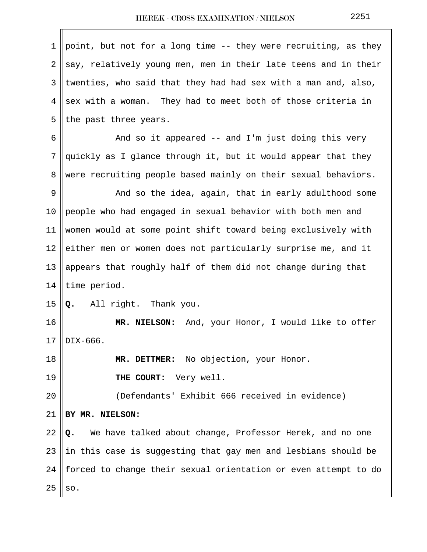| 1              | point, but not for a long time -- they were recruiting, as they |
|----------------|-----------------------------------------------------------------|
| $\overline{2}$ | say, relatively young men, men in their late teens and in their |
| 3              | twenties, who said that they had had sex with a man and, also,  |
| 4              | sex with a woman. They had to meet both of those criteria in    |
| 5              | the past three years.                                           |
| 6              | And so it appeared -- and I'm just doing this very              |
| 7              | quickly as I glance through it, but it would appear that they   |
| 8              | were recruiting people based mainly on their sexual behaviors.  |
| 9              | And so the idea, again, that in early adulthood some            |
| 10             | people who had engaged in sexual behavior with both men and     |
| 11             | women would at some point shift toward being exclusively with   |
| 12             | either men or women does not particularly surprise me, and it   |
| 13             | appears that roughly half of them did not change during that    |
| 14             | time period.                                                    |
| 15             | All right. Thank you.<br>Q.                                     |
| 16             | MR. NIELSON: And, your Honor, I would like to offer             |
| 17             | DIX-666.                                                        |
| 18             | MR. DETTMER: No objection, your Honor.                          |
| 19             | THE COURT: Very well.                                           |
| 20             | (Defendants' Exhibit 666 received in evidence)                  |
| 21             | BY MR. NIELSON:                                                 |
| 22             | We have talked about change, Professor Herek, and no one<br>Q.  |
| 23             | in this case is suggesting that gay men and lesbians should be  |
| 24             | forced to change their sexual orientation or even attempt to do |
| 25             | SO.                                                             |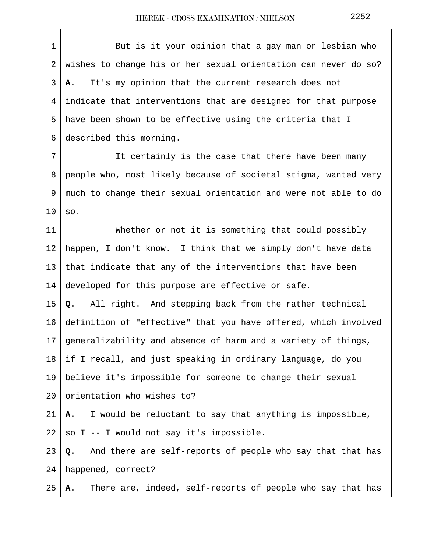| 1  | But is it your opinion that a gay man or lesbian who             |
|----|------------------------------------------------------------------|
| 2  | wishes to change his or her sexual orientation can never do so?  |
| 3  | It's my opinion that the current research does not<br>А.         |
| 4  | indicate that interventions that are designed for that purpose   |
| 5  | have been shown to be effective using the criteria that I        |
| 6  | described this morning.                                          |
| 7  | It certainly is the case that there have been many               |
| 8  | people who, most likely because of societal stigma, wanted very  |
| 9  | much to change their sexual orientation and were not able to do  |
| 10 | SO.                                                              |
| 11 | Whether or not it is something that could possibly               |
| 12 | happen, I don't know. I think that we simply don't have data     |
| 13 | that indicate that any of the interventions that have been       |
| 14 | developed for this purpose are effective or safe.                |
| 15 | All right. And stepping back from the rather technical<br>Q.     |
| 16 | definition of "effective" that you have offered, which involved  |
| 17 | generalizability and absence of harm and a variety of things,    |
| 18 | if I recall, and just speaking in ordinary language, do you      |
| 19 | believe it's impossible for someone to change their sexual       |
| 20 | orientation who wishes to?                                       |
| 21 | I would be reluctant to say that anything is impossible,<br>А.   |
| 22 | so I -- I would not say it's impossible.                         |
| 23 | And there are self-reports of people who say that that has<br>Q. |
| 24 | happened, correct?                                               |
| 25 | There are, indeed, self-reports of people who say that has<br>А. |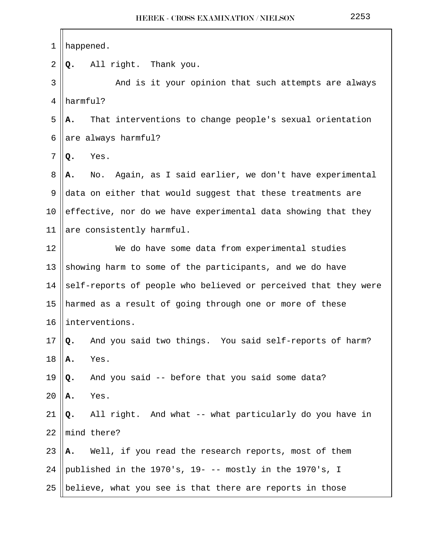| 1              | happened.                                                         |
|----------------|-------------------------------------------------------------------|
| $\overline{2}$ | All right. Thank you.<br>Q.                                       |
| 3              | And is it your opinion that such attempts are always              |
| 4              | harmful?                                                          |
| 5              | That interventions to change people's sexual orientation<br>А.    |
| 6              | are always harmful?                                               |
| 7              | Yes.<br>Q.                                                        |
| 8              | Again, as I said earlier, we don't have experimental<br>No.<br>А. |
| 9              | data on either that would suggest that these treatments are       |
| 10             | effective, nor do we have experimental data showing that they     |
| 11             | are consistently harmful.                                         |
| 12             | We do have some data from experimental studies                    |
| 13             | showing harm to some of the participants, and we do have          |
| 14             | self-reports of people who believed or perceived that they were   |
| 15             | harmed as a result of going through one or more of these          |
| 16             | interventions.                                                    |
| 17             | And you said two things. You said self-reports of harm?<br>Q.     |
| 18             | Yes.<br>Α.                                                        |
| 19             | And you said -- before that you said some data?<br>Q.             |
| 20             | Yes.<br>Α.                                                        |
| 21             | All right. And what -- what particularly do you have in<br>Q.     |
| 22             | mind there?                                                       |
| 23             | Well, if you read the research reports, most of them<br>Α.        |
| 24             | published in the 1970's, 19- -- mostly in the 1970's, I           |
| 25             | believe, what you see is that there are reports in those          |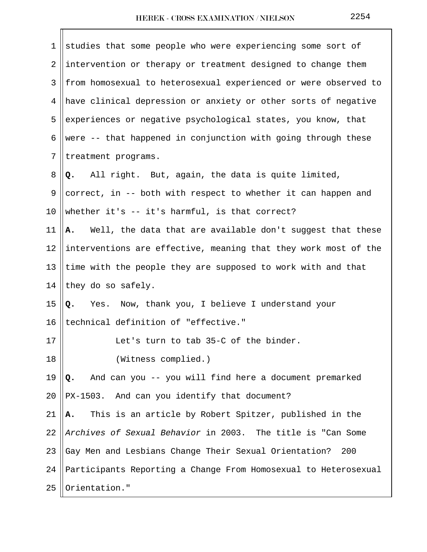| 1  | studies that some people who were experiencing some sort of      |
|----|------------------------------------------------------------------|
| 2  | intervention or therapy or treatment designed to change them     |
| 3  | from homosexual to heterosexual experienced or were observed to  |
| 4  | have clinical depression or anxiety or other sorts of negative   |
| 5  | experiences or negative psychological states, you know, that     |
| 6  | were -- that happened in conjunction with going through these    |
| 7  | treatment programs.                                              |
| 8  | $Q.$ All right. But, again, the data is quite limited,           |
| 9  | correct, in -- both with respect to whether it can happen and    |
| 10 | whether it's $--$ it's harmful, is that correct?                 |
| 11 | Well, the data that are available don't suggest that these<br>Α. |
| 12 | interventions are effective, meaning that they work most of the  |
| 13 | time with the people they are supposed to work with and that     |
| 14 | they do so safely.                                               |
| 15 | Yes. Now, thank you, I believe I understand your<br>Q.           |
| 16 | technical definition of "effective."                             |
| 17 | Let's turn to tab 35-C of the binder.                            |
| 18 | (Witness complied.)                                              |
| 19 | And can you -- you will find here a document premarked<br>Q.     |
| 20 | PX-1503. And can you identify that document?                     |
| 21 | This is an article by Robert Spitzer, published in the<br>Α.     |
| 22 | Archives of Sexual Behavior in 2003. The title is "Can Some      |
| 23 | Gay Men and Lesbians Change Their Sexual Orientation?<br>200     |
| 24 | Participants Reporting a Change From Homosexual to Heterosexual  |
| 25 | Orientation."                                                    |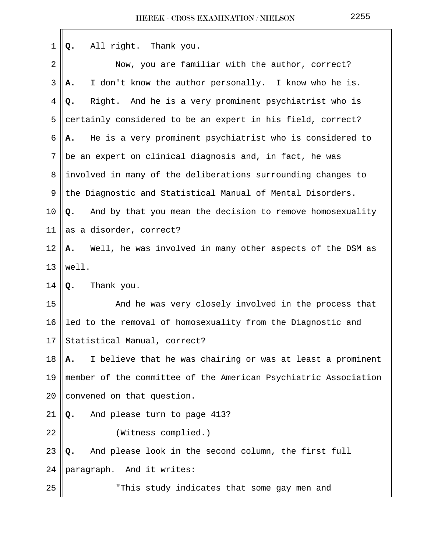| 1              | All right. Thank you.<br>Q.                                      |
|----------------|------------------------------------------------------------------|
| $\overline{2}$ | Now, you are familiar with the author, correct?                  |
| 3              | I don't know the author personally. I know who he is.<br>А.      |
| 4              | Right. And he is a very prominent psychiatrist who is<br>Q.      |
| 5              | certainly considered to be an expert in his field, correct?      |
| 6              | He is a very prominent psychiatrist who is considered to<br>Α.   |
| 7              | be an expert on clinical diagnosis and, in fact, he was          |
| 8              | involved in many of the deliberations surrounding changes to     |
| 9              | the Diagnostic and Statistical Manual of Mental Disorders.       |
| 10             | And by that you mean the decision to remove homosexuality<br>Q.  |
| 11             | as a disorder, correct?                                          |
| 12             | Well, he was involved in many other aspects of the DSM as<br>Α.  |
| 13             | well.                                                            |
| 14             | Thank you.<br>Q.                                                 |
| 15             | And he was very closely involved in the process that             |
| 16             | led to the removal of homosexuality from the Diagnostic and      |
| 17             | Statistical Manual, correct?                                     |
| 18             | I believe that he was chairing or was at least a prominent<br>Α. |
| 19             | member of the committee of the American Psychiatric Association  |
| 20             | convened on that question.                                       |
| 21             | And please turn to page 413?<br>Q.                               |
| 22             | (Witness complied.)                                              |
| 23             | And please look in the second column, the first full<br>Q.       |
| 24             | paragraph. And it writes:                                        |
| 25             | "This study indicates that some gay men and                      |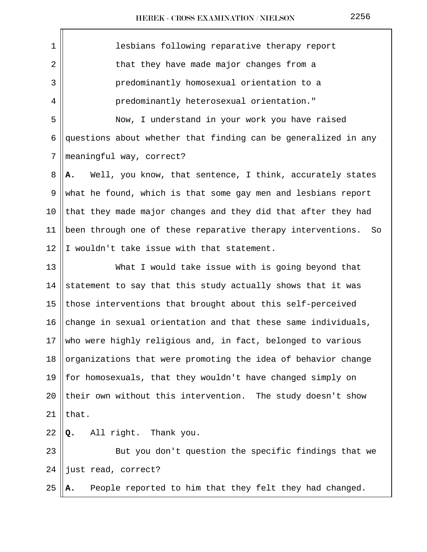| 1  | lesbians following reparative therapy report                    |
|----|-----------------------------------------------------------------|
| 2  | that they have made major changes from a                        |
| 3  | predominantly homosexual orientation to a                       |
| 4  | predominantly heterosexual orientation."                        |
| 5  | Now, I understand in your work you have raised                  |
| 6  | questions about whether that finding can be generalized in any  |
| 7  | meaningful way, correct?                                        |
| 8  | Well, you know, that sentence, I think, accurately states<br>А. |
| 9  | what he found, which is that some gay men and lesbians report   |
| 10 | that they made major changes and they did that after they had   |
| 11 | been through one of these reparative therapy interventions. So  |
| 12 | I wouldn't take issue with that statement.                      |
| 13 | What I would take issue with is going beyond that               |
| 14 | statement to say that this study actually shows that it was     |
| 15 | those interventions that brought about this self-perceived      |
| 16 | change in sexual orientation and that these same individuals,   |
| 17 | who were highly religious and, in fact, belonged to various     |
| 18 | organizations that were promoting the idea of behavior change   |
| 19 | for homosexuals, that they wouldn't have changed simply on      |
| 20 | their own without this intervention. The study doesn't show     |
| 21 | that.                                                           |
| 22 | All right. Thank you.<br>Q.                                     |
| 23 | But you don't question the specific findings that we            |
| 24 | just read, correct?                                             |
| 25 | People reported to him that they felt they had changed.<br>Α.   |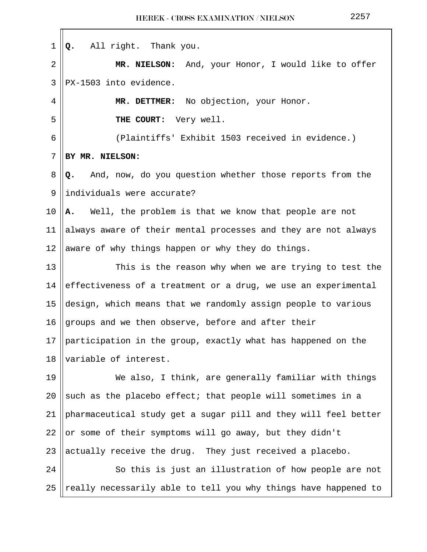$\mathbf{r}$ 

| 1  | All right. Thank you.<br>Q.                                     |
|----|-----------------------------------------------------------------|
| 2  | MR. NIELSON: And, your Honor, I would like to offer             |
| 3  | PX-1503 into evidence.                                          |
| 4  | MR. DETTMER: No objection, your Honor.                          |
| 5  | THE COURT: Very well.                                           |
| 6  | (Plaintiffs' Exhibit 1503 received in evidence.)                |
| 7  | BY MR. NIELSON:                                                 |
| 8  | And, now, do you question whether those reports from the<br>Q.  |
| 9  | individuals were accurate?                                      |
| 10 | Well, the problem is that we know that people are not<br>Α.     |
| 11 | always aware of their mental processes and they are not always  |
| 12 | aware of why things happen or why they do things.               |
| 13 | This is the reason why when we are trying to test the           |
| 14 | effectiveness of a treatment or a drug, we use an experimental  |
| 15 | design, which means that we randomly assign people to various   |
| 16 | groups and we then observe, before and after their              |
| 17 | participation in the group, exactly what has happened on the    |
| 18 | variable of interest.                                           |
| 19 | We also, I think, are generally familiar with things            |
| 20 | such as the placebo effect; that people will sometimes in a     |
| 21 | pharmaceutical study get a sugar pill and they will feel better |
| 22 | or some of their symptoms will go away, but they didn't         |
| 23 | actually receive the drug. They just received a placebo.        |
| 24 | So this is just an illustration of how people are not           |
| 25 | really necessarily able to tell you why things have happened to |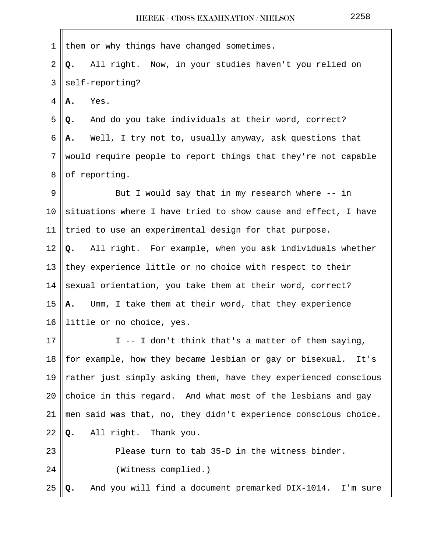| 1  | them or why things have changed sometimes.                       |
|----|------------------------------------------------------------------|
| 2  | All right. Now, in your studies haven't you relied on<br>Q.      |
| 3  | self-reporting?                                                  |
| 4  | Yes.<br>Α.                                                       |
| 5  | And do you take individuals at their word, correct?<br>Q.        |
| 6  | Well, I try not to, usually anyway, ask questions that<br>Α.     |
| 7  | would require people to report things that they're not capable   |
| 8  | of reporting.                                                    |
| 9  | But I would say that in my research where -- in                  |
| 10 | situations where I have tried to show cause and effect, I have   |
| 11 | tried to use an experimental design for that purpose.            |
| 12 | All right. For example, when you ask individuals whether<br>Q.   |
| 13 | they experience little or no choice with respect to their        |
| 14 | sexual orientation, you take them at their word, correct?        |
| 15 | Umm, I take them at their word, that they experience<br>Α.       |
| 16 | little or no choice, yes.                                        |
| 17 | I -- I don't think that's a matter of them saying,               |
| 18 | for example, how they became lesbian or gay or bisexual.<br>It's |
| 19 | rather just simply asking them, have they experienced conscious  |
| 20 | choice in this regard. And what most of the lesbians and gay     |
| 21 | men said was that, no, they didn't experience conscious choice.  |
| 22 | All right. Thank you.<br>Q.                                      |
| 23 | Please turn to tab 35-D in the witness binder.                   |
| 24 | (Witness complied.)                                              |
| 25 | And you will find a document premarked DIX-1014. I'm sure<br>Q.  |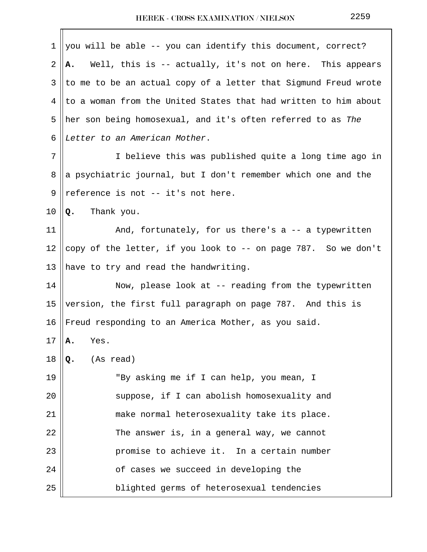| 1  | you will be able -- you can identify this document, correct?    |
|----|-----------------------------------------------------------------|
| 2  | A. Well, this is -- actually, it's not on here. This appears    |
| 3  | to me to be an actual copy of a letter that Sigmund Freud wrote |
| 4  | to a woman from the United States that had written to him about |
| 5  | her son being homosexual, and it's often referred to as The     |
| 6  | Letter to an American Mother.                                   |
| 7  | I believe this was published quite a long time ago in           |
| 8  | a psychiatric journal, but I don't remember which one and the   |
| 9  | reference is not -- it's not here.                              |
| 10 | Q. Thank you.                                                   |
| 11 | And, fortunately, for us there's a -- a typewritten             |
| 12 | copy of the letter, if you look to -- on page 787. So we don't  |
| 13 | have to try and read the handwriting.                           |
| 14 | Now, please look at -- reading from the typewritten             |
| 15 | version, the first full paragraph on page 787. And this is      |
| 16 | Freud responding to an America Mother, as you said.             |
| 17 | Yes.<br>А.                                                      |
| 18 | (As read)<br>Q.                                                 |
| 19 | "By asking me if I can help, you mean, I                        |
| 20 | suppose, if I can abolish homosexuality and                     |
| 21 | make normal heterosexuality take its place.                     |
| 22 | The answer is, in a general way, we cannot                      |
| 23 | promise to achieve it. In a certain number                      |
| 24 | of cases we succeed in developing the                           |
| 25 | blighted germs of heterosexual tendencies                       |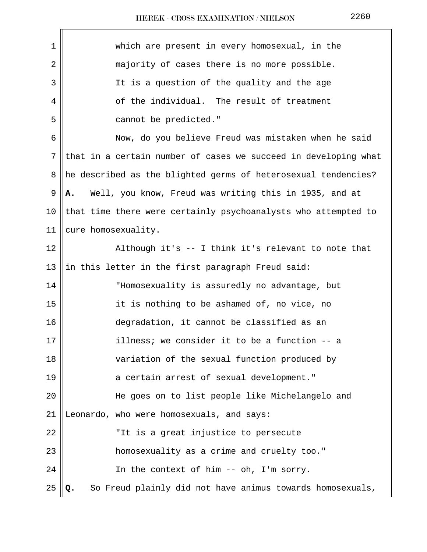| $\mathbf 1$    | which are present in every homosexual, in the                   |
|----------------|-----------------------------------------------------------------|
| $\overline{2}$ | majority of cases there is no more possible.                    |
| 3              | It is a question of the quality and the age                     |
| 4              | of the individual. The result of treatment                      |
| 5              | cannot be predicted."                                           |
| 6              | Now, do you believe Freud was mistaken when he said             |
| 7              | that in a certain number of cases we succeed in developing what |
| 8              | he described as the blighted germs of heterosexual tendencies?  |
| 9              | Well, you know, Freud was writing this in 1935, and at<br>Α.    |
| 10             | that time there were certainly psychoanalysts who attempted to  |
| 11             | cure homosexuality.                                             |
| 12             | Although it's -- I think it's relevant to note that             |
| 13             | in this letter in the first paragraph Freud said:               |
| 14             | "Homosexuality is assuredly no advantage, but                   |
| 15             | it is nothing to be ashamed of, no vice, no                     |
| 16             | degradation, it cannot be classified as an                      |
| $17\,$         | illness; we consider it to be a function -- a                   |
| 18             | variation of the sexual function produced by                    |
| 19             | a certain arrest of sexual development."                        |
| 20             | He goes on to list people like Michelangelo and                 |
| 21             | Leonardo, who were homosexuals, and says:                       |
| 22             | "It is a great injustice to persecute                           |
| 23             | homosexuality as a crime and cruelty too."                      |
| 24             | In the context of him -- oh, I'm sorry.                         |
| 25             | So Freud plainly did not have animus towards homosexuals,<br>Q. |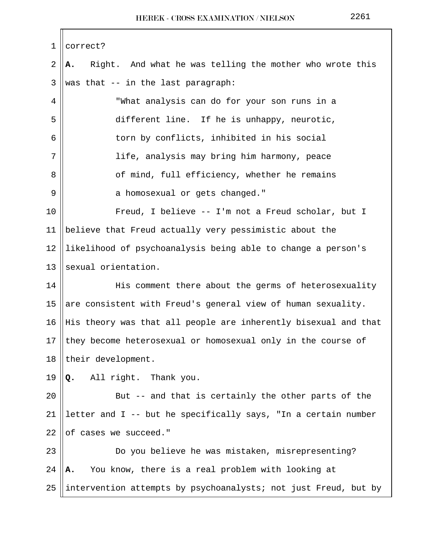| 1              | correct?                                                        |
|----------------|-----------------------------------------------------------------|
| $\overline{2}$ | Right. And what he was telling the mother who wrote this<br>А.  |
| 3              | was that -- in the last paragraph:                              |
| 4              | "What analysis can do for your son runs in a                    |
| 5              | different line. If he is unhappy, neurotic,                     |
| 6              | torn by conflicts, inhibited in his social                      |
| 7              | life, analysis may bring him harmony, peace                     |
| 8              | of mind, full efficiency, whether he remains                    |
| 9              | a homosexual or gets changed."                                  |
| 10             | Freud, I believe -- I'm not a Freud scholar, but I              |
| 11             | believe that Freud actually very pessimistic about the          |
| 12             | likelihood of psychoanalysis being able to change a person's    |
| 13             | sexual orientation.                                             |
| 14             | His comment there about the germs of heterosexuality            |
| 15             | are consistent with Freud's general view of human sexuality.    |
| 16             | His theory was that all people are inherently bisexual and that |
| 17             | they become heterosexual or homosexual only in the course of    |
| 18             | their development.                                              |
| 19             | All right. Thank you.<br>Q.                                     |
| 20             | But -- and that is certainly the other parts of the             |
| 21             | letter and I -- but he specifically says, "In a certain number  |
| 22             | of cases we succeed."                                           |
| 23             | Do you believe he was mistaken, misrepresenting?                |
| 24             | You know, there is a real problem with looking at<br>А.         |
| 25             | intervention attempts by psychoanalysts; not just Freud, but by |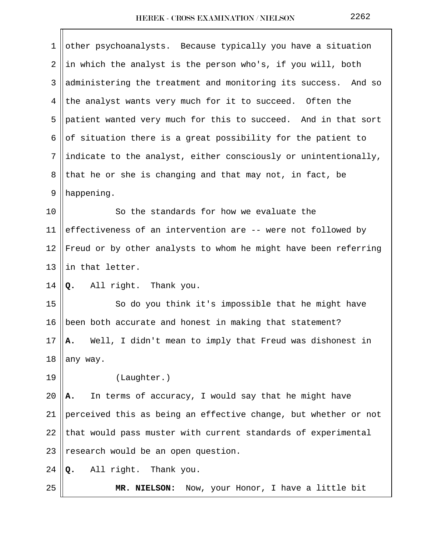| 1              | other psychoanalysts. Because typically you have a situation    |
|----------------|-----------------------------------------------------------------|
| $\overline{2}$ | in which the analyst is the person who's, if you will, both     |
| 3              | administering the treatment and monitoring its success. And so  |
| 4              | the analyst wants very much for it to succeed. Often the        |
| 5              | patient wanted very much for this to succeed. And in that sort  |
| 6              | of situation there is a great possibility for the patient to    |
| $7\phantom{.}$ | indicate to the analyst, either consciously or unintentionally, |
| 8              | that he or she is changing and that may not, in fact, be        |
| 9              | happening.                                                      |
| 10             | So the standards for how we evaluate the                        |
| 11             | effectiveness of an intervention are -- were not followed by    |
| 12             | Freud or by other analysts to whom he might have been referring |
| 13             | in that letter.                                                 |
| 14             | All right. Thank you.<br>$Q_{\bullet}$                          |
| 15             | So do you think it's impossible that he might have              |
| 16             | been both accurate and honest in making that statement?         |
| 17             | Well, I didn't mean to imply that Freud was dishonest in<br>А.  |
| 18             | any way.                                                        |
| 19             | (Laughter.)                                                     |
| 20             | In terms of accuracy, I would say that he might have<br>А.      |
| 21             | perceived this as being an effective change, but whether or not |
| 22             | that would pass muster with current standards of experimental   |
| 23             | research would be an open question.                             |
| 24             | All right. Thank you.<br>Q.                                     |
| 25             | MR. NIELSON: Now, your Honor, I have a little bit               |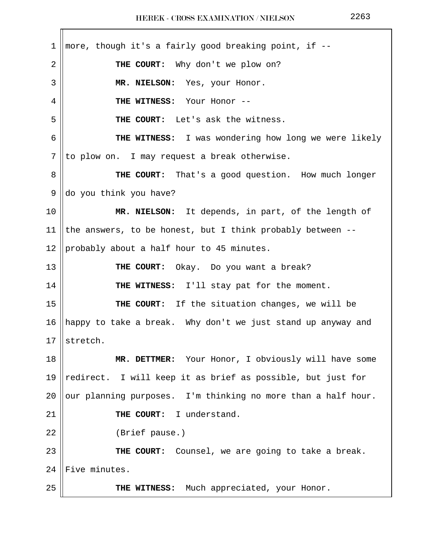$\mathbf{r}$ 

| $\mathbf 1$ | more, though it's a fairly good breaking point, if --         |
|-------------|---------------------------------------------------------------|
| 2           | THE COURT: Why don't we plow on?                              |
| 3           | MR. NIELSON: Yes, your Honor.                                 |
| 4           | THE WITNESS: Your Honor --                                    |
| 5           | THE COURT: Let's ask the witness.                             |
| 6           | <b>THE WITNESS:</b> I was wondering how long we were likely   |
| 7           | to plow on. I may request a break otherwise.                  |
| 8           | THE COURT: That's a good question. How much longer            |
| 9           | do you think you have?                                        |
| 10          | MR. NIELSON: It depends, in part, of the length of            |
| 11          | the answers, to be honest, but I think probably between --    |
| 12          | probably about a half hour to 45 minutes.                     |
| 13          | THE COURT: Okay. Do you want a break?                         |
| 14          | THE WITNESS: I'll stay pat for the moment.                    |
| 15          | <b>THE COURT:</b> If the situation changes, we will be        |
| 16          | happy to take a break. Why don't we just stand up anyway and  |
| 17          | stretch.                                                      |
| 18          | MR. DETTMER: Your Honor, I obviously will have some           |
| 19          | redirect. I will keep it as brief as possible, but just for   |
| 20          | our planning purposes. I'm thinking no more than a half hour. |
| 21          | THE COURT: I understand.                                      |
| 22          | (Brief pause.)                                                |
| 23          | THE COURT: Counsel, we are going to take a break.             |
| 24          | Five minutes.                                                 |
| 25          | THE WITNESS: Much appreciated, your Honor.                    |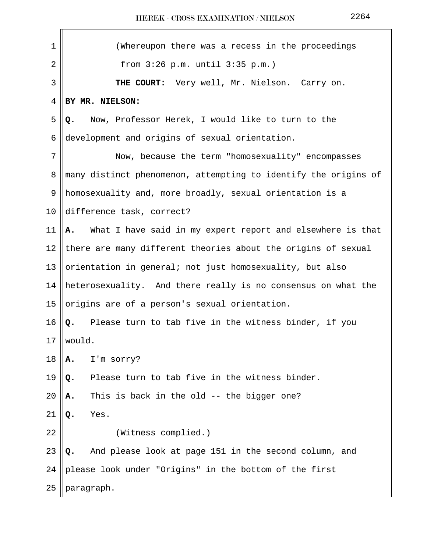| 1  | (Whereupon there was a recess in the proceedings                 |
|----|------------------------------------------------------------------|
| 2  | from $3:26$ p.m. until $3:35$ p.m.)                              |
| 3  | THE COURT: Very well, Mr. Nielson. Carry on.                     |
| 4  | BY MR. NIELSON:                                                  |
| 5  | Now, Professor Herek, I would like to turn to the<br>Q.          |
| 6  | development and origins of sexual orientation.                   |
| 7  | Now, because the term "homosexuality" encompasses                |
| 8  | many distinct phenomenon, attempting to identify the origins of  |
| 9  | homosexuality and, more broadly, sexual orientation is a         |
| 10 | difference task, correct?                                        |
| 11 | What I have said in my expert report and elsewhere is that<br>A. |
| 12 | there are many different theories about the origins of sexual    |
| 13 | orientation in general; not just homosexuality, but also         |
| 14 | heterosexuality. And there really is no consensus on what the    |
| 15 | origins are of a person's sexual orientation.                    |
| 16 | Q. Please turn to tab five in the witness binder, if you         |
|    | $17$ would.                                                      |
| 18 | I'm sorry?<br>Α.                                                 |
| 19 | Please turn to tab five in the witness binder.<br>Q.             |
| 20 | This is back in the old -- the bigger one?<br>Α.                 |
| 21 | Yes.<br>Q.                                                       |
| 22 | (Witness complied.)                                              |
| 23 | And please look at page 151 in the second column, and<br>Q.      |
| 24 | please look under "Origins" in the bottom of the first           |
| 25 | paragraph.                                                       |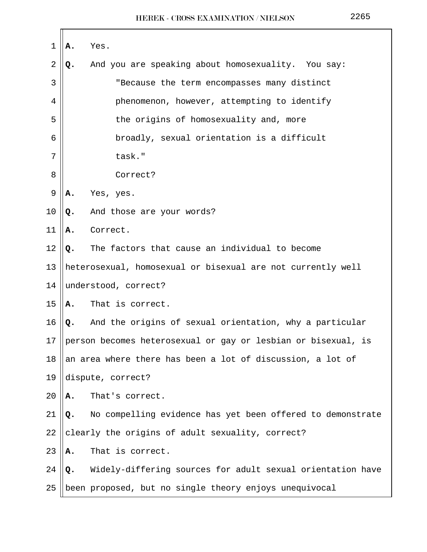| $\mathbf 1$    | Α. | Yes.                                                          |
|----------------|----|---------------------------------------------------------------|
| $\overline{2}$ | Q. | And you are speaking about homosexuality. You say:            |
| 3              |    | "Because the term encompasses many distinct                   |
| 4              |    | phenomenon, however, attempting to identify                   |
| 5              |    | the origins of homosexuality and, more                        |
| 6              |    | broadly, sexual orientation is a difficult                    |
| 7              |    | task."                                                        |
| 8              |    | Correct?                                                      |
| 9              | А. | Yes, yes.                                                     |
| 10             | Q. | And those are your words?                                     |
| 11             | Α. | Correct.                                                      |
| 12             | Q. | The factors that cause an individual to become                |
| 13             |    | heterosexual, homosexual or bisexual are not currently well   |
| 14             |    | understood, correct?                                          |
| 15             | Α. | That is correct.                                              |
| 16             | Q. | And the origins of sexual orientation, why a particular       |
| 17             |    | person becomes heterosexual or gay or lesbian or bisexual, is |
| 18             |    | an area where there has been a lot of discussion, a lot of    |
| 19             |    | dispute, correct?                                             |
| 20             | А. | That's correct.                                               |
| 21             | Q. | No compelling evidence has yet been offered to demonstrate    |
| 22             |    | clearly the origins of adult sexuality, correct?              |
| 23             | Α. | That is correct.                                              |
| 24             | Q. | Widely-differing sources for adult sexual orientation have    |
| 25             |    | been proposed, but no single theory enjoys unequivocal        |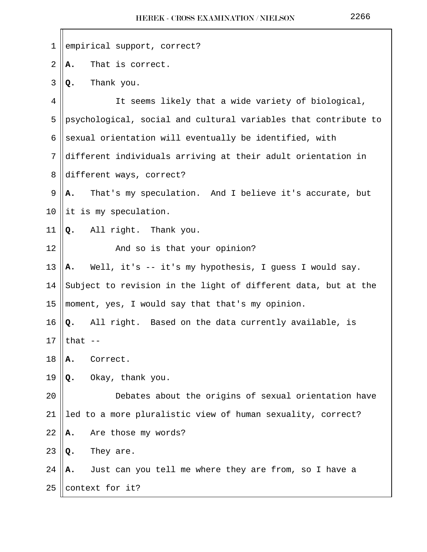| 1              | empirical support, correct?                                     |
|----------------|-----------------------------------------------------------------|
| $\overline{2}$ | That is correct.<br>Α.                                          |
| 3              | Thank you.<br>Q.                                                |
| 4              | It seems likely that a wide variety of biological,              |
| 5              | psychological, social and cultural variables that contribute to |
| 6              | sexual orientation will eventually be identified, with          |
| 7              | different individuals arriving at their adult orientation in    |
| 8              | different ways, correct?                                        |
| 9              | That's my speculation. And I believe it's accurate, but<br>Α.   |
| 10             | it is my speculation.                                           |
| 11             | All right. Thank you.<br>Q.                                     |
| 12             | And so is that your opinion?                                    |
| 13             | Well, it's -- it's my hypothesis, I guess I would say.<br>Α.    |
| 14             | Subject to revision in the light of different data, but at the  |
| 15             | moment, yes, I would say that that's my opinion.                |
| 16             | All right. Based on the data currently available, is<br>Q.      |
| 17             | that $--$                                                       |
| 18             | Correct.<br>Α.                                                  |
| 19             | Okay, thank you.<br>Q.                                          |
| 20             | Debates about the origins of sexual orientation have            |
| 21             | led to a more pluralistic view of human sexuality, correct?     |
| 22             | Are those my words?<br>А.                                       |
| 23             | They are.<br>Q.                                                 |
| 24             | Just can you tell me where they are from, so I have a<br>А.     |
| 25             | context for it?                                                 |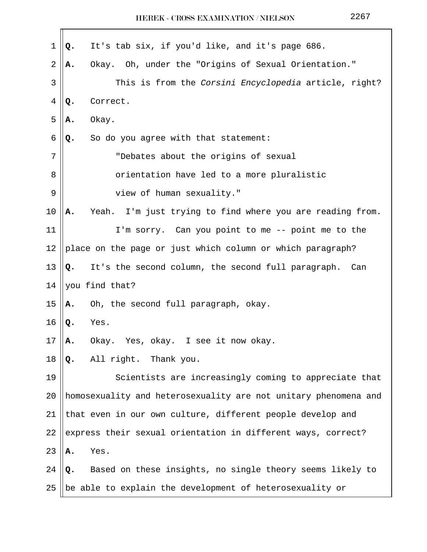| 1              | It's tab six, if you'd like, and it's page 686.<br>Q.           |
|----------------|-----------------------------------------------------------------|
| $\overline{2}$ | Oh, under the "Origins of Sexual Orientation."<br>Α.<br>Okay.   |
| 3              | This is from the Corsini Encyclopedia article, right?           |
| 4              | Correct.<br>Q.                                                  |
| 5              | Okay.<br>А.                                                     |
| 6              | So do you agree with that statement:<br>Q.                      |
| 7              | "Debates about the origins of sexual                            |
| 8              | orientation have led to a more pluralistic                      |
| 9              | view of human sexuality."                                       |
| 10             | Yeah. I'm just trying to find where you are reading from.<br>Α. |
| 11             | I'm sorry. Can you point to me -- point me to the               |
| 12             | place on the page or just which column or which paragraph?      |
| 13             | It's the second column, the second full paragraph. Can<br>Q.    |
| 14             | you find that?                                                  |
| 15             | Oh, the second full paragraph, okay.<br>Α.                      |
| 16             | Yes.<br>Q.                                                      |
| $17$           | Okay. Yes, okay. I see it now okay.<br>А.                       |
| 18             | All right. Thank you.<br>Q.                                     |
| 19             | Scientists are increasingly coming to appreciate that           |
| 20             | homosexuality and heterosexuality are not unitary phenomena and |
| 21             | that even in our own culture, different people develop and      |
| 22             | express their sexual orientation in different ways, correct?    |
| 23             | Yes.<br>Α.                                                      |
| 24             | Based on these insights, no single theory seems likely to<br>Q. |
| 25             | be able to explain the development of heterosexuality or        |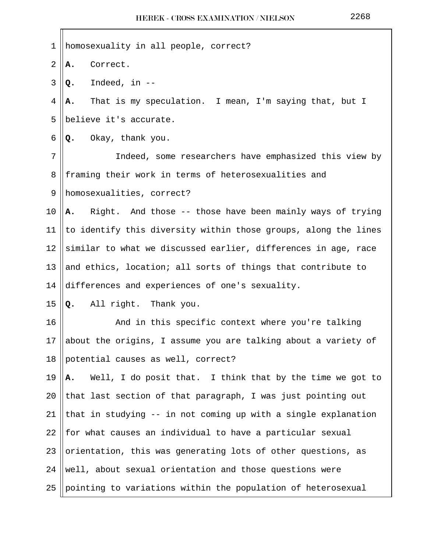| 1              | homosexuality in all people, correct?                           |
|----------------|-----------------------------------------------------------------|
| $\overline{2}$ | Correct.<br>Α.                                                  |
| 3              | Indeed, in --<br>Q.                                             |
| 4              | That is my speculation. I mean, I'm saying that, but I<br>А.    |
| 5              | believe it's accurate.                                          |
| 6              | Okay, thank you.<br>Q.                                          |
| 7              | Indeed, some researchers have emphasized this view by           |
| 8              | framing their work in terms of heterosexualities and            |
| 9              | homosexualities, correct?                                       |
| 10             | Right. And those -- those have been mainly ways of trying<br>А. |
| 11             | to identify this diversity within those groups, along the lines |
| 12             | similar to what we discussed earlier, differences in age, race  |
| 13             | and ethics, location; all sorts of things that contribute to    |
| 14             | differences and experiences of one's sexuality.                 |
| 15             | All right. Thank you.<br>Q.                                     |
| 16             | And in this specific context where you're talking               |
| 17             | about the origins, I assume you are talking about a variety of  |
| 18             | potential causes as well, correct?                              |
| 19             | Well, I do posit that. I think that by the time we got to<br>А. |
| 20             | that last section of that paragraph, I was just pointing out    |
| 21             | that in studying -- in not coming up with a single explanation  |
| 22             | for what causes an individual to have a particular sexual       |
| 23             | orientation, this was generating lots of other questions, as    |
| 24             | well, about sexual orientation and those questions were         |
| 25             | pointing to variations within the population of heterosexual    |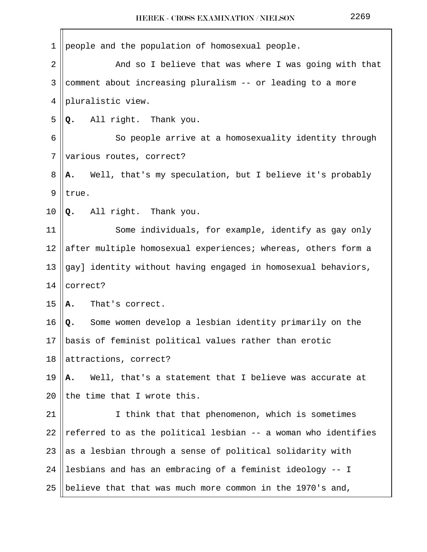| 1              | people and the population of homosexual people.                |
|----------------|----------------------------------------------------------------|
| $\overline{2}$ | And so I believe that was where I was going with that          |
| 3              | comment about increasing pluralism -- or leading to a more     |
| 4              | pluralistic view.                                              |
| 5              | All right. Thank you.<br>Q.                                    |
| 6              | So people arrive at a homosexuality identity through           |
| 7              | various routes, correct?                                       |
| 8              | Well, that's my speculation, but I believe it's probably<br>Α. |
| 9              | true.                                                          |
| 10             | All right. Thank you.<br>Q.                                    |
| 11             | Some individuals, for example, identify as gay only            |
| 12             | after multiple homosexual experiences; whereas, others form a  |
| 13             | gay] identity without having engaged in homosexual behaviors,  |
| 14             | correct?                                                       |
| 15             | That's correct.<br>Α.                                          |
| 16             | Some women develop a lesbian identity primarily on the<br>Q.   |
| 17             | basis of feminist political values rather than erotic          |
| 18             | attractions, correct?                                          |
| 19             | Well, that's a statement that I believe was accurate at<br>Α.  |
| 20             | the time that I wrote this.                                    |
| 21             | I think that that phenomenon, which is sometimes               |
| 22             | referred to as the political lesbian -- a woman who identifies |
| 23             | as a lesbian through a sense of political solidarity with      |
| 24             | lesbians and has an embracing of a feminist ideology -- I      |
| 25             | believe that that was much more common in the 1970's and,      |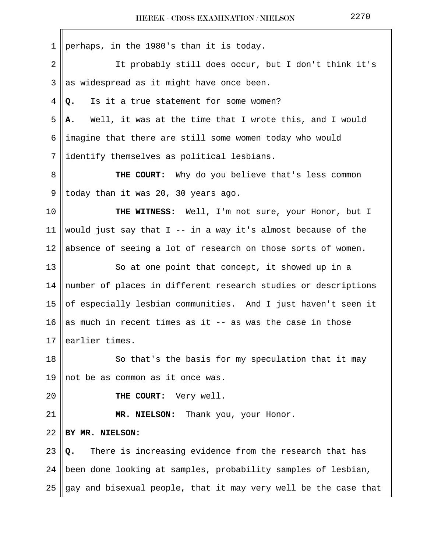| $\mathbf 1$ | perhaps, in the 1980's than it is today.                        |
|-------------|-----------------------------------------------------------------|
| 2           | It probably still does occur, but I don't think it's            |
| 3           | as widespread as it might have once been.                       |
| 4           | Is it a true statement for some women?<br>Q.                    |
| 5           | Well, it was at the time that I wrote this, and I would<br>А.   |
| 6           | imagine that there are still some women today who would         |
| 7           | identify themselves as political lesbians.                      |
| 8           | THE COURT: Why do you believe that's less common                |
| 9           | today than it was 20, 30 years ago.                             |
| 10          | THE WITNESS: Well, I'm not sure, your Honor, but I              |
| 11          | would just say that $I$ -- in a way it's almost because of the  |
| 12          | absence of seeing a lot of research on those sorts of women.    |
| 13          | So at one point that concept, it showed up in a                 |
| 14          | number of places in different research studies or descriptions  |
| 15          | of especially lesbian communities. And I just haven't seen it   |
| 16          | as much in recent times as it -- as was the case in those       |
|             | 17 $ $ earlier times.                                           |
| 18          | So that's the basis for my speculation that it may              |
| 19          | not be as common as it once was.                                |
| 20          | THE COURT:<br>Very well.                                        |
| 21          | MR. NIELSON: Thank you, your Honor.                             |
| 22          | BY MR. NIELSON:                                                 |
| 23          | There is increasing evidence from the research that has<br>Q.   |
| 24          | been done looking at samples, probability samples of lesbian,   |
| 25          | gay and bisexual people, that it may very well be the case that |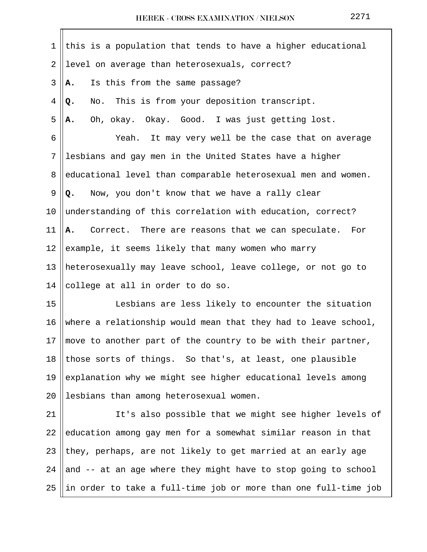| 1  | this is a population that tends to have a higher educational    |
|----|-----------------------------------------------------------------|
| 2  | level on average than heterosexuals, correct?                   |
| 3  | Is this from the same passage?<br>Α.                            |
| 4  | This is from your deposition transcript.<br>No.<br>Q.           |
| 5  | Oh, okay. Okay. Good. I was just getting lost.<br>Α.            |
| 6  | Yeah.<br>It may very well be the case that on average           |
| 7  | lesbians and gay men in the United States have a higher         |
| 8  | educational level than comparable heterosexual men and women.   |
| 9  | Now, you don't know that we have a rally clear<br>Q.            |
| 10 | understanding of this correlation with education, correct?      |
| 11 | Correct. There are reasons that we can speculate.<br>Α.<br>For  |
| 12 | example, it seems likely that many women who marry              |
| 13 | heterosexually may leave school, leave college, or not go to    |
| 14 | college at all in order to do so.                               |
| 15 | Lesbians are less likely to encounter the situation             |
| 16 | where a relationship would mean that they had to leave school,  |
| 17 | move to another part of the country to be with their partner,   |
| 18 | those sorts of things. So that's, at least, one plausible       |
| 19 | explanation why we might see higher educational levels among    |
| 20 | lesbians than among heterosexual women.                         |
| 21 | It's also possible that we might see higher levels of           |
| 22 | education among gay men for a somewhat similar reason in that   |
| 23 | they, perhaps, are not likely to get married at an early age    |
| 24 | and -- at an age where they might have to stop going to school  |
| 25 | in order to take a full-time job or more than one full-time job |
|    |                                                                 |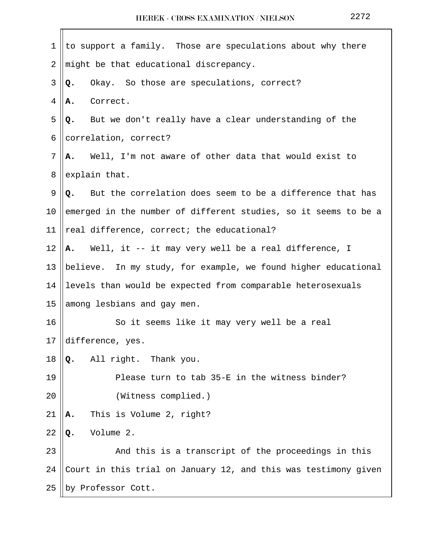| 1  | to support a family. Those are speculations about why there     |
|----|-----------------------------------------------------------------|
| 2  | might be that educational discrepancy.                          |
| 3  | Okay. So those are speculations, correct?<br>Q.                 |
| 4  | Correct.<br>Α.                                                  |
| 5  | But we don't really have a clear understanding of the<br>Q.     |
| 6  | correlation, correct?                                           |
| 7  | Well, I'm not aware of other data that would exist to<br>А.     |
| 8  | explain that.                                                   |
| 9  | But the correlation does seem to be a difference that has<br>Q. |
| 10 | emerged in the number of different studies, so it seems to be a |
| 11 | real difference, correct; the educational?                      |
| 12 | A. Well, it -- it may very well be a real difference, I         |
| 13 | believe. In my study, for example, we found higher educational  |
| 14 | levels than would be expected from comparable heterosexuals     |
| 15 | among lesbians and gay men.                                     |
| 16 | So it seems like it may very well be a real                     |
| 17 | difference, yes.                                                |
| 18 | All right.<br>Thank you.<br>Q.                                  |
| 19 | Please turn to tab 35-E in the witness binder?                  |
| 20 | (Witness complied.)                                             |
| 21 | This is Volume 2, right?<br>А.                                  |
| 22 | Volume 2.<br>Q.                                                 |
| 23 | And this is a transcript of the proceedings in this             |
| 24 | Court in this trial on January 12, and this was testimony given |
| 25 | by Professor Cott.                                              |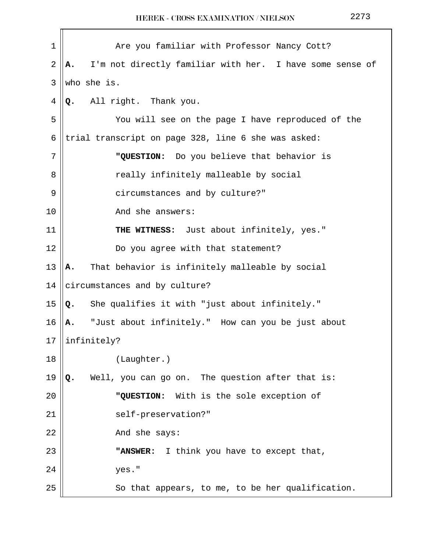| 1          | Are you familiar with Professor Nancy Cott?                    |
|------------|----------------------------------------------------------------|
| $\sqrt{2}$ | I'm not directly familiar with her. I have some sense of<br>Α. |
| 3          | who she is.                                                    |
| 4          | All right. Thank you.<br>Q.                                    |
| 5          | You will see on the page I have reproduced of the              |
| 6          | trial transcript on page 328, line 6 she was asked:            |
| 7          | "QUESTION: Do you believe that behavior is                     |
| 8          | really infinitely malleable by social                          |
| 9          | circumstances and by culture?"                                 |
| 10         | And she answers:                                               |
| 11         | THE WITNESS: Just about infinitely, yes."                      |
| 12         | Do you agree with that statement?                              |
| 13         | That behavior is infinitely malleable by social<br>Α.          |
| 14         | circumstances and by culture?                                  |
| 15         | She qualifies it with "just about infinitely."<br>Q.           |
| 16         | "Just about infinitely." How can you be just about<br>Α.       |
| 17         | infinitely?                                                    |
| 18         | (Laughter.)                                                    |
| 19         | Well, you can go on. The question after that is:<br>Q.         |
| 20         | "QUESTION: With is the sole exception of                       |
| 21         | self-preservation?"                                            |
| 22         | And she says:                                                  |
| 23         | "ANSWER: I think you have to except that,                      |
| 24         | yes."                                                          |
| 25         | So that appears, to me, to be her qualification.               |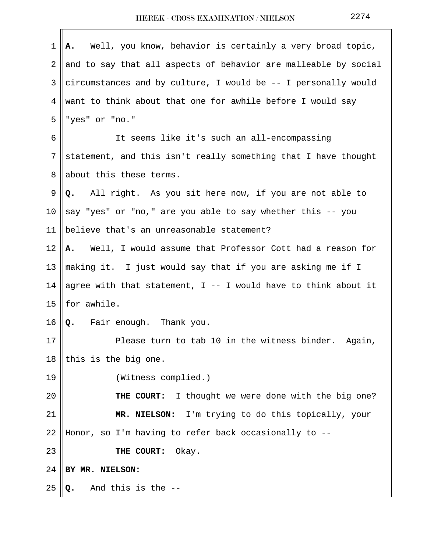$\mathbf{r}$ 

| 1  | A. Well, you know, behavior is certainly a very broad topic,     |
|----|------------------------------------------------------------------|
| 2  | and to say that all aspects of behavior are malleable by social  |
| 3  | circumstances and by culture, I would be -- I personally would   |
| 4  | want to think about that one for awhile before I would say       |
| 5  | "yes" or "no."                                                   |
| 6  | It seems like it's such an all-encompassing                      |
| 7  | statement, and this isn't really something that I have thought   |
| 8  | about this these terms.                                          |
| 9  | All right. As you sit here now, if you are not able to<br>Q.     |
| 10 | say "yes" or "no," are you able to say whether this -- you       |
| 11 | believe that's an unreasonable statement?                        |
| 12 | A. Well, I would assume that Professor Cott had a reason for     |
| 13 | making it. I just would say that if you are asking me if I       |
| 14 | agree with that statement, $I$ -- I would have to think about it |
| 15 | for awhile.                                                      |
| 16 | Q. Fair enough. Thank you.                                       |
| 17 | Please turn to tab 10 in the witness binder.<br>Again,           |
| 18 | this is the big one.                                             |
| 19 | (Witness complied.)                                              |
| 20 | THE COURT: I thought we were done with the big one?              |
| 21 | MR. NIELSON: I'm trying to do this topically, your               |
| 22 | Honor, so I'm having to refer back occasionally to --            |
| 23 | Okay.<br>THE COURT:                                              |
| 24 | BY MR. NIELSON:                                                  |
| 25 | And this is the --<br>Q.                                         |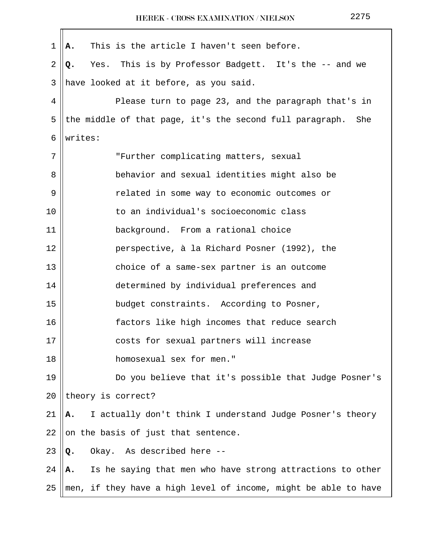1 **A.** This is the article I haven't seen before. 2 **Q.** Yes. This is by Professor Badgett. It's the -- and we  $3$  || have looked at it before, as you said. 4 Please turn to page 23, and the paragraph that's in 5 || the middle of that page, it's the second full paragraph. She 6 writes: 7 || Further complicating matters, sexual 8 behavior and sexual identities might also be 9 related in some way to economic outcomes or 10 || integral to an individual's socioeconomic class 11 background. From a rational choice 12 perspective, à la Richard Posner (1992), the 13 || choice of a same-sex partner is an outcome 14 determined by individual preferences and 15 || budget constraints. According to Posner, 16 || factors like high incomes that reduce search 17 || costs for sexual partners will increase 18 homosexual sex for men." 19 Do you believe that it's possible that Judge Posner's  $20$  | theory is correct? 21 **A.** I actually don't think I understand Judge Posner's theory 22 on the basis of just that sentence.  $23 \parallel Q$ . Okay. As described here  $-$ 24 **A.** Is he saying that men who have strong attractions to other 25  $\parallel$  men, if they have a high level of income, might be able to have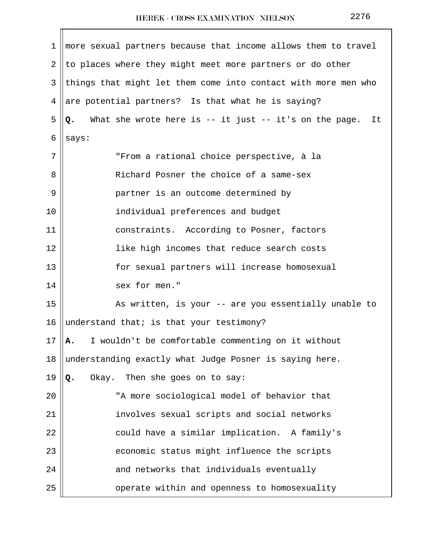| $\mathbf 1$ | more sexual partners because that income allows them to travel         |
|-------------|------------------------------------------------------------------------|
| 2           | to places where they might meet more partners or do other              |
| 3           | things that might let them come into contact with more men who         |
| 4           | are potential partners? Is that what he is saying?                     |
| 5           | What she wrote here is $--$ it just $--$ it's on the page.<br>It<br>Q. |
| 6           | says:                                                                  |
| 7           | "From a rational choice perspective, à la                              |
| 8           | Richard Posner the choice of a same-sex                                |
| 9           | partner is an outcome determined by                                    |
| 10          | individual preferences and budget                                      |
| 11          | constraints. According to Posner, factors                              |
| 12          | like high incomes that reduce search costs                             |
| 13          | for sexual partners will increase homosexual                           |
| 14          | sex for men."                                                          |
| 15          | As written, is your -- are you essentially unable to                   |
| 16          | understand that; is that your testimony?                               |
| 17          | I wouldn't be comfortable commenting on it without<br>А.               |
| 18          | understanding exactly what Judge Posner is saying here.                |
| 19          | Okay. Then she goes on to say:<br>Q.                                   |
| 20          | "A more sociological model of behavior that                            |
| 21          | involves sexual scripts and social networks                            |
| 22          | could have a similar implication. A family's                           |
| 23          | economic status might influence the scripts                            |
| 24          | and networks that individuals eventually                               |
| 25          | operate within and openness to homosexuality                           |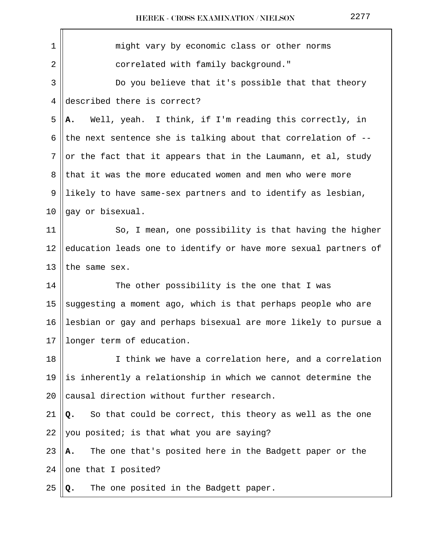| 1  | might vary by economic class or other norms                     |
|----|-----------------------------------------------------------------|
| 2  | correlated with family background."                             |
| 3  | Do you believe that it's possible that that theory              |
| 4  | described there is correct?                                     |
| 5  | Well, yeah. I think, if I'm reading this correctly, in<br>А.    |
| 6  | the next sentence she is talking about that correlation of --   |
| 7  | or the fact that it appears that in the Laumann, et al, study   |
| 8  | that it was the more educated women and men who were more       |
| 9  | likely to have same-sex partners and to identify as lesbian,    |
| 10 | gay or bisexual.                                                |
| 11 | So, I mean, one possibility is that having the higher           |
| 12 | education leads one to identify or have more sexual partners of |
| 13 | the same sex.                                                   |
| 14 | The other possibility is the one that I was                     |
| 15 | suggesting a moment ago, which is that perhaps people who are   |
| 16 | lesbian or gay and perhaps bisexual are more likely to pursue a |
|    | 17    longer term of education.                                 |
| 18 | I think we have a correlation here, and a correlation           |
| 19 | is inherently a relationship in which we cannot determine the   |
| 20 | causal direction without further research.                      |
| 21 | So that could be correct, this theory as well as the one<br>Q.  |
| 22 | you posited; is that what you are saying?                       |
| 23 | The one that's posited here in the Badgett paper or the<br>Α.   |
| 24 | one that I posited?                                             |
| 25 | The one posited in the Badgett paper.<br>Q.                     |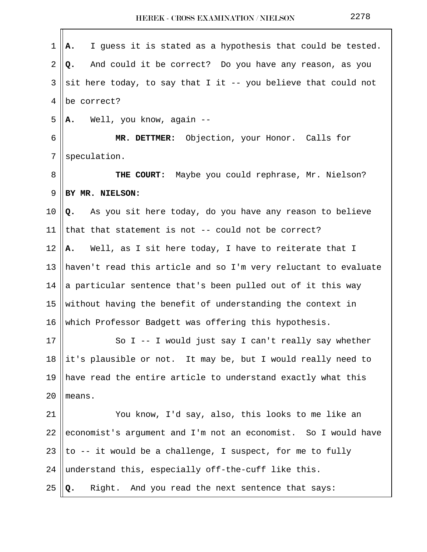| 1              | I guess it is stated as a hypothesis that could be tested.<br>А. |
|----------------|------------------------------------------------------------------|
| $\overline{2}$ | And could it be correct? Do you have any reason, as you<br>Q.    |
| 3              | sit here today, to say that I it -- you believe that could not   |
| 4              | be correct?                                                      |
| 5              | A. Well, you know, again --                                      |
| 6              | MR. DETTMER: Objection, your Honor. Calls for                    |
| 7              | speculation.                                                     |
| 8              | Maybe you could rephrase, Mr. Nielson?<br>THE COURT:             |
| 9              | BY MR. NIELSON:                                                  |
| 10             | Q. As you sit here today, do you have any reason to believe      |
| 11             | that that statement is not -- could not be correct?              |
| 12             | Well, as I sit here today, I have to reiterate that I<br>А.      |
| 13             | haven't read this article and so I'm very reluctant to evaluate  |
| 14             | a particular sentence that's been pulled out of it this way      |
| 15             | without having the benefit of understanding the context in       |
| 16             | which Professor Badgett was offering this hypothesis.            |
| 17             | So I -- I would just say I can't really say whether              |
| 18             | it's plausible or not. It may be, but I would really need to     |
| 19             | have read the entire article to understand exactly what this     |
| 20             | means.                                                           |
| 21             | You know, I'd say, also, this looks to me like an                |
| 22             | economist's argument and I'm not an economist. So I would have   |
| 23             | to -- it would be a challenge, I suspect, for me to fully        |
| 24             | understand this, especially off-the-cuff like this.              |
| 25             | Right. And you read the next sentence that says:<br>Q.           |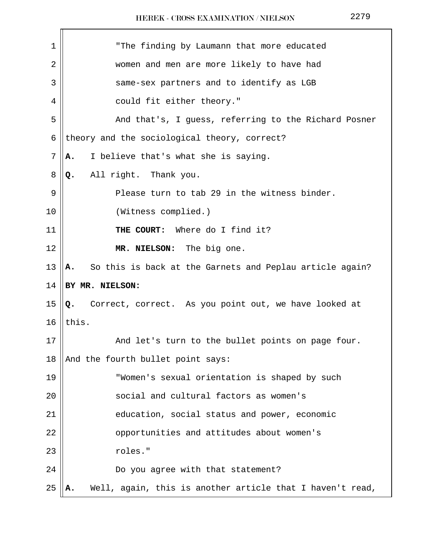| 1  | "The finding by Laumann that more educated                      |
|----|-----------------------------------------------------------------|
| 2  | women and men are more likely to have had                       |
| 3  | same-sex partners and to identify as LGB                        |
| 4  | could fit either theory."                                       |
| 5  | And that's, I guess, referring to the Richard Posner            |
| 6  | theory and the sociological theory, correct?                    |
| 7  | I believe that's what she is saying.<br>Α.                      |
| 8  | All right. Thank you.<br>Q.                                     |
| 9  | Please turn to tab 29 in the witness binder.                    |
| 10 | (Witness complied.)                                             |
| 11 | THE COURT: Where do I find it?                                  |
| 12 | MR. NIELSON: The big one.                                       |
| 13 | So this is back at the Garnets and Peplau article again?<br>Α.  |
| 14 | BY MR. NIELSON:                                                 |
| 15 | Correct, correct. As you point out, we have looked at<br>Q.     |
| 16 | this.                                                           |
| 17 | And let's turn to the bullet points on page four.               |
| 18 | And the fourth bullet point says:                               |
| 19 | "Women's sexual orientation is shaped by such                   |
| 20 | social and cultural factors as women's                          |
| 21 | education, social status and power, economic                    |
| 22 | opportunities and attitudes about women's                       |
| 23 | roles."                                                         |
| 24 | Do you agree with that statement?                               |
| 25 | Well, again, this is another article that I haven't read,<br>А. |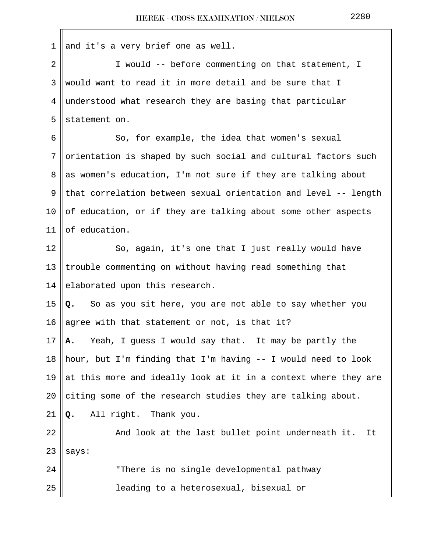| 1               | and it's a very brief one as well.                                |
|-----------------|-------------------------------------------------------------------|
| 2               | I would -- before commenting on that statement, I                 |
| 3               | would want to read it in more detail and be sure that I           |
| 4               | understood what research they are basing that particular          |
| 5               | statement on.                                                     |
| 6               | So, for example, the idea that women's sexual                     |
| 7               | orientation is shaped by such social and cultural factors such    |
| 8               | as women's education, I'm not sure if they are talking about      |
| 9               | that correlation between sexual orientation and level -- length   |
| 10              | of education, or if they are talking about some other aspects     |
| 11              | of education.                                                     |
| 12              | So, again, it's one that I just really would have                 |
| 13              | trouble commenting on without having read something that          |
| 14              | elaborated upon this research.                                    |
| 15              | So as you sit here, you are not able to say whether you<br>Q.     |
| 16              | agree with that statement or not, is that it?                     |
| 17 <sup>1</sup> | <b>A.</b><br>Yeah, I guess I would say that. It may be partly the |
| 18              | hour, but I'm finding that I'm having -- I would need to look     |
| 19              | at this more and ideally look at it in a context where they are   |
| 20              | citing some of the research studies they are talking about.       |
| 21              | All right. Thank you.<br>Q.                                       |
| 22              | And look at the last bullet point underneath it.<br>It            |
| 23              | says:                                                             |
| 24              | "There is no single developmental pathway                         |
| 25              | leading to a heterosexual, bisexual or                            |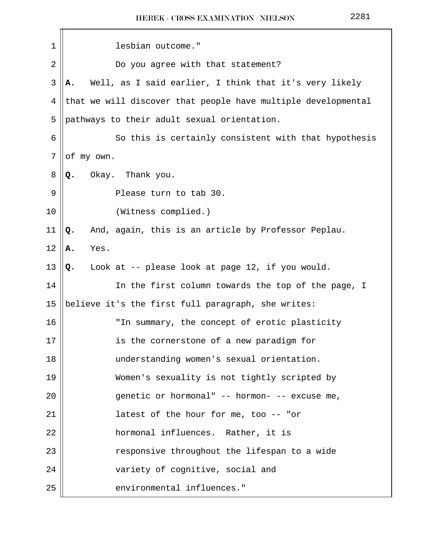| 1          | lesbian outcome."                                             |
|------------|---------------------------------------------------------------|
| $\sqrt{2}$ | Do you agree with that statement?                             |
| 3          | Well, as I said earlier, I think that it's very likely<br>А.  |
| 4          | that we will discover that people have multiple developmental |
| 5          | pathways to their adult sexual orientation.                   |
| 6          | So this is certainly consistent with that hypothesis          |
| 7          | of my own.                                                    |
| 8          | Okay. Thank you.<br>Q.                                        |
| 9          | Please turn to tab 30.                                        |
| 10         | (Witness complied.)                                           |
| 11         | And, again, this is an article by Professor Peplau.<br>Q.     |
| 12         | Yes.<br>А.                                                    |
| 13         | Look at -- please look at page 12, if you would.<br>Q.        |
| 14         | In the first column towards the top of the page, I            |
| 15         | believe it's the first full paragraph, she writes:            |
| 16         | "In summary, the concept of erotic plasticity                 |
| $17$       | is the cornerstone of a new paradigm for                      |
| 18         | understanding women's sexual orientation.                     |
| 19         | Women's sexuality is not tightly scripted by                  |
| 20         | genetic or hormonal" -- hormon- -- excuse me,                 |
| 21         | latest of the hour for me, too -- "or                         |
| 22         | hormonal influences. Rather, it is                            |
| 23         | responsive throughout the lifespan to a wide                  |
| 24         | variety of cognitive, social and                              |
| 25         | environmental influences."                                    |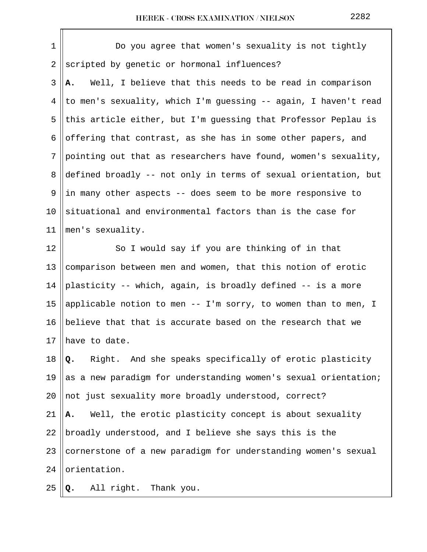| $\mathbf 1$    | Do you agree that women's sexuality is not tightly              |
|----------------|-----------------------------------------------------------------|
| $\overline{2}$ | scripted by genetic or hormonal influences?                     |
| 3              | Well, I believe that this needs to be read in comparison<br>А.  |
| 4              | to men's sexuality, which I'm guessing -- again, I haven't read |
| 5              | this article either, but I'm guessing that Professor Peplau is  |
| 6              | offering that contrast, as she has in some other papers, and    |
| 7              | pointing out that as researchers have found, women's sexuality, |
| 8              | defined broadly -- not only in terms of sexual orientation, but |
| 9              | in many other aspects -- does seem to be more responsive to     |
| 10             | situational and environmental factors than is the case for      |
| 11             | men's sexuality.                                                |
| 12             | So I would say if you are thinking of in that                   |
| 13             | comparison between men and women, that this notion of erotic    |
| 14             | plasticity -- which, again, is broadly defined -- is a more     |
| 15             | applicable notion to men -- I'm sorry, to women than to men, I  |
| 16             | believe that that is accurate based on the research that we     |
| 17             | $\parallel$ have to date.                                       |
| 18             | Right. And she speaks specifically of erotic plasticity<br>Q.   |
| 19             | as a new paradigm for understanding women's sexual orientation; |
| 20             | not just sexuality more broadly understood, correct?            |
| 21             | Well, the erotic plasticity concept is about sexuality<br>Α.    |
| 22             | broadly understood, and I believe she says this is the          |
| 23             | cornerstone of a new paradigm for understanding women's sexual  |
| 24             | orientation.                                                    |
| 25             | All right. Thank you.<br>Q.                                     |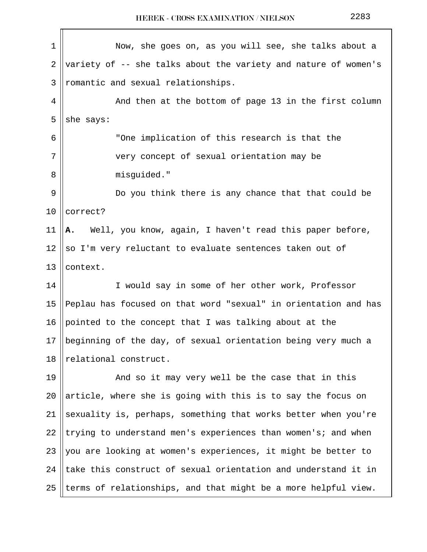| $\mathbf 1$ | Now, she goes on, as you will see, she talks about a            |
|-------------|-----------------------------------------------------------------|
| 2           | variety of -- she talks about the variety and nature of women's |
| 3           | romantic and sexual relationships.                              |
| 4           | And then at the bottom of page 13 in the first column           |
| 5           | she says:                                                       |
| 6           | "One implication of this research is that the                   |
| 7           | very concept of sexual orientation may be                       |
| 8           | misguided."                                                     |
| 9           | Do you think there is any chance that that could be             |
| 10          | correct?                                                        |
| 11          | A. Well, you know, again, I haven't read this paper before,     |
| 12          | so I'm very reluctant to evaluate sentences taken out of        |
| 13          | context.                                                        |
| 14          | I would say in some of her other work, Professor                |
| 15          | Peplau has focused on that word "sexual" in orientation and has |
| 16          | pointed to the concept that I was talking about at the          |
| 17          | beginning of the day, of sexual orientation being very much a   |
| 18          | relational construct.                                           |
| 19          | And so it may very well be the case that in this                |
| 20          | article, where she is going with this is to say the focus on    |
| 21          | sexuality is, perhaps, something that works better when you're  |
| 22          | trying to understand men's experiences than women's; and when   |
| 23          | you are looking at women's experiences, it might be better to   |
| 24          | take this construct of sexual orientation and understand it in  |
| 25          | terms of relationships, and that might be a more helpful view.  |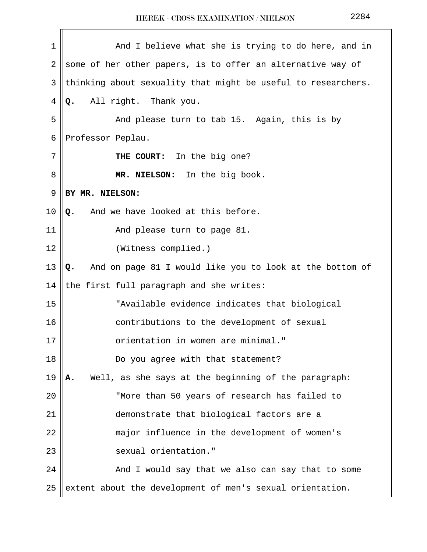| 1            | And I believe what she is trying to do here, and in            |
|--------------|----------------------------------------------------------------|
| $\mathbf{2}$ | some of her other papers, is to offer an alternative way of    |
| 3            | thinking about sexuality that might be useful to researchers.  |
| $\,4\,$      | All right. Thank you.<br>Q.                                    |
| 5            | And please turn to tab 15. Again, this is by                   |
| 6            | Professor Peplau.                                              |
| 7            | THE COURT: In the big one?                                     |
| 8            | MR. NIELSON: In the big book.                                  |
| 9            | BY MR. NIELSON:                                                |
| 10           | And we have looked at this before.<br>Q.                       |
| 11           | And please turn to page 81.                                    |
| 12           | (Witness complied.)                                            |
| 13           | And on page 81 I would like you to look at the bottom of<br>Q. |
| 14           | the first full paragraph and she writes:                       |
| 15           | "Available evidence indicates that biological                  |
| 16           | contributions to the development of sexual                     |
| 17           | orientation in women are minimal."                             |
| 18           | Do you agree with that statement?                              |
| 19           | Well, as she says at the beginning of the paragraph:<br>Α.     |
| 20           | "More than 50 years of research has failed to                  |
| 21           | demonstrate that biological factors are a                      |
| 22           | major influence in the development of women's                  |
| 23           | sexual orientation."                                           |
| 24           | And I would say that we also can say that to some              |
| 25           | extent about the development of men's sexual orientation.      |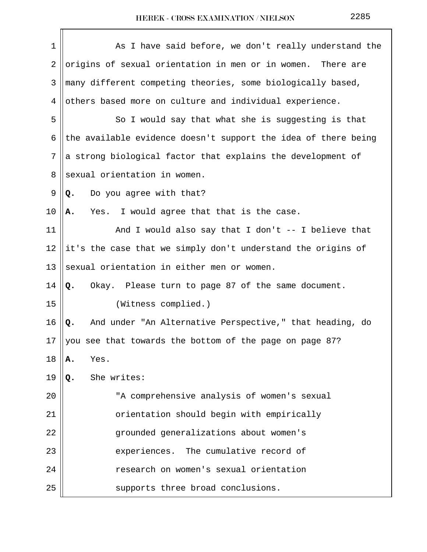| $\mathbf 1$    | As I have said before, we don't really understand the          |
|----------------|----------------------------------------------------------------|
| $\overline{2}$ | origins of sexual orientation in men or in women. There are    |
| 3              | many different competing theories, some biologically based,    |
| 4              | others based more on culture and individual experience.        |
| 5              | So I would say that what she is suggesting is that             |
| 6              | the available evidence doesn't support the idea of there being |
| 7              | a strong biological factor that explains the development of    |
| 8              | sexual orientation in women.                                   |
| 9              | Do you agree with that?<br>Q.                                  |
| 10             | Yes. I would agree that that is the case.<br>Α.                |
| 11             | And I would also say that I don't $--$ I believe that          |
| 12             | it's the case that we simply don't understand the origins of   |
| 13             | sexual orientation in either men or women.                     |
| 14             | Okay. Please turn to page 87 of the same document.<br>Q.       |
| 15             | (Witness complied.)                                            |
| 16             | And under "An Alternative Perspective," that heading, do<br>Q. |
| $17$           | you see that towards the bottom of the page on page 87?        |
| 18             | Yes.<br>Α.                                                     |
| 19             | She writes:<br>Q.                                              |
| 20             | "A comprehensive analysis of women's sexual                    |
| 21             | orientation should begin with empirically                      |
| 22             | grounded generalizations about women's                         |
| 23             | experiences. The cumulative record of                          |
| 24             | research on women's sexual orientation                         |
| 25             | supports three broad conclusions.                              |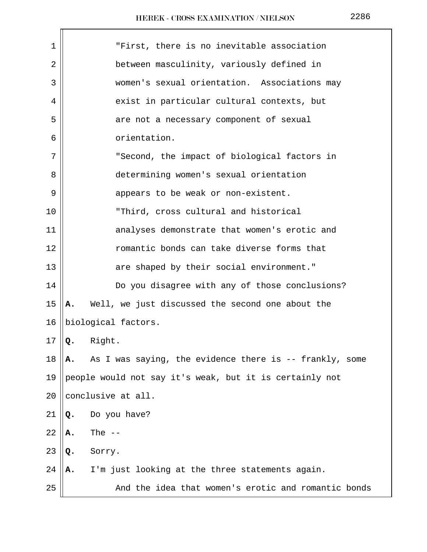| $\mathbf 1$    | "First, there is no inevitable association                    |
|----------------|---------------------------------------------------------------|
| $\overline{2}$ | between masculinity, variously defined in                     |
| 3              | women's sexual orientation. Associations may                  |
| 4              | exist in particular cultural contexts, but                    |
| 5              | are not a necessary component of sexual                       |
| 6              | orientation.                                                  |
| 7              | "Second, the impact of biological factors in                  |
| 8              | determining women's sexual orientation                        |
| 9              | appears to be weak or non-existent.                           |
| 10             | "Third, cross cultural and historical                         |
| 11             | analyses demonstrate that women's erotic and                  |
| 12             | romantic bonds can take diverse forms that                    |
| 13             | are shaped by their social environment."                      |
| 14             | Do you disagree with any of those conclusions?                |
| 15             | Well, we just discussed the second one about the<br>Α.        |
| 16             | biological factors.                                           |
| 17             | Q. Right.                                                     |
| 18             | As I was saying, the evidence there is -- frankly, some<br>Α. |
| 19             | people would not say it's weak, but it is certainly not       |
| 20             | conclusive at all.                                            |
| 21             | Do you have?<br>Q.                                            |
| 22             | The $--$<br>Α.                                                |
| 23             | Sorry.<br>Q.                                                  |
| 24             | I'm just looking at the three statements again.<br>Α.         |
| 25             | And the idea that women's erotic and romantic bonds           |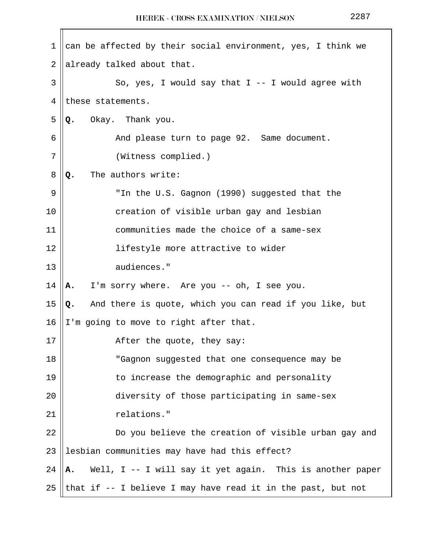| $\mathbf 1$ | can be affected by their social environment, yes, I think we    |
|-------------|-----------------------------------------------------------------|
| 2           | already talked about that.                                      |
| 3           | So, yes, I would say that I -- I would agree with               |
| 4           | these statements.                                               |
| 5           | Okay. Thank you.<br>Q.                                          |
| 6           | And please turn to page 92. Same document.                      |
| 7           | (Witness complied.)                                             |
| 8           | The authors write:<br>Q.                                        |
| 9           | "In the U.S. Gagnon (1990) suggested that the                   |
| 10          | creation of visible urban gay and lesbian                       |
| 11          | communities made the choice of a same-sex                       |
| 12          | lifestyle more attractive to wider                              |
| 13          | audiences."                                                     |
| 14          | I'm sorry where. Are you -- oh, I see you.<br>А.                |
| 15          | And there is quote, which you can read if you like, but<br>Q.   |
| 16          | I'm going to move to right after that.                          |
| 17          | After the quote, they say:                                      |
| 18          | "Gagnon suggested that one consequence may be                   |
| 19          | to increase the demographic and personality                     |
| 20          | diversity of those participating in same-sex                    |
| 21          | relations."                                                     |
| 22          | Do you believe the creation of visible urban gay and            |
| 23          | lesbian communities may have had this effect?                   |
| 24          | Well, I -- I will say it yet again. This is another paper<br>Α. |
| 25          | that if -- I believe I may have read it in the past, but not    |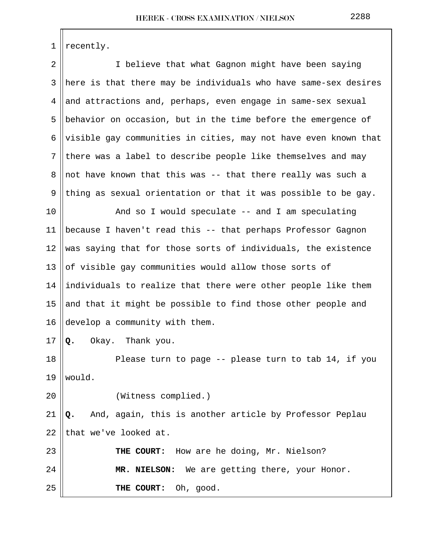|  | $\parallel$ recently |
|--|----------------------|
|--|----------------------|

2 || I believe that what Gagnon might have been saying 3 here is that there may be individuals who have same-sex desires  $4 \parallel$  and attractions and, perhaps, even engage in same-sex sexual 5 || behavior on occasion, but in the time before the emergence of 6 ||visible gay communities in cities, may not have even known that  $7$  there was a label to describe people like themselves and may 8 || not have known that this was -- that there really was such a 9 thing as sexual orientation or that it was possible to be gay. 10 || And so I would speculate -- and I am speculating 11 || because I haven't read this  $-$  that perhaps Professor Gagnon 12 Was saying that for those sorts of individuals, the existence 13  $\parallel$  of visible gay communities would allow those sorts of 14  $\parallel$  individuals to realize that there were other people like them 15 and that it might be possible to find those other people and 16  $\parallel$  develop a community with them. 17  $\|$ **Q.** Okay. Thank you. 18 || Please turn to page -- please turn to tab 14, if you

19 would.

20 (Witness complied.)

21 **Q.** And, again, this is another article by Professor Peplau 22 that we've looked at.

23 **THE COURT:** How are he doing, Mr. Nielson? 24 **MR. NIELSON:** We are getting there, your Honor. 25 **THE COURT:** Oh, good.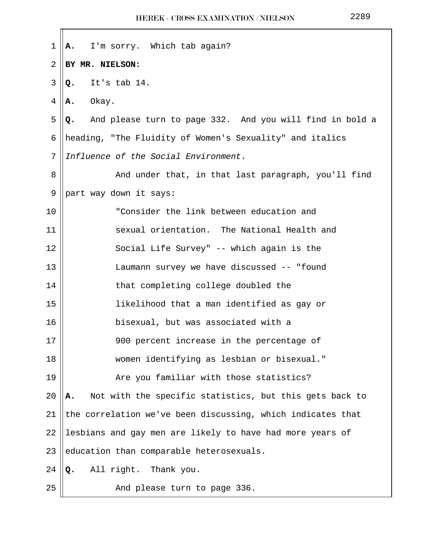| 1    | I'm sorry. Which tab again?<br>Α.                              |
|------|----------------------------------------------------------------|
| 2    | BY MR. NIELSON:                                                |
| 3    | It's tab 14.<br>Q.                                             |
| 4    | Okay.<br>Α.                                                    |
| 5    | And please turn to page 332. And you will find in bold a<br>Q. |
| 6    | heading, "The Fluidity of Women's Sexuality" and italics       |
| 7    | Influence of the Social Environment.                           |
| 8    | And under that, in that last paragraph, you'll find            |
| 9    | part way down it says:                                         |
| 10   | "Consider the link between education and                       |
| 11   | sexual orientation. The National Health and                    |
| 12   | Social Life Survey" -- which again is the                      |
| 13   | Laumann survey we have discussed -- "found                     |
| 14   | that completing college doubled the                            |
| 15   | likelihood that a man identified as gay or                     |
| 16   | bisexual, but was associated with a                            |
| $17$ | 900 percent increase in the percentage of                      |
| 18   | women identifying as lesbian or bisexual."                     |
| 19   | Are you familiar with those statistics?                        |
| 20   | Not with the specific statistics, but this gets back to<br>А.  |
| 21   | the correlation we've been discussing, which indicates that    |
| 22   | lesbians and gay men are likely to have had more years of      |
| 23   | education than comparable heterosexuals.                       |
| 24   | All right. Thank you.<br>Q.                                    |
| 25   | And please turn to page 336.                                   |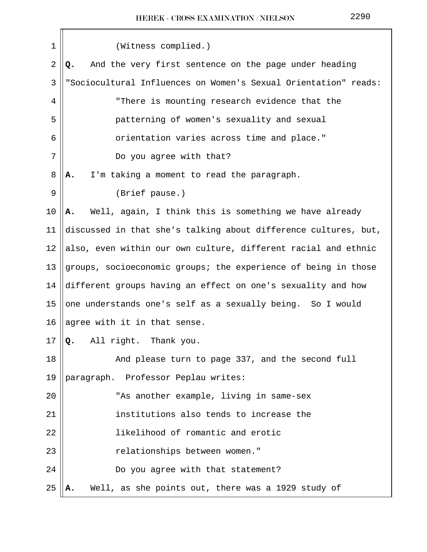| 1              | (Witness complied.)                                             |
|----------------|-----------------------------------------------------------------|
| $\overline{2}$ | And the very first sentence on the page under heading<br>Q.     |
| 3              | "Sociocultural Influences on Women's Sexual Orientation" reads: |
| 4              | "There is mounting research evidence that the                   |
| 5              | patterning of women's sexuality and sexual                      |
| 6              | orientation varies across time and place."                      |
| 7              | Do you agree with that?                                         |
| 8              | I'm taking a moment to read the paragraph.<br>Α.                |
| 9              | (Brief pause.)                                                  |
| 10             | Well, again, I think this is something we have already<br>Α.    |
| 11             | discussed in that she's talking about difference cultures, but, |
| 12             | also, even within our own culture, different racial and ethnic  |
| 13             | groups, socioeconomic groups; the experience of being in those  |
| 14             | different groups having an effect on one's sexuality and how    |
| 15             | one understands one's self as a sexually being. So I would      |
| 16             | agree with it in that sense.                                    |
| 17             | Q. All right. Thank you.                                        |
| 18             | And please turn to page 337, and the second full                |
| 19             | paragraph. Professor Peplau writes:                             |
| 20             | "As another example, living in same-sex                         |
| 21             | institutions also tends to increase the                         |
| 22             | likelihood of romantic and erotic                               |
| 23             | relationships between women."                                   |
| 24             | Do you agree with that statement?                               |
| 25             | Well, as she points out, there was a 1929 study of              |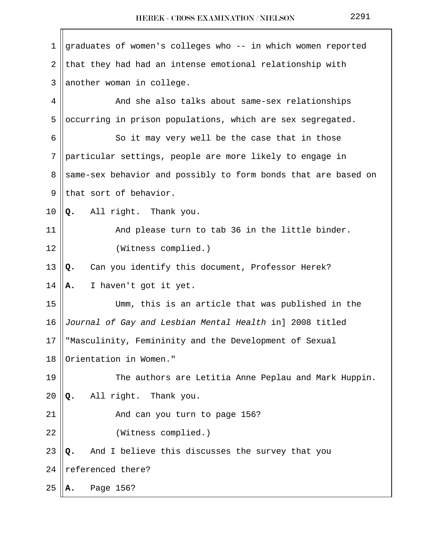| 1              | graduates of women's colleges who -- in which women reported   |
|----------------|----------------------------------------------------------------|
| $\overline{2}$ | that they had had an intense emotional relationship with       |
| 3              | another woman in college.                                      |
| 4              | And she also talks about same-sex relationships                |
| 5              | occurring in prison populations, which are sex segregated.     |
| 6              | So it may very well be the case that in those                  |
| 7              | particular settings, people are more likely to engage in       |
| 8              | same-sex behavior and possibly to form bonds that are based on |
| 9              | that sort of behavior.                                         |
| 10             | All right. Thank you.<br>Q.                                    |
| 11             | And please turn to tab 36 in the little binder.                |
| 12             | (Witness complied.)                                            |
| 13             | Can you identify this document, Professor Herek?<br>Q.         |
| 14             | I haven't got it yet.<br>Α.                                    |
| 15             | Umm, this is an article that was published in the              |
| 16             | Journal of Gay and Lesbian Mental Health in] 2008 titled       |
| 17             | "Masculinity, Femininity and the Development of Sexual         |
| 18             | Orientation in Women."                                         |
| 19             | The authors are Letitia Anne Peplau and Mark Huppin.           |
| 20             | All right. Thank you.<br>Q.                                    |
| 21             | And can you turn to page 156?                                  |
| 22             | (Witness complied.)                                            |
| 23             | And I believe this discusses the survey that you<br>Q.         |
| 24             | referenced there?                                              |
| 25             | Page 156?<br>А.                                                |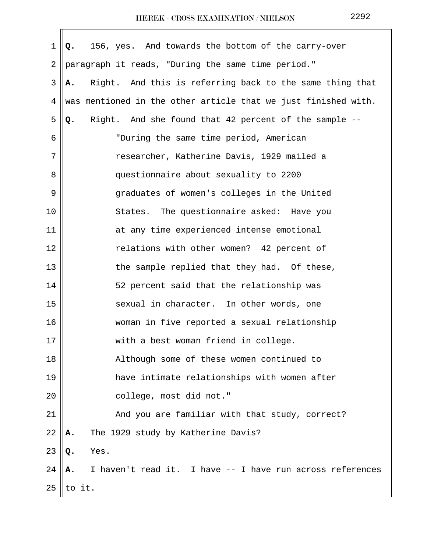| 1              | 156, yes. And towards the bottom of the carry-over<br>Q.       |
|----------------|----------------------------------------------------------------|
| $\overline{2}$ | paragraph it reads, "During the same time period."             |
| 3              | Right. And this is referring back to the same thing that<br>А. |
| 4              | was mentioned in the other article that we just finished with. |
| 5              | Right. And she found that 42 percent of the sample --<br>Q.    |
| 6              | "During the same time period, American                         |
| 7              | researcher, Katherine Davis, 1929 mailed a                     |
| 8              | questionnaire about sexuality to 2200                          |
| 9              | graduates of women's colleges in the United                    |
| 10             | States. The questionnaire asked: Have you                      |
| 11             | at any time experienced intense emotional                      |
| 12             | relations with other women? 42 percent of                      |
| 13             | the sample replied that they had. Of these,                    |
| 14             | 52 percent said that the relationship was                      |
| 15             | sexual in character. In other words, one                       |
| 16             | woman in five reported a sexual relationship                   |
| $17$           | with a best woman friend in college.                           |
| 18             | Although some of these women continued to                      |
| 19             | have intimate relationships with women after                   |
| 20             | college, most did not."                                        |
| 21             | And you are familiar with that study, correct?                 |
| 22             | The 1929 study by Katherine Davis?<br>Α.                       |
| 23             | Yes.<br>Q.                                                     |
| 24             | I haven't read it. I have -- I have run across references      |
| 25             | to it.                                                         |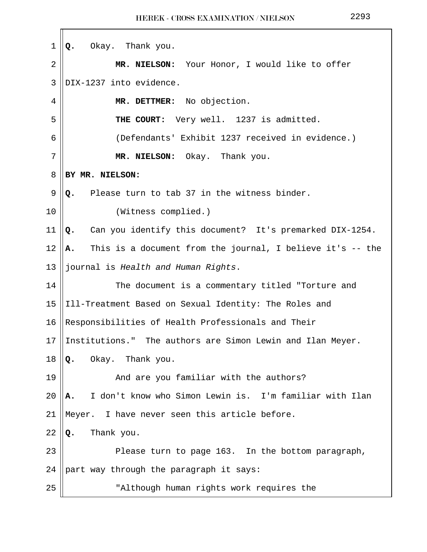| $\mathbf{1}$   | Okay. Thank you.<br>Q.                                           |
|----------------|------------------------------------------------------------------|
| $\overline{2}$ | MR. NIELSON: Your Honor, I would like to offer                   |
| 3              | DIX-1237 into evidence.                                          |
| 4              | MR. DETTMER: No objection.                                       |
| 5              | THE COURT: Very well. 1237 is admitted.                          |
| 6              | (Defendants' Exhibit 1237 received in evidence.)                 |
| 7              | MR. NIELSON: Okay. Thank you.                                    |
| 8              | BY MR. NIELSON:                                                  |
| 9              | Please turn to tab 37 in the witness binder.<br>Q.               |
| 10             | (Witness complied.)                                              |
| 11             | Can you identify this document? It's premarked DIX-1254.<br>Q.   |
| 12             | This is a document from the journal, I believe it's -- the<br>А. |
| 13             | journal is Health and Human Rights.                              |
| 14             | The document is a commentary titled "Torture and                 |
| 15             | Ill-Treatment Based on Sexual Identity: The Roles and            |
| 16             | Responsibilities of Health Professionals and Their               |
|                | 17    Institutions." The authors are Simon Lewin and Ilan Meyer. |
| 18             | Okay. Thank you.<br>Q.                                           |
| 19             | And are you familiar with the authors?                           |
| 20             | I don't know who Simon Lewin is. I'm familiar with Ilan<br>Α.    |
| 21             | Meyer. I have never seen this article before.                    |
| 22             | Thank you.<br>Q.                                                 |
| 23             | Please turn to page 163. In the bottom paragraph,                |
| 24             | part way through the paragraph it says:                          |
| 25             | "Although human rights work requires the                         |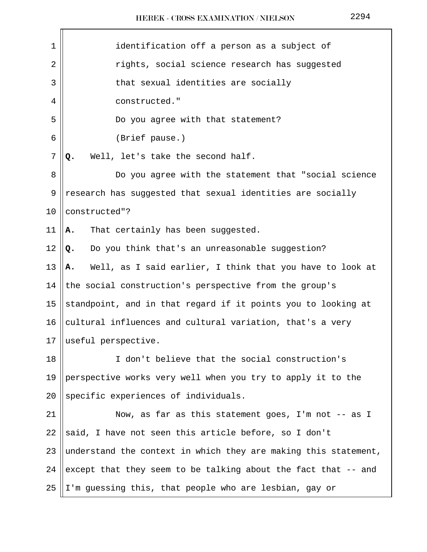| $\mathbf 1$     | identification off a person as a subject of                     |
|-----------------|-----------------------------------------------------------------|
| 2               | rights, social science research has suggested                   |
| 3               | that sexual identities are socially                             |
| 4               | constructed."                                                   |
| 5               | Do you agree with that statement?                               |
| 6               | (Brief pause.)                                                  |
| 7               | Well, let's take the second half.<br>Q.                         |
| 8               | Do you agree with the statement that "social science            |
| 9               | research has suggested that sexual identities are socially      |
| 10              | constructed"?                                                   |
| 11              | That certainly has been suggested.<br>Α.                        |
| 12              | Do you think that's an unreasonable suggestion?<br>Q.           |
| 13              | Well, as I said earlier, I think that you have to look at<br>Α. |
| 14              | the social construction's perspective from the group's          |
| 15              | standpoint, and in that regard if it points you to looking at   |
| 16              | cultural influences and cultural variation, that's a very       |
| 17 <sub>2</sub> | useful perspective                                              |
| 18              | I don't believe that the social construction's                  |
| 19              | perspective works very well when you try to apply it to the     |
| 20              | specific experiences of individuals.                            |
| 21              | Now, as far as this statement goes, I'm not -- as I             |
| 22              | said, I have not seen this article before, so I don't           |
| 23              | understand the context in which they are making this statement, |
| 24              | except that they seem to be talking about the fact that -- and  |
| 25              | I'm guessing this, that people who are lesbian, gay or          |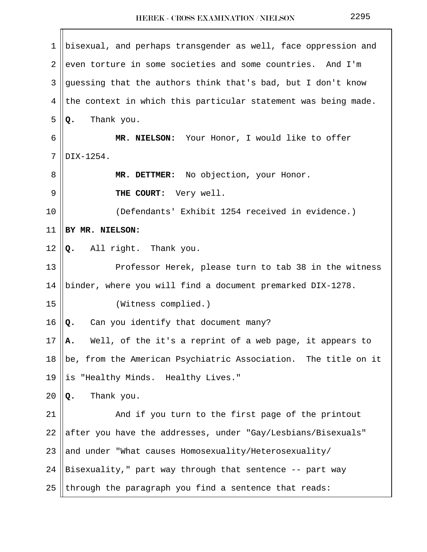| 1              | bisexual, and perhaps transgender as well, face oppression and |
|----------------|----------------------------------------------------------------|
| $\overline{2}$ | even torture in some societies and some countries. And I'm     |
| 3              | guessing that the authors think that's bad, but I don't know   |
| 4              | the context in which this particular statement was being made. |
| 5              | Thank you.<br>Q.                                               |
| 6              | MR. NIELSON: Your Honor, I would like to offer                 |
| 7              | DIX-1254.                                                      |
| 8              | MR. DETTMER: No objection, your Honor.                         |
| 9              | THE COURT: Very well.                                          |
| 10             | (Defendants' Exhibit 1254 received in evidence.)               |
| 11             | BY MR. NIELSON:                                                |
| 12             | All right. Thank you.<br>Q.                                    |
| 13             | Professor Herek, please turn to tab 38 in the witness          |
| 14             | binder, where you will find a document premarked DIX-1278.     |
| 15             | (Witness complied.)                                            |
| 16             | Can you identify that document many?<br>Q.                     |
| 17             | Well, of the it's a reprint of a web page, it appears to<br>А. |
| 18             | be, from the American Psychiatric Association. The title on it |
| 19             | is "Healthy Minds. Healthy Lives."                             |
| 20             | Thank you.<br>Q.                                               |
| 21             | And if you turn to the first page of the printout              |
| 22             | after you have the addresses, under "Gay/Lesbians/Bisexuals"   |
| 23             | and under "What causes Homosexuality/Heterosexuality/          |
| 24             | Bisexuality," part way through that sentence -- part way       |
| 25             | through the paragraph you find a sentence that reads:          |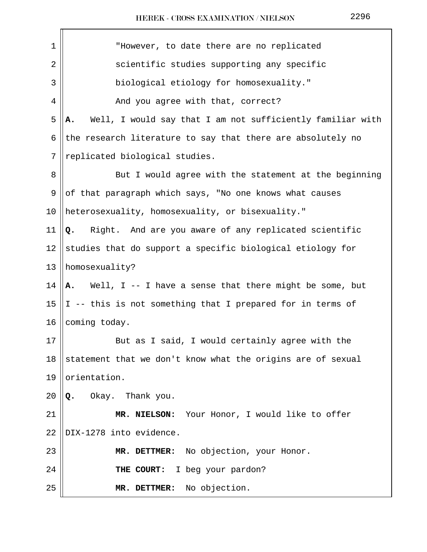| 1  | "However, to date there are no replicated                        |
|----|------------------------------------------------------------------|
| 2  | scientific studies supporting any specific                       |
| 3  | biological etiology for homosexuality."                          |
| 4  | And you agree with that, correct?                                |
| 5  | Well, I would say that I am not sufficiently familiar with<br>А. |
| 6  | the research literature to say that there are absolutely no      |
| 7  | replicated biological studies.                                   |
| 8  | But I would agree with the statement at the beginning            |
| 9  | of that paragraph which says, "No one knows what causes          |
| 10 | heterosexuality, homosexuality, or bisexuality."                 |
| 11 | Right. And are you aware of any replicated scientific<br>Q.      |
| 12 | studies that do support a specific biological etiology for       |
| 13 | homosexuality?                                                   |
| 14 | A. Well, I -- I have a sense that there might be some, but       |
| 15 | I -- this is not something that I prepared for in terms of       |
| 16 | coming today.                                                    |
| 17 | But as I said, I would certainly agree with the                  |
| 18 | statement that we don't know what the origins are of sexual      |
| 19 | orientation.                                                     |
| 20 | Okay. Thank you.<br>Q.                                           |
| 21 | MR. NIELSON: Your Honor, I would like to offer                   |
| 22 | DIX-1278 into evidence.                                          |
| 23 | No objection, your Honor.<br>MR. DETTMER:                        |
| 24 | THE COURT: I beg your pardon?                                    |
| 25 | No objection.<br>MR. DETTMER:                                    |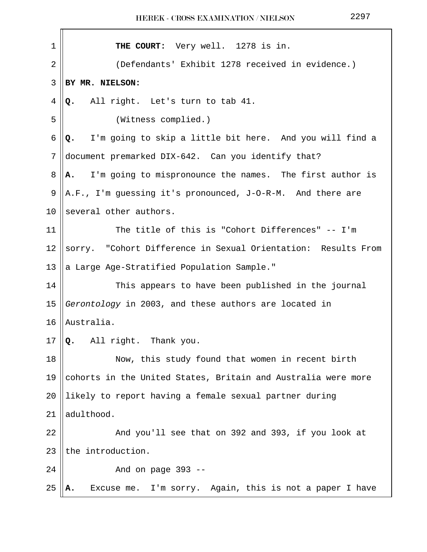| 1  | THE COURT: Very well. 1278 is in.                                     |
|----|-----------------------------------------------------------------------|
| 2  | (Defendants' Exhibit 1278 received in evidence.)                      |
| 3  | BY MR. NIELSON:                                                       |
| 4  | All right. Let's turn to tab 41.<br>Q.                                |
| 5  | (Witness complied.)                                                   |
| 6  | I'm going to skip a little bit here. And you will find a<br>Q.        |
| 7  | document premarked DIX-642. Can you identify that?                    |
| 8  | I'm going to mispronounce the names. The first author is<br><b>A.</b> |
| 9  | A.F., I'm guessing it's pronounced, J-O-R-M. And there are            |
| 10 | several other authors.                                                |
| 11 | The title of this is "Cohort Differences" -- I'm                      |
| 12 | sorry. "Cohort Difference in Sexual Orientation: Results From         |
| 13 | a Large Age-Stratified Population Sample."                            |
| 14 | This appears to have been published in the journal                    |
| 15 | Gerontology in 2003, and these authors are located in                 |
| 16 | Australia.                                                            |
| 17 | All right. Thank you.<br>Q.                                           |
| 18 | Now, this study found that women in recent birth                      |
| 19 | cohorts in the United States, Britain and Australia were more         |
| 20 | likely to report having a female sexual partner during                |
| 21 | adulthood.                                                            |
| 22 | And you'll see that on 392 and 393, if you look at                    |
| 23 | the introduction.                                                     |
| 24 | And on page 393 --                                                    |
| 25 | Excuse me. I'm sorry. Again, this is not a paper I have<br>А.         |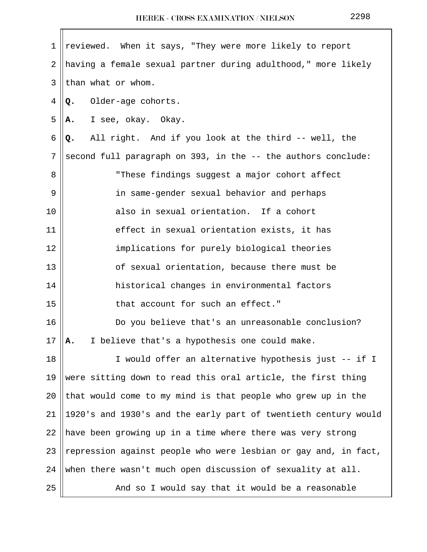| 1  | reviewed. When it says, "They were more likely to report        |
|----|-----------------------------------------------------------------|
| 2  | having a female sexual partner during adulthood," more likely   |
| 3  | than what or whom.                                              |
| 4  | Older-age cohorts.<br>Q.                                        |
| 5  | I see, okay. Okay.<br>А.                                        |
| 6  | All right. And if you look at the third -- well, the<br>Q.      |
| 7  | second full paragraph on 393, in the -- the authors conclude:   |
| 8  | "These findings suggest a major cohort affect                   |
| 9  | in same-gender sexual behavior and perhaps                      |
| 10 | also in sexual orientation. If a cohort                         |
| 11 | effect in sexual orientation exists, it has                     |
| 12 | implications for purely biological theories                     |
| 13 | of sexual orientation, because there must be                    |
| 14 | historical changes in environmental factors                     |
| 15 | that account for such an effect."                               |
| 16 | Do you believe that's an unreasonable conclusion?               |
| 17 | I believe that's a hypothesis one could make.<br>А.             |
| 18 | I would offer an alternative hypothesis just -- if I            |
| 19 | were sitting down to read this oral article, the first thing    |
| 20 | that would come to my mind is that people who grew up in the    |
| 21 | 1920's and 1930's and the early part of twentieth century would |
| 22 | have been growing up in a time where there was very strong      |
| 23 | repression against people who were lesbian or gay and, in fact, |
| 24 | when there wasn't much open discussion of sexuality at all.     |
| 25 | And so I would say that it would be a reasonable                |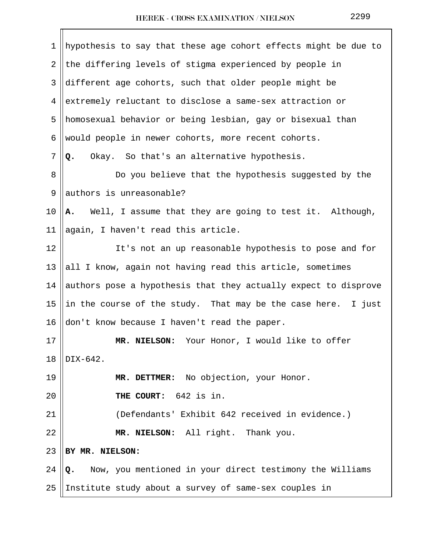| 1  | $\Delta$ hypothesis to say that these age cohort effects might be due to |
|----|--------------------------------------------------------------------------|
| 2  | the differing levels of stigma experienced by people in                  |
| 3  | different age cohorts, such that older people might be                   |
| 4  | extremely reluctant to disclose a same-sex attraction or                 |
| 5  | homosexual behavior or being lesbian, gay or bisexual than               |
| 6  | would people in newer cohorts, more recent cohorts.                      |
| 7  | Okay. So that's an alternative hypothesis.<br>Q.                         |
| 8  | Do you believe that the hypothesis suggested by the                      |
| 9  | authors is unreasonable?                                                 |
| 10 | Well, I assume that they are going to test it. Although,<br>А.           |
| 11 | again, I haven't read this article.                                      |
| 12 | It's not an up reasonable hypothesis to pose and for                     |
| 13 | all I know, again not having read this article, sometimes                |
| 14 | authors pose a hypothesis that they actually expect to disprove          |
| 15 | in the course of the study. That may be the case here. I just            |
| 16 | don't know because I haven't read the paper.                             |
| 17 | MR. NIELSON: Your Honor, I would like to offer                           |
| 18 | DIX-642.                                                                 |
| 19 | MR. DETTMER: No objection, your Honor.                                   |
| 20 | THE COURT: 642 is in.                                                    |
| 21 | (Defendants' Exhibit 642 received in evidence.)                          |
| 22 | MR. NIELSON: All right. Thank you.                                       |
| 23 | BY MR. NIELSON:                                                          |
| 24 | Now, you mentioned in your direct testimony the Williams<br>Q.           |
| 25 | Institute study about a survey of same-sex couples in                    |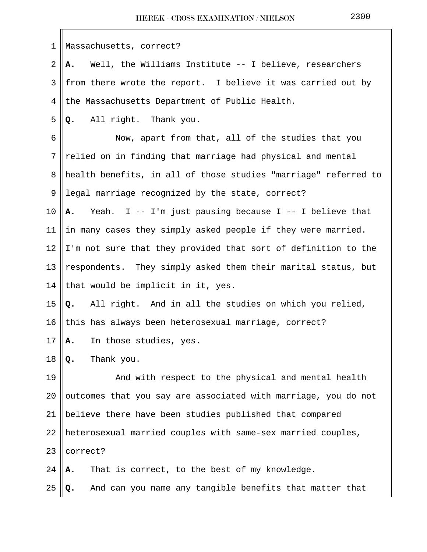| 1              | Massachusetts, correct?                                         |
|----------------|-----------------------------------------------------------------|
| 2              | Well, the Williams Institute -- I believe, researchers<br>А.    |
| 3              | from there wrote the report. I believe it was carried out by    |
| 4              | the Massachusetts Department of Public Health.                  |
| 5              | All right. Thank you.<br>Q.                                     |
| 6              | Now, apart from that, all of the studies that you               |
| $7\phantom{.}$ | relied on in finding that marriage had physical and mental      |
| 8              | health benefits, in all of those studies "marriage" referred to |
| 9              | legal marriage recognized by the state, correct?                |
| $10 \,$        | A. Yeah. I -- I'm just pausing because I -- I believe that      |
| 11             | in many cases they simply asked people if they were married.    |
| 12             | I'm not sure that they provided that sort of definition to the  |
| 13             | respondents. They simply asked them their marital status, but   |
| 14             | that would be implicit in it, yes.                              |
| 15             | All right. And in all the studies on which you relied,<br>Q.    |
| 16             | this has always been heterosexual marriage, correct?            |
| 17             | . In those studies, yes.<br>А.                                  |
| 18             | Thank you.<br>Q.                                                |
| 19             | And with respect to the physical and mental health              |
| 20             | outcomes that you say are associated with marriage, you do not  |
| 21             | believe there have been studies published that compared         |
| 22             | heterosexual married couples with same-sex married couples,     |
| 23             | correct?                                                        |
| 24             | That is correct, to the best of my knowledge.<br>Α.             |
| 25             | And can you name any tangible benefits that matter that         |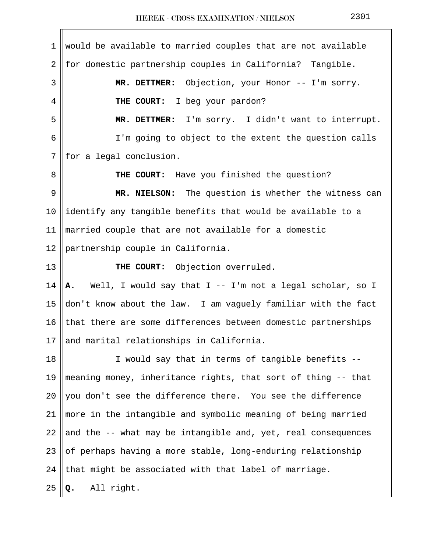1 Would be available to married couples that are not available  $2 \parallel$  for domestic partnership couples in California? Tangible. 3 **MR. DETTMER:** Objection, your Honor -- I'm sorry. 4 **THE COURT:** I beg your pardon? 5 **MR. DETTMER:** I'm sorry. I didn't want to interrupt. 6 I'm going to object to the extent the question calls  $7$  || for a legal conclusion. 8 **THE COURT:** Have you finished the question? 9 **MR. NIELSON:** The question is whether the witness can 10 didentify any tangible benefits that would be available to a 11 married couple that are not available for a domestic 12  $\beta$  partnership couple in California. 13 **THE COURT:** Objection overruled. 14  $\|$ **A.** Well, I would say that I -- I'm not a legal scholar, so I 15  $\parallel$  don't know about the law. I am vaguely familiar with the fact 16  $\|$  that there are some differences between domestic partnerships 17  $\parallel$  and marital relationships in California. 18 || I would say that in terms of tangible benefits --19 meaning money, inheritance rights, that sort of thing -- that 20  $\parallel$  you don't see the difference there. You see the difference 21 more in the intangible and symbolic meaning of being married 22 || and the  $-$ - what may be intangible and, yet, real consequences 23  $\parallel$  of perhaps having a more stable, long-enduring relationship 24 that might be associated with that label of marriage.  $25 \parallel Q.$  All right.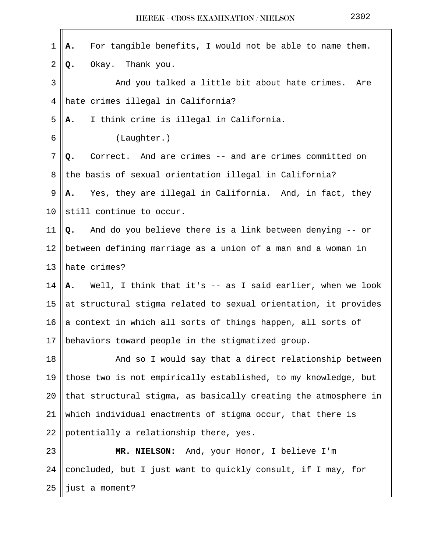| 1              | For tangible benefits, I would not be able to name them.<br>Α.  |
|----------------|-----------------------------------------------------------------|
| $\overline{2}$ | Okay. Thank you.<br>Q.                                          |
| 3              | And you talked a little bit about hate crimes. Are              |
| 4              | hate crimes illegal in California?                              |
| 5              | I think crime is illegal in California.<br>Α.                   |
| 6              | (Laughter.)                                                     |
| 7              | Correct. And are crimes -- and are crimes committed on<br>Q.    |
| 8              | the basis of sexual orientation illegal in California?          |
| 9              | Yes, they are illegal in California. And, in fact, they<br>Α.   |
| 10             | still continue to occur.                                        |
| 11             | And do you believe there is a link between denying -- or<br>Q.  |
| 12             | between defining marriage as a union of a man and a woman in    |
| 13             | hate crimes?                                                    |
| 14             | A. Well, I think that it's -- as I said earlier, when we look   |
| 15             | at structural stigma related to sexual orientation, it provides |
| 16             | a context in which all sorts of things happen, all sorts of     |
| 17             | behaviors toward people in the stigmatized group.               |
| 18             | And so I would say that a direct relationship between           |
| 19             | those two is not empirically established, to my knowledge, but  |
| 20             | that structural stigma, as basically creating the atmosphere in |
| 21             | which individual enactments of stigma occur, that there is      |
| 22             | potentially a relationship there, yes.                          |
| 23             | MR. NIELSON: And, your Honor, I believe I'm                     |
| 24             | concluded, but I just want to quickly consult, if I may, for    |
| 25             | just a moment?                                                  |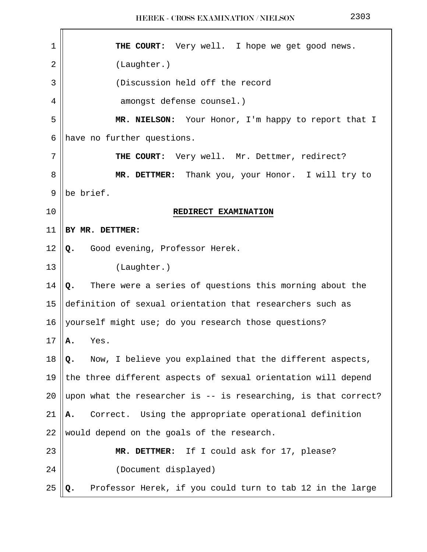| 1  | THE COURT: Very well. I hope we get good news.                   |
|----|------------------------------------------------------------------|
| 2  | (Laughter.)                                                      |
| 3  | (Discussion held off the record                                  |
| 4  | amongst defense counsel.)                                        |
| 5  | MR. NIELSON: Your Honor, I'm happy to report that I              |
| 6  | have no further questions.                                       |
| 7  | THE COURT: Very well. Mr. Dettmer, redirect?                     |
| 8  | MR. DETTMER: Thank you, your Honor. I will try to                |
| 9  | be brief.                                                        |
| 10 | REDIRECT EXAMINATION                                             |
| 11 | BY MR. DETTMER:                                                  |
| 12 | Good evening, Professor Herek.<br>Q.                             |
| 13 | (Laughter.)                                                      |
| 14 | There were a series of questions this morning about the<br>Q.    |
| 15 | definition of sexual orientation that researchers such as        |
| 16 | yourself might use; do you research those questions?             |
| 17 | Yes.<br>Α.                                                       |
| 18 | Now, I believe you explained that the different aspects,<br>Q.   |
| 19 | the three different aspects of sexual orientation will depend    |
| 20 | upon what the researcher is $-$ is researching, is that correct? |
| 21 | Correct. Using the appropriate operational definition<br>Α.      |
| 22 | would depend on the goals of the research.                       |
| 23 | MR. DETTMER: If I could ask for 17, please?                      |
| 24 | (Document displayed)                                             |
| 25 | Professor Herek, if you could turn to tab 12 in the large<br>Q.  |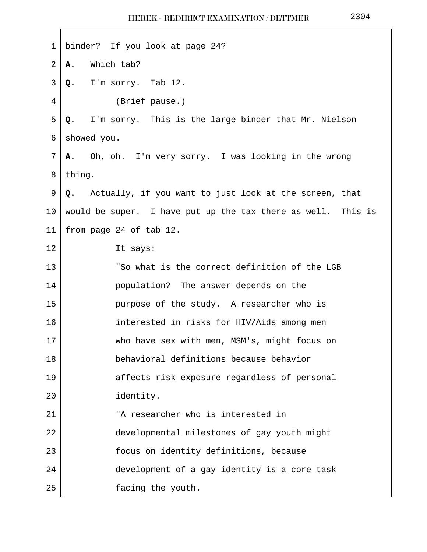| $\mathbf 1$    | binder? If you look at page 24?                              |
|----------------|--------------------------------------------------------------|
| $\overline{2}$ | Which tab?<br>Α.                                             |
| 3              | I'm sorry. Tab 12.<br>Q.                                     |
| $\overline{4}$ | (Brief pause.)                                               |
| 5              | Q. I'm sorry. This is the large binder that Mr. Nielson      |
| 6              | showed you.                                                  |
| $7\phantom{.}$ | A. Oh, oh. I'm very sorry. I was looking in the wrong        |
| 8              | thing.                                                       |
| 9              | Q. Actually, if you want to just look at the screen, that    |
| 10             | would be super. I have put up the tax there as well. This is |
| 11             | from page 24 of tab 12.                                      |
| 12             | It says:                                                     |
| 13             | "So what is the correct definition of the LGB                |
| 14             | population? The answer depends on the                        |
| 15             | purpose of the study. A researcher who is                    |
| 16             | interested in risks for HIV/Aids among men                   |
| 17             | who have sex with men, MSM's, might focus on                 |
| 18             | behavioral definitions because behavior                      |
| 19             | affects risk exposure regardless of personal                 |
| 20             | identity.                                                    |
| 21             | "A researcher who is interested in                           |
| 22             | developmental milestones of gay youth might                  |
| 23             | focus on identity definitions, because                       |
| 24             | development of a gay identity is a core task                 |
| 25             | facing the youth.                                            |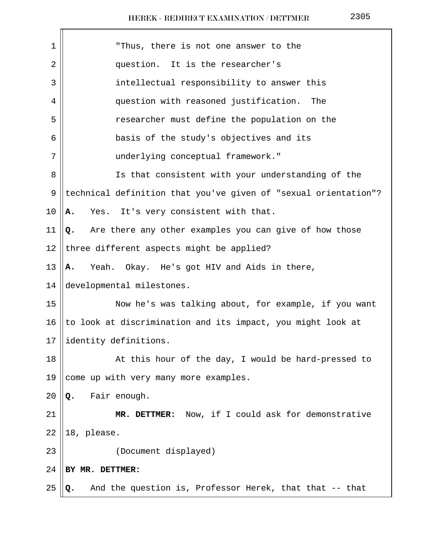$\mathbf{r}$ 

| 1  | "Thus, there is not one answer to the                           |
|----|-----------------------------------------------------------------|
| 2  | question. It is the researcher's                                |
| 3  | intellectual responsibility to answer this                      |
| 4  | question with reasoned justification.<br>The                    |
| 5  | researcher must define the population on the                    |
| 6  | basis of the study's objectives and its                         |
| 7  | underlying conceptual framework."                               |
| 8  | Is that consistent with your understanding of the               |
| 9  | technical definition that you've given of "sexual orientation"? |
| 10 | Yes. It's very consistent with that.<br>Α.                      |
| 11 | Are there any other examples you can give of how those<br>Q.    |
| 12 | three different aspects might be applied?                       |
| 13 | Yeah.<br>Okay. He's got HIV and Aids in there,<br>Α.            |
| 14 | developmental milestones.                                       |
| 15 | Now he's was talking about, for example, if you want            |
| 16 | to look at discrimination and its impact, you might look at     |
| 17 | dentity definitions.                                            |
| 18 | At this hour of the day, I would be hard-pressed to             |
| 19 | come up with very many more examples.                           |
| 20 | Fair enough.<br>Q.                                              |
| 21 | MR. DETTMER: Now, if I could ask for demonstrative              |
| 22 | 18, please.                                                     |
| 23 | (Document displayed)                                            |
| 24 | BY MR. DETTMER:                                                 |
| 25 | And the question is, Professor Herek, that that -- that<br>Q.   |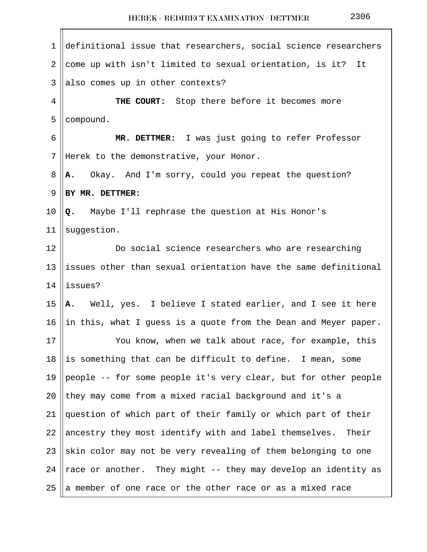| $\mathbf 1$    | definitional issue that researchers, social science researchers |
|----------------|-----------------------------------------------------------------|
| $\overline{2}$ | come up with isn't limited to sexual orientation, is it?<br>It  |
| 3              | also comes up in other contexts?                                |
| 4              | THE COURT: Stop there before it becomes more                    |
| 5              | compound.                                                       |
| 6              | MR. DETTMER: I was just going to refer Professor                |
| 7              | Herek to the demonstrative, your Honor.                         |
| 8              | Okay. And I'm sorry, could you repeat the question?<br>Α.       |
| 9              | BY MR. DETTMER:                                                 |
| 10             | Q. Maybe I'll rephrase the question at His Honor's              |
| 11             | suggestion.                                                     |
| 12             | Do social science researchers who are researching               |
| 13             | issues other than sexual orientation have the same definitional |
| 14             | issues?                                                         |
| 15             | A. Well, yes. I believe I stated earlier, and I see it here     |
| 16             | in this, what I guess is a quote from the Dean and Meyer paper. |
| 17             | You know, when we talk about race, for example, this            |
| 18             | is something that can be difficult to define. I mean, some      |
| 19             | people -- for some people it's very clear, but for other people |
| 20             | they may come from a mixed racial background and it's a         |
| 21             | question of which part of their family or which part of their   |
| 22             | ancestry they most identify with and label themselves.<br>Their |
| 23             | skin color may not be very revealing of them belonging to one   |
| 24             | race or another. They might -- they may develop an identity as  |
| 25             | a member of one race or the other race or as a mixed race       |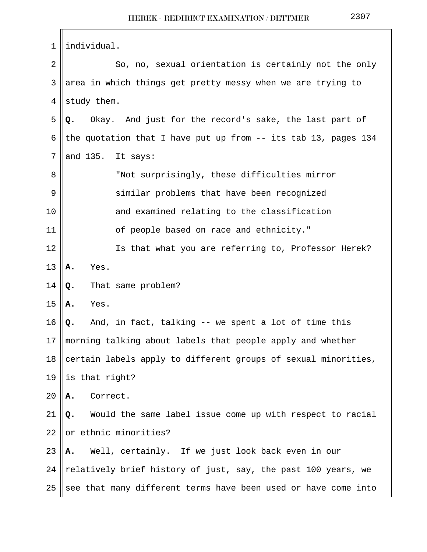| 1    | individual.                                                     |
|------|-----------------------------------------------------------------|
| 2    | So, no, sexual orientation is certainly not the only            |
| 3    | area in which things get pretty messy when we are trying to     |
| 4    | study them.                                                     |
| 5    | Okay. And just for the record's sake, the last part of<br>Q.    |
| 6    | the quotation that I have put up from $-$ its tab 13, pages 134 |
| 7    | and 135. It says:                                               |
| 8    | "Not surprisingly, these difficulties mirror                    |
| 9    | similar problems that have been recognized                      |
| 10   | and examined relating to the classification                     |
| 11   | of people based on race and ethnicity."                         |
| 12   | Is that what you are referring to, Professor Herek?             |
| 13   | Yes.<br>Α.                                                      |
| 14   | That same problem?<br>Q.                                        |
| 15   | Yes.<br>Α.                                                      |
| 16   | And, in fact, talking -- we spent a lot of time this<br>Q.      |
| $17$ | morning talking about labels that people apply and whether      |
| 18   | certain labels apply to different groups of sexual minorities,  |
| 19   | is that right?                                                  |
| 20   | Correct.<br>А.                                                  |
| 21   | Would the same label issue come up with respect to racial<br>Q. |
| 22   | or ethnic minorities?                                           |
| 23   | Well, certainly. If we just look back even in our<br>Α.         |
| 24   | relatively brief history of just, say, the past 100 years, we   |
| 25   | see that many different terms have been used or have come into  |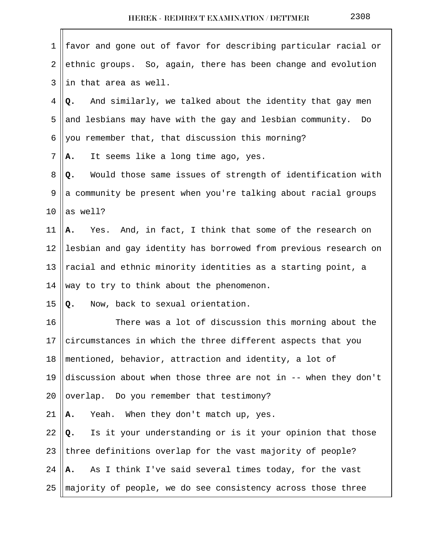| $\mathbf 1$    | favor and gone out of favor for describing particular racial or  |
|----------------|------------------------------------------------------------------|
| $\overline{2}$ | ethnic groups. So, again, there has been change and evolution    |
| 3              | in that area as well.                                            |
| 4              | And similarly, we talked about the identity that gay men<br>Q.   |
| 5              | and lesbians may have with the gay and lesbian community.<br>Do  |
| 6              | you remember that, that discussion this morning?                 |
| 7              | It seems like a long time ago, yes.<br>А.                        |
| 8              | Would those same issues of strength of identification with<br>Q. |
| 9              | a community be present when you're talking about racial groups   |
| 10             | as well?                                                         |
| 11             | Yes. And, in fact, I think that some of the research on<br>А.    |
| 12             | lesbian and gay identity has borrowed from previous research on  |
| 13             | racial and ethnic minority identities as a starting point, a     |
| 14             | way to try to think about the phenomenon.                        |
| 15             | Now, back to sexual orientation.<br>Q.                           |
| 16             | There was a lot of discussion this morning about the             |
| 17             | circumstances in which the three different aspects that you      |
| 18             | mentioned, behavior, attraction and identity, a lot of           |
| 19             | discussion about when those three are not in -- when they don't  |
| 20             | overlap. Do you remember that testimony?                         |
| 21             | Yeah. When they don't match up, yes.<br>Α.                       |
| 22             | Q. Is it your understanding or is it your opinion that those     |
| 23             | three definitions overlap for the vast majority of people?       |
| 24             | As I think I've said several times today, for the vast<br>А.     |
| 25             | majority of people, we do see consistency across those three     |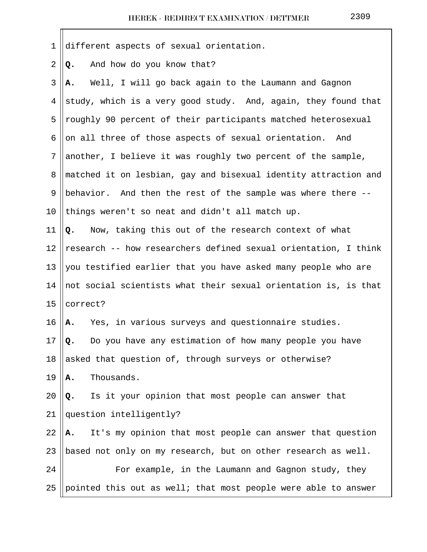| 1              | different aspects of sexual orientation.                        |
|----------------|-----------------------------------------------------------------|
| 2              | And how do you know that?<br>Q.                                 |
| 3              | Well, I will go back again to the Laumann and Gagnon<br>А.      |
| 4              | study, which is a very good study. And, again, they found that  |
| 5              | roughly 90 percent of their participants matched heterosexual   |
| 6              | on all three of those aspects of sexual orientation. And        |
| $7\phantom{.}$ | another, I believe it was roughly two percent of the sample,    |
| 8              | matched it on lesbian, gay and bisexual identity attraction and |
| 9              | behavior. And then the rest of the sample was where there --    |
| 10             | things weren't so neat and didn't all match up.                 |
| 11             | Now, taking this out of the research context of what<br>Q.      |
| 12             | research -- how researchers defined sexual orientation, I think |
| 13             | you testified earlier that you have asked many people who are   |
| 14             | not social scientists what their sexual orientation is, is that |
| 15             | correct?                                                        |
| 16             | Yes, in various surveys and questionnaire studies.<br>Α.        |
| 17             | Do you have any estimation of how many people you have<br>Q.    |
| 18             | asked that question of, through surveys or otherwise?           |
| 19             | Thousands.<br>Α.                                                |
| 20             | Is it your opinion that most people can answer that<br>Q.       |
| 21             | question intelligently?                                         |
| 22             | It's my opinion that most people can answer that question<br>Α. |
| 23             | based not only on my research, but on other research as well.   |
| 24             | For example, in the Laumann and Gagnon study, they              |
| 25             | pointed this out as well; that most people were able to answer  |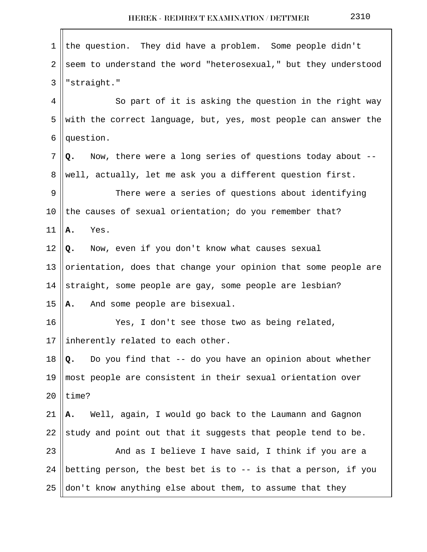| 1  | the question. They did have a problem. Some people didn't       |
|----|-----------------------------------------------------------------|
| 2  | seem to understand the word "heterosexual," but they understood |
| 3  | "straight."                                                     |
| 4  | So part of it is asking the question in the right way           |
| 5  | with the correct language, but, yes, most people can answer the |
| 6  | question.                                                       |
| 7  | Now, there were a long series of questions today about --<br>Q. |
| 8  | well, actually, let me ask you a different question first.      |
| 9  | There were a series of questions about identifying              |
| 10 | the causes of sexual orientation; do you remember that?         |
| 11 | Yes.<br>Α.                                                      |
| 12 | Now, even if you don't know what causes sexual<br>Q.            |
| 13 | orientation, does that change your opinion that some people are |
| 14 | straight, some people are gay, some people are lesbian?         |
| 15 | And some people are bisexual.<br><b>A.</b>                      |
| 16 | Yes, I don't see those two as being related,                    |
| 17 | inherently related to each other.                               |
| 18 | Do you find that -- do you have an opinion about whether<br>Q.  |
| 19 | most people are consistent in their sexual orientation over     |
| 20 | time?                                                           |
| 21 | Well, again, I would go back to the Laumann and Gagnon<br>Α.    |
| 22 | study and point out that it suggests that people tend to be.    |
| 23 | And as I believe I have said, I think if you are a              |
| 24 | betting person, the best bet is to -- is that a person, if you  |
| 25 | don't know anything else about them, to assume that they        |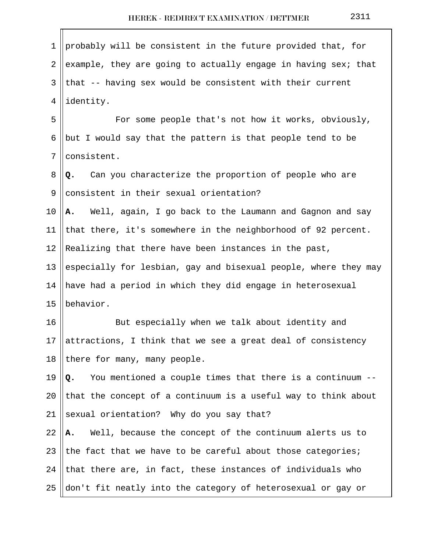| 1       | probably will be consistent in the future provided that, for    |
|---------|-----------------------------------------------------------------|
| 2       | example, they are going to actually engage in having sex; that  |
| 3       | that -- having sex would be consistent with their current       |
| 4       | identity.                                                       |
| 5       | For some people that's not how it works, obviously,             |
| 6       | but I would say that the pattern is that people tend to be      |
| 7       | consistent.                                                     |
| 8       | Can you characterize the proportion of people who are<br>Q.     |
| 9       | consistent in their sexual orientation?                         |
| $10 \,$ | A. Well, again, I go back to the Laumann and Gagnon and say     |
| 11      | that there, it's somewhere in the neighborhood of 92 percent.   |
| 12      | Realizing that there have been instances in the past,           |
| 13      | especially for lesbian, gay and bisexual people, where they may |
| 14      | have had a period in which they did engage in heterosexual      |
| 15      | behavior.                                                       |
| 16      | But especially when we talk about identity and                  |
| 17      | attractions, I think that we see a great deal of consistency    |
| 18      | there for many, many people.                                    |
| 19      | You mentioned a couple times that there is a continuum --<br>Q. |
| 20      | that the concept of a continuum is a useful way to think about  |
| 21      | sexual orientation? Why do you say that?                        |
| 22      | Well, because the concept of the continuum alerts us to<br>Α.   |
| 23      | the fact that we have to be careful about those categories;     |
| 24      | that there are, in fact, these instances of individuals who     |
| 25      | don't fit neatly into the category of heterosexual or gay or    |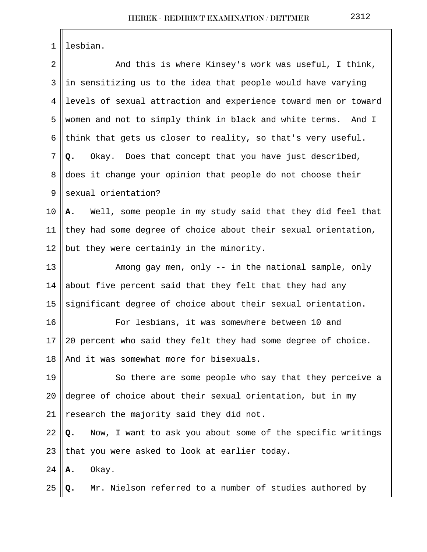|  | lesbian |
|--|---------|
|--|---------|

| $\overline{2}$ | And this is where Kinsey's work was useful, I think,             |
|----------------|------------------------------------------------------------------|
| 3              | in sensitizing us to the idea that people would have varying     |
| 4              | levels of sexual attraction and experience toward men or toward  |
| 5              | women and not to simply think in black and white terms. And I    |
| 6              | think that gets us closer to reality, so that's very useful.     |
| 7              | Okay. Does that concept that you have just described,<br>Q.      |
| 8              | does it change your opinion that people do not choose their      |
| 9              | sexual orientation?                                              |
| 10             | Well, some people in my study said that they did feel that<br>А. |
| 11             | they had some degree of choice about their sexual orientation,   |
| 12             | but they were certainly in the minority.                         |
| 13             | Among gay men, only -- in the national sample, only              |
| 14             | about five percent said that they felt that they had any         |
| 15             | significant degree of choice about their sexual orientation.     |
| 16             | For lesbians, it was somewhere between 10 and                    |
| 17             | 20 percent who said they felt they had some degree of choice.    |
| 18             | And it was somewhat more for bisexuals.                          |
| 19             | So there are some people who say that they perceive a            |
| 20             | degree of choice about their sexual orientation, but in my       |
| 21             | research the majority said they did not.                         |
| 22             | Now, I want to ask you about some of the specific writings<br>Q. |
| 23             | that you were asked to look at earlier today.                    |
| 24             | Okay.<br>Α.                                                      |
| 25             | Mr. Nielson referred to a number of studies authored by<br>Q.    |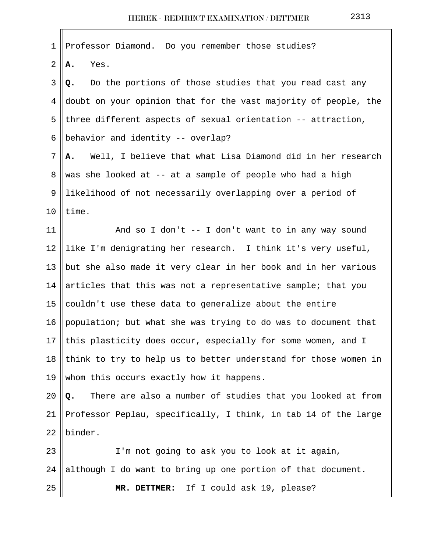| 1  | Professor Diamond. Do you remember those studies?                |
|----|------------------------------------------------------------------|
| 2  | Yes.<br>Α.                                                       |
| 3  | Do the portions of those studies that you read cast any<br>Q.    |
| 4  | doubt on your opinion that for the vast majority of people, the  |
| 5  | three different aspects of sexual orientation -- attraction,     |
| 6  | behavior and identity -- overlap?                                |
| 7  | A. Well, I believe that what Lisa Diamond did in her research    |
| 8  | was she looked at -- at a sample of people who had a high        |
| 9  | likelihood of not necessarily overlapping over a period of       |
| 10 | time.                                                            |
| 11 | And so I don't $-$ - I don't want to in any way sound            |
| 12 | like I'm denigrating her research. I think it's very useful,     |
| 13 | but she also made it very clear in her book and in her various   |
| 14 | articles that this was not a representative sample; that you     |
| 15 | couldn't use these data to generalize about the entire           |
| 16 | population; but what she was trying to do was to document that   |
| 17 | this plasticity does occur, especially for some women, and I     |
| 18 | think to try to help us to better understand for those women in  |
| 19 | whom this occurs exactly how it happens.                         |
| 20 | There are also a number of studies that you looked at from<br>Q. |
| 21 | Professor Peplau, specifically, I think, in tab 14 of the large  |
| 22 | binder.                                                          |
| 23 | I'm not going to ask you to look at it again,                    |
| 24 | although I do want to bring up one portion of that document.     |
| 25 | MR. DETTMER: If I could ask 19, please?                          |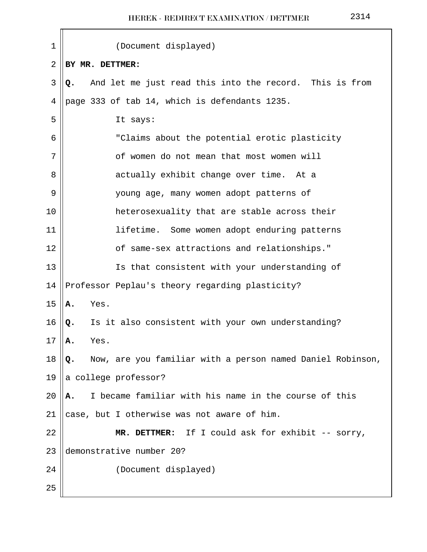| (Document displayed)                                             |
|------------------------------------------------------------------|
| BY MR. DETTMER:                                                  |
| And let me just read this into the record. This is from<br>Q.    |
| page 333 of tab 14, which is defendants 1235.                    |
| It says:                                                         |
| "Claims about the potential erotic plasticity                    |
| of women do not mean that most women will                        |
| actually exhibit change over time. At a                          |
| young age, many women adopt patterns of                          |
| heterosexuality that are stable across their                     |
| lifetime. Some women adopt enduring patterns                     |
| of same-sex attractions and relationships."                      |
| Is that consistent with your understanding of                    |
| Professor Peplau's theory regarding plasticity?                  |
| Yes.<br>A.                                                       |
| Is it also consistent with your own understanding?<br>Q.         |
| Α.<br>Yes.                                                       |
| Now, are you familiar with a person named Daniel Robinson,<br>Q. |
| a college professor?                                             |
| I became familiar with his name in the course of this<br>Α.      |
| case, but I otherwise was not aware of him.                      |
| MR. DETTMER: If I could ask for exhibit -- sorry,                |
| demonstrative number 20?                                         |
| (Document displayed)                                             |
|                                                                  |
|                                                                  |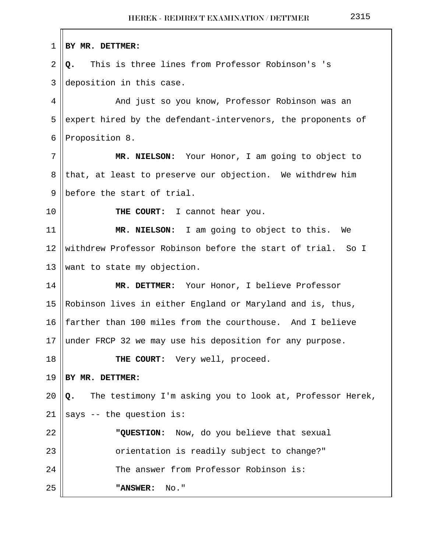| $\mathbf 1$ | BY MR. DETTMER:                                                 |
|-------------|-----------------------------------------------------------------|
| 2           | This is three lines from Professor Robinson's 's<br>Q.          |
| 3           | deposition in this case.                                        |
| 4           | And just so you know, Professor Robinson was an                 |
| 5           | expert hired by the defendant-intervenors, the proponents of    |
| 6           | Proposition 8.                                                  |
| 7           | MR. NIELSON: Your Honor, I am going to object to                |
| 8           | that, at least to preserve our objection. We withdrew him       |
| 9           | before the start of trial.                                      |
| 10          | THE COURT: I cannot hear you.                                   |
| 11          | MR. NIELSON: I am going to object to this. We                   |
| 12          | withdrew Professor Robinson before the start of trial. So I     |
| 13          | want to state my objection.                                     |
| 14          | MR. DETTMER: Your Honor, I believe Professor                    |
| 15          | Robinson lives in either England or Maryland and is, thus,      |
| 16          | farther than 100 miles from the courthouse. And I believe       |
| 17          | under FRCP 32 we may use his deposition for any purpose.        |
| 18          | THE COURT: Very well, proceed.                                  |
| 19          | BY MR. DETTMER:                                                 |
| 20          | The testimony I'm asking you to look at, Professor Herek,<br>Q. |
| 21          | says -- the question is:                                        |
| 22          | "QUESTION: Now, do you believe that sexual                      |
| 23          | orientation is readily subject to change?"                      |
| 24          | The answer from Professor Robinson is:                          |
| 25          | No."<br>"ANSWER:                                                |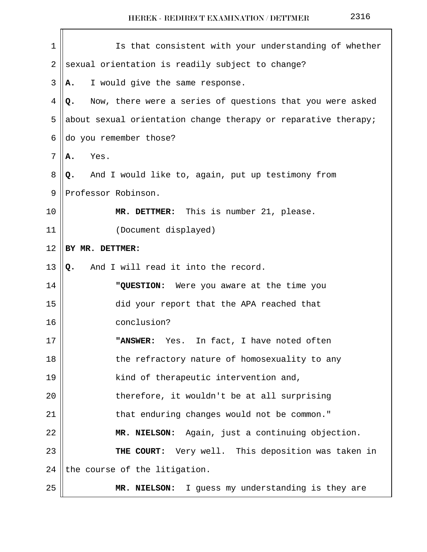| $\mathbf 1$    | Is that consistent with your understanding of whether           |
|----------------|-----------------------------------------------------------------|
| $\overline{2}$ | sexual orientation is readily subject to change?                |
| 3              | I would give the same response.<br>А.                           |
| 4              | Now, there were a series of questions that you were asked<br>Q. |
| 5              | about sexual orientation change therapy or reparative therapy;  |
| 6              | do you remember those?                                          |
| 7              | Yes.<br>Α.                                                      |
| 8              | And I would like to, again, put up testimony from<br>Q.         |
| 9              | Professor Robinson.                                             |
| 10             | MR. DETTMER: This is number 21, please.                         |
| 11             | (Document displayed)                                            |
| 12             | BY MR. DETTMER:                                                 |
| 13             | And I will read it into the record.<br>Q.                       |
| 14             | "QUESTION: Were you aware at the time you                       |
| 15             | did your report that the APA reached that                       |
| 16             | conclusion?                                                     |
| 17             | "ANSWER: Yes. In fact, I have noted often                       |
| 18             | the refractory nature of homosexuality to any                   |
| 19             | kind of therapeutic intervention and,                           |
| 20             | therefore, it wouldn't be at all surprising                     |
| 21             | that enduring changes would not be common."                     |
| 22             | MR. NIELSON: Again, just a continuing objection.                |
| 23             | THE COURT: Very well. This deposition was taken in              |
| 24             | the course of the litigation.                                   |
| 25             | MR. NIELSON: I guess my understanding is they are               |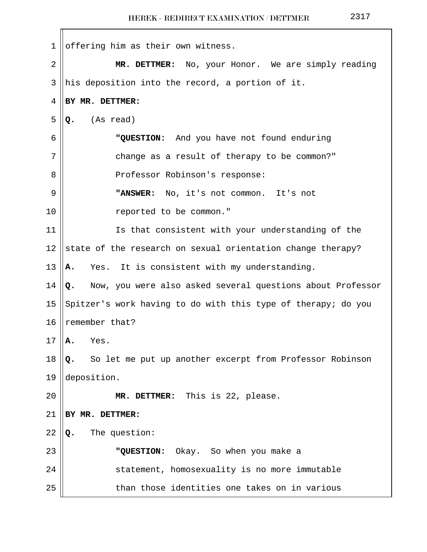| 1              | offering him as their own witness.                             |
|----------------|----------------------------------------------------------------|
| $\overline{2}$ | MR. DETTMER: No, your Honor. We are simply reading             |
| 3              | his deposition into the record, a portion of it.               |
| 4              | BY MR. DETTMER:                                                |
| 5              | (As read)<br>Q.                                                |
| 6              | "QUESTION: And you have not found enduring                     |
| 7              | change as a result of therapy to be common?"                   |
| 8              | Professor Robinson's response:                                 |
| 9              | "ANSWER: No, it's not common. It's not                         |
| 10             | reported to be common."                                        |
| 11             | Is that consistent with your understanding of the              |
| 12             | state of the research on sexual orientation change therapy?    |
| 13             | Yes. It is consistent with my understanding.<br>Α.             |
| 14             | Q. Now, you were also asked several questions about Professor  |
| 15             | Spitzer's work having to do with this type of therapy; do you  |
| 16             | remember that?                                                 |
| 17             | Yes.<br>А.                                                     |
| 18             | So let me put up another excerpt from Professor Robinson<br>Q. |
| 19             | deposition.                                                    |
| 20             | MR. DETTMER: This is 22, please.                               |
| 21             | BY MR. DETTMER:                                                |
| 22             | The question:<br>Q.                                            |
| 23             | "QUESTION:<br>Okay. So when you make a                         |
| 24             | statement, homosexuality is no more immutable                  |
| 25             | than those identities one takes on in various                  |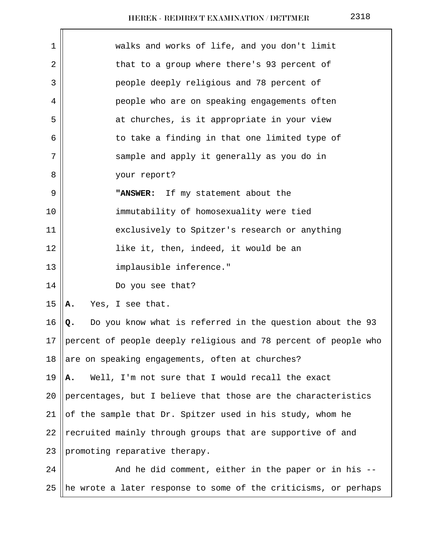| 1  | walks and works of life, and you don't limit                    |
|----|-----------------------------------------------------------------|
| 2  | that to a group where there's 93 percent of                     |
| 3  | people deeply religious and 78 percent of                       |
| 4  | people who are on speaking engagements often                    |
| 5  | at churches, is it appropriate in your view                     |
| 6  | to take a finding in that one limited type of                   |
| 7  | sample and apply it generally as you do in                      |
| 8  | your report?                                                    |
| 9  | "ANSWER: If my statement about the                              |
| 10 | immutability of homosexuality were tied                         |
| 11 | exclusively to Spitzer's research or anything                   |
| 12 | like it, then, indeed, it would be an                           |
| 13 | implausible inference."                                         |
| 14 | Do you see that?                                                |
| 15 | Yes, I see that.<br>Α.                                          |
| 16 | Do you know what is referred in the question about the 93<br>Q. |
| 17 | percent of people deeply religious and 78 percent of people who |
| 18 | are on speaking engagements, often at churches?                 |
| 19 | Well, I'm not sure that I would recall the exact<br>Α.          |
| 20 | percentages, but I believe that those are the characteristics   |
| 21 | of the sample that Dr. Spitzer used in his study, whom he       |
| 22 | recruited mainly through groups that are supportive of and      |
| 23 | promoting reparative therapy.                                   |
| 24 | And he did comment, either in the paper or in his --            |
| 25 | he wrote a later response to some of the criticisms, or perhaps |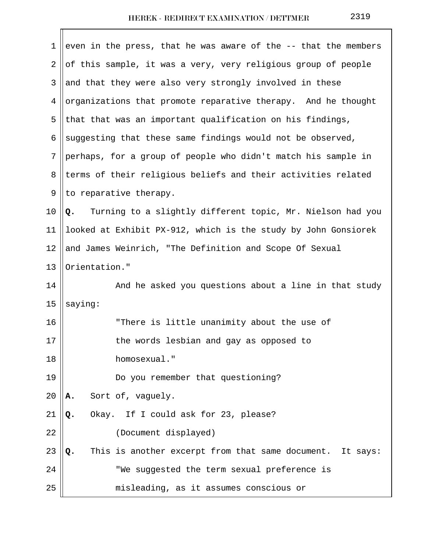| 1              | even in the press, that he was aware of the -- that the members  |  |  |  |  |  |
|----------------|------------------------------------------------------------------|--|--|--|--|--|
| $\overline{2}$ | of this sample, it was a very, very religious group of people    |  |  |  |  |  |
| 3              | and that they were also very strongly involved in these          |  |  |  |  |  |
| 4              | organizations that promote reparative therapy. And he thought    |  |  |  |  |  |
| 5              | that that was an important qualification on his findings,        |  |  |  |  |  |
| 6              | suggesting that these same findings would not be observed,       |  |  |  |  |  |
| 7              | perhaps, for a group of people who didn't match his sample in    |  |  |  |  |  |
| 8              | terms of their religious beliefs and their activities related    |  |  |  |  |  |
| 9              | to reparative therapy.                                           |  |  |  |  |  |
| 10             | Turning to a slightly different topic, Mr. Nielson had you<br>Q. |  |  |  |  |  |
| 11             | looked at Exhibit PX-912, which is the study by John Gonsiorek   |  |  |  |  |  |
| 12             | and James Weinrich, "The Definition and Scope Of Sexual          |  |  |  |  |  |
| 13             | Orientation."                                                    |  |  |  |  |  |
| 14             | And he asked you questions about a line in that study            |  |  |  |  |  |
| 15             | saying:                                                          |  |  |  |  |  |
| 16             | "There is little unanimity about the use of                      |  |  |  |  |  |
| 17             | the words lesbian and gay as opposed to                          |  |  |  |  |  |
| 18             | homosexual."                                                     |  |  |  |  |  |
| 19             | Do you remember that questioning?                                |  |  |  |  |  |
| 20             | Sort of, vaguely.                                                |  |  |  |  |  |
| 21             | Okay. If I could ask for 23, please?<br>Q.                       |  |  |  |  |  |
| 22             | (Document displayed)                                             |  |  |  |  |  |
| 23             | This is another excerpt from that same document. It says:<br>Q.  |  |  |  |  |  |
| 24             | "We suggested the term sexual preference is                      |  |  |  |  |  |
| 25             | misleading, as it assumes conscious or                           |  |  |  |  |  |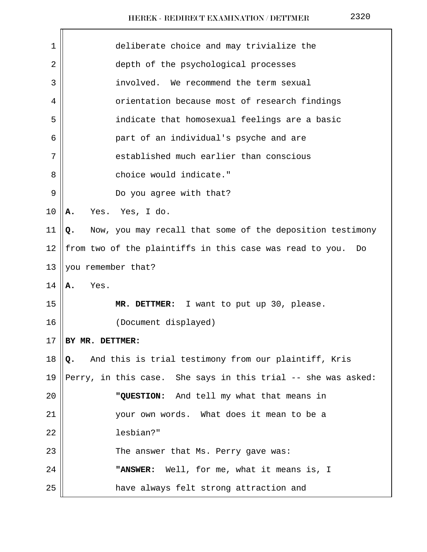| 1  | deliberate choice and may trivialize the                        |
|----|-----------------------------------------------------------------|
| 2  | depth of the psychological processes                            |
| 3  | involved. We recommend the term sexual                          |
| 4  | orientation because most of research findings                   |
| 5  | indicate that homosexual feelings are a basic                   |
| 6  | part of an individual's psyche and are                          |
| 7  | established much earlier than conscious                         |
| 8  | choice would indicate."                                         |
| 9  | Do you agree with that?                                         |
| 10 | Yes. Yes, I do.<br>А.                                           |
| 11 | Now, you may recall that some of the deposition testimony<br>Q. |
| 12 | from two of the plaintiffs in this case was read to you.<br>Do  |
| 13 | you remember that?                                              |
| 14 | Yes.<br>Α.                                                      |
| 15 | MR. DETTMER: I want to put up 30, please.                       |
| 16 | (Document displayed)                                            |
| 17 | <b>DETTMER:</b><br>BY MR.                                       |
| 18 | And this is trial testimony from our plaintiff, Kris<br>Q.      |
| 19 | Perry, in this case. She says in this trial -- she was asked:   |
| 20 | "QUESTION: And tell my what that means in                       |
| 21 | your own words. What does it mean to be a                       |
| 22 | lesbian?"                                                       |
| 23 | The answer that Ms. Perry gave was:                             |
| 24 | "ANSWER: Well, for me, what it means is, I                      |
| 25 | have always felt strong attraction and                          |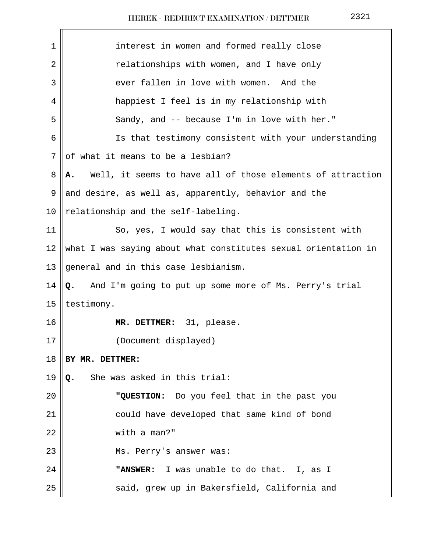| 1      | interest in women and formed really close                        |  |  |  |  |
|--------|------------------------------------------------------------------|--|--|--|--|
| 2      | relationships with women, and I have only                        |  |  |  |  |
| 3      | ever fallen in love with women. And the                          |  |  |  |  |
| 4      | happiest I feel is in my relationship with                       |  |  |  |  |
| 5      | Sandy, and -- because I'm in love with her."                     |  |  |  |  |
| 6      | Is that testimony consistent with your understanding             |  |  |  |  |
| 7      | of what it means to be a lesbian?                                |  |  |  |  |
| 8      | Well, it seems to have all of those elements of attraction<br>А. |  |  |  |  |
| 9      | and desire, as well as, apparently, behavior and the             |  |  |  |  |
| 10     | relationship and the self-labeling.                              |  |  |  |  |
| 11     | So, yes, I would say that this is consistent with                |  |  |  |  |
| 12     | what I was saying about what constitutes sexual orientation in   |  |  |  |  |
| 13     | general and in this case lesbianism.                             |  |  |  |  |
| 14     | And I'm going to put up some more of Ms. Perry's trial<br>Q.     |  |  |  |  |
| 15     | testimony.                                                       |  |  |  |  |
| 16     | MR. DETTMER: 31, please.                                         |  |  |  |  |
| $17\,$ | (Document displayed)                                             |  |  |  |  |
| 18     | BY MR. DETTMER:                                                  |  |  |  |  |
| 19     | She was asked in this trial:<br>Q.                               |  |  |  |  |
| 20     | "QUESTION: Do you feel that in the past you                      |  |  |  |  |
| 21     | could have developed that same kind of bond                      |  |  |  |  |
| 22     | with a man?"                                                     |  |  |  |  |
| 23     | Ms. Perry's answer was:                                          |  |  |  |  |
| 24     | "ANSWER: I was unable to do that. I, as I                        |  |  |  |  |
| 25     | said, grew up in Bakersfield, California and                     |  |  |  |  |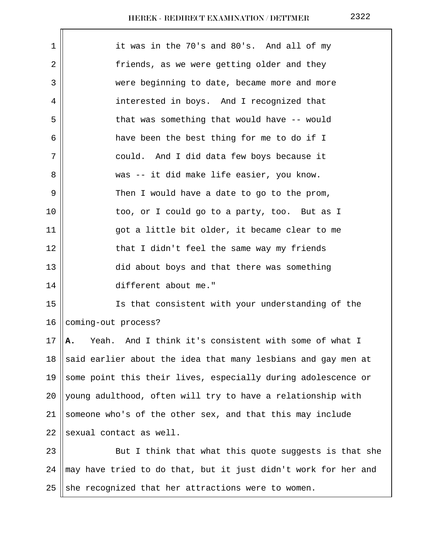Ш

| $1\,$ | it was in the 70's and 80's. And all of my    |
|-------|-----------------------------------------------|
| 2     | friends, as we were getting older and they    |
| 3     | were beginning to date, became more and more  |
| 4     | interested in boys. And I recognized that     |
| 5     | that was something that would have $-$ would  |
| 6     | have been the best thing for me to do if I    |
| 7     | could. And I did data few boys because it     |
| 8     | was -- it did make life easier, you know.     |
| 9     | Then I would have a date to go to the prom,   |
| 10    | too, or I could go to a party, too. But as I  |
| 11    | got a little bit older, it became clear to me |
| 12    | that I didn't feel the same way my friends    |
| 13    | did about boys and that there was something   |
| 14    | different about me."                          |

15 || Is that consistent with your understanding of the 16 | coming-out process?

 **A.** Yeah. And I think it's consistent with some of what I  $\parallel$  said earlier about the idea that many lesbians and gay men at 19 Some point this their lives, especially during adolescence or  $\gamma$  young adulthood, often will try to have a relationship with 21 Someone who's of the other sex, and that this may include sexual contact as well.

23  $\parallel$  But I think that what this quote suggests is that she  $24$  ||may have tried to do that, but it just didn't work for her and 25 she recognized that her attractions were to women.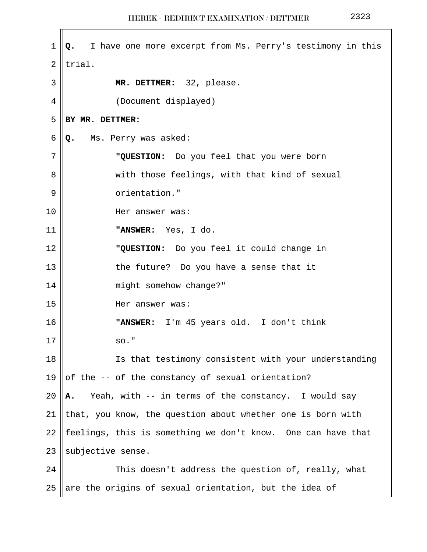1 **Q.** I have one more excerpt from Ms. Perry's testimony in this  $2$  Itrial. 3 **MR. DETTMER:** 32, please. 4 (Document displayed) 5 **BY MR. DETTMER:**   $6 \parallel \mathbf{Q}$ . Ms. Perry was asked: 7 **"QUESTION:** Do you feel that you were born 8 || with those feelings, with that kind of sexual 9 || orientation." 10 Her answer was: 11 **"ANSWER:** Yes, I do. 12 **"QUESTION:** Do you feel it could change in 13 || the future? Do you have a sense that it 14 || might somehow change?" 15 Her answer was: 16 **"ANSWER:** I'm 45 years old. I don't think  $17$   $\parallel$  so." 18 || Is that testimony consistent with your understanding 19  $\parallel$  of the -- of the constancy of sexual orientation? 20  $\|$ **A.** Yeah, with  $-$  in terms of the constancy. I would say 21  $\|$ that, you know, the question about whether one is born with 22 || feelings, this is something we don't know. One can have that  $23$  subjective sense. 24 | This doesn't address the question of, really, what 25 are the origins of sexual orientation, but the idea of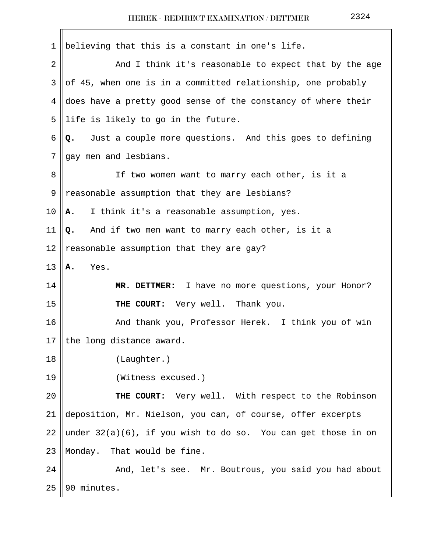| $\mathbf{1}$   | believing that this is a constant in one's life.                 |
|----------------|------------------------------------------------------------------|
| $\overline{2}$ | And I think it's reasonable to expect that by the age            |
| 3              | of 45, when one is in a committed relationship, one probably     |
| 4              | does have a pretty good sense of the constancy of where their    |
| 5              | life is likely to go in the future.                              |
| 6              | Just a couple more questions. And this goes to defining<br>Q.    |
| 7              | gay men and lesbians.                                            |
| 8              | If two women want to marry each other, is it a                   |
| 9              | reasonable assumption that they are lesbians?                    |
| 10             | I think it's a reasonable assumption, yes.<br>A.                 |
| 11             | And if two men want to marry each other, is it a<br>Q.           |
| 12             | reasonable assumption that they are gay?                         |
| 13             | Yes.<br>Α.                                                       |
| 14             | MR. DETTMER: I have no more questions, your Honor?               |
| 15             | THE COURT: Very well. Thank you.                                 |
| 16             | And thank you, Professor Herek. I think you of win               |
| 17             | the long distance award.                                         |
| 18             | (Laughter.)                                                      |
| 19             | (Witness excused.)                                               |
| 20             | THE COURT: Very well. With respect to the Robinson               |
| 21             | deposition, Mr. Nielson, you can, of course, offer excerpts      |
| 22             | under $32(a)(6)$ , if you wish to do so. You can get those in on |
| 23             | Monday. That would be fine.                                      |
| 24             | And, let's see. Mr. Boutrous, you said you had about             |
| 25             | 90 minutes.                                                      |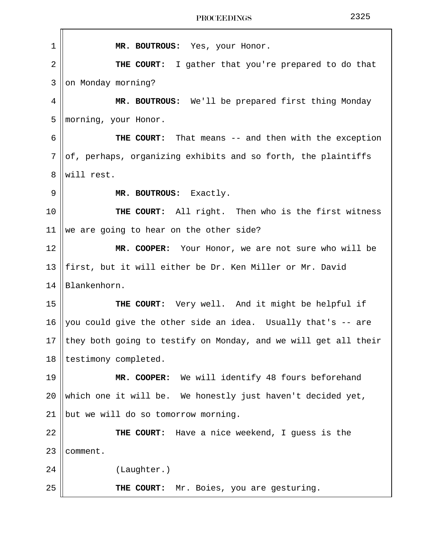1 **MR. BOUTROUS:** Yes, your Honor. 2 **THE COURT:** I gather that you're prepared to do that 3 on Monday morning? 4 **MR. BOUTROUS:** We'll be prepared first thing Monday 5 ||morning, your Honor. 6 **THE COURT:** That means -- and then with the exception  $7 \parallel$  of, perhaps, organizing exhibits and so forth, the plaintiffs 8 will rest. 9 **MR. BOUTROUS:** Exactly. 10 **THE COURT:** All right. Then who is the first witness 11 we are going to hear on the other side? 12 **MR. COOPER:** Your Honor, we are not sure who will be 13 ||first, but it will either be Dr. Ken Miller or Mr. David 14 Blankenhorn. 15 **THE COURT:** Very well. And it might be helpful if 16 you could give the other side an idea. Usually that's  $-$  are 17 they both going to testify on Monday, and we will get all their 18 || testimony completed. 19 **MR. COOPER:** We will identify 48 fours beforehand 20 Which one it will be. We honestly just haven't decided yet, 21 | but we will do so tomorrow morning. 22 **THE COURT:** Have a nice weekend, I guess is the  $23$  | comment. 24 | (Laughter.) 25 **THE COURT:** Mr. Boies, you are gesturing.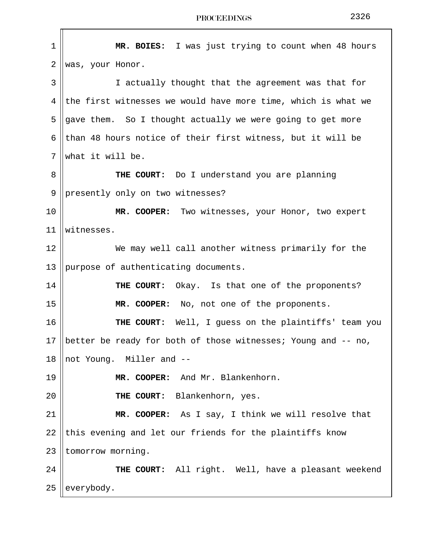1 **MR. BOIES:** I was just trying to count when 48 hours  $2 \parallel$ was, your Honor. 3 I actually thought that the agreement was that for 4 the first witnesses we would have more time, which is what we 5 gave them. So I thought actually we were going to get more 6 than 48 hours notice of their first witness, but it will be  $7$  what it will be. 8 **THE COURT:** Do I understand you are planning 9 || presently only on two witnesses? 10 **MR. COOPER:** Two witnesses, your Honor, two expert 11 witnesses. 12 || We may well call another witness primarily for the 13 || purpose of authenticating documents. 14 **THE COURT:** Okay. Is that one of the proponents? 15 **MR. COOPER:** No, not one of the proponents. 16 **THE COURT:** Well, I guess on the plaintiffs' team you 17 better be ready for both of those witnesses; Young and  $-$  no, 18 || not Young. Miller and  $-$ 19 **MR. COOPER:** And Mr. Blankenhorn. 20 **THE COURT:** Blankenhorn, yes. 21 **MR. COOPER:** As I say, I think we will resolve that 22 this evening and let our friends for the plaintiffs know  $23$  ||tomorrow morning. 24 **THE COURT:** All right. Well, have a pleasant weekend  $25$  | everybody.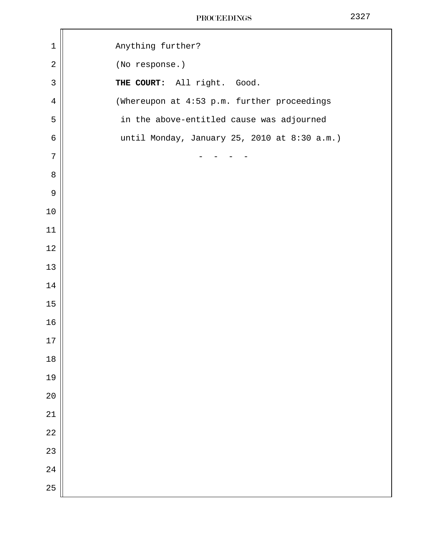1 || Anything further? 2 | (No response.) **THE COURT:** All right. Good. 4 | (Whereupon at 4:53 p.m. further proceedings 5 || in the above-entitled cause was adjourned  $\parallel$  until Monday, January 25, 2010 at 8:30 a.m.)  $7 \parallel$  - - - -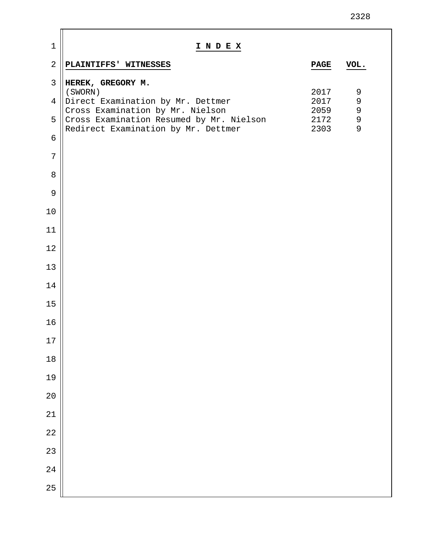| $\mathbf 1$    | INDEX                                                                            |                      |                       |
|----------------|----------------------------------------------------------------------------------|----------------------|-----------------------|
| $\overline{2}$ | PLAINTIFFS' WITNESSES                                                            | <b>PAGE</b>          | VOL.                  |
| $\overline{3}$ | HEREK, GREGORY M.                                                                |                      |                       |
| $\overline{4}$ | (SWORN)<br>Direct Examination by Mr. Dettmer<br>Cross Examination by Mr. Nielson | 2017<br>2017<br>2059 | 9<br>$\mathsf 9$<br>9 |
| 5              | Cross Examination Resumed by Mr. Nielson<br>Redirect Examination by Mr. Dettmer  | 2172<br>2303         | 9<br>9                |
| $\epsilon$     |                                                                                  |                      |                       |
| $\overline{7}$ |                                                                                  |                      |                       |
| $\,8\,$        |                                                                                  |                      |                       |
| 9              |                                                                                  |                      |                       |
| 10             |                                                                                  |                      |                       |
| 11             |                                                                                  |                      |                       |
| 12             |                                                                                  |                      |                       |
| 13             |                                                                                  |                      |                       |
| 14             |                                                                                  |                      |                       |
| 15             |                                                                                  |                      |                       |
| 16             |                                                                                  |                      |                       |
| $17\,$         |                                                                                  |                      |                       |
| 18             |                                                                                  |                      |                       |
| 19             |                                                                                  |                      |                       |
| 20             |                                                                                  |                      |                       |
| 21             |                                                                                  |                      |                       |
| $2\sqrt{2}$    |                                                                                  |                      |                       |
| 23             |                                                                                  |                      |                       |
| $2\sqrt{4}$    |                                                                                  |                      |                       |
| 25             |                                                                                  |                      |                       |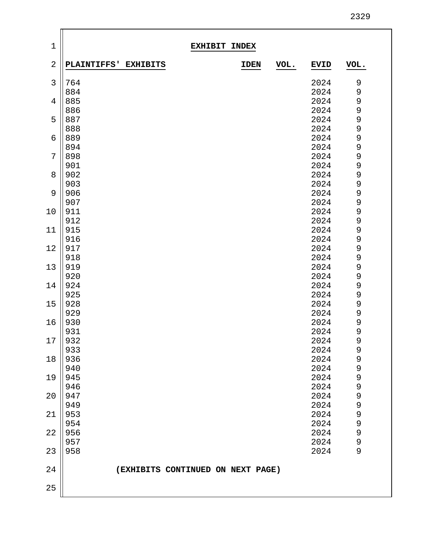| $1\,$          | <b>EXHIBIT INDEX</b>              |             |      |              |             |  |
|----------------|-----------------------------------|-------------|------|--------------|-------------|--|
| $\overline{2}$ | PLAINTIFFS' EXHIBITS              | <b>IDEN</b> | VOL. | <b>EVID</b>  | VOL.        |  |
| 3              | 764                               |             |      | 2024         | 9           |  |
| 4              | 884<br>885                        |             |      | 2024<br>2024 | 9<br>9      |  |
|                | 886                               |             |      | 2024         | 9           |  |
| 5              | 887                               |             |      | 2024         | 9           |  |
|                | 888                               |             |      | 2024         | 9           |  |
| 6              | 889                               |             |      | 2024         | 9           |  |
|                | 894                               |             |      | 2024         | 9           |  |
| 7              | 898                               |             |      | 2024         | 9           |  |
|                | 901                               |             |      | 2024         | 9           |  |
| 8              | 902                               |             |      | 2024         | 9           |  |
|                | 903                               |             |      | 2024         | 9           |  |
| 9              | 906                               |             |      | 2024         | 9           |  |
|                | 907                               |             |      | 2024         | 9           |  |
| 10             | 911                               |             |      | 2024         | 9           |  |
|                | 912                               |             |      | 2024         | 9           |  |
| 11             | 915                               |             |      | 2024         | 9           |  |
|                | 916                               |             |      | 2024         | 9           |  |
| 12             | 917                               |             |      | 2024         | 9           |  |
|                | 918                               |             |      | 2024         | 9           |  |
| 13             | 919                               |             |      | 2024         | 9           |  |
| 14             | 920<br>924                        |             |      | 2024<br>2024 | 9<br>9      |  |
|                | 925                               |             |      | 2024         | 9           |  |
| 15             | 928                               |             |      | 2024         | 9           |  |
|                | 929                               |             |      | 2024         | 9           |  |
| 16             | 930                               |             |      | 2024         | 9           |  |
|                | 931                               |             |      | 2024         | 9           |  |
| Ш<br>17        | 932                               |             |      | 2024         | 9           |  |
|                | 933                               |             |      | 2024         | 9           |  |
| 18             | 936                               |             |      | 2024         | 9           |  |
|                | 940                               |             |      | 2024         | 9           |  |
| 19             | 945                               |             |      | 2024         | 9           |  |
|                | 946                               |             |      | 2024         | 9           |  |
| 20             | 947                               |             |      | 2024         | 9<br>9      |  |
|                | 949                               |             |      | 2024         |             |  |
| 21             | 953                               |             |      | 2024         | 9           |  |
|                | 954                               |             |      | 2024         | 9           |  |
| 22             | 956                               |             |      | 2024         |             |  |
|                | 957                               |             |      | 2024         | 9<br>9<br>9 |  |
| 23             | 958                               |             |      | 2024         |             |  |
| 24             | (EXHIBITS CONTINUED ON NEXT PAGE) |             |      |              |             |  |
| 25             |                                   |             |      |              |             |  |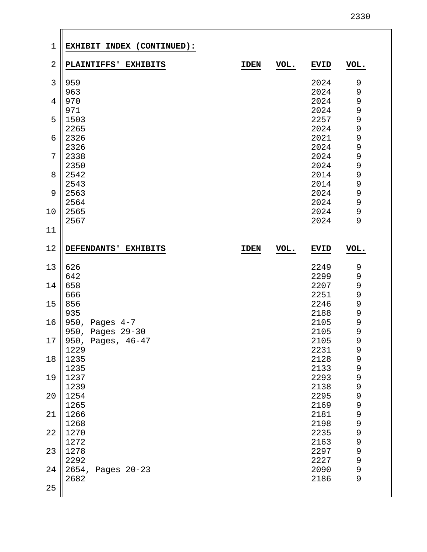| $\mathbf{1}$   | EXHIBIT INDEX (CONTINUED):   |             |      |              |                            |
|----------------|------------------------------|-------------|------|--------------|----------------------------|
| $\overline{2}$ | PLAINTIFFS' EXHIBITS         | <b>IDEN</b> | VOL. | <b>EVID</b>  | VOL.                       |
| 3              | 959<br>963                   |             |      | 2024<br>2024 | 9<br>$\mathsf 9$           |
| $\overline{4}$ | 970                          |             |      | 2024         | $\mathsf 9$                |
| 5              | 971<br>1503                  |             |      | 2024<br>2257 | $\mathsf 9$<br>9           |
| 6              | 2265<br>2326                 |             |      | 2024<br>2021 | 9<br>9                     |
| 7              | 2326<br>2338                 |             |      | 2024<br>2024 | $\mathsf 9$<br>9           |
| 8              | 2350<br>2542                 |             |      | 2024<br>2014 | 9<br>9                     |
| 9              | 2543<br>2563                 |             |      | 2014<br>2024 | 9<br>$\mathsf 9$           |
| 10             | 2564<br>2565                 |             |      | 2024<br>2024 | $\mathsf 9$<br>9           |
| 11             | 2567                         |             |      | 2024         | 9                          |
| 12             |                              |             |      |              |                            |
|                | DEFENDANTS' EXHIBITS         | <b>IDEN</b> | VOL. | <b>EVID</b>  | VOL.                       |
| 13             | 626<br>642                   |             |      | 2249<br>2299 | 9<br>$\mathsf 9$           |
| 14             | 658                          |             |      | 2207         | $\mathsf 9$                |
| 15             | 666<br>856                   |             |      | 2251<br>2246 | $\mathsf 9$<br>9           |
| 16             | 935<br>950, Pages 4-7        |             |      | 2188<br>2105 | 9<br>9                     |
| $17$           | 950,<br>Pages 29-30          |             |      | 2105<br>2105 | 9<br>$\mathsf 9$           |
|                | 950,<br>Pages, 46-47<br>1229 |             |      | 2231         | $\mathsf 9$                |
| 18             | 1235<br>1235                 |             |      | 2128<br>2133 | $\mathsf 9$<br>9           |
| 19             | 1237<br>1239                 |             |      | 2293<br>2138 | $\mathsf 9$<br>$\mathsf 9$ |
| 20             | 1254                         |             |      | 2295         | $\mathsf 9$                |
| 21             | 1265<br>1266                 |             |      | 2169<br>2181 | 9<br>$\mathsf 9$           |
| 22             | 1268<br>1270                 |             |      | 2198<br>2235 | $\mathsf 9$<br>$\mathsf 9$ |
| 23             | 1272<br>1278                 |             |      | 2163<br>2297 | $\mathsf 9$<br>9           |
| 24             | 2292<br>2654, Pages 20-23    |             |      | 2227<br>2090 | $\mathsf 9$<br>9           |
| 25             | 2682                         |             |      | 2186         | 9                          |
|                |                              |             |      |              |                            |